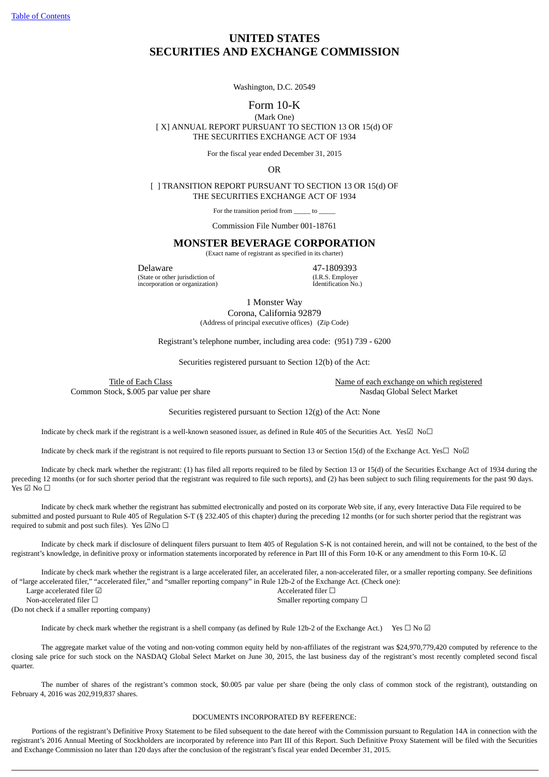Table of [Contents](#page-1-0)

# **UNITED STATES SECURITIES AND EXCHANGE COMMISSION**

Washington, D.C. 20549

## Form 10-K

(Mark One) [ X] ANNUAL REPORT PURSUANT TO SECTION 13 OR 15(d) OF THE SECURITIES EXCHANGE ACT OF 1934

For the fiscal year ended December 31, 2015

OR

[ ] TRANSITION REPORT PURSUANT TO SECTION 13 OR 15(d) OF THE SECURITIES EXCHANGE ACT OF 1934

For the transition period from to

Commission File Number 001-18761

#### **MONSTER BEVERAGE CORPORATION**

(Exact name of registrant as specified in its charter)

**Delaware** 47-1809393 (State or other jurisdiction of the 47-1809393 (State or other jurisdiction of the 47-1809393) (State or other jurisdiction of  $(1.R.S.$  Employer incorporation or organization)  $1$  extents the interval of  $(1.R.S.$  Employer  $1$  extension  $0$ . incorporation or organization)

1 Monster Way

Corona, California 92879 (Address of principal executive offices) (Zip Code)

Registrant's telephone number, including area code: (951) 739 - 6200

Securities registered pursuant to Section 12(b) of the Act:

Title of Each Class Name of each exchange on which registered Common Stock, \$.005 par value per share Nassau Select Market Nasdaq Global Select Market

Securities registered pursuant to Section 12(g) of the Act: None

Indicate by check mark if the registrant is a well-known seasoned issuer, as defined in Rule 405 of the Securities Act. Yes $\Box$  No $\Box$ 

Indicate by check mark if the registrant is not required to file reports pursuant to Section 13 or Section 15(d) of the Exchange Act. Yes☐ No☑

Indicate by check mark whether the registrant: (1) has filed all reports required to be filed by Section 13 or 15(d) of the Securities Exchange Act of 1934 during the preceding 12 months (or for such shorter period that the registrant was required to file such reports), and (2) has been subject to such filing requirements for the past 90 days. Yes ☑ No ☐

Indicate by check mark whether the registrant has submitted electronically and posted on its corporate Web site, if any, every Interactive Data File required to be submitted and posted pursuant to Rule 405 of Regulation S-T (§ 232.405 of this chapter) during the preceding 12 months (or for such shorter period that the registrant was required to submit and post such files). Yes  $\Box$ No  $\Box$ 

Indicate by check mark if disclosure of delinquent filers pursuant to Item 405 of Regulation S-K is not contained herein, and will not be contained, to the best of the registrant's knowledge, in definitive proxy or information statements incorporated by reference in Part III of this Form 10-K or any amendment to this Form 10-K. ☑

Indicate by check mark whether the registrant is a large accelerated filer, an accelerated filer, a non-accelerated filer, or a smaller reporting company. See definitions of "large accelerated filer," "accelerated filer," and "smaller reporting company" in Rule 12b-2 of the Exchange Act. (Check one):

Large accelerated filer ☑ Accelerated filer □ Non-accelerated filer □ <br>
Smaller reporting company □

(Do not check if a smaller reporting company)

Indicate by check mark whether the registrant is a shell company (as defined by Rule 12b-2 of the Exchange Act.) Yes  $\Box$  No  $\Box$ 

The aggregate market value of the voting and non-voting common equity held by non-affiliates of the registrant was \$24,970,779,420 computed by reference to the closing sale price for such stock on the NASDAQ Global Select Market on June 30, 2015, the last business day of the registrant's most recently completed second fiscal quarter.

The number of shares of the registrant's common stock, \$0.005 par value per share (being the only class of common stock of the registrant), outstanding on February 4, 2016 was 202,919,837 shares.

#### DOCUMENTS INCORPORATED BY REFERENCE:

Portions of the registrant's Definitive Proxy Statement to be filed subsequent to the date hereof with the Commission pursuant to Regulation 14A in connection with the registrant's 2016 Annual Meeting of Stockholders are incorporated by reference into Part III of this Report. Such Definitive Proxy Statement will be filed with the Securities and Exchange Commission no later than 120 days after the conclusion of the registrant's fiscal year ended December 31, 2015.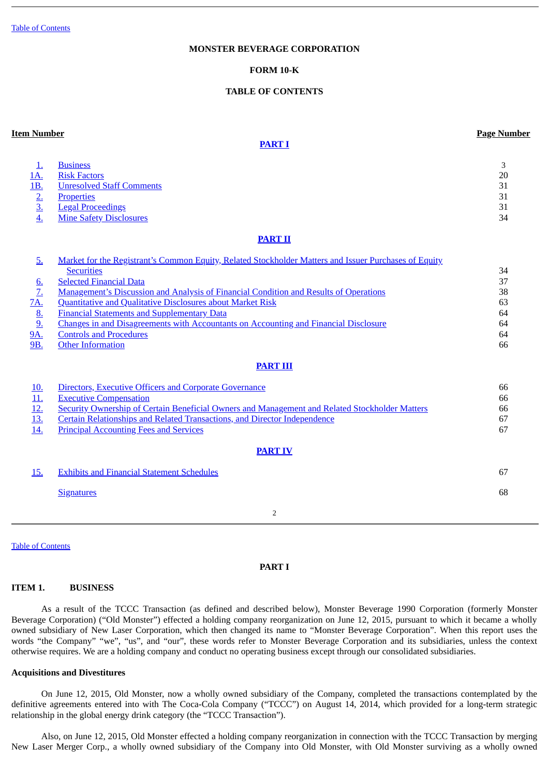## **MONSTER BEVERAGE CORPORATION**

## <span id="page-1-0"></span>**FORM 10-K**

## **TABLE OF CONTENTS**

### **Item Number Page Number**

# **[PART](#page-1-1) I**

|  | <u>1 ust 1 umber</u> |
|--|----------------------|
|  |                      |
|  |                      |
|  |                      |

| $\frac{1}{2}$<br><u>1A.</u><br><u>1B.</u><br>$\frac{2}{3}$<br>$\overline{4}$ . | <b>Business</b><br><b>Risk Factors</b><br><b>Unresolved Staff Comments</b><br><b>Properties</b><br><b>Legal Proceedings</b><br><b>Mine Safety Disclosures</b>                                                                                                                                                                                                                                                                                                                                                                                 | 3<br>20<br>31<br>31<br>31<br>34              |  |  |  |
|--------------------------------------------------------------------------------|-----------------------------------------------------------------------------------------------------------------------------------------------------------------------------------------------------------------------------------------------------------------------------------------------------------------------------------------------------------------------------------------------------------------------------------------------------------------------------------------------------------------------------------------------|----------------------------------------------|--|--|--|
|                                                                                | <b>PART II</b>                                                                                                                                                                                                                                                                                                                                                                                                                                                                                                                                |                                              |  |  |  |
| 5.<br>$rac{6}{7}$<br><u>7A.</u><br>$\frac{8}{9}$<br><u>9A.</u><br><b>9B.</b>   | Market for the Registrant's Common Equity, Related Stockholder Matters and Issuer Purchases of Equity<br><b>Securities</b><br><b>Selected Financial Data</b><br><u>Management's Discussion and Analysis of Financial Condition and Results of Operations</u><br><b>Quantitative and Qualitative Disclosures about Market Risk</b><br><b>Financial Statements and Supplementary Data</b><br>Changes in and Disagreements with Accountants on Accounting and Financial Disclosure<br><b>Controls and Procedures</b><br><b>Other Information</b> | 34<br>37<br>38<br>63<br>64<br>64<br>64<br>66 |  |  |  |
|                                                                                | <b>PART III</b>                                                                                                                                                                                                                                                                                                                                                                                                                                                                                                                               |                                              |  |  |  |
| <u>10.</u><br><u>11.</u><br><u>12.</u><br><u>13.</u><br>14.                    | <b>Directors, Executive Officers and Corporate Governance</b><br><b>Executive Compensation</b><br>Security Ownership of Certain Beneficial Owners and Management and Related Stockholder Matters<br>Certain Relationships and Related Transactions, and Director Independence<br><b>Principal Accounting Fees and Services</b>                                                                                                                                                                                                                | 66<br>66<br>66<br>67<br>67                   |  |  |  |
|                                                                                | <b>PART IV</b>                                                                                                                                                                                                                                                                                                                                                                                                                                                                                                                                |                                              |  |  |  |
| <u>15.</u>                                                                     | <b>Exhibits and Financial Statement Schedules</b>                                                                                                                                                                                                                                                                                                                                                                                                                                                                                             | 67                                           |  |  |  |
|                                                                                | <b>Signatures</b>                                                                                                                                                                                                                                                                                                                                                                                                                                                                                                                             | 68                                           |  |  |  |
|                                                                                | $\overline{2}$                                                                                                                                                                                                                                                                                                                                                                                                                                                                                                                                |                                              |  |  |  |

Table of [Contents](#page-1-0)

### <span id="page-1-1"></span>**PART I**

### <span id="page-1-2"></span>**ITEM 1. BUSINESS**

As a result of the TCCC Transaction (as defined and described below), Monster Beverage 1990 Corporation (formerly Monster Beverage Corporation) ("Old Monster") effected a holding company reorganization on June 12, 2015, pursuant to which it became a wholly owned subsidiary of New Laser Corporation, which then changed its name to "Monster Beverage Corporation". When this report uses the words "the Company" "we", "us", and "our", these words refer to Monster Beverage Corporation and its subsidiaries, unless the context otherwise requires. We are a holding company and conduct no operating business except through our consolidated subsidiaries.

### **Acquisitions and Divestitures**

On June 12, 2015, Old Monster, now a wholly owned subsidiary of the Company, completed the transactions contemplated by the definitive agreements entered into with The Coca-Cola Company ("TCCC") on August 14, 2014, which provided for a long-term strategic relationship in the global energy drink category (the "TCCC Transaction").

Also, on June 12, 2015, Old Monster effected a holding company reorganization in connection with the TCCC Transaction by merging New Laser Merger Corp., a wholly owned subsidiary of the Company into Old Monster, with Old Monster surviving as a wholly owned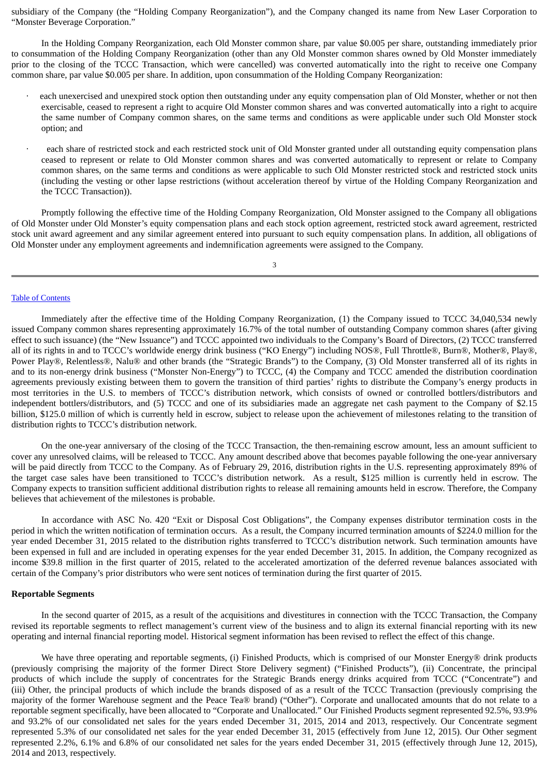subsidiary of the Company (the "Holding Company Reorganization"), and the Company changed its name from New Laser Corporation to "Monster Beverage Corporation."

In the Holding Company Reorganization, each Old Monster common share, par value \$0.005 per share, outstanding immediately prior to consummation of the Holding Company Reorganization (other than any Old Monster common shares owned by Old Monster immediately prior to the closing of the TCCC Transaction, which were cancelled) was converted automatically into the right to receive one Company common share, par value \$0.005 per share. In addition, upon consummation of the Holding Company Reorganization:

- each unexercised and unexpired stock option then outstanding under any equity compensation plan of Old Monster, whether or not then exercisable, ceased to represent a right to acquire Old Monster common shares and was converted automatically into a right to acquire the same number of Company common shares, on the same terms and conditions as were applicable under such Old Monster stock option; and
- each share of restricted stock and each restricted stock unit of Old Monster granted under all outstanding equity compensation plans ceased to represent or relate to Old Monster common shares and was converted automatically to represent or relate to Company common shares, on the same terms and conditions as were applicable to such Old Monster restricted stock and restricted stock units (including the vesting or other lapse restrictions (without acceleration thereof by virtue of the Holding Company Reorganization and the TCCC Transaction)).

Promptly following the effective time of the Holding Company Reorganization, Old Monster assigned to the Company all obligations of Old Monster under Old Monster's equity compensation plans and each stock option agreement, restricted stock award agreement, restricted stock unit award agreement and any similar agreement entered into pursuant to such equity compensation plans. In addition, all obligations of Old Monster under any employment agreements and indemnification agreements were assigned to the Company.

3

### Table of [Contents](#page-1-0)

Immediately after the effective time of the Holding Company Reorganization, (1) the Company issued to TCCC 34,040,534 newly issued Company common shares representing approximately 16.7% of the total number of outstanding Company common shares (after giving effect to such issuance) (the "New Issuance") and TCCC appointed two individuals to the Company's Board of Directors, (2) TCCC transferred all of its rights in and to TCCC's worldwide energy drink business ("KO Energy") including NOS®, Full Throttle®, Burn®, Mother®, Play®, Power Play®, Relentless®, Nalu® and other brands (the "Strategic Brands") to the Company, (3) Old Monster transferred all of its rights in and to its non-energy drink business ("Monster Non-Energy") to TCCC, (4) the Company and TCCC amended the distribution coordination agreements previously existing between them to govern the transition of third parties' rights to distribute the Company's energy products in most territories in the U.S. to members of TCCC's distribution network, which consists of owned or controlled bottlers/distributors and independent bottlers/distributors, and (5) TCCC and one of its subsidiaries made an aggregate net cash payment to the Company of \$2.15 billion, \$125.0 million of which is currently held in escrow, subject to release upon the achievement of milestones relating to the transition of distribution rights to TCCC's distribution network.

On the one-year anniversary of the closing of the TCCC Transaction, the then-remaining escrow amount, less an amount sufficient to cover any unresolved claims, will be released to TCCC. Any amount described above that becomes payable following the one-year anniversary will be paid directly from TCCC to the Company. As of February 29, 2016, distribution rights in the U.S. representing approximately 89% of the target case sales have been transitioned to TCCC's distribution network. As a result, \$125 million is currently held in escrow. The Company expects to transition sufficient additional distribution rights to release all remaining amounts held in escrow. Therefore, the Company believes that achievement of the milestones is probable.

In accordance with ASC No. 420 "Exit or Disposal Cost Obligations", the Company expenses distributor termination costs in the period in which the written notification of termination occurs. As a result, the Company incurred termination amounts of \$224.0 million for the year ended December 31, 2015 related to the distribution rights transferred to TCCC's distribution network. Such termination amounts have been expensed in full and are included in operating expenses for the year ended December 31, 2015. In addition, the Company recognized as income \$39.8 million in the first quarter of 2015, related to the accelerated amortization of the deferred revenue balances associated with certain of the Company's prior distributors who were sent notices of termination during the first quarter of 2015.

#### **Reportable Segments**

In the second quarter of 2015, as a result of the acquisitions and divestitures in connection with the TCCC Transaction, the Company revised its reportable segments to reflect management's current view of the business and to align its external financial reporting with its new operating and internal financial reporting model. Historical segment information has been revised to reflect the effect of this change.

We have three operating and reportable segments, (i) Finished Products, which is comprised of our Monster Energy® drink products (previously comprising the majority of the former Direct Store Delivery segment) ("Finished Products"), (ii) Concentrate, the principal products of which include the supply of concentrates for the Strategic Brands energy drinks acquired from TCCC ("Concentrate") and (iii) Other, the principal products of which include the brands disposed of as a result of the TCCC Transaction (previously comprising the majority of the former Warehouse segment and the Peace Tea® brand) ("Other"). Corporate and unallocated amounts that do not relate to a reportable segment specifically, have been allocated to "Corporate and Unallocated." Our Finished Products segment represented 92.5%, 93.9% and 93.2% of our consolidated net sales for the years ended December 31, 2015, 2014 and 2013, respectively. Our Concentrate segment represented 5.3% of our consolidated net sales for the year ended December 31, 2015 (effectively from June 12, 2015). Our Other segment represented 2.2%, 6.1% and 6.8% of our consolidated net sales for the years ended December 31, 2015 (effectively through June 12, 2015), 2014 and 2013, respectively.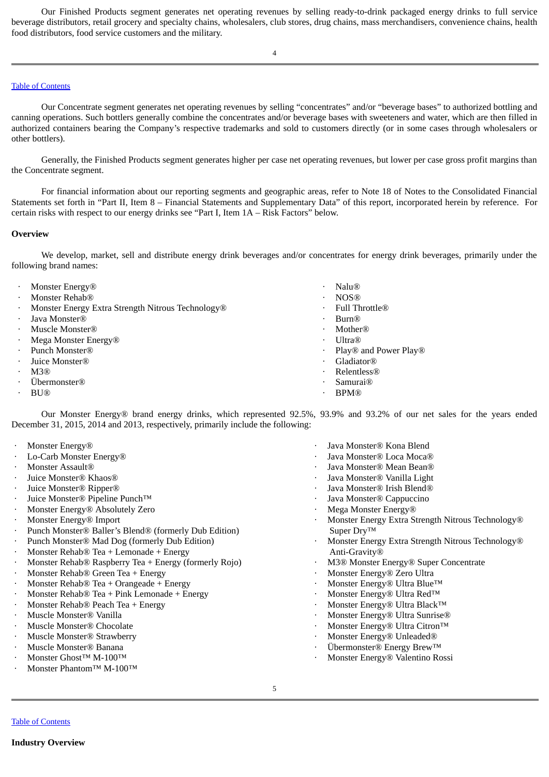Our Finished Products segment generates net operating revenues by selling ready-to-drink packaged energy drinks to full service beverage distributors, retail grocery and specialty chains, wholesalers, club stores, drug chains, mass merchandisers, convenience chains, health food distributors, food service customers and the military.

4

# Table of [Contents](#page-1-0)

Our Concentrate segment generates net operating revenues by selling "concentrates" and/or "beverage bases" to authorized bottling and canning operations. Such bottlers generally combine the concentrates and/or beverage bases with sweeteners and water, which are then filled in authorized containers bearing the Company's respective trademarks and sold to customers directly (or in some cases through wholesalers or other bottlers).

Generally, the Finished Products segment generates higher per case net operating revenues, but lower per case gross profit margins than the Concentrate segment.

For financial information about our reporting segments and geographic areas, refer to Note 18 of Notes to the Consolidated Financial Statements set forth in "Part II, Item 8 – Financial Statements and Supplementary Data" of this report, incorporated herein by reference. For certain risks with respect to our energy drinks see "Part I, Item 1A – Risk Factors" below.

### **Overview**

We develop, market, sell and distribute energy drink beverages and/or concentrates for energy drink beverages, primarily under the following brand names:

- **Monster Energy® · Nalu® · Nalu® Monster Rehab®** · NOS® Monster Energy Extra Strength Nitrous Technology® **· Full Throttle® Java Monster®** · **Burn®** · **Burn® Muscle Monster®** *Muscle Monster® Muscle Monster®* **Mega Monster Energy® · Constant Constant Constant Constant Constant Constant Constant Constant Constant Constant Constant Constant Constant Constant Constant Constant Constant Constant Constant Constant Constant Constan Punch Monster®** *Play®* and Power Play® and Power Play® **Figure Monster®** · **Cladiator®** · **Cladiator®** · **Gladiator®** · M3® · Relentless®
- · Übermonster® · Samurai®
- $\cdot$  BU® · BU®
- 
- 
- 
- 
- 
- 
- 
- 
- 
- 
- 

Our Monster Energy® brand energy drinks, which represented 92.5%, 93.9% and 93.2% of our net sales for the years ended December 31, 2015, 2014 and 2013, respectively, primarily include the following:

- 
- 
- 
- 
- 
- · Juice Monster® Pipeline Punch™ · Java Monster® Cappuccino
- **Monster Energy® Absolutely Zero by Constanting Constanting Constanting Monster Energy®** Absolutely Zero **and Constanting Constanting Constanting Constanting Constanting Constanting Constanting Constanting Constanting Co**
- · Monster Energy® Import
- · Punch Monster® Baller's Blend® (formerly Dub Edition)
- Punch Monster® Mad Dog (formerly Dub Edition)
- Monster  $Rehab@$  Tea + Lemonade + Energy
- · Monster Rehab® Raspberry Tea + Energy (formerly Rojo) · M3® Monster Energy® Super Concentrate
- **Monster Rehab® Green Tea + Energy Monster Energy® Zero Ultra · Monster Energy® Zero Ultra**
- Monster Rehab® Tea + Orangeade + Energy in the settlement of the Monster Energy® Ultra Blue™
- Monster Rehab® Tea + Pink Lemonade + Energy in the settlement of the Monster Energy® Ultra Red™
- **Monster Rehab® Peach Tea + Energy** in the settlement of the settlement of the Monster Energy® Ultra Black<sup>™</sup>
- 
- 
- **Muscle Monster® Strawberry and the strawberry of the straight of the Monster Energy® Unleaded®**
- 
- 
- Monster Phantom™ M-100™
- **Monster Energy®** *CONSTERS CONSTERS CONSTERS CONSTERS CONSTERS CONSTERS CONSTERS CONSTERS CONSTERS CONSTERS CONSTERS CONSTERS CONSTERS CONSTERS CONSTERS CONSTERS*
- · Lo-Carb Monster Energy® · Java Monster® Loca Moca®
- **Monster Assault®** *CONSTERMING Monster®* **Mean Bean®** *CONSTERMING**CONSTERMING* **<b>***CONSTERMING CONSTERMING CONSTERMING* **<b>***CONSTERMING CONSTERMING CONSTERMING CONSTERMING CONSTERMING***</del> <b>***CON*
- · Juice Monster® Khaos® · Java Monster® Vanilla Light
- **Figure Monster® Ripper® ·** *Java Monster® Irish Blend®* **·** *Java Monster® Irish Blend®* 
	-
	-
	- · Monster Energy Extra Strength Nitrous Technology® Super Dry™
	- Monster Energy Extra Strength Nitrous Technology® Anti-Gravity®
	-
	-
	-
	-
	-
- **Muscle Monster® Vanilla and Sunrise** and Sunrise and Sunrise and Sunrise and Sunrise and Sunrise and Sunrise and Sunrise and Sunrise and Sunrise and Sunrise and Sunrise and Sunrise and Sunrise and Sunrise and Sunrise an
- $M$ uscle Monster® Chocolate  $\cdot$  Monster Energy® Ultra Citron™
	-
- · Muscle Monster® Banana · Übermonster® Energy Brew™
- · Monster Ghost™ M-100™ · Monster Energy® Valentino Rossi

Table of [Contents](#page-1-0)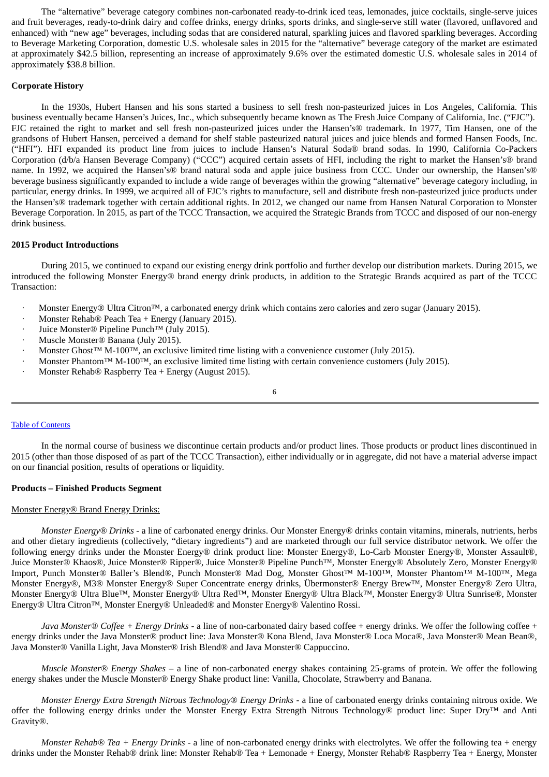The "alternative" beverage category combines non-carbonated ready-to-drink iced teas, lemonades, juice cocktails, single-serve juices and fruit beverages, ready-to-drink dairy and coffee drinks, energy drinks, sports drinks, and single-serve still water (flavored, unflavored and enhanced) with "new age" beverages, including sodas that are considered natural, sparkling juices and flavored sparkling beverages. According to Beverage Marketing Corporation, domestic U.S. wholesale sales in 2015 for the "alternative" beverage category of the market are estimated at approximately \$42.5 billion, representing an increase of approximately 9.6% over the estimated domestic U.S. wholesale sales in 2014 of approximately \$38.8 billion.

## **Corporate History**

In the 1930s, Hubert Hansen and his sons started a business to sell fresh non-pasteurized juices in Los Angeles, California. This business eventually became Hansen's Juices, Inc., which subsequently became known as The Fresh Juice Company of California, Inc. ("FJC"). FJC retained the right to market and sell fresh non-pasteurized juices under the Hansen's® trademark. In 1977, Tim Hansen, one of the grandsons of Hubert Hansen, perceived a demand for shelf stable pasteurized natural juices and juice blends and formed Hansen Foods, Inc. ("HFI"). HFI expanded its product line from juices to include Hansen's Natural Soda® brand sodas. In 1990, California Co-Packers Corporation (d/b/a Hansen Beverage Company) ("CCC") acquired certain assets of HFI, including the right to market the Hansen's® brand name. In 1992, we acquired the Hansen's® brand natural soda and apple juice business from CCC. Under our ownership, the Hansen's® beverage business significantly expanded to include a wide range of beverages within the growing "alternative" beverage category including, in particular, energy drinks. In 1999, we acquired all of FJC's rights to manufacture, sell and distribute fresh non-pasteurized juice products under the Hansen's® trademark together with certain additional rights. In 2012, we changed our name from Hansen Natural Corporation to Monster Beverage Corporation. In 2015, as part of the TCCC Transaction, we acquired the Strategic Brands from TCCC and disposed of our non-energy drink business.

## **2015 Product Introductions**

During 2015, we continued to expand our existing energy drink portfolio and further develop our distribution markets. During 2015, we introduced the following Monster Energy® brand energy drink products, in addition to the Strategic Brands acquired as part of the TCCC Transaction:

- · Monster Energy® Ultra Citron™, a carbonated energy drink which contains zero calories and zero sugar (January 2015).
- Monster Rehab® Peach Tea + Energy (January 2015).
- · Juice Monster® Pipeline Punch™ (July 2015).
- · Muscle Monster® Banana (July 2015).
- · Monster Ghost™ M-100™, an exclusive limited time listing with a convenience customer (July 2015).
- · Monster Phantom™ M-100™, an exclusive limited time listing with certain convenience customers (July 2015).
- · Monster Rehab® Raspberry Tea + Energy (August 2015).

6

#### Table of [Contents](#page-1-0)

In the normal course of business we discontinue certain products and/or product lines. Those products or product lines discontinued in 2015 (other than those disposed of as part of the TCCC Transaction), either individually or in aggregate, did not have a material adverse impact on our financial position, results of operations or liquidity.

## **Products – Finished Products Segment**

## Monster Energy® Brand Energy Drinks:

*Monster Energy® Drinks* - a line of carbonated energy drinks. Our Monster Energy® drinks contain vitamins, minerals, nutrients, herbs and other dietary ingredients (collectively, "dietary ingredients") and are marketed through our full service distributor network. We offer the following energy drinks under the Monster Energy® drink product line: Monster Energy®, Lo-Carb Monster Energy®, Monster Assault®, Juice Monster® Khaos®, Juice Monster® Ripper®, Juice Monster® Pipeline Punch™, Monster Energy® Absolutely Zero, Monster Energy® Import, Punch Monster® Baller's Blend®, Punch Monster® Mad Dog, Monster Ghost™ M-100™, Monster Phantom™ M-100™, Mega Monster Energy®, M3® Monster Energy® Super Concentrate energy drinks, Übermonster® Energy Brew™, Monster Energy® Zero Ultra, Monster Energy® Ultra Blue™, Monster Energy® Ultra Red™, Monster Energy® Ultra Black™, Monster Energy® Ultra Sunrise®, Monster Energy® Ultra Citron™, Monster Energy® Unleaded® and Monster Energy® Valentino Rossi.

*Java Monster*® *Coffee + Energy Drinks* - a line of non-carbonated dairy based coffee + energy drinks. We offer the following coffee + energy drinks under the Java Monster® product line: Java Monster® Kona Blend, Java Monster® Loca Moca®, Java Monster® Mean Bean®, Java Monster® Vanilla Light, Java Monster® Irish Blend® and Java Monster® Cappuccino.

*Muscle Monster*® *Energy Shakes* – a line of non-carbonated energy shakes containing 25-grams of protein. We offer the following energy shakes under the Muscle Monster® Energy Shake product line: Vanilla, Chocolate, Strawberry and Banana.

*Monster Energy Extra Strength Nitrous Technology*® *Energy Drinks* - a line of carbonated energy drinks containing nitrous oxide. We offer the following energy drinks under the Monster Energy Extra Strength Nitrous Technology® product line: Super Dry™ and Anti Gravity®.

*Monster Rehab® Tea + Energy Drinks* - a line of non-carbonated energy drinks with electrolytes. We offer the following tea + energy drinks under the Monster Rehab® drink line: Monster Rehab® Tea + Lemonade + Energy, Monster Rehab® Raspberry Tea + Energy, Monster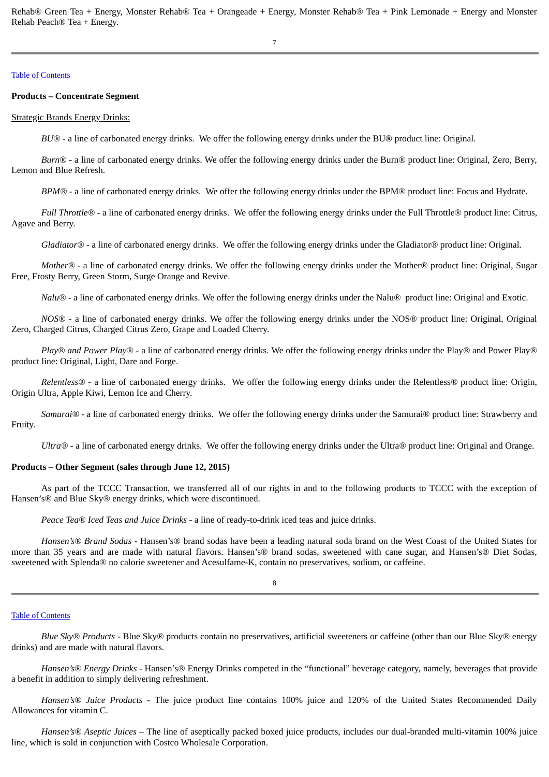Rehab® Green Tea + Energy, Monster Rehab® Tea + Orangeade + Energy, Monster Rehab® Tea + Pink Lemonade + Energy and Monster Rehab Peach® Tea + Energy.

## Table of [Contents](#page-1-0)

# **Products – Concentrate Segment**

## Strategic Brands Energy Drinks:

*BU® -* a line of carbonated energy drinks. We offer the following energy drinks under the BU*®* product line: Original.

*Burn®* - a line of carbonated energy drinks. We offer the following energy drinks under the Burn® product line: Original, Zero, Berry, Lemon and Blue Refresh.

*BPM®* - a line of carbonated energy drinks. We offer the following energy drinks under the BPM® product line: Focus and Hydrate.

*Full Throttle®* - a line of carbonated energy drinks. We offer the following energy drinks under the Full Throttle® product line: Citrus, Agave and Berry.

*Gladiator®* - a line of carbonated energy drinks. We offer the following energy drinks under the Gladiator® product line: Original.

*Mother® -* a line of carbonated energy drinks. We offer the following energy drinks under the Mother*®* product line: Original, Sugar Free, Frosty Berry, Green Storm, Surge Orange and Revive.

*Nalu®* - a line of carbonated energy drinks. We offer the following energy drinks under the Nalu*®* product line: Original and Exotic.

*NOS®* - a line of carbonated energy drinks. We offer the following energy drinks under the NOS*®* product line: Original, Original Zero, Charged Citrus, Charged Citrus Zero, Grape and Loaded Cherry.

*Play® and Power Play® -* a line of carbonated energy drinks. We offer the following energy drinks under the Play*®* and Power Play*®* product line: Original, Light, Dare and Forge.

*Relentless® -* a line of carbonated energy drinks. We offer the following energy drinks under the Relentless*®* product line: Origin, Origin Ultra, Apple Kiwi, Lemon Ice and Cherry.

*Samurai® -* a line of carbonated energy drinks. We offer the following energy drinks under the Samurai® product line: Strawberry and Fruity.

*Ultra® -* a line of carbonated energy drinks. We offer the following energy drinks under the Ultra*®* product line: Original and Orange.

# **Products – Other Segment (sales through June 12, 2015)**

As part of the TCCC Transaction, we transferred all of our rights in and to the following products to TCCC with the exception of Hansen's® and Blue Sky® energy drinks, which were discontinued.

*Peace Tea® Iced Teas and Juice Drinks* - a line of ready-to-drink iced teas and juice drinks.

*Hansen's® Brand Sodas -* Hansen's® brand sodas have been a leading natural soda brand on the West Coast of the United States for more than 35 years and are made with natural flavors. Hansen's® brand sodas, sweetened with cane sugar, and Hansen's® Diet Sodas, sweetened with Splenda® no calorie sweetener and Acesulfame-K, contain no preservatives, sodium, or caffeine.

## 8

#### Table of [Contents](#page-1-0)

*Blue Sky*® *Products -* Blue Sky® products contain no preservatives, artificial sweeteners or caffeine (other than our Blue Sky® energy drinks) and are made with natural flavors.

*Hansen's*® *Energy Drinks -* Hansen's® Energy Drinks competed in the "functional" beverage category, namely, beverages that provide a benefit in addition to simply delivering refreshment.

*Hansen's® Juice Products -* The juice product line contains 100% juice and 120% of the United States Recommended Daily Allowances for vitamin C.

*Hansen's® Aseptic Juices –* The line of aseptically packed boxed juice products, includes our dual-branded multi-vitamin 100% juice line, which is sold in conjunction with Costco Wholesale Corporation.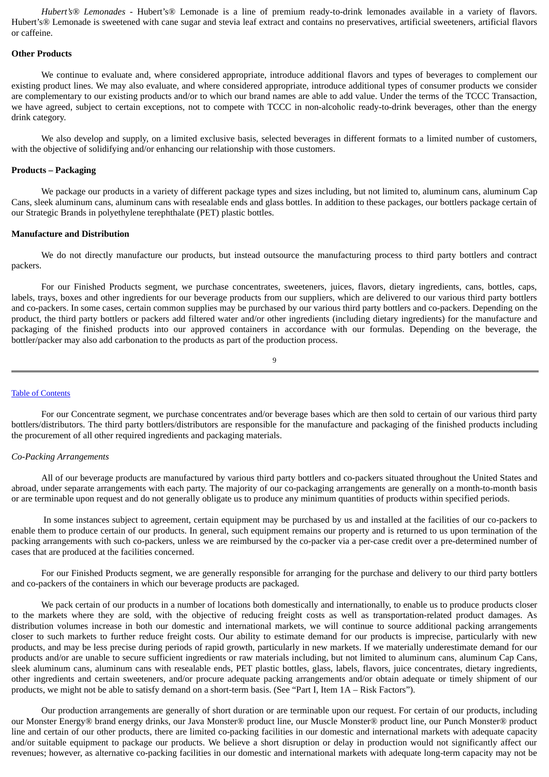*Hubert's® Lemonades -* Hubert's® Lemonade is a line of premium ready-to-drink lemonades available in a variety of flavors. Hubert's® Lemonade is sweetened with cane sugar and stevia leaf extract and contains no preservatives, artificial sweeteners, artificial flavors or caffeine.

#### **Other Products**

We continue to evaluate and, where considered appropriate, introduce additional flavors and types of beverages to complement our existing product lines. We may also evaluate, and where considered appropriate, introduce additional types of consumer products we consider are complementary to our existing products and/or to which our brand names are able to add value. Under the terms of the TCCC Transaction, we have agreed, subject to certain exceptions, not to compete with TCCC in non-alcoholic ready-to-drink beverages, other than the energy drink category.

We also develop and supply, on a limited exclusive basis, selected beverages in different formats to a limited number of customers, with the objective of solidifying and/or enhancing our relationship with those customers.

### **Products – Packaging**

We package our products in a variety of different package types and sizes including, but not limited to, aluminum cans, aluminum Cap Cans, sleek aluminum cans, aluminum cans with resealable ends and glass bottles. In addition to these packages, our bottlers package certain of our Strategic Brands in polyethylene terephthalate (PET) plastic bottles.

#### **Manufacture and Distribution**

We do not directly manufacture our products, but instead outsource the manufacturing process to third party bottlers and contract packers.

For our Finished Products segment, we purchase concentrates, sweeteners, juices, flavors, dietary ingredients, cans, bottles, caps, labels, trays, boxes and other ingredients for our beverage products from our suppliers, which are delivered to our various third party bottlers and co-packers. In some cases, certain common supplies may be purchased by our various third party bottlers and co-packers. Depending on the product, the third party bottlers or packers add filtered water and/or other ingredients (including dietary ingredients) for the manufacture and packaging of the finished products into our approved containers in accordance with our formulas. Depending on the beverage, the bottler/packer may also add carbonation to the products as part of the production process.

$$
9 \\
$$

#### Table of [Contents](#page-1-0)

For our Concentrate segment, we purchase concentrates and/or beverage bases which are then sold to certain of our various third party bottlers/distributors. The third party bottlers/distributors are responsible for the manufacture and packaging of the finished products including the procurement of all other required ingredients and packaging materials.

#### *Co-Packing Arrangements*

All of our beverage products are manufactured by various third party bottlers and co-packers situated throughout the United States and abroad, under separate arrangements with each party. The majority of our co-packaging arrangements are generally on a month-to-month basis or are terminable upon request and do not generally obligate us to produce any minimum quantities of products within specified periods.

In some instances subject to agreement, certain equipment may be purchased by us and installed at the facilities of our co-packers to enable them to produce certain of our products. In general, such equipment remains our property and is returned to us upon termination of the packing arrangements with such co-packers, unless we are reimbursed by the co-packer via a per-case credit over a pre-determined number of cases that are produced at the facilities concerned.

For our Finished Products segment, we are generally responsible for arranging for the purchase and delivery to our third party bottlers and co-packers of the containers in which our beverage products are packaged.

We pack certain of our products in a number of locations both domestically and internationally, to enable us to produce products closer to the markets where they are sold, with the objective of reducing freight costs as well as transportation-related product damages. As distribution volumes increase in both our domestic and international markets, we will continue to source additional packing arrangements closer to such markets to further reduce freight costs. Our ability to estimate demand for our products is imprecise, particularly with new products, and may be less precise during periods of rapid growth, particularly in new markets. If we materially underestimate demand for our products and/or are unable to secure sufficient ingredients or raw materials including, but not limited to aluminum cans, aluminum Cap Cans, sleek aluminum cans, aluminum cans with resealable ends, PET plastic bottles, glass, labels, flavors, juice concentrates, dietary ingredients, other ingredients and certain sweeteners, and/or procure adequate packing arrangements and/or obtain adequate or timely shipment of our products, we might not be able to satisfy demand on a short-term basis. (See "Part I, Item 1A – Risk Factors").

Our production arrangements are generally of short duration or are terminable upon our request. For certain of our products, including our Monster Energy® brand energy drinks, our Java Monster® product line, our Muscle Monster® product line, our Punch Monster® product line and certain of our other products, there are limited co-packing facilities in our domestic and international markets with adequate capacity and/or suitable equipment to package our products. We believe a short disruption or delay in production would not significantly affect our revenues; however, as alternative co-packing facilities in our domestic and international markets with adequate long-term capacity may not be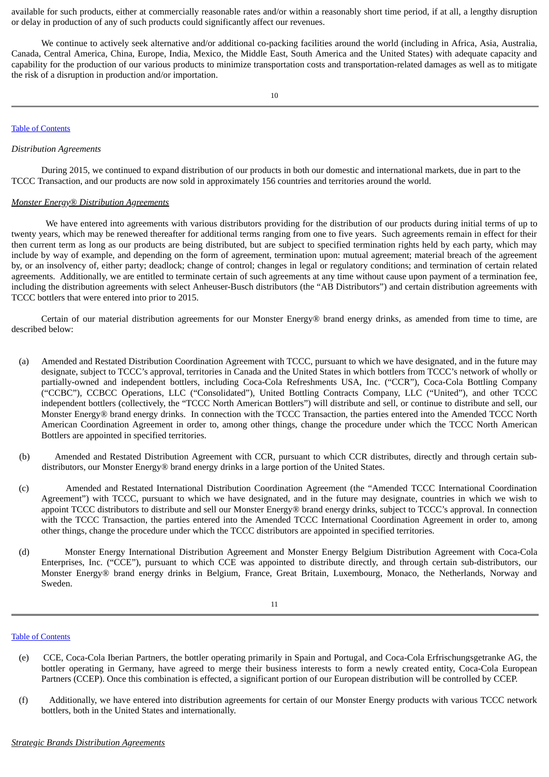available for such products, either at commercially reasonable rates and/or within a reasonably short time period, if at all, a lengthy disruption or delay in production of any of such products could significantly affect our revenues.

We continue to actively seek alternative and/or additional co-packing facilities around the world (including in Africa, Asia, Australia, Canada, Central America, China, Europe, India, Mexico, the Middle East, South America and the United States) with adequate capacity and capability for the production of our various products to minimize transportation costs and transportation-related damages as well as to mitigate the risk of a disruption in production and/or importation.

### Table of [Contents](#page-1-0)

### *Distribution Agreements*

During 2015, we continued to expand distribution of our products in both our domestic and international markets, due in part to the TCCC Transaction, and our products are now sold in approximately 156 countries and territories around the world.

### *Monster Energy*® *Distribution Agreements*

We have entered into agreements with various distributors providing for the distribution of our products during initial terms of up to twenty years, which may be renewed thereafter for additional terms ranging from one to five years. Such agreements remain in effect for their then current term as long as our products are being distributed, but are subject to specified termination rights held by each party, which may include by way of example, and depending on the form of agreement, termination upon: mutual agreement; material breach of the agreement by, or an insolvency of, either party; deadlock; change of control; changes in legal or regulatory conditions; and termination of certain related agreements. Additionally, we are entitled to terminate certain of such agreements at any time without cause upon payment of a termination fee, including the distribution agreements with select Anheuser-Busch distributors (the "AB Distributors") and certain distribution agreements with TCCC bottlers that were entered into prior to 2015.

Certain of our material distribution agreements for our Monster Energy® brand energy drinks, as amended from time to time, are described below:

- (a) Amended and Restated Distribution Coordination Agreement with TCCC, pursuant to which we have designated, and in the future may designate, subject to TCCC's approval, territories in Canada and the United States in which bottlers from TCCC's network of wholly or partially-owned and independent bottlers, including Coca-Cola Refreshments USA, Inc. ("CCR"), Coca-Cola Bottling Company ("CCBC"), CCBCC Operations, LLC ("Consolidated"), United Bottling Contracts Company, LLC ("United"), and other TCCC independent bottlers (collectively, the "TCCC North American Bottlers") will distribute and sell, or continue to distribute and sell, our Monster Energy® brand energy drinks. In connection with the TCCC Transaction, the parties entered into the Amended TCCC North American Coordination Agreement in order to, among other things, change the procedure under which the TCCC North American Bottlers are appointed in specified territories.
- (b) Amended and Restated Distribution Agreement with CCR, pursuant to which CCR distributes, directly and through certain subdistributors, our Monster Energy® brand energy drinks in a large portion of the United States.
- (c) Amended and Restated International Distribution Coordination Agreement (the "Amended TCCC International Coordination Agreement") with TCCC, pursuant to which we have designated, and in the future may designate, countries in which we wish to appoint TCCC distributors to distribute and sell our Monster Energy® brand energy drinks, subject to TCCC's approval. In connection with the TCCC Transaction, the parties entered into the Amended TCCC International Coordination Agreement in order to, among other things, change the procedure under which the TCCC distributors are appointed in specified territories.
- (d) Monster Energy International Distribution Agreement and Monster Energy Belgium Distribution Agreement with Coca-Cola Enterprises, Inc. ("CCE"), pursuant to which CCE was appointed to distribute directly, and through certain sub-distributors, our Monster Energy® brand energy drinks in Belgium, France, Great Britain, Luxembourg, Monaco, the Netherlands, Norway and Sweden.

## 11

#### Table of [Contents](#page-1-0)

- (e) CCE, Coca-Cola Iberian Partners, the bottler operating primarily in Spain and Portugal, and Coca-Cola Erfrischungsgetranke AG, the bottler operating in Germany, have agreed to merge their business interests to form a newly created entity, Coca-Cola European Partners (CCEP). Once this combination is effected, a significant portion of our European distribution will be controlled by CCEP.
- (f) Additionally, we have entered into distribution agreements for certain of our Monster Energy products with various TCCC network bottlers, both in the United States and internationally.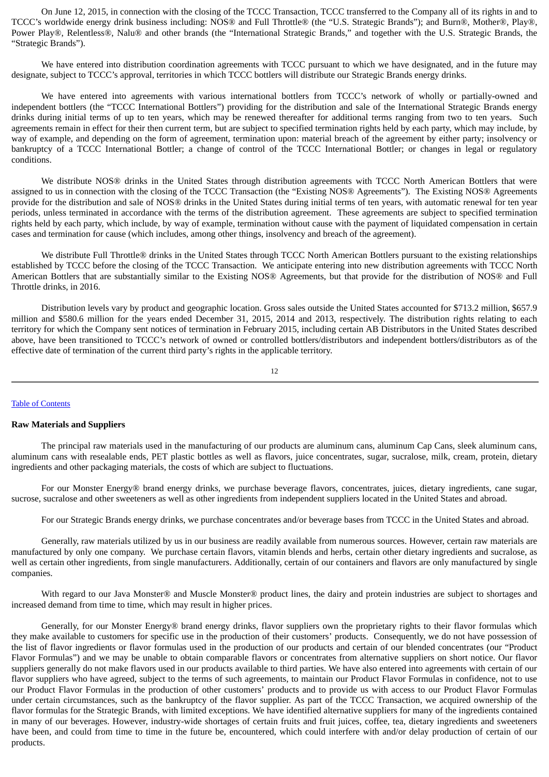On June 12, 2015, in connection with the closing of the TCCC Transaction, TCCC transferred to the Company all of its rights in and to TCCC's worldwide energy drink business including: NOS® and Full Throttle® (the "U.S. Strategic Brands"); and Burn®, Mother®, Play®, Power Play®, Relentless®, Nalu® and other brands (the "International Strategic Brands," and together with the U.S. Strategic Brands, the "Strategic Brands").

We have entered into distribution coordination agreements with TCCC pursuant to which we have designated, and in the future may designate, subject to TCCC's approval, territories in which TCCC bottlers will distribute our Strategic Brands energy drinks.

We have entered into agreements with various international bottlers from TCCC's network of wholly or partially-owned and independent bottlers (the "TCCC International Bottlers") providing for the distribution and sale of the International Strategic Brands energy drinks during initial terms of up to ten years, which may be renewed thereafter for additional terms ranging from two to ten years. Such agreements remain in effect for their then current term, but are subject to specified termination rights held by each party, which may include, by way of example, and depending on the form of agreement, termination upon: material breach of the agreement by either party; insolvency or bankruptcy of a TCCC International Bottler; a change of control of the TCCC International Bottler; or changes in legal or regulatory conditions.

We distribute NOS<sup>®</sup> drinks in the United States through distribution agreements with TCCC North American Bottlers that were assigned to us in connection with the closing of the TCCC Transaction (the "Existing NOS® Agreements"). The Existing NOS® Agreements provide for the distribution and sale of NOS® drinks in the United States during initial terms of ten years, with automatic renewal for ten year periods, unless terminated in accordance with the terms of the distribution agreement. These agreements are subject to specified termination rights held by each party, which include, by way of example, termination without cause with the payment of liquidated compensation in certain cases and termination for cause (which includes, among other things, insolvency and breach of the agreement).

We distribute Full Throttle® drinks in the United States through TCCC North American Bottlers pursuant to the existing relationships established by TCCC before the closing of the TCCC Transaction. We anticipate entering into new distribution agreements with TCCC North American Bottlers that are substantially similar to the Existing NOS® Agreements, but that provide for the distribution of NOS® and Full Throttle drinks, in 2016.

Distribution levels vary by product and geographic location. Gross sales outside the United States accounted for \$713.2 million, \$657.9 million and \$580.6 million for the years ended December 31, 2015, 2014 and 2013, respectively. The distribution rights relating to each territory for which the Company sent notices of termination in February 2015, including certain AB Distributors in the United States described above, have been transitioned to TCCC's network of owned or controlled bottlers/distributors and independent bottlers/distributors as of the effective date of termination of the current third party's rights in the applicable territory.

$$
12 \\
$$

#### Table of [Contents](#page-1-0)

### **Raw Materials and Suppliers**

The principal raw materials used in the manufacturing of our products are aluminum cans, aluminum Cap Cans, sleek aluminum cans, aluminum cans with resealable ends, PET plastic bottles as well as flavors, juice concentrates, sugar, sucralose, milk, cream, protein, dietary ingredients and other packaging materials, the costs of which are subject to fluctuations.

For our Monster Energy® brand energy drinks, we purchase beverage flavors, concentrates, juices, dietary ingredients, cane sugar, sucrose, sucralose and other sweeteners as well as other ingredients from independent suppliers located in the United States and abroad.

For our Strategic Brands energy drinks, we purchase concentrates and/or beverage bases from TCCC in the United States and abroad.

Generally, raw materials utilized by us in our business are readily available from numerous sources. However, certain raw materials are manufactured by only one company. We purchase certain flavors, vitamin blends and herbs, certain other dietary ingredients and sucralose, as well as certain other ingredients, from single manufacturers. Additionally, certain of our containers and flavors are only manufactured by single companies.

With regard to our Java Monster® and Muscle Monster® product lines, the dairy and protein industries are subject to shortages and increased demand from time to time, which may result in higher prices.

Generally, for our Monster Energy® brand energy drinks, flavor suppliers own the proprietary rights to their flavor formulas which they make available to customers for specific use in the production of their customers' products. Consequently, we do not have possession of the list of flavor ingredients or flavor formulas used in the production of our products and certain of our blended concentrates (our "Product Flavor Formulas") and we may be unable to obtain comparable flavors or concentrates from alternative suppliers on short notice. Our flavor suppliers generally do not make flavors used in our products available to third parties. We have also entered into agreements with certain of our flavor suppliers who have agreed, subject to the terms of such agreements, to maintain our Product Flavor Formulas in confidence, not to use our Product Flavor Formulas in the production of other customers' products and to provide us with access to our Product Flavor Formulas under certain circumstances, such as the bankruptcy of the flavor supplier. As part of the TCCC Transaction, we acquired ownership of the flavor formulas for the Strategic Brands, with limited exceptions. We have identified alternative suppliers for many of the ingredients contained in many of our beverages. However, industry-wide shortages of certain fruits and fruit juices, coffee, tea, dietary ingredients and sweeteners have been, and could from time to time in the future be, encountered, which could interfere with and/or delay production of certain of our products.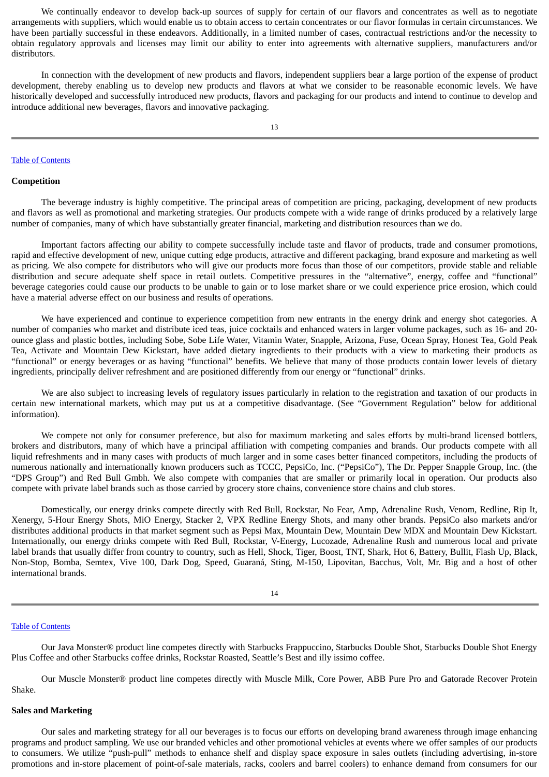We continually endeavor to develop back-up sources of supply for certain of our flavors and concentrates as well as to negotiate arrangements with suppliers, which would enable us to obtain access to certain concentrates or our flavor formulas in certain circumstances. We have been partially successful in these endeavors. Additionally, in a limited number of cases, contractual restrictions and/or the necessity to obtain regulatory approvals and licenses may limit our ability to enter into agreements with alternative suppliers, manufacturers and/or distributors.

In connection with the development of new products and flavors, independent suppliers bear a large portion of the expense of product development, thereby enabling us to develop new products and flavors at what we consider to be reasonable economic levels. We have historically developed and successfully introduced new products, flavors and packaging for our products and intend to continue to develop and introduce additional new beverages, flavors and innovative packaging.

#### Table of [Contents](#page-1-0)

### **Competition**

The beverage industry is highly competitive. The principal areas of competition are pricing, packaging, development of new products and flavors as well as promotional and marketing strategies. Our products compete with a wide range of drinks produced by a relatively large number of companies, many of which have substantially greater financial, marketing and distribution resources than we do.

Important factors affecting our ability to compete successfully include taste and flavor of products, trade and consumer promotions, rapid and effective development of new, unique cutting edge products, attractive and different packaging, brand exposure and marketing as well as pricing. We also compete for distributors who will give our products more focus than those of our competitors, provide stable and reliable distribution and secure adequate shelf space in retail outlets. Competitive pressures in the "alternative", energy, coffee and "functional" beverage categories could cause our products to be unable to gain or to lose market share or we could experience price erosion, which could have a material adverse effect on our business and results of operations.

We have experienced and continue to experience competition from new entrants in the energy drink and energy shot categories. A number of companies who market and distribute iced teas, juice cocktails and enhanced waters in larger volume packages, such as 16- and 20 ounce glass and plastic bottles, including Sobe, Sobe Life Water, Vitamin Water, Snapple, Arizona, Fuse, Ocean Spray, Honest Tea, Gold Peak Tea, Activate and Mountain Dew Kickstart, have added dietary ingredients to their products with a view to marketing their products as "functional" or energy beverages or as having "functional" benefits. We believe that many of those products contain lower levels of dietary ingredients, principally deliver refreshment and are positioned differently from our energy or "functional" drinks.

We are also subject to increasing levels of regulatory issues particularly in relation to the registration and taxation of our products in certain new international markets, which may put us at a competitive disadvantage. (See "Government Regulation" below for additional information).

We compete not only for consumer preference, but also for maximum marketing and sales efforts by multi-brand licensed bottlers, brokers and distributors, many of which have a principal affiliation with competing companies and brands. Our products compete with all liquid refreshments and in many cases with products of much larger and in some cases better financed competitors, including the products of numerous nationally and internationally known producers such as TCCC, PepsiCo, Inc. ("PepsiCo"), The Dr. Pepper Snapple Group, Inc. (the "DPS Group") and Red Bull Gmbh. We also compete with companies that are smaller or primarily local in operation. Our products also compete with private label brands such as those carried by grocery store chains, convenience store chains and club stores.

Domestically, our energy drinks compete directly with Red Bull, Rockstar, No Fear, Amp, Adrenaline Rush, Venom, Redline, Rip It, Xenergy, 5-Hour Energy Shots, MiO Energy, Stacker 2, VPX Redline Energy Shots, and many other brands. PepsiCo also markets and/or distributes additional products in that market segment such as Pepsi Max, Mountain Dew, Mountain Dew MDX and Mountain Dew Kickstart. Internationally, our energy drinks compete with Red Bull, Rockstar, V-Energy, Lucozade, Adrenaline Rush and numerous local and private label brands that usually differ from country to country, such as Hell, Shock, Tiger, Boost, TNT, Shark, Hot 6, Battery, Bullit, Flash Up, Black, Non-Stop, Bomba, Semtex, Vive 100, Dark Dog, Speed, Guaraná, Sting, M-150, Lipovitan, Bacchus, Volt, Mr. Big and a host of other international brands.

14

#### Table of [Contents](#page-1-0)

Our Java Monster® product line competes directly with Starbucks Frappuccino, Starbucks Double Shot, Starbucks Double Shot Energy Plus Coffee and other Starbucks coffee drinks, Rockstar Roasted, Seattle's Best and illy issimo coffee.

Our Muscle Monster® product line competes directly with Muscle Milk, Core Power, ABB Pure Pro and Gatorade Recover Protein Shake.

## **Sales and Marketing**

Our sales and marketing strategy for all our beverages is to focus our efforts on developing brand awareness through image enhancing programs and product sampling. We use our branded vehicles and other promotional vehicles at events where we offer samples of our products to consumers. We utilize "push-pull" methods to enhance shelf and display space exposure in sales outlets (including advertising, in-store promotions and in-store placement of point-of-sale materials, racks, coolers and barrel coolers) to enhance demand from consumers for our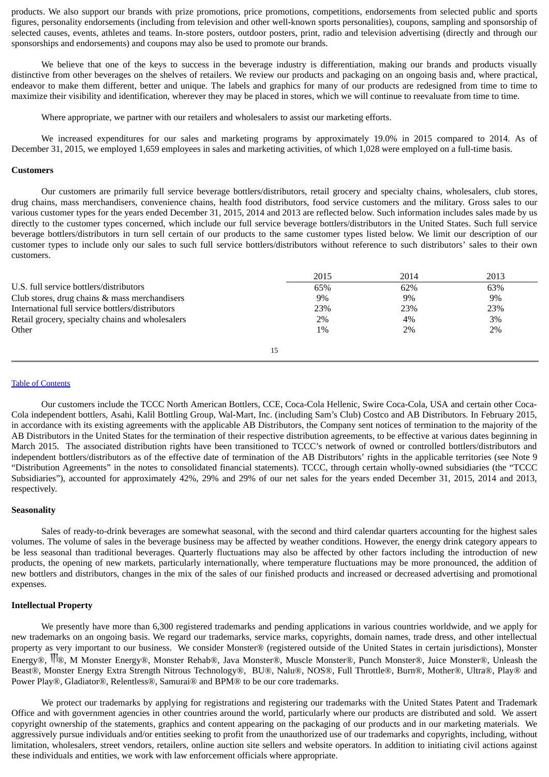products. We also support our brands with prize promotions, price promotions, competitions, endorsements from selected public and sports figures, personality endorsements (including from television and other well-known sports personalities), coupons, sampling and sponsorship of selected causes, events, athletes and teams. In-store posters, outdoor posters, print, radio and television advertising (directly and through our sponsorships and endorsements) and coupons may also be used to promote our brands.

We believe that one of the keys to success in the beverage industry is differentiation, making our brands and products visually distinctive from other beverages on the shelves of retailers. We review our products and packaging on an ongoing basis and, where practical, endeavor to make them different, better and unique. The labels and graphics for many of our products are redesigned from time to time to maximize their visibility and identification, wherever they may be placed in stores, which we will continue to reevaluate from time to time.

Where appropriate, we partner with our retailers and wholesalers to assist our marketing efforts.

We increased expenditures for our sales and marketing programs by approximately 19.0% in 2015 compared to 2014. As of December 31, 2015, we employed 1,659 employees in sales and marketing activities, of which 1,028 were employed on a full-time basis.

### **Customers**

Our customers are primarily full service beverage bottlers/distributors, retail grocery and specialty chains, wholesalers, club stores, drug chains, mass merchandisers, convenience chains, health food distributors, food service customers and the military. Gross sales to our various customer types for the years ended December 31, 2015, 2014 and 2013 are reflected below. Such information includes sales made by us directly to the customer types concerned, which include our full service beverage bottlers/distributors in the United States. Such full service beverage bottlers/distributors in turn sell certain of our products to the same customer types listed below. We limit our description of our customer types to include only our sales to such full service bottlers/distributors without reference to such distributors' sales to their own customers.

|                                                  | 2015  | 2014  | 2013 |
|--------------------------------------------------|-------|-------|------|
| U.S. full service bottlers/distributors          | 65%   | 62%   | 63%  |
| Club stores, drug chains & mass merchandisers    | $9\%$ | 9%    | 9%   |
| International full service bottlers/distributors | 23%   | 23%   | 23%  |
| Retail grocery, specialty chains and wholesalers | 2%    | 4%    | 3%   |
| Other                                            | $1\%$ | $2\%$ | 2%   |
|                                                  |       |       |      |
|                                                  | 15    |       |      |

### Table of [Contents](#page-1-0)

Our customers include the TCCC North American Bottlers, CCE, Coca-Cola Hellenic, Swire Coca-Cola, USA and certain other Coca-Cola independent bottlers, Asahi, Kalil Bottling Group, Wal-Mart, Inc. (including Sam's Club) Costco and AB Distributors. In February 2015, in accordance with its existing agreements with the applicable AB Distributors, the Company sent notices of termination to the majority of the AB Distributors in the United States for the termination of their respective distribution agreements, to be effective at various dates beginning in March 2015. The associated distribution rights have been transitioned to TCCC's network of owned or controlled bottlers/distributors and independent bottlers/distributors as of the effective date of termination of the AB Distributors' rights in the applicable territories (see Note 9 "Distribution Agreements" in the notes to consolidated financial statements). TCCC, through certain wholly-owned subsidiaries (the "TCCC Subsidiaries"), accounted for approximately 42%, 29% and 29% of our net sales for the years ended December 31, 2015, 2014 and 2013, respectively.

### **Seasonality**

Sales of ready-to-drink beverages are somewhat seasonal, with the second and third calendar quarters accounting for the highest sales volumes. The volume of sales in the beverage business may be affected by weather conditions. However, the energy drink category appears to be less seasonal than traditional beverages. Quarterly fluctuations may also be affected by other factors including the introduction of new products, the opening of new markets, particularly internationally, where temperature fluctuations may be more pronounced, the addition of new bottlers and distributors, changes in the mix of the sales of our finished products and increased or decreased advertising and promotional expenses.

### **Intellectual Property**

We presently have more than 6,300 registered trademarks and pending applications in various countries worldwide, and we apply for new trademarks on an ongoing basis. We regard our trademarks, service marks, copyrights, domain names, trade dress, and other intellectual property as very important to our business. We consider Monster® (registered outside of the United States in certain jurisdictions), Monster Energy®, ®, M Monster Energy®, Monster Rehab®, Java Monster®, Muscle Monster®, Punch Monster®, Juice Monster®, Unleash the Beast®, Monster Energy Extra Strength Nitrous Technology®, BU®, Nalu®, NOS®, Full Throttle®, Burn®, Mother®, Ultra®, Play® and Power Play®, Gladiator®, Relentless®, Samurai® and BPM® to be our core trademarks.

We protect our trademarks by applying for registrations and registering our trademarks with the United States Patent and Trademark Office and with government agencies in other countries around the world, particularly where our products are distributed and sold. We assert copyright ownership of the statements, graphics and content appearing on the packaging of our products and in our marketing materials. We aggressively pursue individuals and/or entities seeking to profit from the unauthorized use of our trademarks and copyrights, including, without limitation, wholesalers, street vendors, retailers, online auction site sellers and website operators. In addition to initiating civil actions against these individuals and entities, we work with law enforcement officials where appropriate.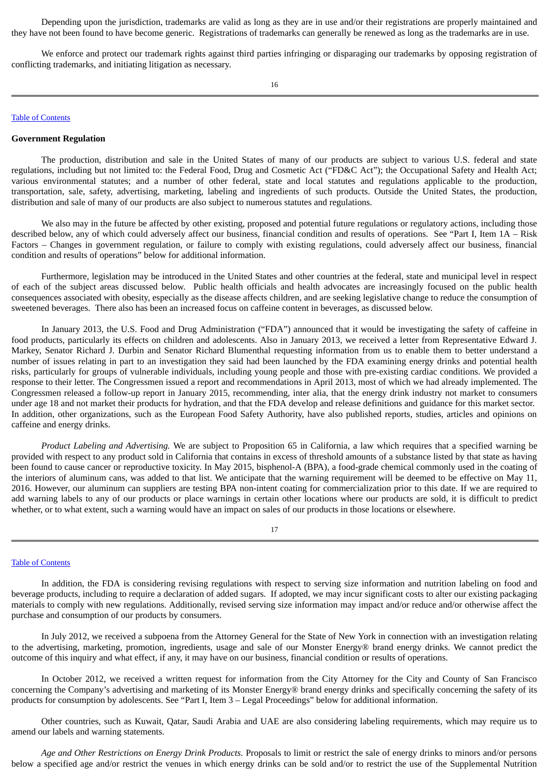Depending upon the jurisdiction, trademarks are valid as long as they are in use and/or their registrations are properly maintained and they have not been found to have become generic. Registrations of trademarks can generally be renewed as long as the trademarks are in use.

We enforce and protect our trademark rights against third parties infringing or disparaging our trademarks by opposing registration of conflicting trademarks, and initiating litigation as necessary.

# Table of [Contents](#page-1-0)

### **Government Regulation**

The production, distribution and sale in the United States of many of our products are subject to various U.S. federal and state regulations, including but not limited to: the Federal Food, Drug and Cosmetic Act ("FD&C Act"); the Occupational Safety and Health Act; various environmental statutes; and a number of other federal, state and local statutes and regulations applicable to the production, transportation, sale, safety, advertising, marketing, labeling and ingredients of such products. Outside the United States, the production, distribution and sale of many of our products are also subject to numerous statutes and regulations.

We also may in the future be affected by other existing, proposed and potential future regulations or regulatory actions, including those described below, any of which could adversely affect our business, financial condition and results of operations. See "Part I, Item 1A – Risk Factors – Changes in government regulation, or failure to comply with existing regulations, could adversely affect our business, financial condition and results of operations" below for additional information.

Furthermore, legislation may be introduced in the United States and other countries at the federal, state and municipal level in respect of each of the subject areas discussed below. Public health officials and health advocates are increasingly focused on the public health consequences associated with obesity, especially as the disease affects children, and are seeking legislative change to reduce the consumption of sweetened beverages. There also has been an increased focus on caffeine content in beverages, as discussed below.

In January 2013, the U.S. Food and Drug Administration ("FDA") announced that it would be investigating the safety of caffeine in food products, particularly its effects on children and adolescents. Also in January 2013, we received a letter from Representative Edward J. Markey, Senator Richard J. Durbin and Senator Richard Blumenthal requesting information from us to enable them to better understand a number of issues relating in part to an investigation they said had been launched by the FDA examining energy drinks and potential health risks, particularly for groups of vulnerable individuals, including young people and those with pre-existing cardiac conditions. We provided a response to their letter. The Congressmen issued a report and recommendations in April 2013, most of which we had already implemented. The Congressmen released a follow-up report in January 2015, recommending, inter alia, that the energy drink industry not market to consumers under age 18 and not market their products for hydration, and that the FDA develop and release definitions and guidance for this market sector. In addition, other organizations, such as the European Food Safety Authority, have also published reports, studies, articles and opinions on caffeine and energy drinks.

*Product Labeling and Advertising.* We are subject to Proposition 65 in California, a law which requires that a specified warning be provided with respect to any product sold in California that contains in excess of threshold amounts of a substance listed by that state as having been found to cause cancer or reproductive toxicity. In May 2015, bisphenol-A (BPA), a food-grade chemical commonly used in the coating of the interiors of aluminum cans, was added to that list. We anticipate that the warning requirement will be deemed to be effective on May 11, 2016. However, our aluminum can suppliers are testing BPA non-intent coating for commercialization prior to this date. If we are required to add warning labels to any of our products or place warnings in certain other locations where our products are sold, it is difficult to predict whether, or to what extent, such a warning would have an impact on sales of our products in those locations or elsewhere.

## 17

### Table of [Contents](#page-1-0)

In addition, the FDA is considering revising regulations with respect to serving size information and nutrition labeling on food and beverage products, including to require a declaration of added sugars. If adopted, we may incur significant costs to alter our existing packaging materials to comply with new regulations. Additionally, revised serving size information may impact and/or reduce and/or otherwise affect the purchase and consumption of our products by consumers.

In July 2012, we received a subpoena from the Attorney General for the State of New York in connection with an investigation relating to the advertising, marketing, promotion, ingredients, usage and sale of our Monster Energy® brand energy drinks. We cannot predict the outcome of this inquiry and what effect, if any, it may have on our business, financial condition or results of operations.

In October 2012, we received a written request for information from the City Attorney for the City and County of San Francisco concerning the Company's advertising and marketing of its Monster Energy® brand energy drinks and specifically concerning the safety of its products for consumption by adolescents. See "Part I, Item 3 – Legal Proceedings" below for additional information.

Other countries, such as Kuwait, Qatar, Saudi Arabia and UAE are also considering labeling requirements, which may require us to amend our labels and warning statements.

*Age and Other Restrictions on Energy Drink Products.* Proposals to limit or restrict the sale of energy drinks to minors and/or persons below a specified age and/or restrict the venues in which energy drinks can be sold and/or to restrict the use of the Supplemental Nutrition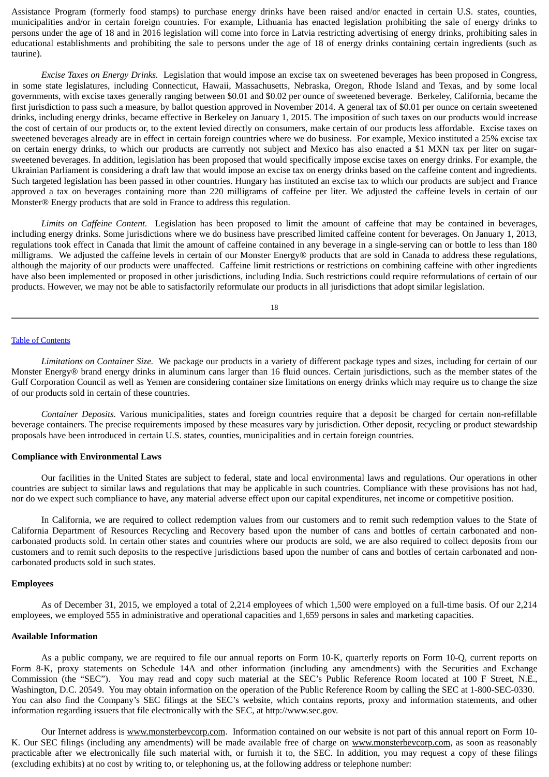Assistance Program (formerly food stamps) to purchase energy drinks have been raised and/or enacted in certain U.S. states, counties, municipalities and/or in certain foreign countries. For example, Lithuania has enacted legislation prohibiting the sale of energy drinks to persons under the age of 18 and in 2016 legislation will come into force in Latvia restricting advertising of energy drinks, prohibiting sales in educational establishments and prohibiting the sale to persons under the age of 18 of energy drinks containing certain ingredients (such as taurine).

*Excise Taxes on Energy Drinks.* Legislation that would impose an excise tax on sweetened beverages has been proposed in Congress, in some state legislatures, including Connecticut, Hawaii, Massachusetts, Nebraska, Oregon, Rhode Island and Texas, and by some local governments, with excise taxes generally ranging between \$0.01 and \$0.02 per ounce of sweetened beverage. Berkeley, California, became the first jurisdiction to pass such a measure, by ballot question approved in November 2014. A general tax of \$0.01 per ounce on certain sweetened drinks, including energy drinks, became effective in Berkeley on January 1, 2015. The imposition of such taxes on our products would increase the cost of certain of our products or, to the extent levied directly on consumers, make certain of our products less affordable. Excise taxes on sweetened beverages already are in effect in certain foreign countries where we do business. For example, Mexico instituted a 25% excise tax on certain energy drinks, to which our products are currently not subject and Mexico has also enacted a \$1 MXN tax per liter on sugarsweetened beverages. In addition, legislation has been proposed that would specifically impose excise taxes on energy drinks. For example, the Ukrainian Parliament is considering a draft law that would impose an excise tax on energy drinks based on the caffeine content and ingredients. Such targeted legislation has been passed in other countries. Hungary has instituted an excise tax to which our products are subject and France approved a tax on beverages containing more than 220 milligrams of caffeine per liter. We adjusted the caffeine levels in certain of our Monster® Energy products that are sold in France to address this regulation.

*Limits on Caffeine Content*. Legislation has been proposed to limit the amount of caffeine that may be contained in beverages, including energy drinks. Some jurisdictions where we do business have prescribed limited caffeine content for beverages. On January 1, 2013, regulations took effect in Canada that limit the amount of caffeine contained in any beverage in a single-serving can or bottle to less than 180 milligrams. We adjusted the caffeine levels in certain of our Monster Energy® products that are sold in Canada to address these regulations, although the majority of our products were unaffected. Caffeine limit restrictions or restrictions on combining caffeine with other ingredients have also been implemented or proposed in other jurisdictions, including India. Such restrictions could require reformulations of certain of our products. However, we may not be able to satisfactorily reformulate our products in all jurisdictions that adopt similar legislation.

18

#### Table of [Contents](#page-1-0)

*Limitations on Container Size.* We package our products in a variety of different package types and sizes, including for certain of our Monster Energy® brand energy drinks in aluminum cans larger than 16 fluid ounces. Certain jurisdictions, such as the member states of the Gulf Corporation Council as well as Yemen are considering container size limitations on energy drinks which may require us to change the size of our products sold in certain of these countries.

*Container Deposits.* Various municipalities, states and foreign countries require that a deposit be charged for certain non-refillable beverage containers. The precise requirements imposed by these measures vary by jurisdiction. Other deposit, recycling or product stewardship proposals have been introduced in certain U.S. states, counties, municipalities and in certain foreign countries.

#### **Compliance with Environmental Laws**

Our facilities in the United States are subject to federal, state and local environmental laws and regulations. Our operations in other countries are subject to similar laws and regulations that may be applicable in such countries. Compliance with these provisions has not had, nor do we expect such compliance to have, any material adverse effect upon our capital expenditures, net income or competitive position.

In California, we are required to collect redemption values from our customers and to remit such redemption values to the State of California Department of Resources Recycling and Recovery based upon the number of cans and bottles of certain carbonated and noncarbonated products sold. In certain other states and countries where our products are sold, we are also required to collect deposits from our customers and to remit such deposits to the respective jurisdictions based upon the number of cans and bottles of certain carbonated and noncarbonated products sold in such states.

#### **Employees**

As of December 31, 2015, we employed a total of 2,214 employees of which 1,500 were employed on a full-time basis. Of our 2,214 employees, we employed 555 in administrative and operational capacities and 1,659 persons in sales and marketing capacities.

### **Available Information**

As a public company, we are required to file our annual reports on Form 10-K, quarterly reports on Form 10-Q, current reports on Form 8-K, proxy statements on Schedule 14A and other information (including any amendments) with the Securities and Exchange Commission (the "SEC"). You may read and copy such material at the SEC's Public Reference Room located at 100 F Street, N.E., Washington, D.C. 20549. You may obtain information on the operation of the Public Reference Room by calling the SEC at 1-800-SEC-0330. You can also find the Company's SEC filings at the SEC's website, which contains reports, proxy and information statements, and other information regarding issuers that file electronically with the SEC, at http://www.sec.gov.

Our Internet address is www.monsterbevcorp.com. Information contained on our website is not part of this annual report on Form 10-K. Our SEC filings (including any amendments) will be made available free of charge on www.monsterbevcorp.com, as soon as reasonably practicable after we electronically file such material with, or furnish it to, the SEC. In addition, you may request a copy of these filings (excluding exhibits) at no cost by writing to, or telephoning us, at the following address or telephone number: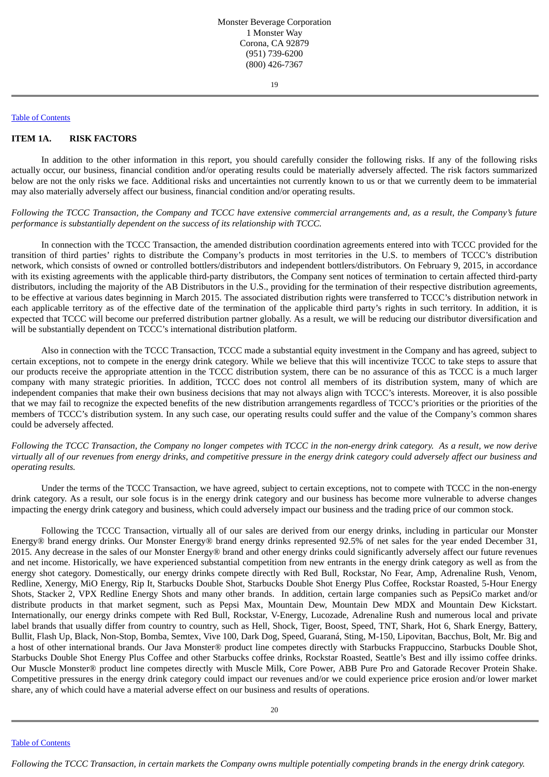## Table of [Contents](#page-1-0)

## <span id="page-13-0"></span>**ITEM 1A. RISK FACTORS**

In addition to the other information in this report, you should carefully consider the following risks. If any of the following risks actually occur, our business, financial condition and/or operating results could be materially adversely affected. The risk factors summarized below are not the only risks we face. Additional risks and uncertainties not currently known to us or that we currently deem to be immaterial may also materially adversely affect our business, financial condition and/or operating results.

Following the TCCC Transaction, the Company and TCCC have extensive commercial arrangements and, as a result, the Company's future *performance is substantially dependent on the success of its relationship with TCCC.*

In connection with the TCCC Transaction, the amended distribution coordination agreements entered into with TCCC provided for the transition of third parties' rights to distribute the Company's products in most territories in the U.S. to members of TCCC's distribution network, which consists of owned or controlled bottlers/distributors and independent bottlers/distributors. On February 9, 2015, in accordance with its existing agreements with the applicable third-party distributors, the Company sent notices of termination to certain affected third-party distributors, including the majority of the AB Distributors in the U.S., providing for the termination of their respective distribution agreements, to be effective at various dates beginning in March 2015. The associated distribution rights were transferred to TCCC's distribution network in each applicable territory as of the effective date of the termination of the applicable third party's rights in such territory. In addition, it is expected that TCCC will become our preferred distribution partner globally. As a result, we will be reducing our distributor diversification and will be substantially dependent on TCCC's international distribution platform.

Also in connection with the TCCC Transaction, TCCC made a substantial equity investment in the Company and has agreed, subject to certain exceptions, not to compete in the energy drink category. While we believe that this will incentivize TCCC to take steps to assure that our products receive the appropriate attention in the TCCC distribution system, there can be no assurance of this as TCCC is a much larger company with many strategic priorities. In addition, TCCC does not control all members of its distribution system, many of which are independent companies that make their own business decisions that may not always align with TCCC's interests. Moreover, it is also possible that we may fail to recognize the expected benefits of the new distribution arrangements regardless of TCCC's priorities or the priorities of the members of TCCC's distribution system. In any such case, our operating results could suffer and the value of the Company's common shares could be adversely affected.

Following the TCCC Transaction, the Company no longer competes with TCCC in the non-energy drink category. As a result, we now derive virtually all of our revenues from energy drinks, and competitive pressure in the energy drink category could adversely affect our business and *operating results.*

Under the terms of the TCCC Transaction, we have agreed, subject to certain exceptions, not to compete with TCCC in the non-energy drink category. As a result, our sole focus is in the energy drink category and our business has become more vulnerable to adverse changes impacting the energy drink category and business, which could adversely impact our business and the trading price of our common stock.

Following the TCCC Transaction, virtually all of our sales are derived from our energy drinks, including in particular our Monster Energy® brand energy drinks. Our Monster Energy® brand energy drinks represented 92.5% of net sales for the year ended December 31, 2015. Any decrease in the sales of our Monster Energy® brand and other energy drinks could significantly adversely affect our future revenues and net income. Historically, we have experienced substantial competition from new entrants in the energy drink category as well as from the energy shot category. Domestically, our energy drinks compete directly with Red Bull, Rockstar, No Fear, Amp, Adrenaline Rush, Venom, Redline, Xenergy, MiO Energy, Rip It, Starbucks Double Shot, Starbucks Double Shot Energy Plus Coffee, Rockstar Roasted, 5-Hour Energy Shots, Stacker 2, VPX Redline Energy Shots and many other brands. In addition, certain large companies such as PepsiCo market and/or distribute products in that market segment, such as Pepsi Max, Mountain Dew, Mountain Dew MDX and Mountain Dew Kickstart. Internationally, our energy drinks compete with Red Bull, Rockstar, V-Energy, Lucozade, Adrenaline Rush and numerous local and private label brands that usually differ from country to country, such as Hell, Shock, Tiger, Boost, Speed, TNT, Shark, Hot 6, Shark Energy, Battery, Bullit, Flash Up, Black, Non-Stop, Bomba, Semtex, Vive 100, Dark Dog, Speed, Guaraná, Sting, M-150, Lipovitan, Bacchus, Bolt, Mr. Big and a host of other international brands. Our Java Monster® product line competes directly with Starbucks Frappuccino, Starbucks Double Shot, Starbucks Double Shot Energy Plus Coffee and other Starbucks coffee drinks, Rockstar Roasted, Seattle's Best and illy issimo coffee drinks. Our Muscle Monster® product line competes directly with Muscle Milk, Core Power, ABB Pure Pro and Gatorade Recover Protein Shake. Competitive pressures in the energy drink category could impact our revenues and/or we could experience price erosion and/or lower market share, any of which could have a material adverse effect on our business and results of operations.

Table of [Contents](#page-1-0)

Following the TCCC Transaction, in certain markets the Company owns multiple potentially competing brands in the energy drink category.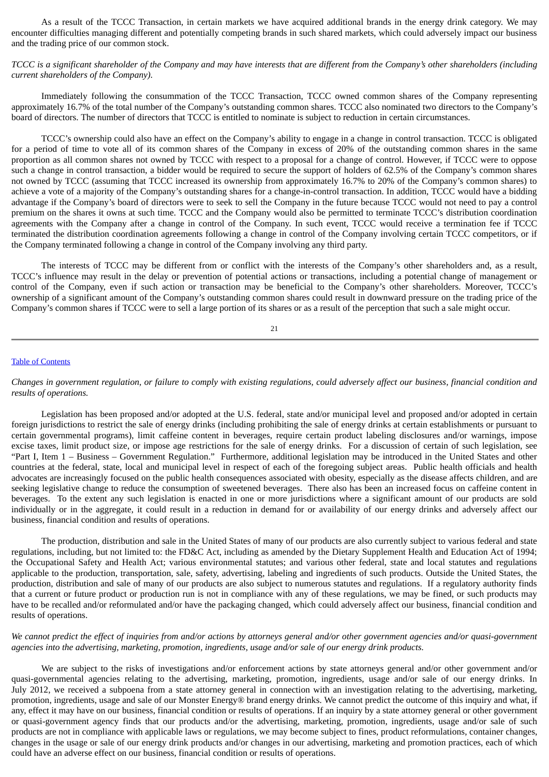As a result of the TCCC Transaction, in certain markets we have acquired additional brands in the energy drink category. We may encounter difficulties managing different and potentially competing brands in such shared markets, which could adversely impact our business and the trading price of our common stock.

TCCC is a significant shareholder of the Company and may have interests that are different from the Company's other shareholders (including *current shareholders of the Company).*

Immediately following the consummation of the TCCC Transaction, TCCC owned common shares of the Company representing approximately 16.7% of the total number of the Company's outstanding common shares. TCCC also nominated two directors to the Company's board of directors. The number of directors that TCCC is entitled to nominate is subject to reduction in certain circumstances.

TCCC's ownership could also have an effect on the Company's ability to engage in a change in control transaction. TCCC is obligated for a period of time to vote all of its common shares of the Company in excess of 20% of the outstanding common shares in the same proportion as all common shares not owned by TCCC with respect to a proposal for a change of control. However, if TCCC were to oppose such a change in control transaction, a bidder would be required to secure the support of holders of 62.5% of the Company's common shares not owned by TCCC (assuming that TCCC increased its ownership from approximately 16.7% to 20% of the Company's common shares) to achieve a vote of a majority of the Company's outstanding shares for a change-in-control transaction. In addition, TCCC would have a bidding advantage if the Company's board of directors were to seek to sell the Company in the future because TCCC would not need to pay a control premium on the shares it owns at such time. TCCC and the Company would also be permitted to terminate TCCC's distribution coordination agreements with the Company after a change in control of the Company. In such event, TCCC would receive a termination fee if TCCC terminated the distribution coordination agreements following a change in control of the Company involving certain TCCC competitors, or if the Company terminated following a change in control of the Company involving any third party.

The interests of TCCC may be different from or conflict with the interests of the Company's other shareholders and, as a result, TCCC's influence may result in the delay or prevention of potential actions or transactions, including a potential change of management or control of the Company, even if such action or transaction may be beneficial to the Company's other shareholders. Moreover, TCCC's ownership of a significant amount of the Company's outstanding common shares could result in downward pressure on the trading price of the Company's common shares if TCCC were to sell a large portion of its shares or as a result of the perception that such a sale might occur.

# 21

# Table of [Contents](#page-1-0)

Changes in government regulation, or failure to comply with existing regulations, could adversely affect our business, financial condition and *results of operations.*

Legislation has been proposed and/or adopted at the U.S. federal, state and/or municipal level and proposed and/or adopted in certain foreign jurisdictions to restrict the sale of energy drinks (including prohibiting the sale of energy drinks at certain establishments or pursuant to certain governmental programs), limit caffeine content in beverages, require certain product labeling disclosures and/or warnings, impose excise taxes, limit product size, or impose age restrictions for the sale of energy drinks. For a discussion of certain of such legislation, see "Part I, Item 1 – Business – Government Regulation." Furthermore, additional legislation may be introduced in the United States and other countries at the federal, state, local and municipal level in respect of each of the foregoing subject areas. Public health officials and health advocates are increasingly focused on the public health consequences associated with obesity, especially as the disease affects children, and are seeking legislative change to reduce the consumption of sweetened beverages. There also has been an increased focus on caffeine content in beverages. To the extent any such legislation is enacted in one or more jurisdictions where a significant amount of our products are sold individually or in the aggregate, it could result in a reduction in demand for or availability of our energy drinks and adversely affect our business, financial condition and results of operations.

The production, distribution and sale in the United States of many of our products are also currently subject to various federal and state regulations, including, but not limited to: the FD&C Act, including as amended by the Dietary Supplement Health and Education Act of 1994; the Occupational Safety and Health Act; various environmental statutes; and various other federal, state and local statutes and regulations applicable to the production, transportation, sale, safety, advertising, labeling and ingredients of such products. Outside the United States, the production, distribution and sale of many of our products are also subject to numerous statutes and regulations. If a regulatory authority finds that a current or future product or production run is not in compliance with any of these regulations, we may be fined, or such products may have to be recalled and/or reformulated and/or have the packaging changed, which could adversely affect our business, financial condition and results of operations.

We cannot predict the effect of inquiries from and/or actions by attorneys general and/or other government agencies and/or quasi-government *agencies into the advertising, marketing, promotion, ingredients, usage and/or sale of our energy drink products.*

We are subject to the risks of investigations and/or enforcement actions by state attorneys general and/or other government and/or quasi-governmental agencies relating to the advertising, marketing, promotion, ingredients, usage and/or sale of our energy drinks. In July 2012, we received a subpoena from a state attorney general in connection with an investigation relating to the advertising, marketing, promotion, ingredients, usage and sale of our Monster Energy® brand energy drinks. We cannot predict the outcome of this inquiry and what, if any, effect it may have on our business, financial condition or results of operations. If an inquiry by a state attorney general or other government or quasi-government agency finds that our products and/or the advertising, marketing, promotion, ingredients, usage and/or sale of such products are not in compliance with applicable laws or regulations, we may become subject to fines, product reformulations, container changes, changes in the usage or sale of our energy drink products and/or changes in our advertising, marketing and promotion practices, each of which could have an adverse effect on our business, financial condition or results of operations.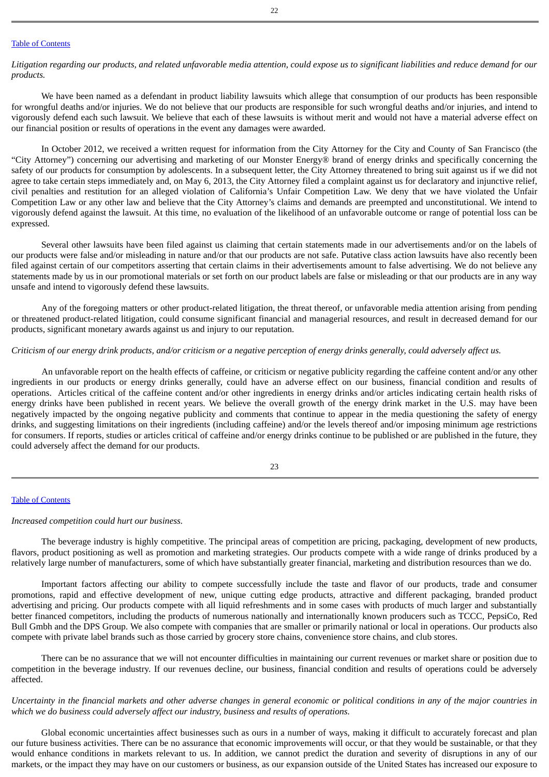#### Table of [Contents](#page-1-0)

Litigation regarding our products, and related unfavorable media attention, could expose us to significant liabilities and reduce demand for our *products.*

We have been named as a defendant in product liability lawsuits which allege that consumption of our products has been responsible for wrongful deaths and/or injuries. We do not believe that our products are responsible for such wrongful deaths and/or injuries, and intend to vigorously defend each such lawsuit. We believe that each of these lawsuits is without merit and would not have a material adverse effect on our financial position or results of operations in the event any damages were awarded.

In October 2012, we received a written request for information from the City Attorney for the City and County of San Francisco (the "City Attorney") concerning our advertising and marketing of our Monster Energy® brand of energy drinks and specifically concerning the safety of our products for consumption by adolescents. In a subsequent letter, the City Attorney threatened to bring suit against us if we did not agree to take certain steps immediately and, on May 6, 2013, the City Attorney filed a complaint against us for declaratory and injunctive relief, civil penalties and restitution for an alleged violation of California's Unfair Competition Law. We deny that we have violated the Unfair Competition Law or any other law and believe that the City Attorney's claims and demands are preempted and unconstitutional. We intend to vigorously defend against the lawsuit. At this time, no evaluation of the likelihood of an unfavorable outcome or range of potential loss can be expressed.

Several other lawsuits have been filed against us claiming that certain statements made in our advertisements and/or on the labels of our products were false and/or misleading in nature and/or that our products are not safe. Putative class action lawsuits have also recently been filed against certain of our competitors asserting that certain claims in their advertisements amount to false advertising. We do not believe any statements made by us in our promotional materials or set forth on our product labels are false or misleading or that our products are in any way unsafe and intend to vigorously defend these lawsuits.

Any of the foregoing matters or other product-related litigation, the threat thereof, or unfavorable media attention arising from pending or threatened product-related litigation, could consume significant financial and managerial resources, and result in decreased demand for our products, significant monetary awards against us and injury to our reputation.

## Criticism of our energy drink products, and/or criticism or a negative perception of energy drinks generally, could adversely affect us.

An unfavorable report on the health effects of caffeine, or criticism or negative publicity regarding the caffeine content and/or any other ingredients in our products or energy drinks generally, could have an adverse effect on our business, financial condition and results of operations. Articles critical of the caffeine content and/or other ingredients in energy drinks and/or articles indicating certain health risks of energy drinks have been published in recent years. We believe the overall growth of the energy drink market in the U.S. may have been negatively impacted by the ongoing negative publicity and comments that continue to appear in the media questioning the safety of energy drinks, and suggesting limitations on their ingredients (including caffeine) and/or the levels thereof and/or imposing minimum age restrictions for consumers. If reports, studies or articles critical of caffeine and/or energy drinks continue to be published or are published in the future, they could adversely affect the demand for our products.

## Table of [Contents](#page-1-0)

## *Increased competition could hurt our business.*

The beverage industry is highly competitive. The principal areas of competition are pricing, packaging, development of new products, flavors, product positioning as well as promotion and marketing strategies. Our products compete with a wide range of drinks produced by a relatively large number of manufacturers, some of which have substantially greater financial, marketing and distribution resources than we do.

Important factors affecting our ability to compete successfully include the taste and flavor of our products, trade and consumer promotions, rapid and effective development of new, unique cutting edge products, attractive and different packaging, branded product advertising and pricing. Our products compete with all liquid refreshments and in some cases with products of much larger and substantially better financed competitors, including the products of numerous nationally and internationally known producers such as TCCC, PepsiCo, Red Bull Gmbh and the DPS Group. We also compete with companies that are smaller or primarily national or local in operations. Our products also compete with private label brands such as those carried by grocery store chains, convenience store chains, and club stores.

There can be no assurance that we will not encounter difficulties in maintaining our current revenues or market share or position due to competition in the beverage industry. If our revenues decline, our business, financial condition and results of operations could be adversely affected.

Uncertainty in the financial markets and other adverse changes in general economic or political conditions in any of the major countries in *which we do business could adversely affect our industry, business and results of operations.*

Global economic uncertainties affect businesses such as ours in a number of ways, making it difficult to accurately forecast and plan our future business activities. There can be no assurance that economic improvements will occur, or that they would be sustainable, or that they would enhance conditions in markets relevant to us. In addition, we cannot predict the duration and severity of disruptions in any of our markets, or the impact they may have on our customers or business, as our expansion outside of the United States has increased our exposure to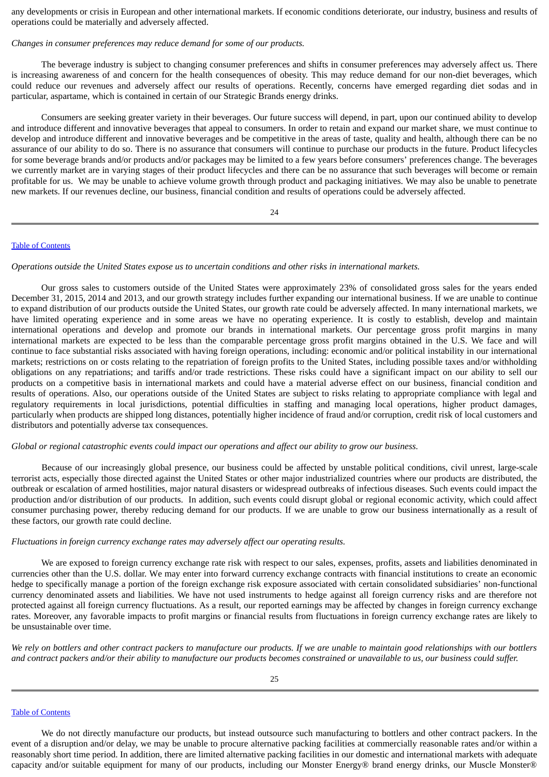any developments or crisis in European and other international markets. If economic conditions deteriorate, our industry, business and results of operations could be materially and adversely affected.

### *Changes in consumer preferences may reduce demand for some of our products.*

The beverage industry is subject to changing consumer preferences and shifts in consumer preferences may adversely affect us. There is increasing awareness of and concern for the health consequences of obesity. This may reduce demand for our non-diet beverages, which could reduce our revenues and adversely affect our results of operations. Recently, concerns have emerged regarding diet sodas and in particular, aspartame, which is contained in certain of our Strategic Brands energy drinks.

Consumers are seeking greater variety in their beverages. Our future success will depend, in part, upon our continued ability to develop and introduce different and innovative beverages that appeal to consumers. In order to retain and expand our market share, we must continue to develop and introduce different and innovative beverages and be competitive in the areas of taste, quality and health, although there can be no assurance of our ability to do so. There is no assurance that consumers will continue to purchase our products in the future. Product lifecycles for some beverage brands and/or products and/or packages may be limited to a few years before consumers' preferences change. The beverages we currently market are in varying stages of their product lifecycles and there can be no assurance that such beverages will become or remain profitable for us. We may be unable to achieve volume growth through product and packaging initiatives. We may also be unable to penetrate new markets. If our revenues decline, our business, financial condition and results of operations could be adversely affected.

24

#### Table of [Contents](#page-1-0)

*Operations outside the United States expose us to uncertain conditions and other risks in international markets.*

Our gross sales to customers outside of the United States were approximately 23% of consolidated gross sales for the years ended December 31, 2015, 2014 and 2013, and our growth strategy includes further expanding our international business. If we are unable to continue to expand distribution of our products outside the United States, our growth rate could be adversely affected. In many international markets, we have limited operating experience and in some areas we have no operating experience. It is costly to establish, develop and maintain international operations and develop and promote our brands in international markets. Our percentage gross profit margins in many international markets are expected to be less than the comparable percentage gross profit margins obtained in the U.S. We face and will continue to face substantial risks associated with having foreign operations, including: economic and/or political instability in our international markets; restrictions on or costs relating to the repatriation of foreign profits to the United States, including possible taxes and/or withholding obligations on any repatriations; and tariffs and/or trade restrictions. These risks could have a significant impact on our ability to sell our products on a competitive basis in international markets and could have a material adverse effect on our business, financial condition and results of operations. Also, our operations outside of the United States are subject to risks relating to appropriate compliance with legal and regulatory requirements in local jurisdictions, potential difficulties in staffing and managing local operations, higher product damages, particularly when products are shipped long distances, potentially higher incidence of fraud and/or corruption, credit risk of local customers and distributors and potentially adverse tax consequences.

### Global or regional catastrophic events could impact our operations and affect our ability to grow our business.

Because of our increasingly global presence, our business could be affected by unstable political conditions, civil unrest, large-scale terrorist acts, especially those directed against the United States or other major industrialized countries where our products are distributed, the outbreak or escalation of armed hostilities, major natural disasters or widespread outbreaks of infectious diseases. Such events could impact the production and/or distribution of our products. In addition, such events could disrupt global or regional economic activity, which could affect consumer purchasing power, thereby reducing demand for our products. If we are unable to grow our business internationally as a result of these factors, our growth rate could decline.

# *Fluctuations in foreign currency exchange rates may adversely affect our operating results.*

We are exposed to foreign currency exchange rate risk with respect to our sales, expenses, profits, assets and liabilities denominated in currencies other than the U.S. dollar. We may enter into forward currency exchange contracts with financial institutions to create an economic hedge to specifically manage a portion of the foreign exchange risk exposure associated with certain consolidated subsidiaries' non-functional currency denominated assets and liabilities. We have not used instruments to hedge against all foreign currency risks and are therefore not protected against all foreign currency fluctuations. As a result, our reported earnings may be affected by changes in foreign currency exchange rates. Moreover, any favorable impacts to profit margins or financial results from fluctuations in foreign currency exchange rates are likely to be unsustainable over time.

We rely on bottlers and other contract packers to manufacture our products. If we are unable to maintain good relationships with our bottlers and contract packers and/or their ability to manufacture our products becomes constrained or unavailable to us, our business could suffer.

## Table of [Contents](#page-1-0)

We do not directly manufacture our products, but instead outsource such manufacturing to bottlers and other contract packers. In the event of a disruption and/or delay, we may be unable to procure alternative packing facilities at commercially reasonable rates and/or within a reasonably short time period. In addition, there are limited alternative packing facilities in our domestic and international markets with adequate capacity and/or suitable equipment for many of our products, including our Monster Energy® brand energy drinks, our Muscle Monster®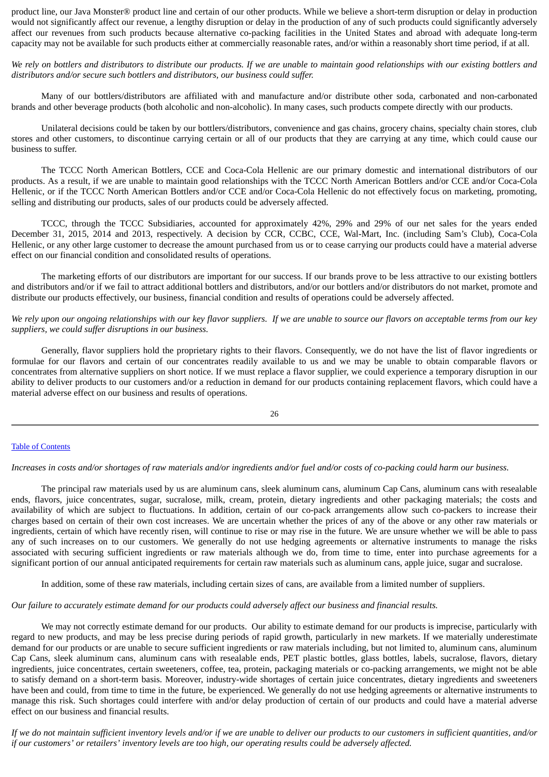product line, our Java Monster® product line and certain of our other products. While we believe a short-term disruption or delay in production would not significantly affect our revenue, a lengthy disruption or delay in the production of any of such products could significantly adversely affect our revenues from such products because alternative co-packing facilities in the United States and abroad with adequate long-term capacity may not be available for such products either at commercially reasonable rates, and/or within a reasonably short time period, if at all.

We rely on bottlers and distributors to distribute our products. If we are unable to maintain good relationships with our existing bottlers and *distributors and/or secure such bottlers and distributors, our business could suffer.*

Many of our bottlers/distributors are affiliated with and manufacture and/or distribute other soda, carbonated and non-carbonated brands and other beverage products (both alcoholic and non-alcoholic). In many cases, such products compete directly with our products.

Unilateral decisions could be taken by our bottlers/distributors, convenience and gas chains, grocery chains, specialty chain stores, club stores and other customers, to discontinue carrying certain or all of our products that they are carrying at any time, which could cause our business to suffer.

The TCCC North American Bottlers, CCE and Coca-Cola Hellenic are our primary domestic and international distributors of our products. As a result, if we are unable to maintain good relationships with the TCCC North American Bottlers and/or CCE and/or Coca-Cola Hellenic, or if the TCCC North American Bottlers and/or CCE and/or Coca-Cola Hellenic do not effectively focus on marketing, promoting, selling and distributing our products, sales of our products could be adversely affected.

TCCC, through the TCCC Subsidiaries, accounted for approximately 42%, 29% and 29% of our net sales for the years ended December 31, 2015, 2014 and 2013, respectively. A decision by CCR, CCBC, CCE, Wal-Mart, Inc. (including Sam's Club), Coca-Cola Hellenic, or any other large customer to decrease the amount purchased from us or to cease carrying our products could have a material adverse effect on our financial condition and consolidated results of operations.

The marketing efforts of our distributors are important for our success. If our brands prove to be less attractive to our existing bottlers and distributors and/or if we fail to attract additional bottlers and distributors, and/or our bottlers and/or distributors do not market, promote and distribute our products effectively, our business, financial condition and results of operations could be adversely affected.

## We rely upon our ongoing relationships with our key flavor suppliers. If we are unable to source our flavors on acceptable terms from our key *suppliers, we could suffer disruptions in our business.*

Generally, flavor suppliers hold the proprietary rights to their flavors. Consequently, we do not have the list of flavor ingredients or formulae for our flavors and certain of our concentrates readily available to us and we may be unable to obtain comparable flavors or concentrates from alternative suppliers on short notice. If we must replace a flavor supplier, we could experience a temporary disruption in our ability to deliver products to our customers and/or a reduction in demand for our products containing replacement flavors, which could have a material adverse effect on our business and results of operations.

$$
26\quad
$$

## Table of [Contents](#page-1-0)

Increases in costs and/or shortages of raw materials and/or ingredients and/or fuel and/or costs of co-packing could harm our business.

The principal raw materials used by us are aluminum cans, sleek aluminum cans, aluminum Cap Cans, aluminum cans with resealable ends, flavors, juice concentrates, sugar, sucralose, milk, cream, protein, dietary ingredients and other packaging materials; the costs and availability of which are subject to fluctuations. In addition, certain of our co-pack arrangements allow such co-packers to increase their charges based on certain of their own cost increases. We are uncertain whether the prices of any of the above or any other raw materials or ingredients, certain of which have recently risen, will continue to rise or may rise in the future. We are unsure whether we will be able to pass any of such increases on to our customers. We generally do not use hedging agreements or alternative instruments to manage the risks associated with securing sufficient ingredients or raw materials although we do, from time to time, enter into purchase agreements for a significant portion of our annual anticipated requirements for certain raw materials such as aluminum cans, apple juice, sugar and sucralose.

In addition, some of these raw materials, including certain sizes of cans, are available from a limited number of suppliers.

## Our failure to accurately estimate demand for our products could adversely affect our business and financial results.

We may not correctly estimate demand for our products. Our ability to estimate demand for our products is imprecise, particularly with regard to new products, and may be less precise during periods of rapid growth, particularly in new markets. If we materially underestimate demand for our products or are unable to secure sufficient ingredients or raw materials including, but not limited to, aluminum cans, aluminum Cap Cans, sleek aluminum cans, aluminum cans with resealable ends, PET plastic bottles, glass bottles, labels, sucralose, flavors, dietary ingredients, juice concentrates, certain sweeteners, coffee, tea, protein, packaging materials or co-packing arrangements, we might not be able to satisfy demand on a short-term basis. Moreover, industry-wide shortages of certain juice concentrates, dietary ingredients and sweeteners have been and could, from time to time in the future, be experienced. We generally do not use hedging agreements or alternative instruments to manage this risk. Such shortages could interfere with and/or delay production of certain of our products and could have a material adverse effect on our business and financial results.

If we do not maintain sufficient inventory levels and/or if we are unable to deliver our products to our customers in sufficient quantities, and/or if our customers' or retailers' inventory levels are too high, our operating results could be adversely affected.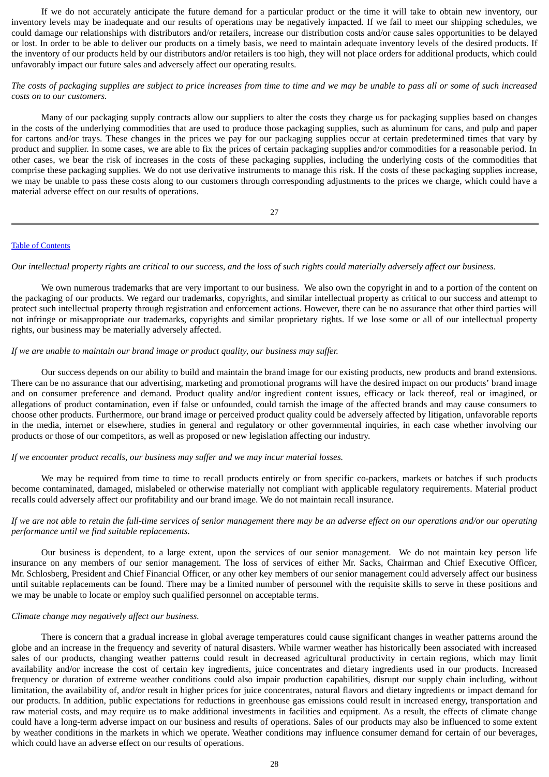If we do not accurately anticipate the future demand for a particular product or the time it will take to obtain new inventory, our inventory levels may be inadequate and our results of operations may be negatively impacted. If we fail to meet our shipping schedules, we could damage our relationships with distributors and/or retailers, increase our distribution costs and/or cause sales opportunities to be delayed or lost. In order to be able to deliver our products on a timely basis, we need to maintain adequate inventory levels of the desired products. If the inventory of our products held by our distributors and/or retailers is too high, they will not place orders for additional products, which could unfavorably impact our future sales and adversely affect our operating results.

## The costs of packaging supplies are subject to price increases from time to time and we may be unable to pass all or some of such increased *costs on to our customers.*

Many of our packaging supply contracts allow our suppliers to alter the costs they charge us for packaging supplies based on changes in the costs of the underlying commodities that are used to produce those packaging supplies, such as aluminum for cans, and pulp and paper for cartons and/or trays. These changes in the prices we pay for our packaging supplies occur at certain predetermined times that vary by product and supplier. In some cases, we are able to fix the prices of certain packaging supplies and/or commodities for a reasonable period. In other cases, we bear the risk of increases in the costs of these packaging supplies, including the underlying costs of the commodities that comprise these packaging supplies. We do not use derivative instruments to manage this risk. If the costs of these packaging supplies increase, we may be unable to pass these costs along to our customers through corresponding adjustments to the prices we charge, which could have a material adverse effect on our results of operations.

## 27

## Table of [Contents](#page-1-0)

Our intellectual property rights are critical to our success, and the loss of such rights could materially adversely affect our business.

We own numerous trademarks that are very important to our business. We also own the copyright in and to a portion of the content on the packaging of our products. We regard our trademarks, copyrights, and similar intellectual property as critical to our success and attempt to protect such intellectual property through registration and enforcement actions. However, there can be no assurance that other third parties will not infringe or misappropriate our trademarks, copyrights and similar proprietary rights. If we lose some or all of our intellectual property rights, our business may be materially adversely affected.

## *If we are unable to maintain our brand image or product quality, our business may suffer.*

Our success depends on our ability to build and maintain the brand image for our existing products, new products and brand extensions. There can be no assurance that our advertising, marketing and promotional programs will have the desired impact on our products' brand image and on consumer preference and demand. Product quality and/or ingredient content issues, efficacy or lack thereof, real or imagined, or allegations of product contamination, even if false or unfounded, could tarnish the image of the affected brands and may cause consumers to choose other products. Furthermore, our brand image or perceived product quality could be adversely affected by litigation, unfavorable reports in the media, internet or elsewhere, studies in general and regulatory or other governmental inquiries, in each case whether involving our products or those of our competitors, as well as proposed or new legislation affecting our industry.

## *If we encounter product recalls, our business may suffer and we may incur material losses.*

We may be required from time to time to recall products entirely or from specific co-packers, markets or batches if such products become contaminated, damaged, mislabeled or otherwise materially not compliant with applicable regulatory requirements. Material product recalls could adversely affect our profitability and our brand image. We do not maintain recall insurance.

## If we are not able to retain the full-time services of senior management there may be an adverse effect on our operations and/or our operating *performance until we find suitable replacements.*

Our business is dependent, to a large extent, upon the services of our senior management. We do not maintain key person life insurance on any members of our senior management. The loss of services of either Mr. Sacks, Chairman and Chief Executive Officer, Mr. Schlosberg, President and Chief Financial Officer, or any other key members of our senior management could adversely affect our business until suitable replacements can be found. There may be a limited number of personnel with the requisite skills to serve in these positions and we may be unable to locate or employ such qualified personnel on acceptable terms.

## *Climate change may negatively affect our business.*

There is concern that a gradual increase in global average temperatures could cause significant changes in weather patterns around the globe and an increase in the frequency and severity of natural disasters. While warmer weather has historically been associated with increased sales of our products, changing weather patterns could result in decreased agricultural productivity in certain regions, which may limit availability and/or increase the cost of certain key ingredients, juice concentrates and dietary ingredients used in our products. Increased frequency or duration of extreme weather conditions could also impair production capabilities, disrupt our supply chain including, without limitation, the availability of, and/or result in higher prices for juice concentrates, natural flavors and dietary ingredients or impact demand for our products. In addition, public expectations for reductions in greenhouse gas emissions could result in increased energy, transportation and raw material costs, and may require us to make additional investments in facilities and equipment. As a result, the effects of climate change could have a long-term adverse impact on our business and results of operations. Sales of our products may also be influenced to some extent by weather conditions in the markets in which we operate. Weather conditions may influence consumer demand for certain of our beverages, which could have an adverse effect on our results of operations.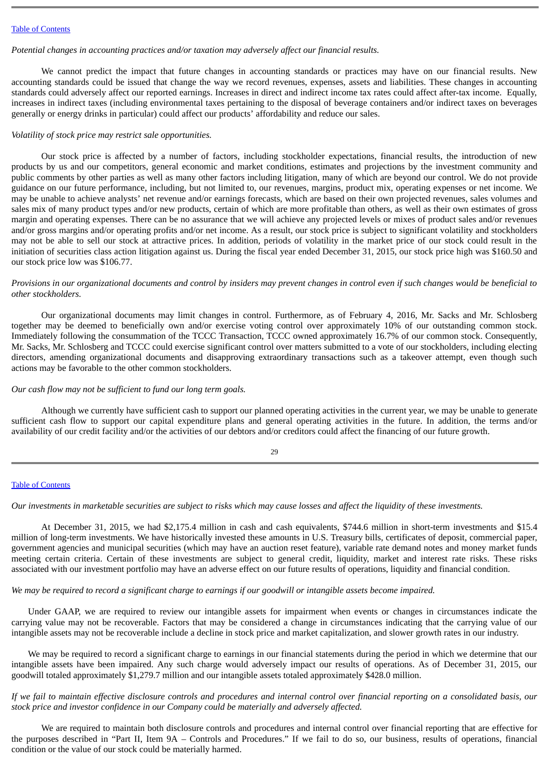### Table of [Contents](#page-1-0)

### *Potential changes in accounting practices and/or taxation may adversely affect our financial results.*

We cannot predict the impact that future changes in accounting standards or practices may have on our financial results. New accounting standards could be issued that change the way we record revenues, expenses, assets and liabilities. These changes in accounting standards could adversely affect our reported earnings. Increases in direct and indirect income tax rates could affect after-tax income. Equally, increases in indirect taxes (including environmental taxes pertaining to the disposal of beverage containers and/or indirect taxes on beverages generally or energy drinks in particular) could affect our products' affordability and reduce our sales.

### *Volatility of stock price may restrict sale opportunities.*

Our stock price is affected by a number of factors, including stockholder expectations, financial results, the introduction of new products by us and our competitors, general economic and market conditions, estimates and projections by the investment community and public comments by other parties as well as many other factors including litigation, many of which are beyond our control. We do not provide guidance on our future performance, including, but not limited to, our revenues, margins, product mix, operating expenses or net income. We may be unable to achieve analysts' net revenue and/or earnings forecasts, which are based on their own projected revenues, sales volumes and sales mix of many product types and/or new products, certain of which are more profitable than others, as well as their own estimates of gross margin and operating expenses. There can be no assurance that we will achieve any projected levels or mixes of product sales and/or revenues and/or gross margins and/or operating profits and/or net income. As a result, our stock price is subject to significant volatility and stockholders may not be able to sell our stock at attractive prices. In addition, periods of volatility in the market price of our stock could result in the initiation of securities class action litigation against us. During the fiscal year ended December 31, 2015, our stock price high was \$160.50 and our stock price low was \$106.77.

Provisions in our organizational documents and control by insiders may prevent changes in control even if such changes would be beneficial to *other stockholders.*

Our organizational documents may limit changes in control. Furthermore, as of February 4, 2016, Mr. Sacks and Mr. Schlosberg together may be deemed to beneficially own and/or exercise voting control over approximately 10% of our outstanding common stock. Immediately following the consummation of the TCCC Transaction, TCCC owned approximately 16.7% of our common stock. Consequently, Mr. Sacks, Mr. Schlosberg and TCCC could exercise significant control over matters submitted to a vote of our stockholders, including electing directors, amending organizational documents and disapproving extraordinary transactions such as a takeover attempt, even though such actions may be favorable to the other common stockholders.

## *Our cash flow may not be sufficient to fund our long term goals.*

Although we currently have sufficient cash to support our planned operating activities in the current year, we may be unable to generate sufficient cash flow to support our capital expenditure plans and general operating activities in the future. In addition, the terms and/or availability of our credit facility and/or the activities of our debtors and/or creditors could affect the financing of our future growth.

 $29$ 

## Table of [Contents](#page-1-0)

Our investments in marketable securities are subject to risks which may cause losses and affect the liquidity of these investments.

At December 31, 2015, we had \$2,175.4 million in cash and cash equivalents, \$744.6 million in short-term investments and \$15.4 million of long-term investments. We have historically invested these amounts in U.S. Treasury bills, certificates of deposit, commercial paper, government agencies and municipal securities (which may have an auction reset feature), variable rate demand notes and money market funds meeting certain criteria. Certain of these investments are subject to general credit, liquidity, market and interest rate risks. These risks associated with our investment portfolio may have an adverse effect on our future results of operations, liquidity and financial condition.

We may be required to record a significant charge to earnings if our goodwill or intangible assets become impaired.

Under GAAP, we are required to review our intangible assets for impairment when events or changes in circumstances indicate the carrying value may not be recoverable. Factors that may be considered a change in circumstances indicating that the carrying value of our intangible assets may not be recoverable include a decline in stock price and market capitalization, and slower growth rates in our industry.

We may be required to record a significant charge to earnings in our financial statements during the period in which we determine that our intangible assets have been impaired. Any such charge would adversely impact our results of operations. As of December 31, 2015, our goodwill totaled approximately \$1,279.7 million and our intangible assets totaled approximately \$428.0 million.

If we fail to maintain effective disclosure controls and procedures and internal control over financial reporting on a consolidated basis, our *stock price and investor confidence in our Company could be materially and adversely affected.*

We are required to maintain both disclosure controls and procedures and internal control over financial reporting that are effective for the purposes described in "Part II, Item 9A – Controls and Procedures." If we fail to do so, our business, results of operations, financial condition or the value of our stock could be materially harmed.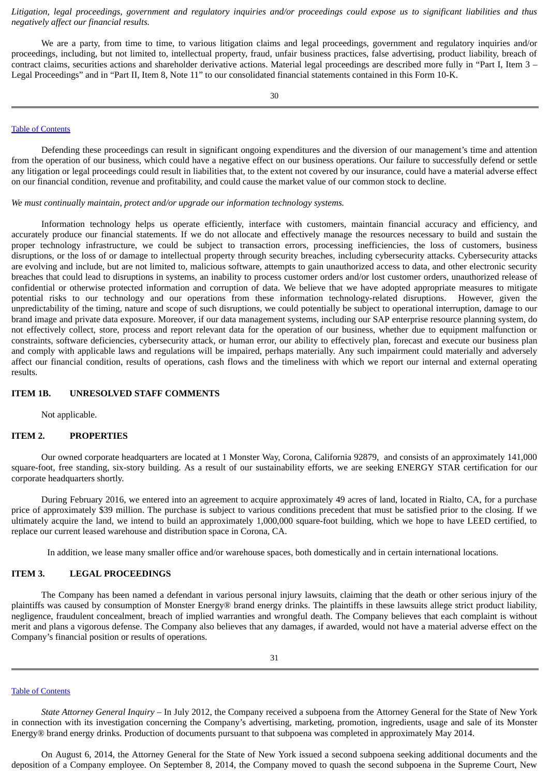Litigation, legal proceedings, government and regulatory inquiries and/or proceedings could expose us to significant liabilities and thus *negatively affect our financial results.*

We are a party, from time to time, to various litigation claims and legal proceedings, government and regulatory inquiries and/or proceedings, including, but not limited to, intellectual property, fraud, unfair business practices, false advertising, product liability, breach of contract claims, securities actions and shareholder derivative actions. Material legal proceedings are described more fully in "Part I, Item 3 – Legal Proceedings" and in "Part II, Item 8, Note 11" to our consolidated financial statements contained in this Form 10-K.

#### Table of [Contents](#page-1-0)

Defending these proceedings can result in significant ongoing expenditures and the diversion of our management's time and attention from the operation of our business, which could have a negative effect on our business operations. Our failure to successfully defend or settle any litigation or legal proceedings could result in liabilities that, to the extent not covered by our insurance, could have a material adverse effect on our financial condition, revenue and profitability, and could cause the market value of our common stock to decline.

*We must continually maintain, protect and/or upgrade our information technology systems.*

Information technology helps us operate efficiently, interface with customers, maintain financial accuracy and efficiency, and accurately produce our financial statements. If we do not allocate and effectively manage the resources necessary to build and sustain the proper technology infrastructure, we could be subject to transaction errors, processing inefficiencies, the loss of customers, business disruptions, or the loss of or damage to intellectual property through security breaches, including cybersecurity attacks. Cybersecurity attacks are evolving and include, but are not limited to, malicious software, attempts to gain unauthorized access to data, and other electronic security breaches that could lead to disruptions in systems, an inability to process customer orders and/or lost customer orders, unauthorized release of confidential or otherwise protected information and corruption of data. We believe that we have adopted appropriate measures to mitigate potential risks to our technology and our operations from these information technology-related disruptions. However, given the unpredictability of the timing, nature and scope of such disruptions, we could potentially be subject to operational interruption, damage to our brand image and private data exposure. Moreover, if our data management systems, including our SAP enterprise resource planning system, do not effectively collect, store, process and report relevant data for the operation of our business, whether due to equipment malfunction or constraints, software deficiencies, cybersecurity attack, or human error, our ability to effectively plan, forecast and execute our business plan and comply with applicable laws and regulations will be impaired, perhaps materially. Any such impairment could materially and adversely affect our financial condition, results of operations, cash flows and the timeliness with which we report our internal and external operating results.

#### **ITEM 1B. UNRESOLVED STAFF COMMENTS**

<span id="page-20-1"></span><span id="page-20-0"></span>Not applicable.

## **ITEM 2. PROPERTIES**

Our owned corporate headquarters are located at 1 Monster Way, Corona, California 92879, and consists of an approximately 141,000 square-foot, free standing, six-story building. As a result of our sustainability efforts, we are seeking ENERGY STAR certification for our corporate headquarters shortly.

During February 2016, we entered into an agreement to acquire approximately 49 acres of land, located in Rialto, CA, for a purchase price of approximately \$39 million. The purchase is subject to various conditions precedent that must be satisfied prior to the closing. If we ultimately acquire the land, we intend to build an approximately 1,000,000 square-foot building, which we hope to have LEED certified, to replace our current leased warehouse and distribution space in Corona, CA.

<span id="page-20-2"></span>In addition, we lease many smaller office and/or warehouse spaces, both domestically and in certain international locations.

# **ITEM 3. LEGAL PROCEEDINGS**

The Company has been named a defendant in various personal injury lawsuits, claiming that the death or other serious injury of the plaintiffs was caused by consumption of Monster Energy® brand energy drinks. The plaintiffs in these lawsuits allege strict product liability, negligence, fraudulent concealment, breach of implied warranties and wrongful death. The Company believes that each complaint is without merit and plans a vigorous defense. The Company also believes that any damages, if awarded, would not have a material adverse effect on the Company's financial position or results of operations.

#### Table of [Contents](#page-1-0)

*State Attorney General Inquiry* – In July 2012, the Company received a subpoena from the Attorney General for the State of New York in connection with its investigation concerning the Company's advertising, marketing, promotion, ingredients, usage and sale of its Monster Energy® brand energy drinks. Production of documents pursuant to that subpoena was completed in approximately May 2014.

On August 6, 2014, the Attorney General for the State of New York issued a second subpoena seeking additional documents and the deposition of a Company employee. On September 8, 2014, the Company moved to quash the second subpoena in the Supreme Court, New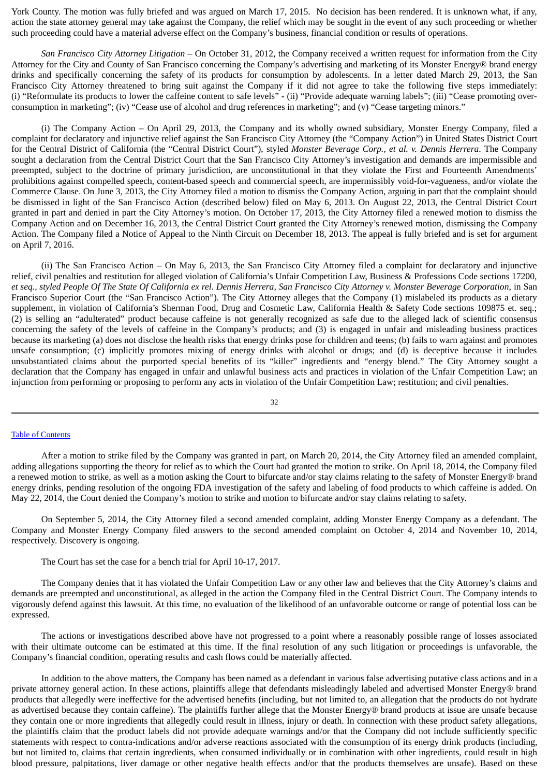York County. The motion was fully briefed and was argued on March 17, 2015. No decision has been rendered. It is unknown what, if any, action the state attorney general may take against the Company, the relief which may be sought in the event of any such proceeding or whether such proceeding could have a material adverse effect on the Company's business, financial condition or results of operations.

*San Francisco City Attorney Litigation* – On October 31, 2012, the Company received a written request for information from the City Attorney for the City and County of San Francisco concerning the Company's advertising and marketing of its Monster Energy® brand energy drinks and specifically concerning the safety of its products for consumption by adolescents. In a letter dated March 29, 2013, the San Francisco City Attorney threatened to bring suit against the Company if it did not agree to take the following five steps immediately: (i) "Reformulate its products to lower the caffeine content to safe levels" - (ii) "Provide adequate warning labels"; (iii) "Cease promoting overconsumption in marketing"; (iv) "Cease use of alcohol and drug references in marketing"; and (v) "Cease targeting minors."

(i) The Company Action – On April 29, 2013, the Company and its wholly owned subsidiary, Monster Energy Company, filed a complaint for declaratory and injunctive relief against the San Francisco City Attorney (the "Company Action") in United States District Court for the Central District of California (the "Central District Court"), styled *Monster Beverage Corp., et al. v. Dennis Herrera*. The Company sought a declaration from the Central District Court that the San Francisco City Attorney's investigation and demands are impermissible and preempted, subject to the doctrine of primary jurisdiction, are unconstitutional in that they violate the First and Fourteenth Amendments' prohibitions against compelled speech, content-based speech and commercial speech, are impermissibly void-for-vagueness, and/or violate the Commerce Clause. On June 3, 2013, the City Attorney filed a motion to dismiss the Company Action, arguing in part that the complaint should be dismissed in light of the San Francisco Action (described below) filed on May 6, 2013. On August 22, 2013, the Central District Court granted in part and denied in part the City Attorney's motion. On October 17, 2013, the City Attorney filed a renewed motion to dismiss the Company Action and on December 16, 2013, the Central District Court granted the City Attorney's renewed motion, dismissing the Company Action. The Company filed a Notice of Appeal to the Ninth Circuit on December 18, 2013. The appeal is fully briefed and is set for argument on April 7, 2016.

(ii) The San Francisco Action – On May 6, 2013, the San Francisco City Attorney filed a complaint for declaratory and injunctive relief, civil penalties and restitution for alleged violation of California's Unfair Competition Law, Business & Professions Code sections 17200, et seq., styled People Of The State Of California ex rel. Dennis Herrera, San Francisco City Attorney v. Monster Beverage Corporation, in San Francisco Superior Court (the "San Francisco Action"). The City Attorney alleges that the Company (1) mislabeled its products as a dietary supplement, in violation of California's Sherman Food, Drug and Cosmetic Law, California Health & Safety Code sections 109875 et. seq.; (2) is selling an "adulterated" product because caffeine is not generally recognized as safe due to the alleged lack of scientific consensus concerning the safety of the levels of caffeine in the Company's products; and (3) is engaged in unfair and misleading business practices because its marketing (a) does not disclose the health risks that energy drinks pose for children and teens; (b) fails to warn against and promotes unsafe consumption; (c) implicitly promotes mixing of energy drinks with alcohol or drugs; and (d) is deceptive because it includes unsubstantiated claims about the purported special benefits of its "killer" ingredients and "energy blend." The City Attorney sought a declaration that the Company has engaged in unfair and unlawful business acts and practices in violation of the Unfair Competition Law; an injunction from performing or proposing to perform any acts in violation of the Unfair Competition Law; restitution; and civil penalties.

### 32

#### Table of [Contents](#page-1-0)

After a motion to strike filed by the Company was granted in part, on March 20, 2014, the City Attorney filed an amended complaint, adding allegations supporting the theory for relief as to which the Court had granted the motion to strike. On April 18, 2014, the Company filed a renewed motion to strike, as well as a motion asking the Court to bifurcate and/or stay claims relating to the safety of Monster Energy® brand energy drinks, pending resolution of the ongoing FDA investigation of the safety and labeling of food products to which caffeine is added. On May 22, 2014, the Court denied the Company's motion to strike and motion to bifurcate and/or stay claims relating to safety.

On September 5, 2014, the City Attorney filed a second amended complaint, adding Monster Energy Company as a defendant. The Company and Monster Energy Company filed answers to the second amended complaint on October 4, 2014 and November 10, 2014, respectively. Discovery is ongoing.

The Court has set the case for a bench trial for April 10-17, 2017.

The Company denies that it has violated the Unfair Competition Law or any other law and believes that the City Attorney's claims and demands are preempted and unconstitutional, as alleged in the action the Company filed in the Central District Court. The Company intends to vigorously defend against this lawsuit. At this time, no evaluation of the likelihood of an unfavorable outcome or range of potential loss can be expressed.

The actions or investigations described above have not progressed to a point where a reasonably possible range of losses associated with their ultimate outcome can be estimated at this time. If the final resolution of any such litigation or proceedings is unfavorable, the Company's financial condition, operating results and cash flows could be materially affected.

In addition to the above matters, the Company has been named as a defendant in various false advertising putative class actions and in a private attorney general action. In these actions, plaintiffs allege that defendants misleadingly labeled and advertised Monster Energy® brand products that allegedly were ineffective for the advertised benefits (including, but not limited to, an allegation that the products do not hydrate as advertised because they contain caffeine). The plaintiffs further allege that the Monster Energy® brand products at issue are unsafe because they contain one or more ingredients that allegedly could result in illness, injury or death. In connection with these product safety allegations, the plaintiffs claim that the product labels did not provide adequate warnings and/or that the Company did not include sufficiently specific statements with respect to contra-indications and/or adverse reactions associated with the consumption of its energy drink products (including, but not limited to, claims that certain ingredients, when consumed individually or in combination with other ingredients, could result in high blood pressure, palpitations, liver damage or other negative health effects and/or that the products themselves are unsafe). Based on these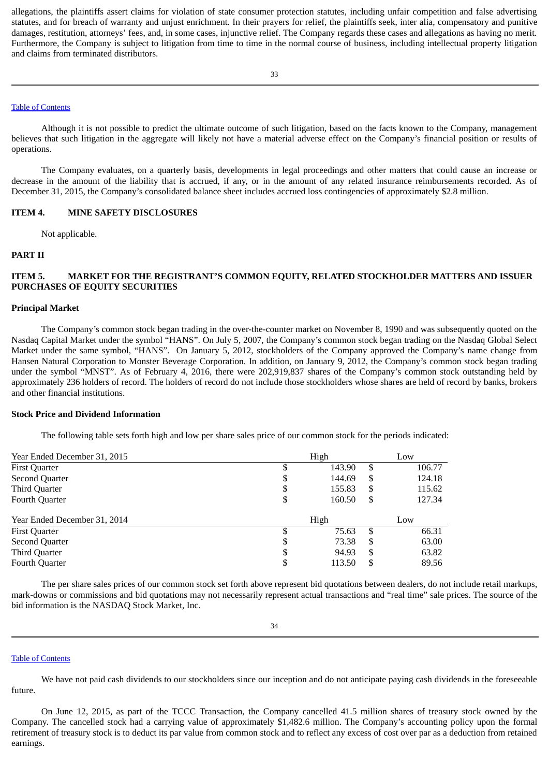allegations, the plaintiffs assert claims for violation of state consumer protection statutes, including unfair competition and false advertising statutes, and for breach of warranty and unjust enrichment. In their prayers for relief, the plaintiffs seek, inter alia, compensatory and punitive damages, restitution, attorneys' fees, and, in some cases, injunctive relief. The Company regards these cases and allegations as having no merit. Furthermore, the Company is subject to litigation from time to time in the normal course of business, including intellectual property litigation and claims from terminated distributors.

## Table of [Contents](#page-1-0)

Although it is not possible to predict the ultimate outcome of such litigation, based on the facts known to the Company, management believes that such litigation in the aggregate will likely not have a material adverse effect on the Company's financial position or results of operations.

The Company evaluates, on a quarterly basis, developments in legal proceedings and other matters that could cause an increase or decrease in the amount of the liability that is accrued, if any, or in the amount of any related insurance reimbursements recorded. As of December 31, 2015, the Company's consolidated balance sheet includes accrued loss contingencies of approximately \$2.8 million.

## **ITEM 4. MINE SAFETY DISCLOSURES**

<span id="page-22-2"></span><span id="page-22-1"></span><span id="page-22-0"></span>Not applicable.

### **PART II**

# **ITEM 5. MARKET FOR THE REGISTRANT'S COMMON EQUITY, RELATED STOCKHOLDER MATTERS AND ISSUER PURCHASES OF EQUITY SECURITIES**

## **Principal Market**

The Company's common stock began trading in the over-the-counter market on November 8, 1990 and was subsequently quoted on the Nasdaq Capital Market under the symbol "HANS". On July 5, 2007, the Company's common stock began trading on the Nasdaq Global Select Market under the same symbol, "HANS". On January 5, 2012, stockholders of the Company approved the Company's name change from Hansen Natural Corporation to Monster Beverage Corporation. In addition, on January 9, 2012, the Company's common stock began trading under the symbol "MNST". As of February 4, 2016, there were 202,919,837 shares of the Company's common stock outstanding held by approximately 236 holders of record. The holders of record do not include those stockholders whose shares are held of record by banks, brokers and other financial institutions.

### **Stock Price and Dividend Information**

The following table sets forth high and low per share sales price of our common stock for the periods indicated:

| Year Ended December 31, 2015 |        | High   |    | Low    |
|------------------------------|--------|--------|----|--------|
| <b>First Quarter</b>         |        | 143.90 | \$ | 106.77 |
| <b>Second Quarter</b>        | D      | 144.69 | \$ | 124.18 |
| <b>Third Quarter</b>         | \$     | 155.83 | \$ | 115.62 |
| <b>Fourth Quarter</b>        | D      | 160.50 | \$ | 127.34 |
|                              |        |        |    |        |
| Year Ended December 31, 2014 |        | High   |    | Low    |
| <b>First Quarter</b>         |        | 75.63  | S  | 66.31  |
| Second Quarter               | ¢<br>D | 73.38  | S  | 63.00  |
| Third Quarter                | \$     | 94.93  | \$ | 63.82  |

The per share sales prices of our common stock set forth above represent bid quotations between dealers, do not include retail markups, mark-downs or commissions and bid quotations may not necessarily represent actual transactions and "real time" sale prices. The source of the bid information is the NASDAQ Stock Market, Inc.

#### Table of [Contents](#page-1-0)

We have not paid cash dividends to our stockholders since our inception and do not anticipate paying cash dividends in the foreseeable future.

On June 12, 2015, as part of the TCCC Transaction, the Company cancelled 41.5 million shares of treasury stock owned by the Company. The cancelled stock had a carrying value of approximately \$1,482.6 million. The Company's accounting policy upon the formal retirement of treasury stock is to deduct its par value from common stock and to reflect any excess of cost over par as a deduction from retained earnings.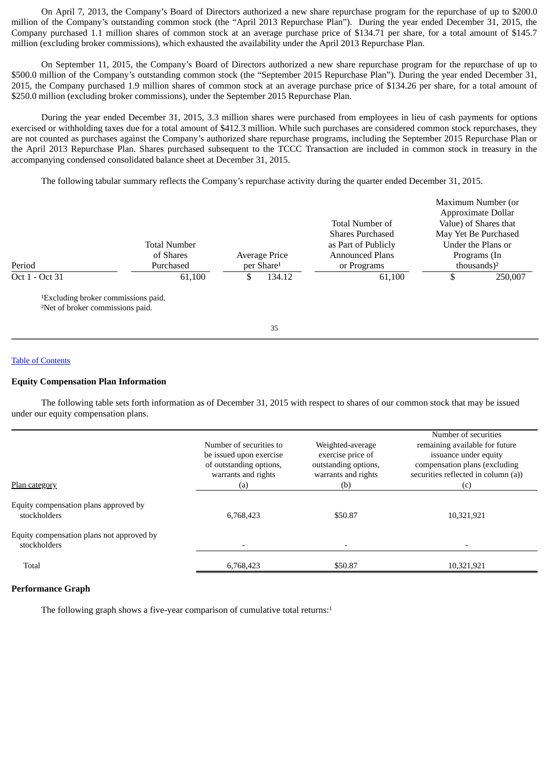On April 7, 2013, the Company's Board of Directors authorized a new share repurchase program for the repurchase of up to \$200.0 million of the Company's outstanding common stock (the "April 2013 Repurchase Plan"). During the year ended December 31, 2015, the Company purchased 1.1 million shares of common stock at an average purchase price of \$134.71 per share, for a total amount of \$145.7 million (excluding broker commissions), which exhausted the availability under the April 2013 Repurchase Plan.

On September 11, 2015, the Company's Board of Directors authorized a new share repurchase program for the repurchase of up to \$500.0 million of the Company's outstanding common stock (the "September 2015 Repurchase Plan"). During the year ended December 31, 2015, the Company purchased 1.9 million shares of common stock at an average purchase price of \$134.26 per share, for a total amount of \$250.0 million (excluding broker commissions), under the September 2015 Repurchase Plan.

During the year ended December 31, 2015, 3.3 million shares were purchased from employees in lieu of cash payments for options exercised or withholding taxes due for a total amount of \$412.3 million. While such purchases are considered common stock repurchases, they are not counted as purchases against the Company's authorized share repurchase programs, including the September 2015 Repurchase Plan or the April 2013 Repurchase Plan. Shares purchased subsequent to the TCCC Transaction are included in common stock in treasury in the accompanying condensed consolidated balance sheet at December 31, 2015.

The following tabular summary reflects the Company's repurchase activity during the quarter ended December 31, 2015.

| Period                                                                                          | <b>Total Number</b><br>of Shares<br>Purchased |   | Average Price<br>per Share <sup>1</sup> | Total Number of<br><b>Shares Purchased</b><br>as Part of Publicly<br><b>Announced Plans</b><br>or Programs | Maximum Number (or<br>Approximate Dollar<br>Value) of Shares that<br>May Yet Be Purchased<br>Under the Plans or<br>Programs (In<br>thousands $)^2$ |
|-------------------------------------------------------------------------------------------------|-----------------------------------------------|---|-----------------------------------------|------------------------------------------------------------------------------------------------------------|----------------------------------------------------------------------------------------------------------------------------------------------------|
| Oct 1 - Oct 31                                                                                  | 61,100                                        | S | 134.12                                  | 61,100                                                                                                     | 250,007                                                                                                                                            |
| <sup>1</sup> Excluding broker commissions paid.<br><sup>2</sup> Net of broker commissions paid. |                                               |   | 35                                      |                                                                                                            |                                                                                                                                                    |
|                                                                                                 |                                               |   |                                         |                                                                                                            |                                                                                                                                                    |

## Table of [Contents](#page-1-0)

### **Equity Compensation Plan Information**

The following table sets forth information as of December 31, 2015 with respect to shares of our common stock that may be issued under our equity compensation plans.

| Plan category                                             | Number of securities to<br>be issued upon exercise<br>of outstanding options,<br>warrants and rights<br>(a) | Weighted-average<br>exercise price of<br>outstanding options,<br>warrants and rights<br>(b) | Number of securities<br>remaining available for future<br>issuance under equity<br>compensation plans (excluding<br>securities reflected in column (a))<br>(C) |
|-----------------------------------------------------------|-------------------------------------------------------------------------------------------------------------|---------------------------------------------------------------------------------------------|----------------------------------------------------------------------------------------------------------------------------------------------------------------|
| Equity compensation plans approved by<br>stockholders     | 6,768,423                                                                                                   | \$50.87                                                                                     | 10,321,921                                                                                                                                                     |
| Equity compensation plans not approved by<br>stockholders |                                                                                                             |                                                                                             |                                                                                                                                                                |
| Total                                                     | 6,768,423                                                                                                   | \$50.87                                                                                     | 10,321,921                                                                                                                                                     |

## **Performance Graph**

The following graph shows a five-year comparison of cumulative total returns:<sup>1</sup>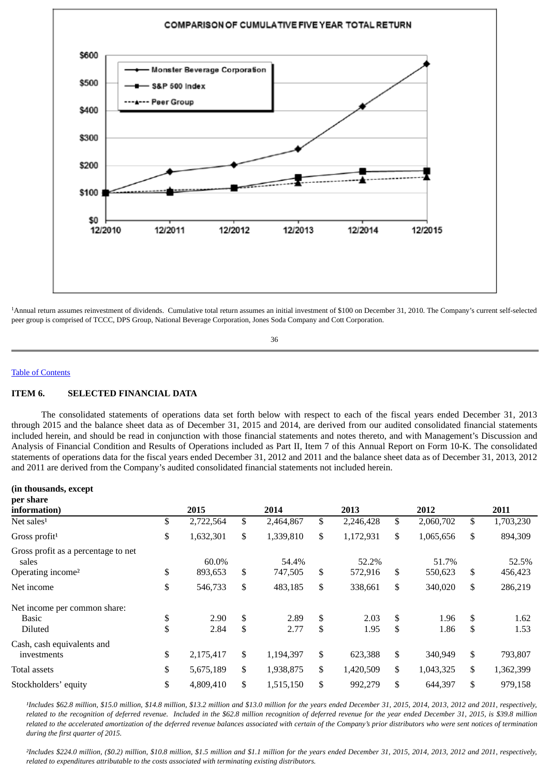

Annual return assumes reinvestment of dividends. Cumulative total return assumes an initial investment of \$100 on December 31, 2010. The Company's current self-selected 1peer group is comprised of TCCC, DPS Group, National Beverage Corporation, Jones Soda Company and Cott Corporation.

<span id="page-24-0"></span>36

#### Table of [Contents](#page-1-0)

### **ITEM 6. SELECTED FINANCIAL DATA**

The consolidated statements of operations data set forth below with respect to each of the fiscal years ended December 31, 2013 through 2015 and the balance sheet data as of December 31, 2015 and 2014, are derived from our audited consolidated financial statements included herein, and should be read in conjunction with those financial statements and notes thereto, and with Management's Discussion and Analysis of Financial Condition and Results of Operations included as Part II, Item 7 of this Annual Report on Form 10-K. The consolidated statements of operations data for the fiscal years ended December 31, 2012 and 2011 and the balance sheet data as of December 31, 2013, 2012 and 2011 are derived from the Company's audited consolidated financial statements not included herein.

#### **(in thousands, except per share**

| рст энигс<br>information)                                                     | 2015                   | 2014 |                  | 2013                   | 2012                   | 2011                   |
|-------------------------------------------------------------------------------|------------------------|------|------------------|------------------------|------------------------|------------------------|
| Net sales $1$                                                                 | \$<br>2,722,564        | \$   | 2,464,867        | \$<br>2,246,428        | \$<br>2,060,702        | \$<br>1,703,230        |
| Gross profit <sup>1</sup>                                                     | \$<br>1,632,301        | \$   | 1,339,810        | \$<br>1,172,931        | \$<br>1,065,656        | \$<br>894,309          |
| Gross profit as a percentage to net<br>sales<br>Operating income <sup>2</sup> | \$<br>60.0%<br>893,653 | \$   | 54.4%<br>747,505 | \$<br>52.2%<br>572,916 | \$<br>51.7%<br>550,623 | \$<br>52.5%<br>456,423 |
| Net income                                                                    | \$<br>546,733          | \$   | 483,185          | \$<br>338,661          | \$<br>340,020          | \$<br>286,219          |
| Net income per common share:                                                  |                        |      |                  |                        |                        |                        |
| Basic                                                                         | \$<br>2.90             | \$   | 2.89             | \$<br>2.03             | \$<br>1.96             | \$<br>1.62             |
| <b>Diluted</b>                                                                | \$<br>2.84             | \$   | 2.77             | \$<br>1.95             | \$<br>1.86             | \$<br>1.53             |
| Cash, cash equivalents and                                                    |                        |      |                  |                        |                        |                        |
| investments                                                                   | \$<br>2,175,417        | \$   | 1,194,397        | \$<br>623,388          | \$<br>340,949          | \$<br>793,807          |
| Total assets                                                                  | \$<br>5,675,189        | \$   | 1,938,875        | \$<br>1,420,509        | \$<br>1,043,325        | \$<br>1,362,399        |
| Stockholders' equity                                                          | \$<br>4,809,410        | \$   | 1,515,150        | \$<br>992,279          | \$<br>644,397          | \$<br>979,158          |

*¹Includes \$62.8 million, \$15.0 million, \$14.8 million, \$13.2 million and \$13.0 million for the years ended December 31, 2015, 2014, 2013, 2012 and 2011, respectively, related to the recognition of deferred revenue. Included in the \$62.8 million recognition of deferred revenue for the year ended December 31, 2015, is \$39.8 million related to the accelerated amortization of the deferred revenue balances associated with certain of the Company's prior distributors who were sent notices of termination during the first quarter of 2015.*

*²Includes \$224.0 million, (\$0.2) million, \$10.8 million, \$1.5 million and \$1.1 million for the years ended December 31, 2015, 2014, 2013, 2012 and 2011, respectively, related to expenditures attributable to the costs associated with terminating existing distributors.*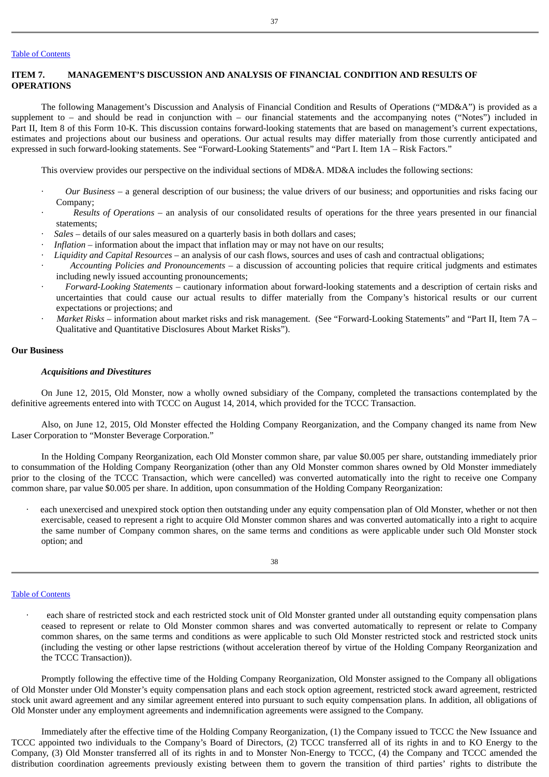## Table of [Contents](#page-1-0)

## <span id="page-25-0"></span>**ITEM 7. MANAGEMENT'S DISCUSSION AND ANALYSIS OF FINANCIAL CONDITION AND RESULTS OF OPERATIONS**

The following Management's Discussion and Analysis of Financial Condition and Results of Operations ("MD&A") is provided as a supplement to – and should be read in conjunction with – our financial statements and the accompanying notes ("Notes") included in Part II, Item 8 of this Form 10-K. This discussion contains forward-looking statements that are based on management's current expectations, estimates and projections about our business and operations. Our actual results may differ materially from those currently anticipated and expressed in such forward-looking statements. See "Forward-Looking Statements" and "Part I. Item 1A – Risk Factors."

This overview provides our perspective on the individual sections of MD&A. MD&A includes the following sections:

- · *Our Business* a general description of our business; the value drivers of our business; and opportunities and risks facing our Company;
- · *Results of Operations* an analysis of our consolidated results of operations for the three years presented in our financial statements;
- · *Sales* details of our sales measured on a quarterly basis in both dollars and cases;
- · *Inflation* information about the impact that inflation may or may not have on our results;
- · *Liquidity and Capital Resources* an analysis of our cash flows, sources and uses of cash and contractual obligations;
- · *Accounting Policies and Pronouncements* a discussion of accounting policies that require critical judgments and estimates including newly issued accounting pronouncements;
- · *Forward-Looking Statements* cautionary information about forward-looking statements and a description of certain risks and uncertainties that could cause our actual results to differ materially from the Company's historical results or our current expectations or projections; and
- · *Market Risks* information about market risks and risk management. (See "Forward-Looking Statements" and "Part II, Item 7A Qualitative and Quantitative Disclosures About Market Risks").

## **Our Business**

### *Acquisitions and Divestitures*

On June 12, 2015, Old Monster, now a wholly owned subsidiary of the Company, completed the transactions contemplated by the definitive agreements entered into with TCCC on August 14, 2014, which provided for the TCCC Transaction.

Also, on June 12, 2015, Old Monster effected the Holding Company Reorganization, and the Company changed its name from New Laser Corporation to "Monster Beverage Corporation."

In the Holding Company Reorganization, each Old Monster common share, par value \$0.005 per share, outstanding immediately prior to consummation of the Holding Company Reorganization (other than any Old Monster common shares owned by Old Monster immediately prior to the closing of the TCCC Transaction, which were cancelled) was converted automatically into the right to receive one Company common share, par value \$0.005 per share. In addition, upon consummation of the Holding Company Reorganization:

each unexercised and unexpired stock option then outstanding under any equity compensation plan of Old Monster, whether or not then exercisable, ceased to represent a right to acquire Old Monster common shares and was converted automatically into a right to acquire the same number of Company common shares, on the same terms and conditions as were applicable under such Old Monster stock option; and

38

## Table of [Contents](#page-1-0)

each share of restricted stock and each restricted stock unit of Old Monster granted under all outstanding equity compensation plans ceased to represent or relate to Old Monster common shares and was converted automatically to represent or relate to Company common shares, on the same terms and conditions as were applicable to such Old Monster restricted stock and restricted stock units (including the vesting or other lapse restrictions (without acceleration thereof by virtue of the Holding Company Reorganization and the TCCC Transaction)).

Promptly following the effective time of the Holding Company Reorganization, Old Monster assigned to the Company all obligations of Old Monster under Old Monster's equity compensation plans and each stock option agreement, restricted stock award agreement, restricted stock unit award agreement and any similar agreement entered into pursuant to such equity compensation plans. In addition, all obligations of Old Monster under any employment agreements and indemnification agreements were assigned to the Company.

Immediately after the effective time of the Holding Company Reorganization, (1) the Company issued to TCCC the New Issuance and TCCC appointed two individuals to the Company's Board of Directors, (2) TCCC transferred all of its rights in and to KO Energy to the Company, (3) Old Monster transferred all of its rights in and to Monster Non-Energy to TCCC, (4) the Company and TCCC amended the distribution coordination agreements previously existing between them to govern the transition of third parties' rights to distribute the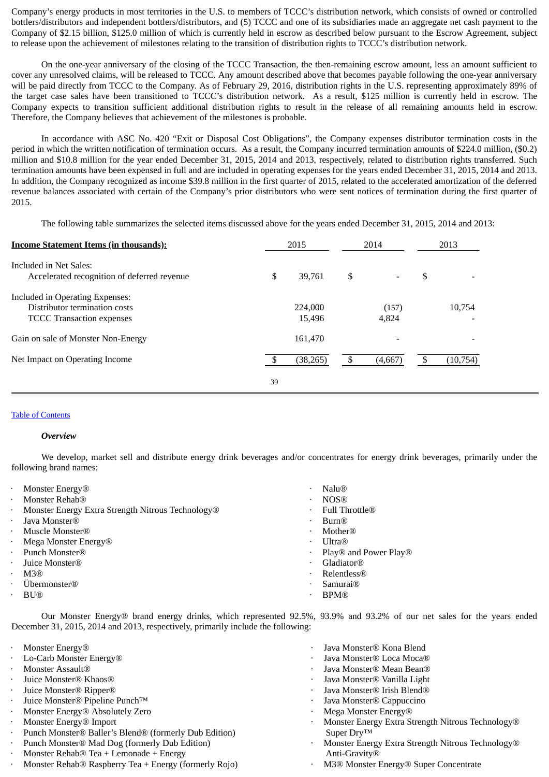Company's energy products in most territories in the U.S. to members of TCCC's distribution network, which consists of owned or controlled bottlers/distributors and independent bottlers/distributors, and (5) TCCC and one of its subsidiaries made an aggregate net cash payment to the Company of \$2.15 billion, \$125.0 million of which is currently held in escrow as described below pursuant to the Escrow Agreement, subject to release upon the achievement of milestones relating to the transition of distribution rights to TCCC's distribution network.

On the one-year anniversary of the closing of the TCCC Transaction, the then-remaining escrow amount, less an amount sufficient to cover any unresolved claims, will be released to TCCC. Any amount described above that becomes payable following the one-year anniversary will be paid directly from TCCC to the Company. As of February 29, 2016, distribution rights in the U.S. representing approximately 89% of the target case sales have been transitioned to TCCC's distribution network. As a result, \$125 million is currently held in escrow. The Company expects to transition sufficient additional distribution rights to result in the release of all remaining amounts held in escrow. Therefore, the Company believes that achievement of the milestones is probable.

In accordance with ASC No. 420 "Exit or Disposal Cost Obligations", the Company expenses distributor termination costs in the period in which the written notification of termination occurs. As a result, the Company incurred termination amounts of \$224.0 million, (\$0.2) million and \$10.8 million for the year ended December 31, 2015, 2014 and 2013, respectively, related to distribution rights transferred. Such termination amounts have been expensed in full and are included in operating expenses for the years ended December 31, 2015, 2014 and 2013. In addition, the Company recognized as income \$39.8 million in the first quarter of 2015, related to the accelerated amortization of the deferred revenue balances associated with certain of the Company's prior distributors who were sent notices of termination during the first quarter of 2015.

The following table summarizes the selected items discussed above for the years ended December 31, 2015, 2014 and 2013:

| <b>Income Statement Items (in thousands):</b>                                                        |    | 2015              | 2014           | 2013     |
|------------------------------------------------------------------------------------------------------|----|-------------------|----------------|----------|
| Included in Net Sales:<br>Accelerated recognition of deferred revenue                                | \$ | 39.761            | \$             | \$       |
| Included in Operating Expenses:<br>Distributor termination costs<br><b>TCCC</b> Transaction expenses |    | 224,000<br>15.496 | (157)<br>4.824 | 10.754   |
| Gain on sale of Monster Non-Energy                                                                   |    | 161,470           |                |          |
| Net Impact on Operating Income                                                                       |    | (38, 265)         | (4,667)        | (10,754) |
|                                                                                                      | 39 |                   |                |          |

## Table of [Contents](#page-1-0)

## *Overview*

We develop, market sell and distribute energy drink beverages and/or concentrates for energy drink beverages, primarily under the following brand names:

| $\bullet$ | Monster Energy <sup>®</sup>                       | ٠ | Nalu@                        |
|-----------|---------------------------------------------------|---|------------------------------|
| $\bullet$ | Monster Rehab®                                    | ٠ | <b>NOS®</b>                  |
| $\bullet$ | Monster Energy Extra Strength Nitrous Technology® | ٠ | Full Throttle $\mathbb R$    |
| $\bullet$ | Java Monster®                                     | ٠ | Burn®                        |
| $\bullet$ | Muscle Monster®                                   | ٠ | <b>Mother</b> ®              |
| $\bullet$ | Mega Monster Energy $\mathbb R$                   | ٠ | $\text{U}$ ltra $\mathbb{R}$ |
| $\bullet$ | Punch Monster <sup>®</sup>                        | ٠ | Play® and Power Play®        |
| $\cdot$   | Juice Monster <sup>®</sup>                        | ٠ | Gladiator®                   |
| $\bullet$ | M3(R)                                             | ٠ | Relentless@                  |
| $\cdot$   | Übermonster <sup>®</sup>                          | ٠ | Samurai <sup>®</sup>         |
|           | <b>BU</b> <sup>®</sup>                            | ٠ | <b>BPM®</b>                  |
|           |                                                   |   |                              |

Our Monster Energy® brand energy drinks, which represented 92.5%, 93.9% and 93.2% of our net sales for the years ended December 31, 2015, 2014 and 2013, respectively, primarily include the following:

- 
- 
- 
- 
- 
- · Juice Monster® Pipeline Punch™ · Java Monster® Cappuccino
- **Monster Energy® Absolutely Zero by Constanting Constanting Constanting Monster Energy®** Absolutely Zero **by Constanting Constanting Constanting Constanting Constanting Constanting Constanting Constanting Constanting Con**
- · Monster Energy® Import
- · Punch Monster® Baller's Blend® (formerly Dub Edition)
- Punch Monster® Mad Dog (formerly Dub Edition) · Monster Rehab® Tea + Lemonade + Energy
- 
- · Monster Rehab® Raspberry Tea + Energy (formerly Rojo) · M3® Monster Energy® Super Concentrate
- **Monster Energy®** *i Consternal Energy® Consternal Energy® Consternal Energy® Consternal Energy® Consternal Energy® Consternal Energy® Consternal Energy® Consternal Energy® Consternal E*
- · Lo-Carb Monster Energy® · Java Monster® Loca Moca®
- **Monster Assault**® *CONSERVING CONSERVING CONSERVING CONSERVING CONSERVING CONSERVING CONSERVING CONSERVING CONSERVING* **CONSERVING CONSERVING CONSERVING CONSERVING CONSERVING CONSERVING CONSERVING CONSERVING CONSERVING CO**
- · Juice Monster® Khaos® · Java Monster® Vanilla Light
- **Figure Monster® Ripper® ·** *Java Monster® Irish Blend® · Java Monster® Irish Blend®* 
	-
	-
	- Monster Energy Extra Strength Nitrous Technology® Super Dry™
	- · Monster Energy Extra Strength Nitrous Technology® Anti-Gravity®
	-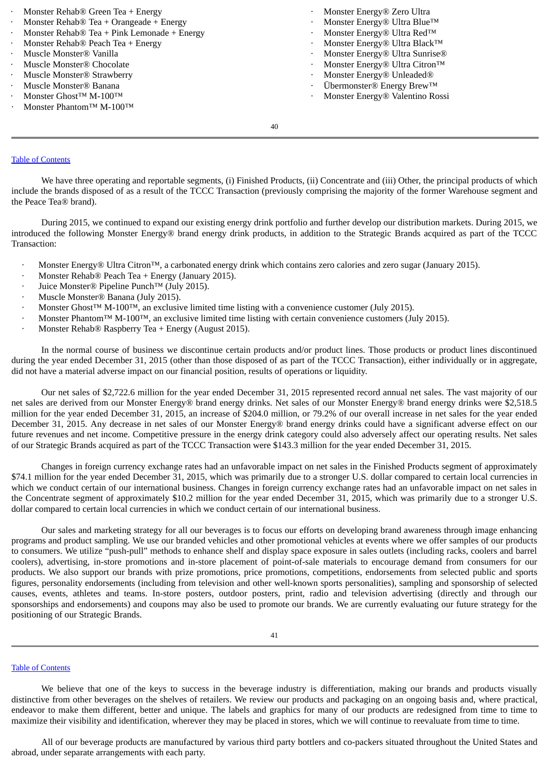| • Monster Rehab $\circledR$ Green Tea + Energy            |           | Monster Energy® Zero Ultra                         |
|-----------------------------------------------------------|-----------|----------------------------------------------------|
| • Monster Rehab $\circledR$ Tea + Orangeade + Energy      |           | Monster Energy® Ultra Blue™                        |
| • Monster Rehab $\circledR$ Tea + Pink Lemonade + Energy  | $\bullet$ | Monster Energy® Ultra Red™                         |
| • Monster Rehab $\circledR$ Peach Tea + Energy            |           | Monster Energy® Ultra Black™                       |
| · Muscle Monster® Vanilla                                 |           | Monster Energy® Ultra Sunrise®                     |
| · Muscle Monster® Chocolate                               | $\bullet$ | Monster Energy® Ultra Citron™                      |
| · Muscle Monster® Strawberry                              |           | Monster Energy® Unleaded®                          |
| · Muscle Monster® Banana                                  | $\bullet$ | Übermonster <sup>®</sup> Energy Brew <sup>TM</sup> |
| $\cdot$ Monster Ghost <sup>TM</sup> M-100 <sup>TM</sup>   |           | Monster Energy® Valentino Rossi                    |
| $\cdot$ Monster Phantom <sup>TM</sup> M-100 <sup>TM</sup> |           |                                                    |
|                                                           |           |                                                    |

40

## Table of [Contents](#page-1-0)

We have three operating and reportable segments, (i) Finished Products, (ii) Concentrate and (iii) Other, the principal products of which include the brands disposed of as a result of the TCCC Transaction (previously comprising the majority of the former Warehouse segment and the Peace Tea® brand).

During 2015, we continued to expand our existing energy drink portfolio and further develop our distribution markets. During 2015, we introduced the following Monster Energy® brand energy drink products, in addition to the Strategic Brands acquired as part of the TCCC Transaction:

- · Monster Energy® Ultra Citron™, a carbonated energy drink which contains zero calories and zero sugar (January 2015).
- Monster Rehab® Peach Tea + Energy (January 2015).
- · Juice Monster® Pipeline Punch™ (July 2015).
- · Muscle Monster® Banana (July 2015).
- · Monster Ghost™ M-100™, an exclusive limited time listing with a convenience customer (July 2015).
- · Monster Phantom™ M-100™, an exclusive limited time listing with certain convenience customers (July 2015).
- · Monster Rehab® Raspberry Tea + Energy (August 2015).

In the normal course of business we discontinue certain products and/or product lines. Those products or product lines discontinued during the year ended December 31, 2015 (other than those disposed of as part of the TCCC Transaction), either individually or in aggregate, did not have a material adverse impact on our financial position, results of operations or liquidity.

Our net sales of \$2,722.6 million for the year ended December 31, 2015 represented record annual net sales. The vast majority of our net sales are derived from our Monster Energy® brand energy drinks. Net sales of our Monster Energy® brand energy drinks were \$2,518.5 million for the year ended December 31, 2015, an increase of \$204.0 million, or 79.2% of our overall increase in net sales for the year ended December 31, 2015. Any decrease in net sales of our Monster Energy® brand energy drinks could have a significant adverse effect on our future revenues and net income. Competitive pressure in the energy drink category could also adversely affect our operating results. Net sales of our Strategic Brands acquired as part of the TCCC Transaction were \$143.3 million for the year ended December 31, 2015.

Changes in foreign currency exchange rates had an unfavorable impact on net sales in the Finished Products segment of approximately \$74.1 million for the year ended December 31, 2015, which was primarily due to a stronger U.S. dollar compared to certain local currencies in which we conduct certain of our international business. Changes in foreign currency exchange rates had an unfavorable impact on net sales in the Concentrate segment of approximately \$10.2 million for the year ended December 31, 2015, which was primarily due to a stronger U.S. dollar compared to certain local currencies in which we conduct certain of our international business.

Our sales and marketing strategy for all our beverages is to focus our efforts on developing brand awareness through image enhancing programs and product sampling. We use our branded vehicles and other promotional vehicles at events where we offer samples of our products to consumers. We utilize "push-pull" methods to enhance shelf and display space exposure in sales outlets (including racks, coolers and barrel coolers), advertising, in-store promotions and in-store placement of point-of-sale materials to encourage demand from consumers for our products. We also support our brands with prize promotions, price promotions, competitions, endorsements from selected public and sports figures, personality endorsements (including from television and other well-known sports personalities), sampling and sponsorship of selected causes, events, athletes and teams. In-store posters, outdoor posters, print, radio and television advertising (directly and through our sponsorships and endorsements) and coupons may also be used to promote our brands. We are currently evaluating our future strategy for the positioning of our Strategic Brands.

#### Table of [Contents](#page-1-0)

We believe that one of the keys to success in the beverage industry is differentiation, making our brands and products visually distinctive from other beverages on the shelves of retailers. We review our products and packaging on an ongoing basis and, where practical, endeavor to make them different, better and unique. The labels and graphics for many of our products are redesigned from time to time to maximize their visibility and identification, wherever they may be placed in stores, which we will continue to reevaluate from time to time.

All of our beverage products are manufactured by various third party bottlers and co-packers situated throughout the United States and abroad, under separate arrangements with each party.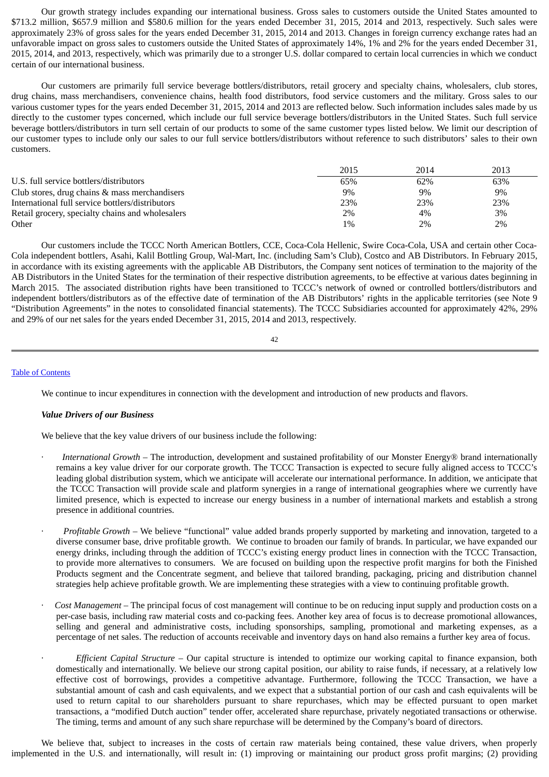Our growth strategy includes expanding our international business. Gross sales to customers outside the United States amounted to \$713.2 million, \$657.9 million and \$580.6 million for the years ended December 31, 2015, 2014 and 2013, respectively. Such sales were approximately 23% of gross sales for the years ended December 31, 2015, 2014 and 2013. Changes in foreign currency exchange rates had an unfavorable impact on gross sales to customers outside the United States of approximately 14%, 1% and 2% for the years ended December 31, 2015, 2014, and 2013, respectively, which was primarily due to a stronger U.S. dollar compared to certain local currencies in which we conduct certain of our international business.

Our customers are primarily full service beverage bottlers/distributors, retail grocery and specialty chains, wholesalers, club stores, drug chains, mass merchandisers, convenience chains, health food distributors, food service customers and the military. Gross sales to our various customer types for the years ended December 31, 2015, 2014 and 2013 are reflected below. Such information includes sales made by us directly to the customer types concerned, which include our full service beverage bottlers/distributors in the United States. Such full service beverage bottlers/distributors in turn sell certain of our products to some of the same customer types listed below. We limit our description of our customer types to include only our sales to our full service bottlers/distributors without reference to such distributors' sales to their own customers.

|                                                  | 2015 | 2014 | 2013  |
|--------------------------------------------------|------|------|-------|
| U.S. full service bottlers/distributors          | 65%  | 62%  | 63%   |
| Club stores, drug chains & mass merchandisers    | 9%   | 9%   | $9\%$ |
| International full service bottlers/distributors | 23%  | 23%  | 23%   |
| Retail grocery, specialty chains and wholesalers | 2%   | 4%   | 3%    |
| Other                                            | 1%   | 2%   | 2%    |

Our customers include the TCCC North American Bottlers, CCE, Coca-Cola Hellenic, Swire Coca-Cola, USA and certain other Coca-Cola independent bottlers, Asahi, Kalil Bottling Group, Wal-Mart, Inc. (including Sam's Club), Costco and AB Distributors. In February 2015, in accordance with its existing agreements with the applicable AB Distributors, the Company sent notices of termination to the majority of the AB Distributors in the United States for the termination of their respective distribution agreements, to be effective at various dates beginning in March 2015. The associated distribution rights have been transitioned to TCCC's network of owned or controlled bottlers/distributors and independent bottlers/distributors as of the effective date of termination of the AB Distributors' rights in the applicable territories (see Note 9 "Distribution Agreements" in the notes to consolidated financial statements). The TCCC Subsidiaries accounted for approximately 42%, 29% and 29% of our net sales for the years ended December 31, 2015, 2014 and 2013, respectively.

#### Table of [Contents](#page-1-0)

We continue to incur expenditures in connection with the development and introduction of new products and flavors.

#### *Value Drivers of our Business*

We believe that the key value drivers of our business include the following:

- · *International Growth* The introduction, development and sustained profitability of our Monster Energy® brand internationally remains a key value driver for our corporate growth. The TCCC Transaction is expected to secure fully aligned access to TCCC's leading global distribution system, which we anticipate will accelerate our international performance. In addition, we anticipate that the TCCC Transaction will provide scale and platform synergies in a range of international geographies where we currently have limited presence, which is expected to increase our energy business in a number of international markets and establish a strong presence in additional countries.
- · *Profitable Growth* We believe "functional" value added brands properly supported by marketing and innovation, targeted to a diverse consumer base, drive profitable growth. We continue to broaden our family of brands. In particular, we have expanded our energy drinks, including through the addition of TCCC's existing energy product lines in connection with the TCCC Transaction, to provide more alternatives to consumers. We are focused on building upon the respective profit margins for both the Finished Products segment and the Concentrate segment, and believe that tailored branding, packaging, pricing and distribution channel strategies help achieve profitable growth. We are implementing these strategies with a view to continuing profitable growth.
- · *Cost Management* The principal focus of cost management will continue to be on reducing input supply and production costs on a per-case basis, including raw material costs and co-packing fees. Another key area of focus is to decrease promotional allowances, selling and general and administrative costs, including sponsorships, sampling, promotional and marketing expenses, as a percentage of net sales. The reduction of accounts receivable and inventory days on hand also remains a further key area of focus.
	- · *Efficient Capital Structure* Our capital structure is intended to optimize our working capital to finance expansion, both domestically and internationally. We believe our strong capital position, our ability to raise funds, if necessary, at a relatively low effective cost of borrowings, provides a competitive advantage. Furthermore, following the TCCC Transaction, we have a substantial amount of cash and cash equivalents, and we expect that a substantial portion of our cash and cash equivalents will be used to return capital to our shareholders pursuant to share repurchases, which may be effected pursuant to open market transactions, a "modified Dutch auction" tender offer, accelerated share repurchase, privately negotiated transactions or otherwise. The timing, terms and amount of any such share repurchase will be determined by the Company's board of directors.

We believe that, subject to increases in the costs of certain raw materials being contained, these value drivers, when properly implemented in the U.S. and internationally, will result in: (1) improving or maintaining our product gross profit margins; (2) providing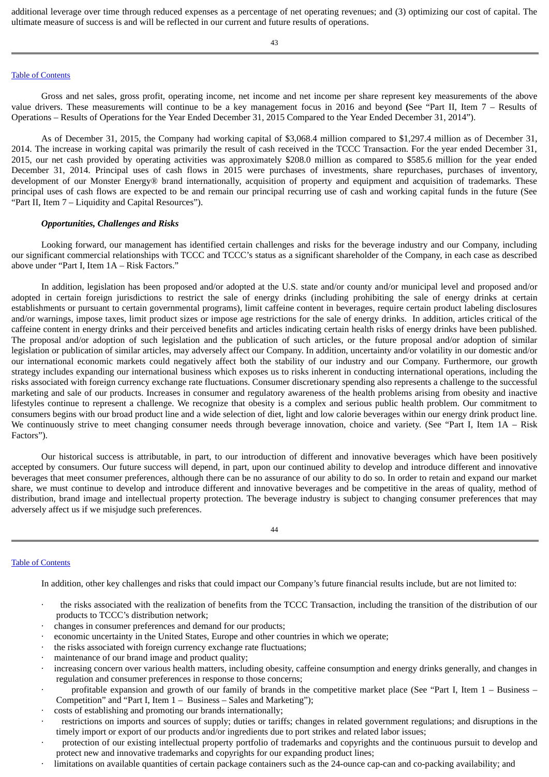additional leverage over time through reduced expenses as a percentage of net operating revenues; and (3) optimizing our cost of capital. The ultimate measure of success is and will be reflected in our current and future results of operations.

## Table of [Contents](#page-1-0)

Gross and net sales, gross profit, operating income, net income and net income per share represent key measurements of the above value drivers. These measurements will continue to be a key management focus in 2016 and beyond **(**See "Part II, Item 7 – Results of Operations – Results of Operations for the Year Ended December 31, 2015 Compared to the Year Ended December 31, 2014").

As of December 31, 2015, the Company had working capital of \$3,068.4 million compared to \$1,297.4 million as of December 31, 2014. The increase in working capital was primarily the result of cash received in the TCCC Transaction. For the year ended December 31, 2015, our net cash provided by operating activities was approximately \$208.0 million as compared to \$585.6 million for the year ended December 31, 2014. Principal uses of cash flows in 2015 were purchases of investments, share repurchases, purchases of inventory, development of our Monster Energy® brand internationally, acquisition of property and equipment and acquisition of trademarks. These principal uses of cash flows are expected to be and remain our principal recurring use of cash and working capital funds in the future (See "Part II, Item 7 – Liquidity and Capital Resources").

### *Opportunities, Challenges and Risks*

Looking forward, our management has identified certain challenges and risks for the beverage industry and our Company, including our significant commercial relationships with TCCC and TCCC's status as a significant shareholder of the Company, in each case as described above under "Part I, Item 1A – Risk Factors."

In addition, legislation has been proposed and/or adopted at the U.S. state and/or county and/or municipal level and proposed and/or adopted in certain foreign jurisdictions to restrict the sale of energy drinks (including prohibiting the sale of energy drinks at certain establishments or pursuant to certain governmental programs), limit caffeine content in beverages, require certain product labeling disclosures and/or warnings, impose taxes, limit product sizes or impose age restrictions for the sale of energy drinks. In addition, articles critical of the caffeine content in energy drinks and their perceived benefits and articles indicating certain health risks of energy drinks have been published. The proposal and/or adoption of such legislation and the publication of such articles, or the future proposal and/or adoption of similar legislation or publication of similar articles, may adversely affect our Company. In addition, uncertainty and/or volatility in our domestic and/or our international economic markets could negatively affect both the stability of our industry and our Company. Furthermore, our growth strategy includes expanding our international business which exposes us to risks inherent in conducting international operations, including the risks associated with foreign currency exchange rate fluctuations. Consumer discretionary spending also represents a challenge to the successful marketing and sale of our products. Increases in consumer and regulatory awareness of the health problems arising from obesity and inactive lifestyles continue to represent a challenge. We recognize that obesity is a complex and serious public health problem. Our commitment to consumers begins with our broad product line and a wide selection of diet, light and low calorie beverages within our energy drink product line. We continuously strive to meet changing consumer needs through beverage innovation, choice and variety. (See "Part I, Item 1A – Risk Factors").

Our historical success is attributable, in part, to our introduction of different and innovative beverages which have been positively accepted by consumers. Our future success will depend, in part, upon our continued ability to develop and introduce different and innovative beverages that meet consumer preferences, although there can be no assurance of our ability to do so. In order to retain and expand our market share, we must continue to develop and introduce different and innovative beverages and be competitive in the areas of quality, method of distribution, brand image and intellectual property protection. The beverage industry is subject to changing consumer preferences that may adversely affect us if we misjudge such preferences.

44

### Table of [Contents](#page-1-0)

In addition, other key challenges and risks that could impact our Company's future financial results include, but are not limited to:

- · the risks associated with the realization of benefits from the TCCC Transaction, including the transition of the distribution of our products to TCCC's distribution network;
- changes in consumer preferences and demand for our products;
- · economic uncertainty in the United States, Europe and other countries in which we operate;
- the risks associated with foreign currency exchange rate fluctuations;
- maintenance of our brand image and product quality;
- · increasing concern over various health matters, including obesity, caffeine consumption and energy drinks generally, and changes in regulation and consumer preferences in response to those concerns;
- profitable expansion and growth of our family of brands in the competitive market place (See "Part I, Item  $1 -$  Business Competition" and "Part I, Item 1 – Business – Sales and Marketing");
- · costs of establishing and promoting our brands internationally;
- restrictions on imports and sources of supply; duties or tariffs; changes in related government regulations; and disruptions in the timely import or export of our products and/or ingredients due to port strikes and related labor issues;
- protection of our existing intellectual property portfolio of trademarks and copyrights and the continuous pursuit to develop and protect new and innovative trademarks and copyrights for our expanding product lines;
- limitations on available quantities of certain package containers such as the 24-ounce cap-can and co-packing availability; and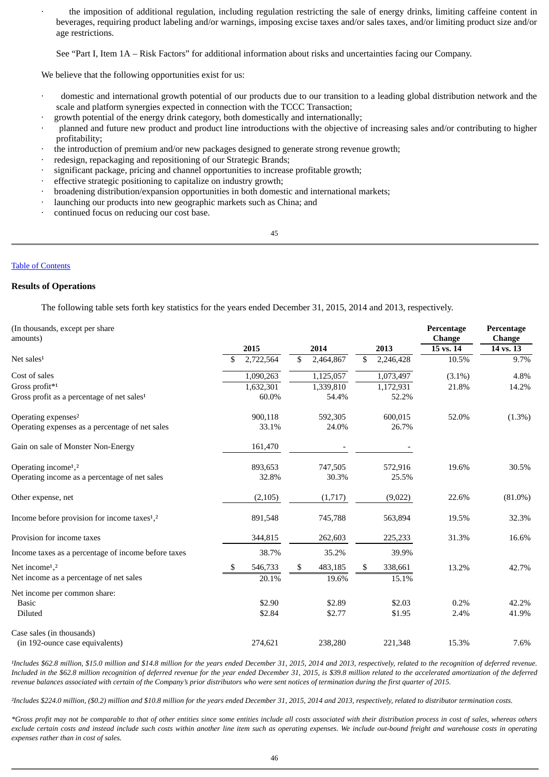the imposition of additional regulation, including regulation restricting the sale of energy drinks, limiting caffeine content in beverages, requiring product labeling and/or warnings, imposing excise taxes and/or sales taxes, and/or limiting product size and/or age restrictions.

See "Part I, Item 1A – Risk Factors" for additional information about risks and uncertainties facing our Company.

We believe that the following opportunities exist for us:

- domestic and international growth potential of our products due to our transition to a leading global distribution network and the scale and platform synergies expected in connection with the TCCC Transaction;
- · growth potential of the energy drink category, both domestically and internationally;
- · planned and future new product and product line introductions with the objective of increasing sales and/or contributing to higher profitability;
- the introduction of premium and/or new packages designed to generate strong revenue growth;
- · redesign, repackaging and repositioning of our Strategic Brands;
- · significant package, pricing and channel opportunities to increase profitable growth;
- effective strategic positioning to capitalize on industry growth;
- · broadening distribution/expansion opportunities in both domestic and international markets;
- launching our products into new geographic markets such as China; and
- continued focus on reducing our cost base.

45

## Table of [Contents](#page-1-0)

## **Results of Operations**

The following table sets forth key statistics for the years ended December 31, 2015, 2014 and 2013, respectively.

| (In thousands, except per share<br>amounts)                          |     |           |    |           |    |           | Percentage<br><b>Change</b> | Percentage<br><b>Change</b> |  |
|----------------------------------------------------------------------|-----|-----------|----|-----------|----|-----------|-----------------------------|-----------------------------|--|
|                                                                      |     | 2015      |    | 2014      |    | 2013      | 15 vs. 14                   | 14 vs. 13                   |  |
| Net sales <sup>1</sup>                                               | \$  | 2,722,564 | \$ | 2,464,867 | \$ | 2,246,428 | 10.5%                       | 9.7%                        |  |
| Cost of sales                                                        |     | 1,090,263 |    | 1,125,057 |    | 1,073,497 | $(3.1\%)$                   | 4.8%                        |  |
| Gross profit*1                                                       |     | 1,632,301 |    | 1,339,810 |    | 1,172,931 | 21.8%                       | 14.2%                       |  |
| Gross profit as a percentage of net sales <sup>1</sup>               |     | 60.0%     |    | 54.4%     |    | 52.2%     |                             |                             |  |
| Operating expenses <sup>2</sup>                                      |     | 900,118   |    | 592,305   |    | 600,015   | 52.0%                       | $(1.3\%)$                   |  |
| Operating expenses as a percentage of net sales                      |     | 33.1%     |    | 24.0%     |    | 26.7%     |                             |                             |  |
| Gain on sale of Monster Non-Energy                                   |     | 161,470   |    |           |    |           |                             |                             |  |
| Operating income <sup>1</sup> , <sup>2</sup>                         |     | 893,653   |    | 747,505   |    | 572,916   | 19.6%                       | 30.5%                       |  |
| Operating income as a percentage of net sales                        |     | 32.8%     |    | 30.3%     |    | 25.5%     |                             |                             |  |
| Other expense, net                                                   |     | (2, 105)  |    | (1,717)   |    | (9,022)   | 22.6%                       | $(81.0\%)$                  |  |
| Income before provision for income taxes <sup>1</sup> , <sup>2</sup> |     | 891,548   |    | 745,788   |    | 563,894   | 19.5%                       | 32.3%                       |  |
| Provision for income taxes                                           |     | 344,815   |    | 262,603   |    | 225,233   | 31.3%                       | 16.6%                       |  |
| Income taxes as a percentage of income before taxes                  |     | 38.7%     |    | 35.2%     |    | 39.9%     |                             |                             |  |
| Net income <sup>1</sup> , <sup>2</sup>                               | -SS | 546,733   | S. | 483,185   | \$ | 338,661   | 13.2%                       | 42.7%                       |  |
| Net income as a percentage of net sales                              |     | 20.1%     |    | 19.6%     |    | 15.1%     |                             |                             |  |
| Net income per common share:                                         |     |           |    |           |    |           |                             |                             |  |
| <b>Basic</b>                                                         |     | \$2.90    |    | \$2.89    |    | \$2.03    | 0.2%                        | 42.2%                       |  |
| Diluted                                                              |     | \$2.84    |    | \$2.77    |    | \$1.95    | 2.4%                        | 41.9%                       |  |
| Case sales (in thousands)                                            |     |           |    |           |    |           |                             |                             |  |
| (in 192-ounce case equivalents)                                      |     | 274,621   |    | 238,280   |    | 221,348   | 15.3%                       | 7.6%                        |  |

*¹Includes \$62.8 million, \$15.0 million and \$14.8 million for the years ended December 31, 2015, 2014 and 2013, respectively, related to the recognition of deferred revenue. Included in the \$62.8 million recognition of deferred revenue for the year ended December 31, 2015, is \$39.8 million related to the accelerated amortization of the deferred revenue balances associated with certain of the Company's prior distributors who were sent notices of termination during the first quarter of 2015.*

*²Includes \$224.0 million, (\$0.2) million and \$10.8 million for the years ended December 31, 2015, 2014 and 2013, respectively, related to distributor termination costs.*

*\*Gross profit may not be comparable to that of other entities since some entities include all costs associated with their distribution process in cost of sales, whereas others exclude certain costs and instead include such costs within another line item such as operating expenses. We include out-bound freight and warehouse costs in operating expenses rather than in cost of sales.*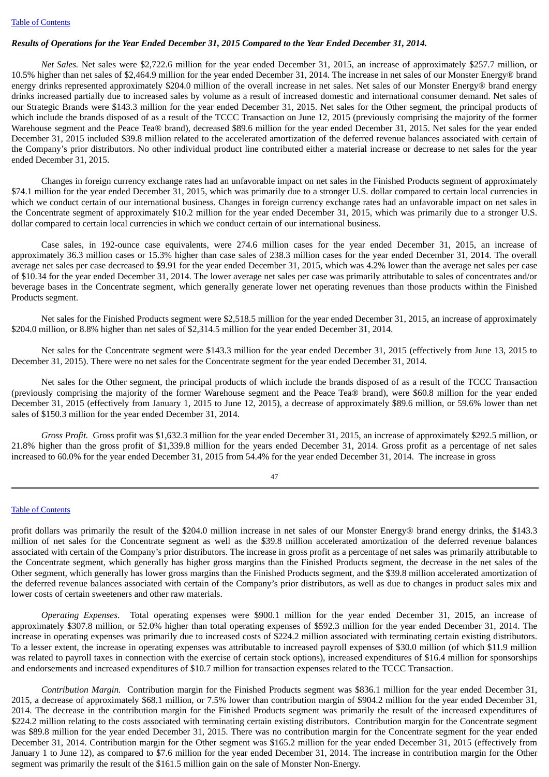## Results of Operations for the Year Ended December 31, 2015 Compared to the Year Ended December 31, 2014.

*Net Sales.* Net sales were \$2,722.6 million for the year ended December 31, 2015, an increase of approximately \$257.7 million, or 10.5% higher than net sales of \$2,464.9 million for the year ended December 31, 2014. The increase in net sales of our Monster Energy® brand energy drinks represented approximately \$204.0 million of the overall increase in net sales. Net sales of our Monster Energy® brand energy drinks increased partially due to increased sales by volume as a result of increased domestic and international consumer demand. Net sales of our Strategic Brands were \$143.3 million for the year ended December 31, 2015. Net sales for the Other segment, the principal products of which include the brands disposed of as a result of the TCCC Transaction on June 12, 2015 (previously comprising the majority of the former Warehouse segment and the Peace Tea® brand), decreased \$89.6 million for the year ended December 31, 2015. Net sales for the year ended December 31, 2015 included \$39.8 million related to the accelerated amortization of the deferred revenue balances associated with certain of the Company's prior distributors. No other individual product line contributed either a material increase or decrease to net sales for the year ended December 31, 2015.

Changes in foreign currency exchange rates had an unfavorable impact on net sales in the Finished Products segment of approximately \$74.1 million for the year ended December 31, 2015, which was primarily due to a stronger U.S. dollar compared to certain local currencies in which we conduct certain of our international business. Changes in foreign currency exchange rates had an unfavorable impact on net sales in the Concentrate segment of approximately \$10.2 million for the year ended December 31, 2015, which was primarily due to a stronger U.S. dollar compared to certain local currencies in which we conduct certain of our international business.

Case sales, in 192-ounce case equivalents, were 274.6 million cases for the year ended December 31, 2015, an increase of approximately 36.3 million cases or 15.3% higher than case sales of 238.3 million cases for the year ended December 31, 2014. The overall average net sales per case decreased to \$9.91 for the year ended December 31, 2015, which was 4.2% lower than the average net sales per case of \$10.34 for the year ended December 31, 2014. The lower average net sales per case was primarily attributable to sales of concentrates and/or beverage bases in the Concentrate segment, which generally generate lower net operating revenues than those products within the Finished Products segment.

Net sales for the Finished Products segment were \$2,518.5 million for the year ended December 31, 2015, an increase of approximately \$204.0 million, or 8.8% higher than net sales of \$2,314.5 million for the year ended December 31, 2014.

Net sales for the Concentrate segment were \$143.3 million for the year ended December 31, 2015 (effectively from June 13, 2015 to December 31, 2015). There were no net sales for the Concentrate segment for the year ended December 31, 2014.

Net sales for the Other segment, the principal products of which include the brands disposed of as a result of the TCCC Transaction (previously comprising the majority of the former Warehouse segment and the Peace Tea® brand), were \$60.8 million for the year ended December 31, 2015 (effectively from January 1, 2015 to June 12, 2015), a decrease of approximately \$89.6 million, or 59.6% lower than net sales of \$150.3 million for the year ended December 31, 2014.

*Gross Profit.* Gross profit was \$1,632.3 million for the year ended December 31, 2015, an increase of approximately \$292.5 million, or 21.8% higher than the gross profit of \$1,339.8 million for the years ended December 31, 2014. Gross profit as a percentage of net sales increased to 60.0% for the year ended December 31, 2015 from 54.4% for the year ended December 31, 2014. The increase in gross

47

## Table of [Contents](#page-1-0)

profit dollars was primarily the result of the \$204.0 million increase in net sales of our Monster Energy® brand energy drinks, the \$143.3 million of net sales for the Concentrate segment as well as the \$39.8 million accelerated amortization of the deferred revenue balances associated with certain of the Company's prior distributors. The increase in gross profit as a percentage of net sales was primarily attributable to the Concentrate segment, which generally has higher gross margins than the Finished Products segment, the decrease in the net sales of the Other segment, which generally has lower gross margins than the Finished Products segment, and the \$39.8 million accelerated amortization of the deferred revenue balances associated with certain of the Company's prior distributors, as well as due to changes in product sales mix and lower costs of certain sweeteners and other raw materials.

*Operating Expenses*. Total operating expenses were \$900.1 million for the year ended December 31, 2015, an increase of approximately \$307.8 million, or 52.0% higher than total operating expenses of \$592.3 million for the year ended December 31, 2014. The increase in operating expenses was primarily due to increased costs of \$224.2 million associated with terminating certain existing distributors. To a lesser extent, the increase in operating expenses was attributable to increased payroll expenses of \$30.0 million (of which \$11.9 million was related to payroll taxes in connection with the exercise of certain stock options), increased expenditures of \$16.4 million for sponsorships and endorsements and increased expenditures of \$10.7 million for transaction expenses related to the TCCC Transaction.

*Contribution Margin.* Contribution margin for the Finished Products segment was \$836.1 million for the year ended December 31, 2015, a decrease of approximately \$68.1 million, or 7.5% lower than contribution margin of \$904.2 million for the year ended December 31, 2014. The decrease in the contribution margin for the Finished Products segment was primarily the result of the increased expenditures of \$224.2 million relating to the costs associated with terminating certain existing distributors. Contribution margin for the Concentrate segment was \$89.8 million for the year ended December 31, 2015. There was no contribution margin for the Concentrate segment for the year ended December 31, 2014. Contribution margin for the Other segment was \$165.2 million for the year ended December 31, 2015 (effectively from January 1 to June 12), as compared to \$7.6 million for the year ended December 31, 2014. The increase in contribution margin for the Other segment was primarily the result of the \$161.5 million gain on the sale of Monster Non-Energy.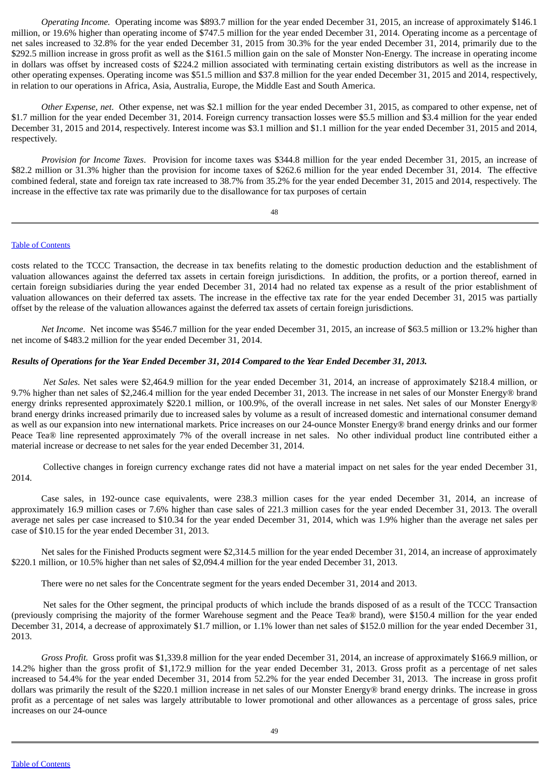*Operating Income.* Operating income was \$893.7 million for the year ended December 31, 2015, an increase of approximately \$146.1 million, or 19.6% higher than operating income of \$747.5 million for the year ended December 31, 2014. Operating income as a percentage of net sales increased to 32.8% for the year ended December 31, 2015 from 30.3% for the year ended December 31, 2014, primarily due to the \$292.5 million increase in gross profit as well as the \$161.5 million gain on the sale of Monster Non-Energy. The increase in operating income in dollars was offset by increased costs of \$224.2 million associated with terminating certain existing distributors as well as the increase in other operating expenses. Operating income was \$51.5 million and \$37.8 million for the year ended December 31, 2015 and 2014, respectively, in relation to our operations in Africa, Asia, Australia, Europe, the Middle East and South America.

*Other Expense, net*. Other expense, net was \$2.1 million for the year ended December 31, 2015, as compared to other expense, net of \$1.7 million for the year ended December 31, 2014. Foreign currency transaction losses were \$5.5 million and \$3.4 million for the year ended December 31, 2015 and 2014, respectively. Interest income was \$3.1 million and \$1.1 million for the year ended December 31, 2015 and 2014, respectively.

*Provision for Income Taxes*. Provision for income taxes was \$344.8 million for the year ended December 31, 2015, an increase of \$82.2 million or 31.3% higher than the provision for income taxes of \$262.6 million for the year ended December 31, 2014. The effective combined federal, state and foreign tax rate increased to 38.7% from 35.2% for the year ended December 31, 2015 and 2014, respectively. The increase in the effective tax rate was primarily due to the disallowance for tax purposes of certain

48

## Table of [Contents](#page-1-0)

costs related to the TCCC Transaction, the decrease in tax benefits relating to the domestic production deduction and the establishment of valuation allowances against the deferred tax assets in certain foreign jurisdictions. In addition, the profits, or a portion thereof, earned in certain foreign subsidiaries during the year ended December 31, 2014 had no related tax expense as a result of the prior establishment of valuation allowances on their deferred tax assets. The increase in the effective tax rate for the year ended December 31, 2015 was partially offset by the release of the valuation allowances against the deferred tax assets of certain foreign jurisdictions.

*Net Income*. Net income was \$546.7 million for the year ended December 31, 2015, an increase of \$63.5 million or 13.2% higher than net income of \$483.2 million for the year ended December 31, 2014.

## Results of Operations for the Year Ended December 31, 2014 Compared to the Year Ended December 31, 2013.

*Net Sales.* Net sales were \$2,464.9 million for the year ended December 31, 2014, an increase of approximately \$218.4 million, or 9.7% higher than net sales of \$2,246.4 million for the year ended December 31, 2013. The increase in net sales of our Monster Energy® brand energy drinks represented approximately \$220.1 million, or 100.9%, of the overall increase in net sales. Net sales of our Monster Energy® brand energy drinks increased primarily due to increased sales by volume as a result of increased domestic and international consumer demand as well as our expansion into new international markets. Price increases on our 24-ounce Monster Energy® brand energy drinks and our former Peace Tea® line represented approximately 7% of the overall increase in net sales. No other individual product line contributed either a material increase or decrease to net sales for the year ended December 31, 2014.

Collective changes in foreign currency exchange rates did not have a material impact on net sales for the year ended December 31, 2014.

Case sales, in 192-ounce case equivalents, were 238.3 million cases for the year ended December 31, 2014, an increase of approximately 16.9 million cases or 7.6% higher than case sales of 221.3 million cases for the year ended December 31, 2013. The overall average net sales per case increased to \$10.34 for the year ended December 31, 2014, which was 1.9% higher than the average net sales per case of \$10.15 for the year ended December 31, 2013.

Net sales for the Finished Products segment were \$2,314.5 million for the year ended December 31, 2014, an increase of approximately \$220.1 million, or 10.5% higher than net sales of \$2,094.4 million for the year ended December 31, 2013.

There were no net sales for the Concentrate segment for the years ended December 31, 2014 and 2013.

Net sales for the Other segment, the principal products of which include the brands disposed of as a result of the TCCC Transaction (previously comprising the majority of the former Warehouse segment and the Peace Tea® brand), were \$150.4 million for the year ended December 31, 2014, a decrease of approximately \$1.7 million, or 1.1% lower than net sales of \$152.0 million for the year ended December 31, 2013.

*Gross Profit.* Gross profit was \$1,339.8 million for the year ended December 31, 2014, an increase of approximately \$166.9 million, or 14.2% higher than the gross profit of \$1,172.9 million for the year ended December 31, 2013. Gross profit as a percentage of net sales increased to 54.4% for the year ended December 31, 2014 from 52.2% for the year ended December 31, 2013. The increase in gross profit dollars was primarily the result of the \$220.1 million increase in net sales of our Monster Energy® brand energy drinks. The increase in gross profit as a percentage of net sales was largely attributable to lower promotional and other allowances as a percentage of gross sales, price increases on our 24-ounce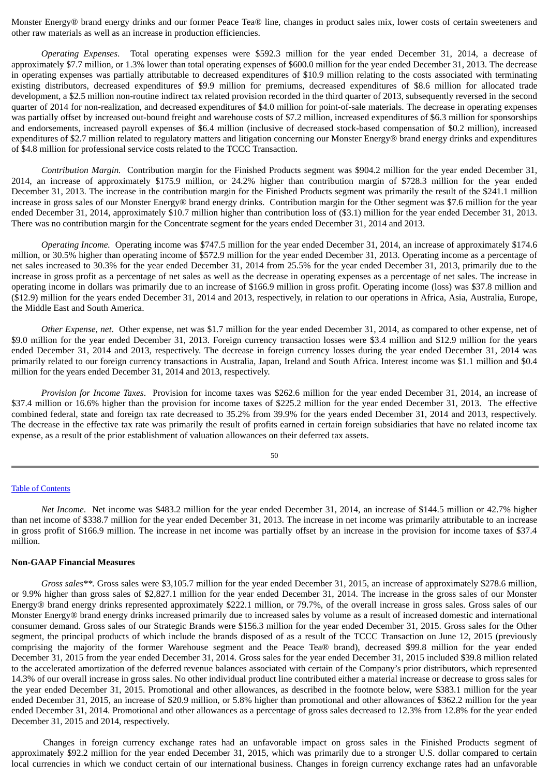Monster Energy® brand energy drinks and our former Peace Tea® line, changes in product sales mix, lower costs of certain sweeteners and other raw materials as well as an increase in production efficiencies.

*Operating Expenses*. Total operating expenses were \$592.3 million for the year ended December 31, 2014, a decrease of approximately \$7.7 million, or 1.3% lower than total operating expenses of \$600.0 million for the year ended December 31, 2013. The decrease in operating expenses was partially attributable to decreased expenditures of \$10.9 million relating to the costs associated with terminating existing distributors, decreased expenditures of \$9.9 million for premiums, decreased expenditures of \$8.6 million for allocated trade development, a \$2.5 million non-routine indirect tax related provision recorded in the third quarter of 2013, subsequently reversed in the second quarter of 2014 for non-realization, and decreased expenditures of \$4.0 million for point-of-sale materials. The decrease in operating expenses was partially offset by increased out-bound freight and warehouse costs of \$7.2 million, increased expenditures of \$6.3 million for sponsorships and endorsements, increased payroll expenses of \$6.4 million (inclusive of decreased stock-based compensation of \$0.2 million), increased expenditures of \$2.7 million related to regulatory matters and litigation concerning our Monster Energy® brand energy drinks and expenditures of \$4.8 million for professional service costs related to the TCCC Transaction.

*Contribution Margin.* Contribution margin for the Finished Products segment was \$904.2 million for the year ended December 31, 2014, an increase of approximately \$175.9 million, or 24.2% higher than contribution margin of \$728.3 million for the year ended December 31, 2013. The increase in the contribution margin for the Finished Products segment was primarily the result of the \$241.1 million increase in gross sales of our Monster Energy® brand energy drinks. Contribution margin for the Other segment was \$7.6 million for the year ended December 31, 2014, approximately \$10.7 million higher than contribution loss of (\$3.1) million for the year ended December 31, 2013. There was no contribution margin for the Concentrate segment for the years ended December 31, 2014 and 2013.

*Operating Income.* Operating income was \$747.5 million for the year ended December 31, 2014, an increase of approximately \$174.6 million, or 30.5% higher than operating income of \$572.9 million for the year ended December 31, 2013. Operating income as a percentage of net sales increased to 30.3% for the year ended December 31, 2014 from 25.5% for the year ended December 31, 2013, primarily due to the increase in gross profit as a percentage of net sales as well as the decrease in operating expenses as a percentage of net sales. The increase in operating income in dollars was primarily due to an increase of \$166.9 million in gross profit. Operating income (loss) was \$37.8 million and (\$12.9) million for the years ended December 31, 2014 and 2013, respectively, in relation to our operations in Africa, Asia, Australia, Europe, the Middle East and South America.

*Other Expense, net*. Other expense, net was \$1.7 million for the year ended December 31, 2014, as compared to other expense, net of \$9.0 million for the year ended December 31, 2013. Foreign currency transaction losses were \$3.4 million and \$12.9 million for the years ended December 31, 2014 and 2013, respectively. The decrease in foreign currency losses during the year ended December 31, 2014 was primarily related to our foreign currency transactions in Australia, Japan, Ireland and South Africa. Interest income was \$1.1 million and \$0.4 million for the years ended December 31, 2014 and 2013, respectively.

*Provision for Income Taxes*. Provision for income taxes was \$262.6 million for the year ended December 31, 2014, an increase of \$37.4 million or 16.6% higher than the provision for income taxes of \$225.2 million for the year ended December 31, 2013. The effective combined federal, state and foreign tax rate decreased to 35.2% from 39.9% for the years ended December 31, 2014 and 2013, respectively. The decrease in the effective tax rate was primarily the result of profits earned in certain foreign subsidiaries that have no related income tax expense, as a result of the prior establishment of valuation allowances on their deferred tax assets.

50

## Table of [Contents](#page-1-0)

*Net Income*. Net income was \$483.2 million for the year ended December 31, 2014, an increase of \$144.5 million or 42.7% higher than net income of \$338.7 million for the year ended December 31, 2013. The increase in net income was primarily attributable to an increase in gross profit of \$166.9 million. The increase in net income was partially offset by an increase in the provision for income taxes of \$37.4 million.

## **Non-GAAP Financial Measures**

*Gross sales\*\*.* Gross sales were \$3,105.7 million for the year ended December 31, 2015, an increase of approximately \$278.6 million, or 9.9% higher than gross sales of \$2,827.1 million for the year ended December 31, 2014. The increase in the gross sales of our Monster Energy® brand energy drinks represented approximately \$222.1 million, or 79.7%, of the overall increase in gross sales. Gross sales of our Monster Energy® brand energy drinks increased primarily due to increased sales by volume as a result of increased domestic and international consumer demand. Gross sales of our Strategic Brands were \$156.3 million for the year ended December 31, 2015. Gross sales for the Other segment, the principal products of which include the brands disposed of as a result of the TCCC Transaction on June 12, 2015 (previously comprising the majority of the former Warehouse segment and the Peace Tea® brand), decreased \$99.8 million for the year ended December 31, 2015 from the year ended December 31, 2014. Gross sales for the year ended December 31, 2015 included \$39.8 million related to the accelerated amortization of the deferred revenue balances associated with certain of the Company's prior distributors, which represented 14.3% of our overall increase in gross sales. No other individual product line contributed either a material increase or decrease to gross sales for the year ended December 31, 2015. Promotional and other allowances, as described in the footnote below, were \$383.1 million for the year ended December 31, 2015, an increase of \$20.9 million, or 5.8% higher than promotional and other allowances of \$362.2 million for the year ended December 31, 2014. Promotional and other allowances as a percentage of gross sales decreased to 12.3% from 12.8% for the year ended December 31, 2015 and 2014, respectively.

Changes in foreign currency exchange rates had an unfavorable impact on gross sales in the Finished Products segment of approximately \$92.2 million for the year ended December 31, 2015, which was primarily due to a stronger U.S. dollar compared to certain local currencies in which we conduct certain of our international business. Changes in foreign currency exchange rates had an unfavorable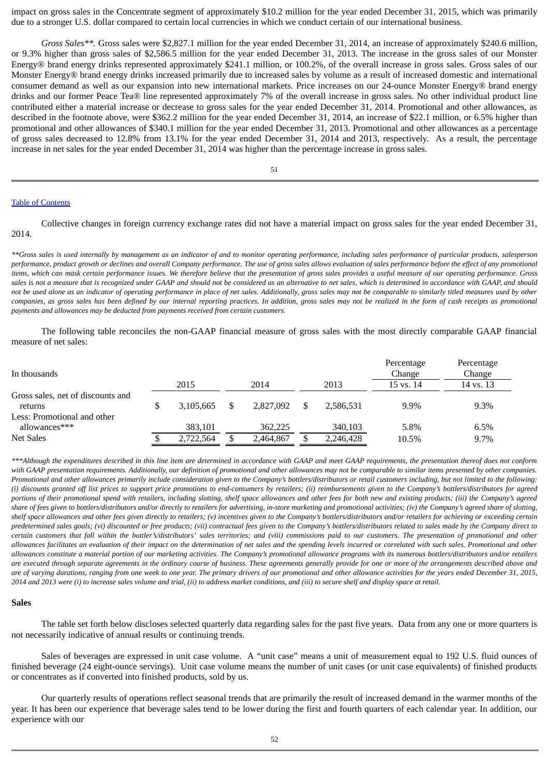impact on gross sales in the Concentrate segment of approximately \$10.2 million for the year ended December 31, 2015, which was primarily due to a stronger U.S. dollar compared to certain local currencies in which we conduct certain of our international business.

*Gross Sales\*\*.* Gross sales were \$2,827.1 million for the year ended December 31, 2014, an increase of approximately \$240.6 million, or 9.3% higher than gross sales of \$2,586.5 million for the year ended December 31, 2013. The increase in the gross sales of our Monster Energy® brand energy drinks represented approximately \$241.1 million, or 100.2%, of the overall increase in gross sales. Gross sales of our Monster Energy® brand energy drinks increased primarily due to increased sales by volume as a result of increased domestic and international consumer demand as well as our expansion into new international markets. Price increases on our 24-ounce Monster Energy® brand energy drinks and our former Peace Tea® line represented approximately 7% of the overall increase in gross sales. No other individual product line contributed either a material increase or decrease to gross sales for the year ended December 31, 2014. Promotional and other allowances, as described in the footnote above, were \$362.2 million for the year ended December 31, 2014, an increase of \$22.1 million, or 6.5% higher than promotional and other allowances of \$340.1 million for the year ended December 31, 2013. Promotional and other allowances as a percentage of gross sales decreased to 12.8% from 13.1% for the year ended December 31, 2014 and 2013, respectively. As a result, the percentage increase in net sales for the year ended December 31, 2014 was higher than the percentage increase in gross sales.

51

#### Table of [Contents](#page-1-0)

Collective changes in foreign currency exchange rates did not have a material impact on gross sales for the year ended December 31, 2014.

*\*\*Gross sales is used internally by management as an indicator of and to monitor operating performance, including sales performance of particular products, salesperson performance, product growth or declines and overall Company performance. The use of gross sales allows evaluation of sales performance before the effect of any promotional items, which can mask certain performance issues. We therefore believe that the presentation of gross sales provides a useful measure of our operating performance. Gross* sales is not a measure that is recognized under GAAP and should not be considered as an alternative to net sales, which is determined in accordance with GAAP, and should *not be used alone as an indicator of operating performance in place of net sales. Additionally, gross sales may not be comparable to similarly titled measures used by other companies, as gross sales has been defined by our internal reporting practices. In addition, gross sales may not be realized in the form of cash receipts as promotional payments and allowances may be deducted from payments received from certain customers.*

The following table reconciles the non-GAAP financial measure of gross sales with the most directly comparable GAAP financial measure of net sales:

| In thousands                                 |      |           |      |           |      |           | Percentage<br>Change | Percentage<br>Change |  |
|----------------------------------------------|------|-----------|------|-----------|------|-----------|----------------------|----------------------|--|
|                                              | 2015 |           | 2014 |           | 2013 |           | 15 vs. 14            | 14 vs. 13            |  |
| Gross sales, net of discounts and<br>returns |      | 3.105.665 |      | 2.827,092 | \$   | 2.586.531 | $9.9\%$              | 9.3%                 |  |
| Less: Promotional and other<br>allowances*** |      | 383.101   |      | 362,225   |      | 340,103   | 5.8%                 | 6.5%                 |  |
| <b>Net Sales</b>                             |      | 2,722,564 |      | 2,464,867 |      | 2,246,428 | 10.5%                | $9.7\%$              |  |

*\*\*\*Although the expenditures described in this line item are determined in accordance with GAAP and meet GAAP requirements, the presentation thereof does not conform with GAAP presentation requirements. Additionally, our definition of promotional and other allowances may not be comparable to similar items presented by other companies. Promotional and other allowances primarily include consideration given to the Company's bottlers/distributors or retail customers including, but not limited to the following: (i) discounts granted off list prices to support price promotions to end-consumers by retailers; (ii) reimbursements given to the Company's bottlers/distributors for agreed portions of their promotional spend with retailers, including slotting, shelf space allowances and other fees for both new and existing products; (iii) the Company's agreed share of fees given to bottlers/distributors and/or directly to retailers for advertising, in-store marketing and promotional activities; (iv) the Company's agreed share of slotting, shelf space allowances and other fees given directly to retailers; (v) incentives given to the Company's bottlers/distributors and/or retailers for achieving or exceeding certain predetermined sales goals; (vi) discounted or free products; (vii) contractual fees given to the Company's bottlers/distributors related to sales made by the Company direct to certain customers that fall within the bottler's/distributors' sales territories; and (viii) commissions paid to our customers. The presentation of promotional and other allowances facilitates an evaluation of their impact on the determination of net sales and the spending levels incurred or correlated with such sales. Promotional and other allowances constitute a material portion of our marketing activities. The Company's promotional allowance programs with its numerous bottlers/distributors and/or retailers are executed through separate agreements in the ordinary course of business. These agreements generally provide for one or more of the arrangements described above and are of varying durations, ranging from one week to one year. The primary drivers of our promotional and other allowance activities for the years ended December 31, 2015, 2014 and 2013 were (i) to increase sales volume and trial, (ii) to address market conditions, and (iii) to secure shelf and display space at retail.*

### **Sales**

The table set forth below discloses selected quarterly data regarding sales for the past five years. Data from any one or more quarters is not necessarily indicative of annual results or continuing trends.

Sales of beverages are expressed in unit case volume. A "unit case" means a unit of measurement equal to 192 U.S. fluid ounces of finished beverage (24 eight-ounce servings). Unit case volume means the number of unit cases (or unit case equivalents) of finished products or concentrates as if converted into finished products, sold by us.

Our quarterly results of operations reflect seasonal trends that are primarily the result of increased demand in the warmer months of the year. It has been our experience that beverage sales tend to be lower during the first and fourth quarters of each calendar year. In addition, our experience with our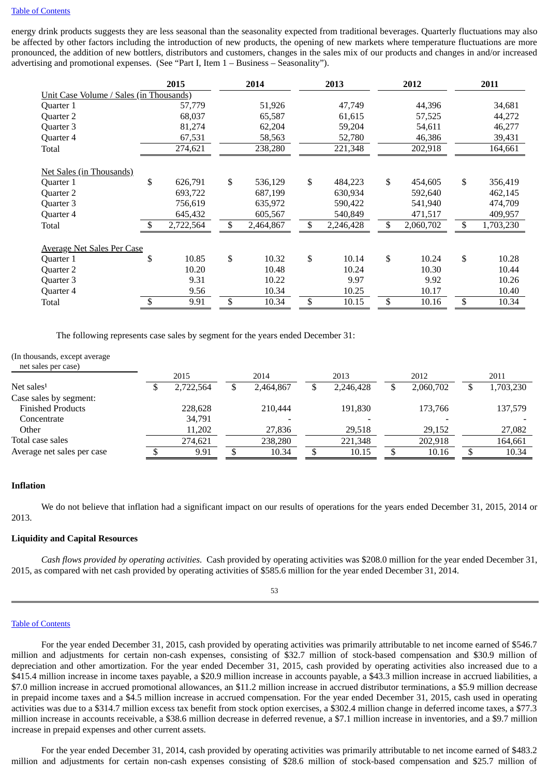#### Table of [Contents](#page-1-0)

energy drink products suggests they are less seasonal than the seasonality expected from traditional beverages. Quarterly fluctuations may also be affected by other factors including the introduction of new products, the opening of new markets where temperature fluctuations are more pronounced, the addition of new bottlers, distributors and customers, changes in the sales mix of our products and changes in and/or increased advertising and promotional expenses. (See "Part I, Item 1 – Business – Seasonality").

|                                         |    | 2015      | 2014 |           |    | 2013      |    | 2012      |    | 2011      |
|-----------------------------------------|----|-----------|------|-----------|----|-----------|----|-----------|----|-----------|
| Unit Case Volume / Sales (in Thousands) |    |           |      |           |    |           |    |           |    |           |
| Quarter 1                               |    | 57,779    |      | 51,926    |    | 47,749    |    | 44,396    |    | 34,681    |
| Quarter 2                               |    | 68,037    |      | 65,587    |    | 61,615    |    | 57,525    |    | 44,272    |
| Quarter 3                               |    | 81,274    |      | 62,204    |    | 59,204    |    | 54,611    |    | 46,277    |
| Quarter 4                               |    | 67,531    |      | 58,563    |    | 52,780    |    | 46,386    |    | 39,431    |
| Total                                   |    | 274,621   |      | 238,280   |    | 221,348   |    | 202,918   |    | 164,661   |
| Net Sales (in Thousands)                |    |           |      |           |    |           |    |           |    |           |
| Quarter 1                               | \$ | 626,791   | \$   | 536,129   | \$ | 484,223   | \$ | 454,605   | \$ | 356,419   |
| Quarter 2                               |    | 693,722   |      | 687,199   |    | 630,934   |    | 592,640   |    | 462,145   |
| Quarter 3                               |    | 756,619   |      | 635,972   |    | 590,422   |    | 541,940   |    | 474,709   |
| Quarter 4                               |    | 645,432   |      | 605,567   |    | 540,849   |    | 471,517   |    | 409,957   |
| Total                                   |    | 2,722,564 |      | 2,464,867 | \$ | 2,246,428 | \$ | 2,060,702 | \$ | 1,703,230 |
| <b>Average Net Sales Per Case</b>       |    |           |      |           |    |           |    |           |    |           |
| Quarter 1                               | \$ | 10.85     | \$   | 10.32     | \$ | 10.14     | \$ | 10.24     | \$ | 10.28     |
| Quarter 2                               |    | 10.20     |      | 10.48     |    | 10.24     |    | 10.30     |    | 10.44     |
| Quarter 3                               |    | 9.31      |      | 10.22     |    | 9.97      |    | 9.92      |    | 10.26     |
| Quarter 4                               |    | 9.56      |      | 10.34     |    | 10.25     |    | 10.17     |    | 10.40     |
| Total                                   | \$ | 9.91      | \$   | 10.34     | \$ | 10.15     | \$ | 10.16     | \$ | 10.34     |

The following represents case sales by segment for the years ended December 31:

### (In thousands, except average

| net sales per case)        |      |           |      |           |      |           |      |           |      |           |
|----------------------------|------|-----------|------|-----------|------|-----------|------|-----------|------|-----------|
|                            | 2015 |           | 2014 |           | 2013 |           | 2012 |           | 2011 |           |
| Net sales $1$              |      | 2,722,564 | ⊅    | 2,464,867 |      | 2,246,428 |      | 2,060,702 | D    | 1,703,230 |
| Case sales by segment:     |      |           |      |           |      |           |      |           |      |           |
| <b>Finished Products</b>   |      | 228,628   |      | 210,444   |      | 191,830   |      | 173.766   |      | 137,579   |
| Concentrate                |      | 34,791    |      |           |      |           |      |           |      |           |
| Other                      |      | 11,202    |      | 27,836    |      | 29,518    |      | 29.152    |      | 27,082    |
| Total case sales           |      | 274.621   |      | 238,280   |      | 221,348   |      | 202.918   |      | 164,661   |
| Average net sales per case |      | 9.91      |      | 10.34     |      | 10.15     |      | 10.16     |      | 10.34     |

## **Inflation**

We do not believe that inflation had a significant impact on our results of operations for the years ended December 31, 2015, 2014 or 2013.

## **Liquidity and Capital Resources**

*Cash flows provided by operating activities.* Cash provided by operating activities was \$208.0 million for the year ended December 31, 2015, as compared with net cash provided by operating activities of \$585.6 million for the year ended December 31, 2014.

### 53

#### Table of [Contents](#page-1-0)

For the year ended December 31, 2015, cash provided by operating activities was primarily attributable to net income earned of \$546.7 million and adjustments for certain non-cash expenses, consisting of \$32.7 million of stock-based compensation and \$30.9 million of depreciation and other amortization. For the year ended December 31, 2015, cash provided by operating activities also increased due to a \$415.4 million increase in income taxes payable, a \$20.9 million increase in accounts payable, a \$43.3 million increase in accrued liabilities, a \$7.0 million increase in accrued promotional allowances, an \$11.2 million increase in accrued distributor terminations, a \$5.9 million decrease in prepaid income taxes and a \$4.5 million increase in accrued compensation. For the year ended December 31, 2015, cash used in operating activities was due to a \$314.7 million excess tax benefit from stock option exercises, a \$302.4 million change in deferred income taxes, a \$77.3 million increase in accounts receivable, a \$38.6 million decrease in deferred revenue, a \$7.1 million increase in inventories, and a \$9.7 million increase in prepaid expenses and other current assets.

For the year ended December 31, 2014, cash provided by operating activities was primarily attributable to net income earned of \$483.2 million and adjustments for certain non-cash expenses consisting of \$28.6 million of stock-based compensation and \$25.7 million of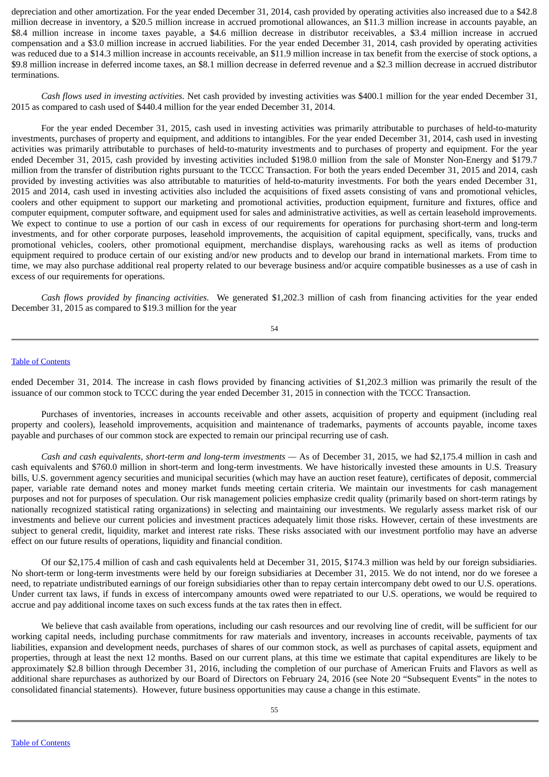depreciation and other amortization. For the year ended December 31, 2014, cash provided by operating activities also increased due to a \$42.8 million decrease in inventory, a \$20.5 million increase in accrued promotional allowances, an \$11.3 million increase in accounts payable, an \$8.4 million increase in income taxes payable, a \$4.6 million decrease in distributor receivables, a \$3.4 million increase in accrued compensation and a \$3.0 million increase in accrued liabilities. For the year ended December 31, 2014, cash provided by operating activities was reduced due to a \$14.3 million increase in accounts receivable, an \$11.9 million increase in tax benefit from the exercise of stock options, a \$9.8 million increase in deferred income taxes, an \$8.1 million decrease in deferred revenue and a \$2.3 million decrease in accrued distributor terminations.

*Cash flows used in investing activities.* Net cash provided by investing activities was \$400.1 million for the year ended December 31, 2015 as compared to cash used of \$440.4 million for the year ended December 31, 2014.

For the year ended December 31, 2015, cash used in investing activities was primarily attributable to purchases of held-to-maturity investments, purchases of property and equipment, and additions to intangibles. For the year ended December 31, 2014, cash used in investing activities was primarily attributable to purchases of held-to-maturity investments and to purchases of property and equipment. For the year ended December 31, 2015, cash provided by investing activities included \$198.0 million from the sale of Monster Non-Energy and \$179.7 million from the transfer of distribution rights pursuant to the TCCC Transaction. For both the years ended December 31, 2015 and 2014, cash provided by investing activities was also attributable to maturities of held-to-maturity investments. For both the years ended December 31, 2015 and 2014, cash used in investing activities also included the acquisitions of fixed assets consisting of vans and promotional vehicles, coolers and other equipment to support our marketing and promotional activities, production equipment, furniture and fixtures, office and computer equipment, computer software, and equipment used for sales and administrative activities, as well as certain leasehold improvements. We expect to continue to use a portion of our cash in excess of our requirements for operations for purchasing short-term and long-term investments, and for other corporate purposes, leasehold improvements, the acquisition of capital equipment, specifically, vans, trucks and promotional vehicles, coolers, other promotional equipment, merchandise displays, warehousing racks as well as items of production equipment required to produce certain of our existing and/or new products and to develop our brand in international markets. From time to time, we may also purchase additional real property related to our beverage business and/or acquire compatible businesses as a use of cash in excess of our requirements for operations.

*Cash flows provided by financing activities.* We generated \$1,202.3 million of cash from financing activities for the year ended December 31, 2015 as compared to \$19.3 million for the year

54

## Table of [Contents](#page-1-0)

ended December 31, 2014. The increase in cash flows provided by financing activities of \$1,202.3 million was primarily the result of the issuance of our common stock to TCCC during the year ended December 31, 2015 in connection with the TCCC Transaction.

Purchases of inventories, increases in accounts receivable and other assets, acquisition of property and equipment (including real property and coolers), leasehold improvements, acquisition and maintenance of trademarks, payments of accounts payable, income taxes payable and purchases of our common stock are expected to remain our principal recurring use of cash.

*Cash and cash equivalents, short-term and long-term investments —* As of December 31, 2015, we had \$2,175.4 million in cash and cash equivalents and \$760.0 million in short-term and long-term investments. We have historically invested these amounts in U.S. Treasury bills, U.S. government agency securities and municipal securities (which may have an auction reset feature), certificates of deposit, commercial paper, variable rate demand notes and money market funds meeting certain criteria. We maintain our investments for cash management purposes and not for purposes of speculation. Our risk management policies emphasize credit quality (primarily based on short-term ratings by nationally recognized statistical rating organizations) in selecting and maintaining our investments. We regularly assess market risk of our investments and believe our current policies and investment practices adequately limit those risks. However, certain of these investments are subject to general credit, liquidity, market and interest rate risks. These risks associated with our investment portfolio may have an adverse effect on our future results of operations, liquidity and financial condition.

Of our \$2,175.4 million of cash and cash equivalents held at December 31, 2015, \$174.3 million was held by our foreign subsidiaries. No short-term or long-term investments were held by our foreign subsidiaries at December 31, 2015. We do not intend, nor do we foresee a need, to repatriate undistributed earnings of our foreign subsidiaries other than to repay certain intercompany debt owed to our U.S. operations. Under current tax laws, if funds in excess of intercompany amounts owed were repatriated to our U.S. operations, we would be required to accrue and pay additional income taxes on such excess funds at the tax rates then in effect.

We believe that cash available from operations, including our cash resources and our revolving line of credit, will be sufficient for our working capital needs, including purchase commitments for raw materials and inventory, increases in accounts receivable, payments of tax liabilities, expansion and development needs, purchases of shares of our common stock, as well as purchases of capital assets, equipment and properties, through at least the next 12 months. Based on our current plans, at this time we estimate that capital expenditures are likely to be approximately \$2.8 billion through December 31, 2016, including the completion of our purchase of American Fruits and Flavors as well as additional share repurchases as authorized by our Board of Directors on February 24, 2016 (see Note 20 "Subsequent Events" in the notes to consolidated financial statements). However, future business opportunities may cause a change in this estimate.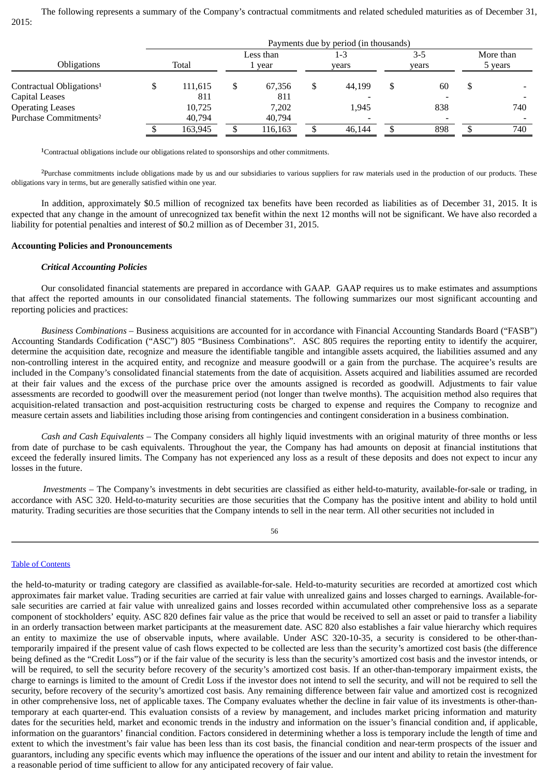The following represents a summary of the Company's contractual commitments and related scheduled maturities as of December 31, 2015:

|                                      |  | Payments due by period (in thousands) |           |         |     |        |       |       |           |         |  |
|--------------------------------------|--|---------------------------------------|-----------|---------|-----|--------|-------|-------|-----------|---------|--|
|                                      |  |                                       | Less than |         | 1-3 |        | $3-5$ |       | More than |         |  |
| <b>Obligations</b>                   |  | Total                                 |           | 1 year  |     | vears  |       | vears |           | 5 years |  |
| Contractual Obligations <sup>1</sup> |  | 111,615                               | C         | 67.356  |     | 44,199 |       | 60    | \$        |         |  |
| Capital Leases                       |  | 811                                   |           | 811     |     |        |       |       |           |         |  |
| <b>Operating Leases</b>              |  | 10,725                                |           | 7.202   |     | 1,945  |       | 838   |           | 740     |  |
| Purchase Commitments <sup>2</sup>    |  | 40,794                                |           | 40,794  |     |        |       |       |           |         |  |
|                                      |  | 163,945                               |           | 116.163 |     | 46.144 |       | 898   |           | 740     |  |

<sup>1</sup>Contractual obligations include our obligations related to sponsorships and other commitments.

<sup>2</sup>Purchase commitments include obligations made by us and our subsidiaries to various suppliers for raw materials used in the production of our products. These obligations vary in terms, but are generally satisfied within one year.

In addition, approximately \$0.5 million of recognized tax benefits have been recorded as liabilities as of December 31, 2015. It is expected that any change in the amount of unrecognized tax benefit within the next 12 months will not be significant. We have also recorded a liability for potential penalties and interest of \$0.2 million as of December 31, 2015.

#### **Accounting Policies and Pronouncements**

### *Critical Accounting Policies*

Our consolidated financial statements are prepared in accordance with GAAP. GAAP requires us to make estimates and assumptions that affect the reported amounts in our consolidated financial statements. The following summarizes our most significant accounting and reporting policies and practices:

*Business Combinations* – Business acquisitions are accounted for in accordance with Financial Accounting Standards Board ("FASB") Accounting Standards Codification ("ASC") 805 "Business Combinations". ASC 805 requires the reporting entity to identify the acquirer, determine the acquisition date, recognize and measure the identifiable tangible and intangible assets acquired, the liabilities assumed and any non-controlling interest in the acquired entity, and recognize and measure goodwill or a gain from the purchase. The acquiree's results are included in the Company's consolidated financial statements from the date of acquisition. Assets acquired and liabilities assumed are recorded at their fair values and the excess of the purchase price over the amounts assigned is recorded as goodwill. Adjustments to fair value assessments are recorded to goodwill over the measurement period (not longer than twelve months). The acquisition method also requires that acquisition-related transaction and post-acquisition restructuring costs be charged to expense and requires the Company to recognize and measure certain assets and liabilities including those arising from contingencies and contingent consideration in a business combination.

*Cash and Cash Equivalents* – The Company considers all highly liquid investments with an original maturity of three months or less from date of purchase to be cash equivalents. Throughout the year, the Company has had amounts on deposit at financial institutions that exceed the federally insured limits. The Company has not experienced any loss as a result of these deposits and does not expect to incur any losses in the future.

*Investments* – The Company's investments in debt securities are classified as either held-to-maturity, available-for-sale or trading, in accordance with ASC 320. Held-to-maturity securities are those securities that the Company has the positive intent and ability to hold until maturity. Trading securities are those securities that the Company intends to sell in the near term. All other securities not included in

### 56

## Table of [Contents](#page-1-0)

the held-to-maturity or trading category are classified as available-for-sale. Held-to-maturity securities are recorded at amortized cost which approximates fair market value. Trading securities are carried at fair value with unrealized gains and losses charged to earnings. Available-forsale securities are carried at fair value with unrealized gains and losses recorded within accumulated other comprehensive loss as a separate component of stockholders' equity. ASC 820 defines fair value as the price that would be received to sell an asset or paid to transfer a liability in an orderly transaction between market participants at the measurement date. ASC 820 also establishes a fair value hierarchy which requires an entity to maximize the use of observable inputs, where available. Under ASC 320-10-35, a security is considered to be other-thantemporarily impaired if the present value of cash flows expected to be collected are less than the security's amortized cost basis (the difference being defined as the "Credit Loss") or if the fair value of the security is less than the security's amortized cost basis and the investor intends, or will be required, to sell the security before recovery of the security's amortized cost basis. If an other-than-temporary impairment exists, the charge to earnings is limited to the amount of Credit Loss if the investor does not intend to sell the security, and will not be required to sell the security, before recovery of the security's amortized cost basis. Any remaining difference between fair value and amortized cost is recognized in other comprehensive loss, net of applicable taxes. The Company evaluates whether the decline in fair value of its investments is other-thantemporary at each quarter-end. This evaluation consists of a review by management, and includes market pricing information and maturity dates for the securities held, market and economic trends in the industry and information on the issuer's financial condition and, if applicable, information on the guarantors' financial condition. Factors considered in determining whether a loss is temporary include the length of time and extent to which the investment's fair value has been less than its cost basis, the financial condition and near-term prospects of the issuer and guarantors, including any specific events which may influence the operations of the issuer and our intent and ability to retain the investment for a reasonable period of time sufficient to allow for any anticipated recovery of fair value.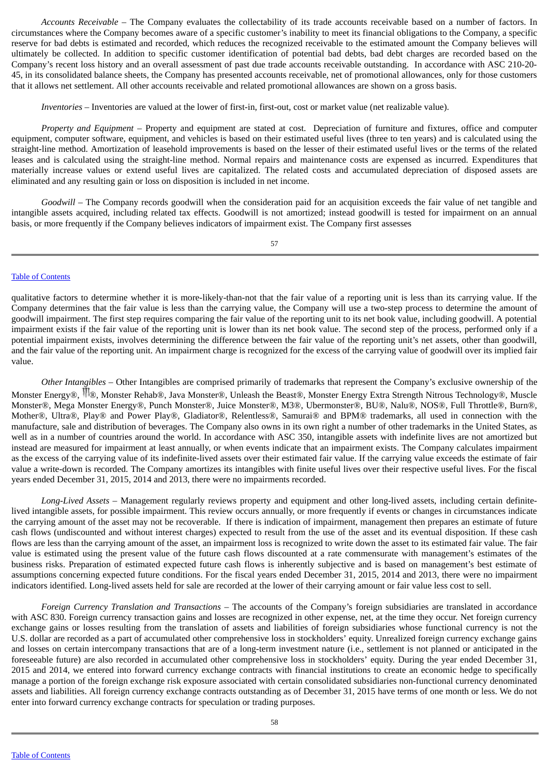*Accounts Receivable –* The Company evaluates the collectability of its trade accounts receivable based on a number of factors. In circumstances where the Company becomes aware of a specific customer's inability to meet its financial obligations to the Company, a specific reserve for bad debts is estimated and recorded, which reduces the recognized receivable to the estimated amount the Company believes will ultimately be collected. In addition to specific customer identification of potential bad debts, bad debt charges are recorded based on the Company's recent loss history and an overall assessment of past due trade accounts receivable outstanding. In accordance with ASC 210-20- 45, in its consolidated balance sheets, the Company has presented accounts receivable, net of promotional allowances, only for those customers that it allows net settlement. All other accounts receivable and related promotional allowances are shown on a gross basis.

*Inventories* – Inventories are valued at the lower of first-in, first-out, cost or market value (net realizable value).

*Property and Equipment* – Property and equipment are stated at cost. Depreciation of furniture and fixtures, office and computer equipment, computer software, equipment, and vehicles is based on their estimated useful lives (three to ten years) and is calculated using the straight-line method. Amortization of leasehold improvements is based on the lesser of their estimated useful lives or the terms of the related leases and is calculated using the straight-line method. Normal repairs and maintenance costs are expensed as incurred. Expenditures that materially increase values or extend useful lives are capitalized. The related costs and accumulated depreciation of disposed assets are eliminated and any resulting gain or loss on disposition is included in net income.

*Goodwill* – The Company records goodwill when the consideration paid for an acquisition exceeds the fair value of net tangible and intangible assets acquired, including related tax effects. Goodwill is not amortized; instead goodwill is tested for impairment on an annual basis, or more frequently if the Company believes indicators of impairment exist. The Company first assesses

57

### Table of [Contents](#page-1-0)

qualitative factors to determine whether it is more-likely-than-not that the fair value of a reporting unit is less than its carrying value. If the Company determines that the fair value is less than the carrying value, the Company will use a two-step process to determine the amount of goodwill impairment. The first step requires comparing the fair value of the reporting unit to its net book value, including goodwill. A potential impairment exists if the fair value of the reporting unit is lower than its net book value. The second step of the process, performed only if a potential impairment exists, involves determining the difference between the fair value of the reporting unit's net assets, other than goodwill, and the fair value of the reporting unit. An impairment charge is recognized for the excess of the carrying value of goodwill over its implied fair value.

*Other Intangibles* – Other Intangibles are comprised primarily of trademarks that represent the Company's exclusive ownership of the Monster Energy®, <sup>†</sup> ®, Monster Rehab®, Java Monster®, Unleash the Beast®, Monster Energy Extra Strength Nitrous Technology®, Muscle Monster®, Mega Monster Energy®, Punch Monster®, Juice Monster®, M3®, Ubermonster®, BU®, Nalu®, NOS®, Full Throttle®, Burn®, Mother®, Ultra®, Play® and Power Play®, Gladiator®, Relentless®, Samurai® and BPM® trademarks, all used in connection with the manufacture, sale and distribution of beverages. The Company also owns in its own right a number of other trademarks in the United States, as well as in a number of countries around the world. In accordance with ASC 350, intangible assets with indefinite lives are not amortized but instead are measured for impairment at least annually, or when events indicate that an impairment exists. The Company calculates impairment as the excess of the carrying value of its indefinite-lived assets over their estimated fair value. If the carrying value exceeds the estimate of fair value a write-down is recorded. The Company amortizes its intangibles with finite useful lives over their respective useful lives. For the fiscal years ended December 31, 2015, 2014 and 2013, there were no impairments recorded.

*Long-Lived Assets* – Management regularly reviews property and equipment and other long-lived assets, including certain definitelived intangible assets, for possible impairment. This review occurs annually, or more frequently if events or changes in circumstances indicate the carrying amount of the asset may not be recoverable. If there is indication of impairment, management then prepares an estimate of future cash flows (undiscounted and without interest charges) expected to result from the use of the asset and its eventual disposition. If these cash flows are less than the carrying amount of the asset, an impairment loss is recognized to write down the asset to its estimated fair value. The fair value is estimated using the present value of the future cash flows discounted at a rate commensurate with management's estimates of the business risks. Preparation of estimated expected future cash flows is inherently subjective and is based on management's best estimate of assumptions concerning expected future conditions. For the fiscal years ended December 31, 2015, 2014 and 2013, there were no impairment indicators identified. Long-lived assets held for sale are recorded at the lower of their carrying amount or fair value less cost to sell.

*Foreign Currency Translation and Transactions* – The accounts of the Company's foreign subsidiaries are translated in accordance with ASC 830. Foreign currency transaction gains and losses are recognized in other expense, net, at the time they occur. Net foreign currency exchange gains or losses resulting from the translation of assets and liabilities of foreign subsidiaries whose functional currency is not the U.S. dollar are recorded as a part of accumulated other comprehensive loss in stockholders' equity. Unrealized foreign currency exchange gains and losses on certain intercompany transactions that are of a long-term investment nature (i.e., settlement is not planned or anticipated in the foreseeable future) are also recorded in accumulated other comprehensive loss in stockholders' equity. During the year ended December 31, 2015 and 2014, we entered into forward currency exchange contracts with financial institutions to create an economic hedge to specifically manage a portion of the foreign exchange risk exposure associated with certain consolidated subsidiaries non-functional currency denominated assets and liabilities. All foreign currency exchange contracts outstanding as of December 31, 2015 have terms of one month or less. We do not enter into forward currency exchange contracts for speculation or trading purposes.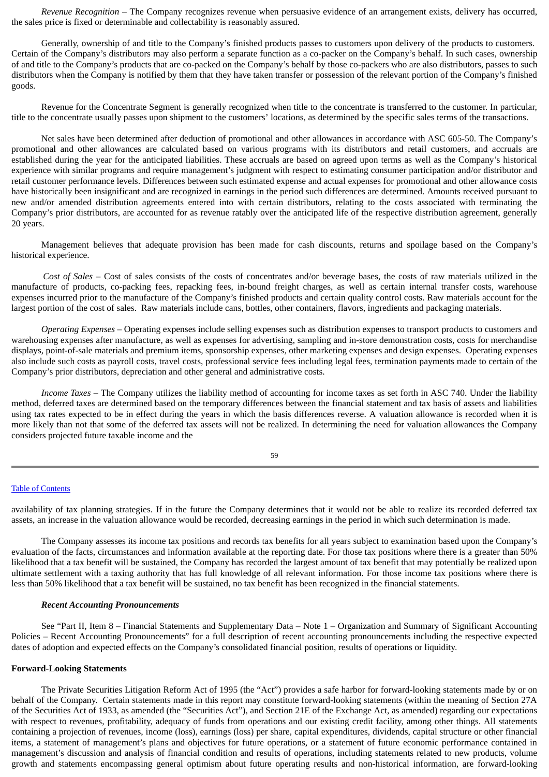*Revenue Recognition* – The Company recognizes revenue when persuasive evidence of an arrangement exists, delivery has occurred, the sales price is fixed or determinable and collectability is reasonably assured.

Generally, ownership of and title to the Company's finished products passes to customers upon delivery of the products to customers. Certain of the Company's distributors may also perform a separate function as a co-packer on the Company's behalf. In such cases, ownership of and title to the Company's products that are co-packed on the Company's behalf by those co-packers who are also distributors, passes to such distributors when the Company is notified by them that they have taken transfer or possession of the relevant portion of the Company's finished goods.

Revenue for the Concentrate Segment is generally recognized when title to the concentrate is transferred to the customer. In particular, title to the concentrate usually passes upon shipment to the customers' locations, as determined by the specific sales terms of the transactions.

Net sales have been determined after deduction of promotional and other allowances in accordance with ASC 605-50. The Company's promotional and other allowances are calculated based on various programs with its distributors and retail customers, and accruals are established during the year for the anticipated liabilities. These accruals are based on agreed upon terms as well as the Company's historical experience with similar programs and require management's judgment with respect to estimating consumer participation and/or distributor and retail customer performance levels. Differences between such estimated expense and actual expenses for promotional and other allowance costs have historically been insignificant and are recognized in earnings in the period such differences are determined. Amounts received pursuant to new and/or amended distribution agreements entered into with certain distributors, relating to the costs associated with terminating the Company's prior distributors, are accounted for as revenue ratably over the anticipated life of the respective distribution agreement, generally 20 years.

Management believes that adequate provision has been made for cash discounts, returns and spoilage based on the Company's historical experience.

*Cost of Sales* – Cost of sales consists of the costs of concentrates and/or beverage bases, the costs of raw materials utilized in the manufacture of products, co-packing fees, repacking fees, in-bound freight charges, as well as certain internal transfer costs, warehouse expenses incurred prior to the manufacture of the Company's finished products and certain quality control costs. Raw materials account for the largest portion of the cost of sales. Raw materials include cans, bottles, other containers, flavors, ingredients and packaging materials.

*Operating Expenses* – Operating expenses include selling expenses such as distribution expenses to transport products to customers and warehousing expenses after manufacture, as well as expenses for advertising, sampling and in-store demonstration costs, costs for merchandise displays, point-of-sale materials and premium items, sponsorship expenses, other marketing expenses and design expenses. Operating expenses also include such costs as payroll costs, travel costs, professional service fees including legal fees, termination payments made to certain of the Company's prior distributors, depreciation and other general and administrative costs.

*Income Taxes* – The Company utilizes the liability method of accounting for income taxes as set forth in ASC 740. Under the liability method, deferred taxes are determined based on the temporary differences between the financial statement and tax basis of assets and liabilities using tax rates expected to be in effect during the years in which the basis differences reverse. A valuation allowance is recorded when it is more likely than not that some of the deferred tax assets will not be realized. In determining the need for valuation allowances the Company considers projected future taxable income and the

59

#### Table of [Contents](#page-1-0)

availability of tax planning strategies. If in the future the Company determines that it would not be able to realize its recorded deferred tax assets, an increase in the valuation allowance would be recorded, decreasing earnings in the period in which such determination is made.

The Company assesses its income tax positions and records tax benefits for all years subject to examination based upon the Company's evaluation of the facts, circumstances and information available at the reporting date. For those tax positions where there is a greater than 50% likelihood that a tax benefit will be sustained, the Company has recorded the largest amount of tax benefit that may potentially be realized upon ultimate settlement with a taxing authority that has full knowledge of all relevant information. For those income tax positions where there is less than 50% likelihood that a tax benefit will be sustained, no tax benefit has been recognized in the financial statements.

#### *Recent Accounting Pronouncements*

See "Part II, Item 8 – Financial Statements and Supplementary Data – Note 1 – Organization and Summary of Significant Accounting Policies – Recent Accounting Pronouncements" for a full description of recent accounting pronouncements including the respective expected dates of adoption and expected effects on the Company's consolidated financial position, results of operations or liquidity.

### **Forward-Looking Statements**

The Private Securities Litigation Reform Act of 1995 (the "Act") provides a safe harbor for forward-looking statements made by or on behalf of the Company. Certain statements made in this report may constitute forward-looking statements (within the meaning of Section 27A of the Securities Act of 1933, as amended (the "Securities Act"), and Section 21E of the Exchange Act, as amended) regarding our expectations with respect to revenues, profitability, adequacy of funds from operations and our existing credit facility, among other things. All statements containing a projection of revenues, income (loss), earnings (loss) per share, capital expenditures, dividends, capital structure or other financial items, a statement of management's plans and objectives for future operations, or a statement of future economic performance contained in management's discussion and analysis of financial condition and results of operations, including statements related to new products, volume growth and statements encompassing general optimism about future operating results and non-historical information, are forward-looking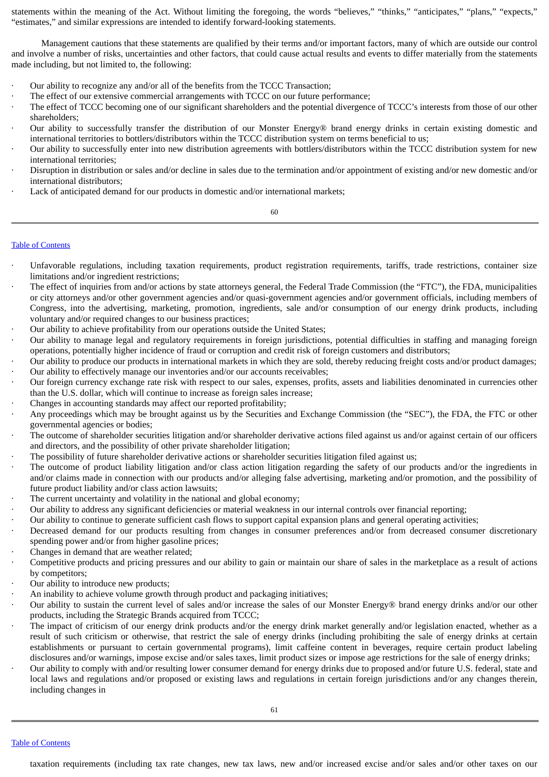statements within the meaning of the Act. Without limiting the foregoing, the words "believes," "thinks," "anticipates," "plans," "expects," "estimates," and similar expressions are intended to identify forward-looking statements.

Management cautions that these statements are qualified by their terms and/or important factors, many of which are outside our control and involve a number of risks, uncertainties and other factors, that could cause actual results and events to differ materially from the statements made including, but not limited to, the following:

- Our ability to recognize any and/or all of the benefits from the TCCC Transaction;
- The effect of our extensive commercial arrangements with TCCC on our future performance;
- The effect of TCCC becoming one of our significant shareholders and the potential divergence of TCCC's interests from those of our other shareholders;
- · Our ability to successfully transfer the distribution of our Monster Energy® brand energy drinks in certain existing domestic and international territories to bottlers/distributors within the TCCC distribution system on terms beneficial to us;
- · Our ability to successfully enter into new distribution agreements with bottlers/distributors within the TCCC distribution system for new international territories;
- · Disruption in distribution or sales and/or decline in sales due to the termination and/or appointment of existing and/or new domestic and/or international distributors;
- Lack of anticipated demand for our products in domestic and/or international markets;

### 60

### Table of [Contents](#page-1-0)

- Unfavorable regulations, including taxation requirements, product registration requirements, tariffs, trade restrictions, container size limitations and/or ingredient restrictions;
- The effect of inquiries from and/or actions by state attorneys general, the Federal Trade Commission (the "FTC"), the FDA, municipalities or city attorneys and/or other government agencies and/or quasi-government agencies and/or government officials, including members of Congress, into the advertising, marketing, promotion, ingredients, sale and/or consumption of our energy drink products, including voluntary and/or required changes to our business practices;
- · Our ability to achieve profitability from our operations outside the United States;
- · Our ability to manage legal and regulatory requirements in foreign jurisdictions, potential difficulties in staffing and managing foreign operations, potentially higher incidence of fraud or corruption and credit risk of foreign customers and distributors;
- · Our ability to produce our products in international markets in which they are sold, thereby reducing freight costs and/or product damages; · Our ability to effectively manage our inventories and/or our accounts receivables;
- · Our foreign currency exchange rate risk with respect to our sales, expenses, profits, assets and liabilities denominated in currencies other than the U.S. dollar, which will continue to increase as foreign sales increase;
- Changes in accounting standards may affect our reported profitability;
- · Any proceedings which may be brought against us by the Securities and Exchange Commission (the "SEC"), the FDA, the FTC or other governmental agencies or bodies;
- The outcome of shareholder securities litigation and/or shareholder derivative actions filed against us and/or against certain of our officers and directors, and the possibility of other private shareholder litigation;
- · The possibility of future shareholder derivative actions or shareholder securities litigation filed against us;
- The outcome of product liability litigation and/or class action litigation regarding the safety of our products and/or the ingredients in and/or claims made in connection with our products and/or alleging false advertising, marketing and/or promotion, and the possibility of future product liability and/or class action lawsuits;
- The current uncertainty and volatility in the national and global economy;
- · Our ability to address any significant deficiencies or material weakness in our internal controls over financial reporting;
- · Our ability to continue to generate sufficient cash flows to support capital expansion plans and general operating activities;
- Decreased demand for our products resulting from changes in consumer preferences and/or from decreased consumer discretionary spending power and/or from higher gasoline prices;
- · Changes in demand that are weather related;
- · Competitive products and pricing pressures and our ability to gain or maintain our share of sales in the marketplace as a result of actions by competitors;
- Our ability to introduce new products;
- An inability to achieve volume growth through product and packaging initiatives;
- Our ability to sustain the current level of sales and/or increase the sales of our Monster Energy® brand energy drinks and/or our other products, including the Strategic Brands acquired from TCCC;
- The impact of criticism of our energy drink products and/or the energy drink market generally and/or legislation enacted, whether as a result of such criticism or otherwise, that restrict the sale of energy drinks (including prohibiting the sale of energy drinks at certain establishments or pursuant to certain governmental programs), limit caffeine content in beverages, require certain product labeling disclosures and/or warnings, impose excise and/or sales taxes, limit product sizes or impose age restrictions for the sale of energy drinks;
- · Our ability to comply with and/or resulting lower consumer demand for energy drinks due to proposed and/or future U.S. federal, state and local laws and regulations and/or proposed or existing laws and regulations in certain foreign jurisdictions and/or any changes therein, including changes in

Table of [Contents](#page-1-0)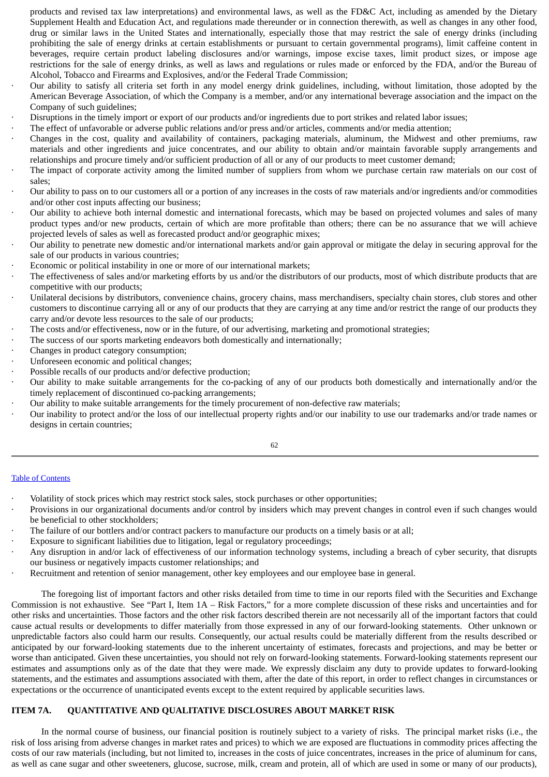products and revised tax law interpretations) and environmental laws, as well as the FD&C Act, including as amended by the Dietary Supplement Health and Education Act, and regulations made thereunder or in connection therewith, as well as changes in any other food, drug or similar laws in the United States and internationally, especially those that may restrict the sale of energy drinks (including prohibiting the sale of energy drinks at certain establishments or pursuant to certain governmental programs), limit caffeine content in beverages, require certain product labeling disclosures and/or warnings, impose excise taxes, limit product sizes, or impose age restrictions for the sale of energy drinks, as well as laws and regulations or rules made or enforced by the FDA, and/or the Bureau of Alcohol, Tobacco and Firearms and Explosives, and/or the Federal Trade Commission;

- Our ability to satisfy all criteria set forth in any model energy drink guidelines, including, without limitation, those adopted by the American Beverage Association, of which the Company is a member, and/or any international beverage association and the impact on the Company of such guidelines;
- · Disruptions in the timely import or export of our products and/or ingredients due to port strikes and related labor issues;
- The effect of unfavorable or adverse public relations and/or press and/or articles, comments and/or media attention;
- · Changes in the cost, quality and availability of containers, packaging materials, aluminum, the Midwest and other premiums, raw materials and other ingredients and juice concentrates, and our ability to obtain and/or maintain favorable supply arrangements and relationships and procure timely and/or sufficient production of all or any of our products to meet customer demand;
- The impact of corporate activity among the limited number of suppliers from whom we purchase certain raw materials on our cost of sales;
- · Our ability to pass on to our customers all or a portion of any increases in the costs of raw materials and/or ingredients and/or commodities and/or other cost inputs affecting our business;
- · Our ability to achieve both internal domestic and international forecasts, which may be based on projected volumes and sales of many product types and/or new products, certain of which are more profitable than others; there can be no assurance that we will achieve projected levels of sales as well as forecasted product and/or geographic mixes;
- · Our ability to penetrate new domestic and/or international markets and/or gain approval or mitigate the delay in securing approval for the sale of our products in various countries;
- Economic or political instability in one or more of our international markets;
- The effectiveness of sales and/or marketing efforts by us and/or the distributors of our products, most of which distribute products that are competitive with our products;
- · Unilateral decisions by distributors, convenience chains, grocery chains, mass merchandisers, specialty chain stores, club stores and other customers to discontinue carrying all or any of our products that they are carrying at any time and/or restrict the range of our products they carry and/or devote less resources to the sale of our products;
- The costs and/or effectiveness, now or in the future, of our advertising, marketing and promotional strategies;
- The success of our sports marketing endeavors both domestically and internationally;
- Changes in product category consumption;
- Unforeseen economic and political changes;
- Possible recalls of our products and/or defective production;
- · Our ability to make suitable arrangements for the co-packing of any of our products both domestically and internationally and/or the timely replacement of discontinued co-packing arrangements;
- · Our ability to make suitable arrangements for the timely procurement of non-defective raw materials;
- · Our inability to protect and/or the loss of our intellectual property rights and/or our inability to use our trademarks and/or trade names or designs in certain countries;

62

# Table of [Contents](#page-1-0)

- · Volatility of stock prices which may restrict stock sales, stock purchases or other opportunities;
- · Provisions in our organizational documents and/or control by insiders which may prevent changes in control even if such changes would be beneficial to other stockholders;
- The failure of our bottlers and/or contract packers to manufacture our products on a timely basis or at all;
- · Exposure to significant liabilities due to litigation, legal or regulatory proceedings;
- · Any disruption in and/or lack of effectiveness of our information technology systems, including a breach of cyber security, that disrupts our business or negatively impacts customer relationships; and
- Recruitment and retention of senior management, other key employees and our employee base in general.

The foregoing list of important factors and other risks detailed from time to time in our reports filed with the Securities and Exchange Commission is not exhaustive. See "Part I, Item 1A – Risk Factors," for a more complete discussion of these risks and uncertainties and for other risks and uncertainties. Those factors and the other risk factors described therein are not necessarily all of the important factors that could cause actual results or developments to differ materially from those expressed in any of our forward-looking statements. Other unknown or unpredictable factors also could harm our results. Consequently, our actual results could be materially different from the results described or anticipated by our forward-looking statements due to the inherent uncertainty of estimates, forecasts and projections, and may be better or worse than anticipated. Given these uncertainties, you should not rely on forward-looking statements. Forward-looking statements represent our estimates and assumptions only as of the date that they were made. We expressly disclaim any duty to provide updates to forward-looking statements, and the estimates and assumptions associated with them, after the date of this report, in order to reflect changes in circumstances or expectations or the occurrence of unanticipated events except to the extent required by applicable securities laws.

# **ITEM 7A. QUANTITATIVE AND QUALITATIVE DISCLOSURES ABOUT MARKET RISK**

In the normal course of business, our financial position is routinely subject to a variety of risks. The principal market risks (i.e., the risk of loss arising from adverse changes in market rates and prices) to which we are exposed are fluctuations in commodity prices affecting the costs of our raw materials (including, but not limited to, increases in the costs of juice concentrates, increases in the price of aluminum for cans, as well as cane sugar and other sweeteners, glucose, sucrose, milk, cream and protein, all of which are used in some or many of our products),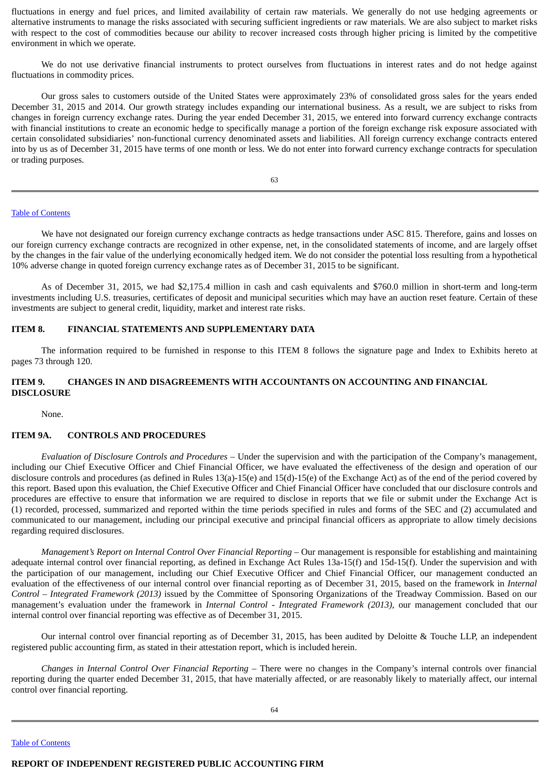fluctuations in energy and fuel prices, and limited availability of certain raw materials. We generally do not use hedging agreements or alternative instruments to manage the risks associated with securing sufficient ingredients or raw materials. We are also subject to market risks with respect to the cost of commodities because our ability to recover increased costs through higher pricing is limited by the competitive environment in which we operate.

We do not use derivative financial instruments to protect ourselves from fluctuations in interest rates and do not hedge against fluctuations in commodity prices.

Our gross sales to customers outside of the United States were approximately 23% of consolidated gross sales for the years ended December 31, 2015 and 2014. Our growth strategy includes expanding our international business. As a result, we are subject to risks from changes in foreign currency exchange rates. During the year ended December 31, 2015, we entered into forward currency exchange contracts with financial institutions to create an economic hedge to specifically manage a portion of the foreign exchange risk exposure associated with certain consolidated subsidiaries' non-functional currency denominated assets and liabilities. All foreign currency exchange contracts entered into by us as of December 31, 2015 have terms of one month or less. We do not enter into forward currency exchange contracts for speculation or trading purposes.

63

#### Table of [Contents](#page-1-0)

We have not designated our foreign currency exchange contracts as hedge transactions under ASC 815. Therefore, gains and losses on our foreign currency exchange contracts are recognized in other expense, net, in the consolidated statements of income, and are largely offset by the changes in the fair value of the underlying economically hedged item. We do not consider the potential loss resulting from a hypothetical 10% adverse change in quoted foreign currency exchange rates as of December 31, 2015 to be significant.

As of December 31, 2015, we had \$2,175.4 million in cash and cash equivalents and \$760.0 million in short-term and long-term investments including U.S. treasuries, certificates of deposit and municipal securities which may have an auction reset feature. Certain of these investments are subject to general credit, liquidity, market and interest rate risks.

### **ITEM 8. FINANCIAL STATEMENTS AND SUPPLEMENTARY DATA**

The information required to be furnished in response to this ITEM 8 follows the signature page and Index to Exhibits hereto at pages 73 through 120.

## **ITEM 9. CHANGES IN AND DISAGREEMENTS WITH ACCOUNTANTS ON ACCOUNTING AND FINANCIAL DISCLOSURE**

None.

### **ITEM 9A. CONTROLS AND PROCEDURES**

*Evaluation of Disclosure Controls and Procedures* – Under the supervision and with the participation of the Company's management, including our Chief Executive Officer and Chief Financial Officer, we have evaluated the effectiveness of the design and operation of our disclosure controls and procedures (as defined in Rules 13(a)-15(e) and 15(d)-15(e) of the Exchange Act) as of the end of the period covered by this report. Based upon this evaluation, the Chief Executive Officer and Chief Financial Officer have concluded that our disclosure controls and procedures are effective to ensure that information we are required to disclose in reports that we file or submit under the Exchange Act is (1) recorded, processed, summarized and reported within the time periods specified in rules and forms of the SEC and (2) accumulated and communicated to our management, including our principal executive and principal financial officers as appropriate to allow timely decisions regarding required disclosures.

*Management's Report on Internal Control Over Financial Reporting* – Our management is responsible for establishing and maintaining adequate internal control over financial reporting, as defined in Exchange Act Rules 13a-15(f) and 15d-15(f). Under the supervision and with the participation of our management, including our Chief Executive Officer and Chief Financial Officer, our management conducted an evaluation of the effectiveness of our internal control over financial reporting as of December 31, 2015, based on the framework in *Internal Control – Integrated Framework (2013)* issued by the Committee of Sponsoring Organizations of the Treadway Commission. Based on our management's evaluation under the framework in *Internal Control - Integrated Framework (2013)*, our management concluded that our internal control over financial reporting was effective as of December 31, 2015.

Our internal control over financial reporting as of December 31, 2015, has been audited by Deloitte & Touche LLP, an independent registered public accounting firm, as stated in their attestation report, which is included herein.

*Changes in Internal Control Over Financial Reporting* – There were no changes in the Company's internal controls over financial reporting during the quarter ended December 31, 2015, that have materially affected, or are reasonably likely to materially affect, our internal control over financial reporting.

Table of [Contents](#page-1-0)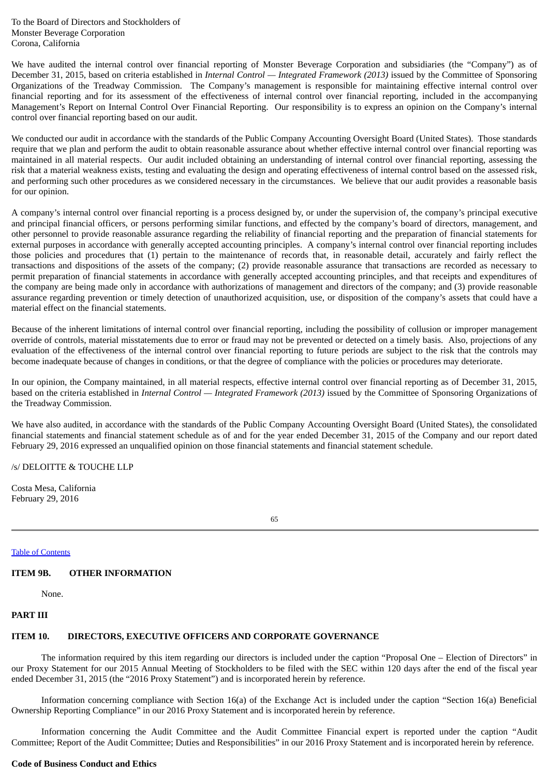To the Board of Directors and Stockholders of Monster Beverage Corporation Corona, California

We have audited the internal control over financial reporting of Monster Beverage Corporation and subsidiaries (the "Company") as of December 31, 2015, based on criteria established in *Internal Control — Integrated Framework (2013)* issued by the Committee of Sponsoring Organizations of the Treadway Commission. The Company's management is responsible for maintaining effective internal control over financial reporting and for its assessment of the effectiveness of internal control over financial reporting, included in the accompanying Management's Report on Internal Control Over Financial Reporting. Our responsibility is to express an opinion on the Company's internal control over financial reporting based on our audit.

We conducted our audit in accordance with the standards of the Public Company Accounting Oversight Board (United States). Those standards require that we plan and perform the audit to obtain reasonable assurance about whether effective internal control over financial reporting was maintained in all material respects. Our audit included obtaining an understanding of internal control over financial reporting, assessing the risk that a material weakness exists, testing and evaluating the design and operating effectiveness of internal control based on the assessed risk, and performing such other procedures as we considered necessary in the circumstances. We believe that our audit provides a reasonable basis for our opinion.

A company's internal control over financial reporting is a process designed by, or under the supervision of, the company's principal executive and principal financial officers, or persons performing similar functions, and effected by the company's board of directors, management, and other personnel to provide reasonable assurance regarding the reliability of financial reporting and the preparation of financial statements for external purposes in accordance with generally accepted accounting principles. A company's internal control over financial reporting includes those policies and procedures that (1) pertain to the maintenance of records that, in reasonable detail, accurately and fairly reflect the transactions and dispositions of the assets of the company; (2) provide reasonable assurance that transactions are recorded as necessary to permit preparation of financial statements in accordance with generally accepted accounting principles, and that receipts and expenditures of the company are being made only in accordance with authorizations of management and directors of the company; and (3) provide reasonable assurance regarding prevention or timely detection of unauthorized acquisition, use, or disposition of the company's assets that could have a material effect on the financial statements.

Because of the inherent limitations of internal control over financial reporting, including the possibility of collusion or improper management override of controls, material misstatements due to error or fraud may not be prevented or detected on a timely basis. Also, projections of any evaluation of the effectiveness of the internal control over financial reporting to future periods are subject to the risk that the controls may become inadequate because of changes in conditions, or that the degree of compliance with the policies or procedures may deteriorate.

In our opinion, the Company maintained, in all material respects, effective internal control over financial reporting as of December 31, 2015, based on the criteria established in *Internal Control — Integrated Framework (2013)* issued by the Committee of Sponsoring Organizations of the Treadway Commission.

We have also audited, in accordance with the standards of the Public Company Accounting Oversight Board (United States), the consolidated financial statements and financial statement schedule as of and for the year ended December 31, 2015 of the Company and our report dated February 29, 2016 expressed an unqualified opinion on those financial statements and financial statement schedule.

/s/ DELOITTE & TOUCHE LLP

Costa Mesa, California February 29, 2016

65

Table of [Contents](#page-1-0)

## **ITEM 9B. OTHER INFORMATION**

None.

### **PART III**

## **ITEM 10. DIRECTORS, EXECUTIVE OFFICERS AND CORPORATE GOVERNANCE**

The information required by this item regarding our directors is included under the caption "Proposal One – Election of Directors" in our Proxy Statement for our 2015 Annual Meeting of Stockholders to be filed with the SEC within 120 days after the end of the fiscal year ended December 31, 2015 (the "2016 Proxy Statement") and is incorporated herein by reference.

Information concerning compliance with Section 16(a) of the Exchange Act is included under the caption "Section 16(a) Beneficial Ownership Reporting Compliance" in our 2016 Proxy Statement and is incorporated herein by reference.

Information concerning the Audit Committee and the Audit Committee Financial expert is reported under the caption "Audit Committee; Report of the Audit Committee; Duties and Responsibilities" in our 2016 Proxy Statement and is incorporated herein by reference.

### **Code of Business Conduct and Ethics**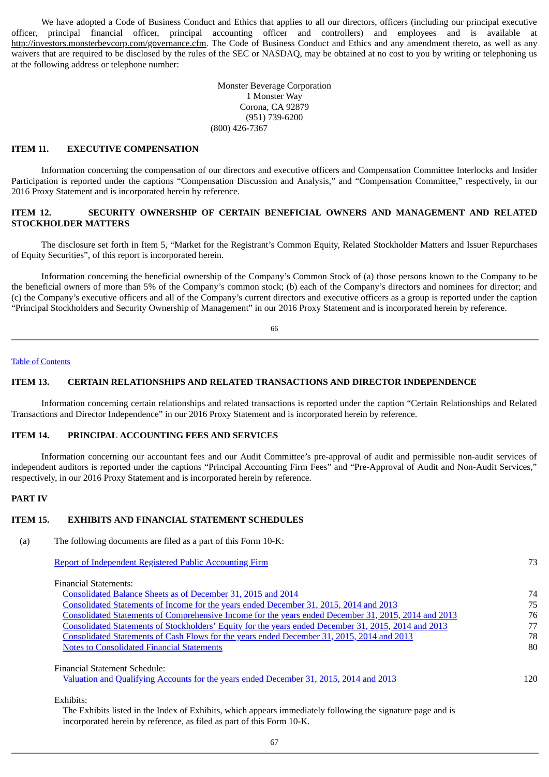We have adopted a Code of Business Conduct and Ethics that applies to all our directors, officers (including our principal executive officer, principal financial officer, principal accounting officer and controllers) and employees and is available at http://investors.monsterbevcorp.com/governance.cfm. The Code of Business Conduct and Ethics and any amendment thereto, as well as any waivers that are required to be disclosed by the rules of the SEC or NASDAQ, may be obtained at no cost to you by writing or telephoning us at the following address or telephone number:

> Monster Beverage Corporation 1 Monster Way Corona, CA 92879 (951) 739-6200 (800) 426-7367

#### **ITEM 11. EXECUTIVE COMPENSATION**

Information concerning the compensation of our directors and executive officers and Compensation Committee Interlocks and Insider Participation is reported under the captions "Compensation Discussion and Analysis," and "Compensation Committee," respectively, in our 2016 Proxy Statement and is incorporated herein by reference.

## **ITEM 12. SECURITY OWNERSHIP OF CERTAIN BENEFICIAL OWNERS AND MANAGEMENT AND RELATED STOCKHOLDER MATTERS**

The disclosure set forth in Item 5, "Market for the Registrant's Common Equity, Related Stockholder Matters and Issuer Repurchases of Equity Securities", of this report is incorporated herein.

Information concerning the beneficial ownership of the Company's Common Stock of (a) those persons known to the Company to be the beneficial owners of more than 5% of the Company's common stock; (b) each of the Company's directors and nominees for director; and (c) the Company's executive officers and all of the Company's current directors and executive officers as a group is reported under the caption "Principal Stockholders and Security Ownership of Management" in our 2016 Proxy Statement and is incorporated herein by reference.

66

## Table of [Contents](#page-1-0)

## **ITEM 13. CERTAIN RELATIONSHIPS AND RELATED TRANSACTIONS AND DIRECTOR INDEPENDENCE**

Information concerning certain relationships and related transactions is reported under the caption "Certain Relationships and Related Transactions and Director Independence" in our 2016 Proxy Statement and is incorporated herein by reference.

### **ITEM 14. PRINCIPAL ACCOUNTING FEES AND SERVICES**

Information concerning our accountant fees and our Audit Committee's pre-approval of audit and permissible non-audit services of independent auditors is reported under the captions "Principal Accounting Firm Fees" and "Pre-Approval of Audit and Non-Audit Services," respectively, in our 2016 Proxy Statement and is incorporated herein by reference.

### **PART IV**

## **ITEM 15. EXHIBITS AND FINANCIAL STATEMENT SCHEDULES**

(a) The following documents are filed as a part of this Form 10-K:

| <b>Report of Independent Registered Public Accounting Firm</b> | 73 |
|----------------------------------------------------------------|----|
| Financial Statements:                                          |    |
| Consolidated Balance Sheets as of December 31, 2015 and 2014   | 74 |

[Consolidated](#page-49-0) Statements of Income for the years ended December 31, 2015, 2014 and 2013 75 Consolidated Statements of [Comprehensive](#page-49-1) Income for the years ended December 31, 2015, 2014 and 2013 76 Consolidated Statements of [Stockholders'](#page-50-0) Equity for the years ended December 31, 2015, 2014 and 2013 77 [Consolidated](#page-50-1) Statements of Cash Flows for the years ended December 31, 2015, 2014 and 2013 78 **Notes to [Consolidated](#page-52-0) Financial Statements** 80

Financial Statement Schedule:

Valuation and [Qualifying](#page-78-0) Accounts for the years ended December 31, 2015, 2014 and 2013 120

Exhibits:

The Exhibits listed in the Index of Exhibits, which appears immediately following the signature page and is incorporated herein by reference, as filed as part of this Form 10-K.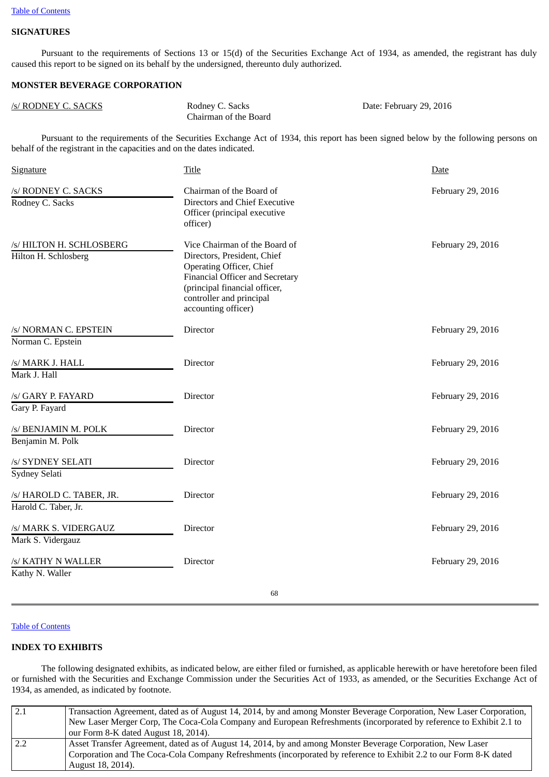# **SIGNATURES**

Pursuant to the requirements of Sections 13 or 15(d) of the Securities Exchange Act of 1934, as amended, the registrant has duly caused this report to be signed on its behalf by the undersigned, thereunto duly authorized.

## **MONSTER BEVERAGE CORPORATION**

| /s/ RODNEY C. SACKS | Rodney C. Sacks       | Date: February 29, 2016 |
|---------------------|-----------------------|-------------------------|
|                     | Chairman of the Board |                         |

Pursuant to the requirements of the Securities Exchange Act of 1934, this report has been signed below by the following persons on behalf of the registrant in the capacities and on the dates indicated.

| <b>Signature</b>                                 | <b>Title</b>                                                                                                                                                                                                                  | Date              |
|--------------------------------------------------|-------------------------------------------------------------------------------------------------------------------------------------------------------------------------------------------------------------------------------|-------------------|
| /s/ RODNEY C. SACKS<br>Rodney C. Sacks           | Chairman of the Board of<br>Directors and Chief Executive<br>Officer (principal executive<br>officer)                                                                                                                         | February 29, 2016 |
| /s/ HILTON H. SCHLOSBERG<br>Hilton H. Schlosberg | Vice Chairman of the Board of<br>Directors, President, Chief<br><b>Operating Officer, Chief</b><br><b>Financial Officer and Secretary</b><br>(principal financial officer,<br>controller and principal<br>accounting officer) | February 29, 2016 |
| /s/ NORMAN C. EPSTEIN<br>Norman C. Epstein       | Director                                                                                                                                                                                                                      | February 29, 2016 |
| /s/ MARK J. HALL<br>Mark J. Hall                 | Director                                                                                                                                                                                                                      | February 29, 2016 |
| /s/ GARY P. FAYARD<br>Gary P. Fayard             | Director                                                                                                                                                                                                                      | February 29, 2016 |
| /s/ BENJAMIN M. POLK<br>Benjamin M. Polk         | Director                                                                                                                                                                                                                      | February 29, 2016 |
| /s/ SYDNEY SELATI<br>Sydney Selati               | Director                                                                                                                                                                                                                      | February 29, 2016 |
| /s/ HAROLD C. TABER, JR.<br>Harold C. Taber, Jr. | Director                                                                                                                                                                                                                      | February 29, 2016 |
| /s/ MARK S. VIDERGAUZ<br>Mark S. Vidergauz       | Director                                                                                                                                                                                                                      | February 29, 2016 |
| /s/ KATHY N WALLER<br>Kathy N. Waller            | Director                                                                                                                                                                                                                      | February 29, 2016 |
|                                                  | 68                                                                                                                                                                                                                            |                   |

#### Table of [Contents](#page-1-0)

## **INDEX TO EXHIBITS**

The following designated exhibits, as indicated below, are either filed or furnished, as applicable herewith or have heretofore been filed or furnished with the Securities and Exchange Commission under the Securities Act of 1933, as amended, or the Securities Exchange Act of 1934, as amended, as indicated by footnote.

| 2.1 | Transaction Agreement, dated as of August 14, 2014, by and among Monster Beverage Corporation, New Laser Corporation, |
|-----|-----------------------------------------------------------------------------------------------------------------------|
|     | New Laser Merger Corp, The Coca-Cola Company and European Refreshments (incorporated by reference to Exhibit 2.1 to   |
|     | our Form 8-K dated August 18, 2014).                                                                                  |
| 2.2 | Asset Transfer Agreement, dated as of August 14, 2014, by and among Monster Beverage Corporation, New Laser           |
|     | Corporation and The Coca-Cola Company Refreshments (incorporated by reference to Exhibit 2.2 to our Form 8-K dated    |
|     | August 18, 2014).                                                                                                     |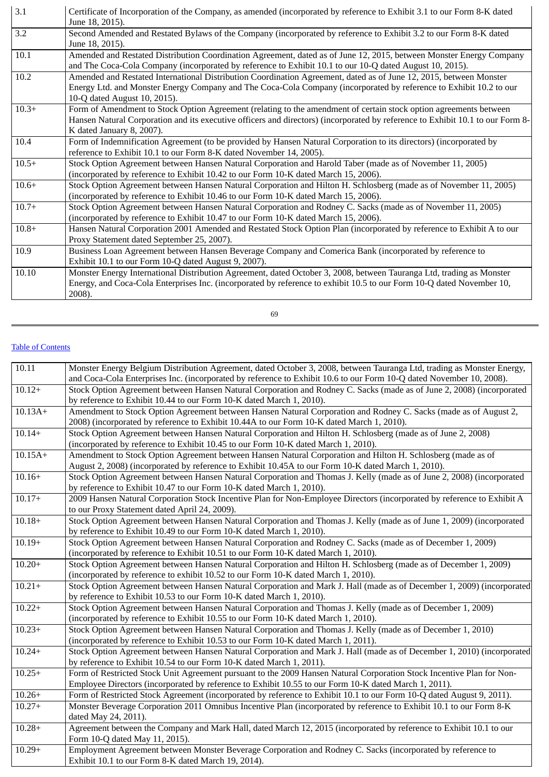| $\overline{3.1}$ | Certificate of Incorporation of the Company, as amended (incorporated by reference to Exhibit 3.1 to our Form 8-K dated<br>June 18, 2015).                                                                                                                                       |
|------------------|----------------------------------------------------------------------------------------------------------------------------------------------------------------------------------------------------------------------------------------------------------------------------------|
| 3.2              | Second Amended and Restated Bylaws of the Company (incorporated by reference to Exhibit 3.2 to our Form 8-K dated<br>June 18, 2015).                                                                                                                                             |
| 10.1             | Amended and Restated Distribution Coordination Agreement, dated as of June 12, 2015, between Monster Energy Company<br>and The Coca-Cola Company (incorporated by reference to Exhibit 10.1 to our 10-Q dated August 10, 2015).                                                  |
| 10.2             | Amended and Restated International Distribution Coordination Agreement, dated as of June 12, 2015, between Monster<br>Energy Ltd. and Monster Energy Company and The Coca-Cola Company (incorporated by reference to Exhibit 10.2 to our<br>10-Q dated August 10, 2015).         |
| $10.3+$          | Form of Amendment to Stock Option Agreement (relating to the amendment of certain stock option agreements between<br>Hansen Natural Corporation and its executive officers and directors) (incorporated by reference to Exhibit 10.1 to our Form 8-<br>K dated January 8, 2007). |
| 10.4             | Form of Indemnification Agreement (to be provided by Hansen Natural Corporation to its directors) (incorporated by<br>reference to Exhibit 10.1 to our Form 8-K dated November 14, 2005).                                                                                        |
| $10.5+$          | Stock Option Agreement between Hansen Natural Corporation and Harold Taber (made as of November 11, 2005)<br>(incorporated by reference to Exhibit 10.42 to our Form 10-K dated March 15, 2006).                                                                                 |
| $10.6+$          | Stock Option Agreement between Hansen Natural Corporation and Hilton H. Schlosberg (made as of November 11, 2005)<br>(incorporated by reference to Exhibit 10.46 to our Form 10-K dated March 15, 2006).                                                                         |
| $10.7+$          | Stock Option Agreement between Hansen Natural Corporation and Rodney C. Sacks (made as of November 11, 2005)<br>(incorporated by reference to Exhibit 10.47 to our Form 10-K dated March 15, 2006).                                                                              |
| $10.8+$          | Hansen Natural Corporation 2001 Amended and Restated Stock Option Plan (incorporated by reference to Exhibit A to our<br>Proxy Statement dated September 25, 2007).                                                                                                              |
| 10.9             | Business Loan Agreement between Hansen Beverage Company and Comerica Bank (incorporated by reference to<br>Exhibit 10.1 to our Form 10-Q dated August 9, 2007).                                                                                                                  |
| 10.10            | Monster Energy International Distribution Agreement, dated October 3, 2008, between Tauranga Ltd, trading as Monster<br>Energy, and Coca-Cola Enterprises Inc. (incorporated by reference to exhibit 10.5 to our Form 10-Q dated November 10,<br>2008).                          |

| I            | W                  |
|--------------|--------------------|
|              |                    |
| I<br>×<br>۰. | ¢<br>۰.<br>×<br>۰. |

### Table of [Contents](#page-1-0)

| 10.11     | Monster Energy Belgium Distribution Agreement, dated October 3, 2008, between Tauranga Ltd, trading as Monster Energy,<br>and Coca-Cola Enterprises Inc. (incorporated by reference to Exhibit 10.6 to our Form 10-Q dated November 10, 2008). |
|-----------|------------------------------------------------------------------------------------------------------------------------------------------------------------------------------------------------------------------------------------------------|
| $10.12+$  | Stock Option Agreement between Hansen Natural Corporation and Rodney C. Sacks (made as of June 2, 2008) (incorporated<br>by reference to Exhibit 10.44 to our Form 10-K dated March 1, 2010).                                                  |
| $10.13A+$ | Amendment to Stock Option Agreement between Hansen Natural Corporation and Rodney C. Sacks (made as of August 2,<br>2008) (incorporated by reference to Exhibit 10.44A to our Form 10-K dated March 1, 2010).                                  |
| $10.14+$  | Stock Option Agreement between Hansen Natural Corporation and Hilton H. Schlosberg (made as of June 2, 2008)<br>(incorporated by reference to Exhibit 10.45 to our Form 10-K dated March 1, 2010).                                             |
| $10.15A+$ | Amendment to Stock Option Agreement between Hansen Natural Corporation and Hilton H. Schlosberg (made as of<br>August 2, 2008) (incorporated by reference to Exhibit 10.45A to our Form 10-K dated March 1, 2010).                             |
| $10.16+$  | Stock Option Agreement between Hansen Natural Corporation and Thomas J. Kelly (made as of June 2, 2008) (incorporated<br>by reference to Exhibit 10.47 to our Form 10-K dated March 1, 2010).                                                  |
| $10.17+$  | 2009 Hansen Natural Corporation Stock Incentive Plan for Non-Employee Directors (incorporated by reference to Exhibit A<br>to our Proxy Statement dated April 24, 2009).                                                                       |
| $10.18+$  | Stock Option Agreement between Hansen Natural Corporation and Thomas J. Kelly (made as of June 1, 2009) (incorporated<br>by reference to Exhibit 10.49 to our Form 10-K dated March 1, 2010).                                                  |
| $10.19+$  | Stock Option Agreement between Hansen Natural Corporation and Rodney C. Sacks (made as of December 1, 2009)<br>(incorporated by reference to Exhibit 10.51 to our Form 10-K dated March 1, 2010).                                              |
| $10.20+$  | Stock Option Agreement between Hansen Natural Corporation and Hilton H. Schlosberg (made as of December 1, 2009)<br>(incorporated by reference to exhibit 10.52 to our Form 10-K dated March 1, 2010).                                         |
| $10.21+$  | Stock Option Agreement between Hansen Natural Corporation and Mark J. Hall (made as of December 1, 2009) (incorporated<br>by reference to Exhibit 10.53 to our Form 10-K dated March 1, 2010).                                                 |
| $10.22+$  | Stock Option Agreement between Hansen Natural Corporation and Thomas J. Kelly (made as of December 1, 2009)<br>(incorporated by reference to Exhibit 10.55 to our Form 10-K dated March 1, 2010).                                              |
| $10.23+$  | Stock Option Agreement between Hansen Natural Corporation and Thomas J. Kelly (made as of December 1, 2010)<br>(incorporated by reference to Exhibit 10.53 to our Form 10-K dated March 1, 2011).                                              |
| $10.24+$  | Stock Option Agreement between Hansen Natural Corporation and Mark J. Hall (made as of December 1, 2010) (incorporated<br>by reference to Exhibit 10.54 to our Form 10-K dated March 1, 2011).                                                 |
| $10.25+$  | Form of Restricted Stock Unit Agreement pursuant to the 2009 Hansen Natural Corporation Stock Incentive Plan for Non-<br>Employee Directors (incorporated by reference to Exhibit 10.55 to our Form 10-K dated March 1, 2011).                 |
| $10.26+$  | Form of Restricted Stock Agreement (incorporated by reference to Exhibit 10.1 to our Form 10-Q dated August 9, 2011).                                                                                                                          |
| $10.27+$  | Monster Beverage Corporation 2011 Omnibus Incentive Plan (incorporated by reference to Exhibit 10.1 to our Form 8-K<br>dated May 24, 2011).                                                                                                    |
| $10.28 +$ | Agreement between the Company and Mark Hall, dated March 12, 2015 (incorporated by reference to Exhibit 10.1 to our<br>Form 10-Q dated May 11, 2015).                                                                                          |
| $10.29+$  | Employment Agreement between Monster Beverage Corporation and Rodney C. Sacks (incorporated by reference to<br>Exhibit 10.1 to our Form 8-K dated March 19, 2014).                                                                             |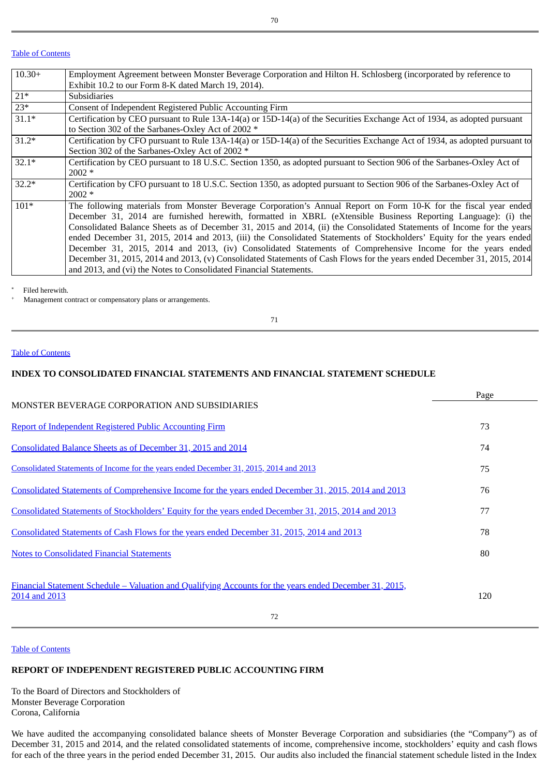### Table of [Contents](#page-1-0)

| $10.30+$ | Employment Agreement between Monster Beverage Corporation and Hilton H. Schlosberg (incorporated by reference to            |
|----------|-----------------------------------------------------------------------------------------------------------------------------|
|          | Exhibit 10.2 to our Form 8-K dated March 19, 2014).                                                                         |
| $21*$    | Subsidiaries                                                                                                                |
| $23*$    | Consent of Independent Registered Public Accounting Firm                                                                    |
| $31.1*$  | Certification by CEO pursuant to Rule 13A-14(a) or 15D-14(a) of the Securities Exchange Act of 1934, as adopted pursuant    |
|          | to Section 302 of the Sarbanes-Oxley Act of 2002 *                                                                          |
| $31.2*$  | Certification by CFO pursuant to Rule 13A-14(a) or 15D-14(a) of the Securities Exchange Act of 1934, as adopted pursuant to |
|          | Section 302 of the Sarbanes-Oxley Act of 2002 *                                                                             |
| $32.1*$  | Certification by CEO pursuant to 18 U.S.C. Section 1350, as adopted pursuant to Section 906 of the Sarbanes-Oxley Act of    |
|          | $2002 *$                                                                                                                    |
| $32.2*$  | Certification by CFO pursuant to 18 U.S.C. Section 1350, as adopted pursuant to Section 906 of the Sarbanes-Oxley Act of    |
|          | $2002 *$                                                                                                                    |
| $101*$   | The following materials from Monster Beverage Corporation's Annual Report on Form 10-K for the fiscal year ended            |
|          | December 31, 2014 are furnished herewith, formatted in XBRL (eXtensible Business Reporting Language): (i) the               |
|          | Consolidated Balance Sheets as of December 31, 2015 and 2014, (ii) the Consolidated Statements of Income for the years      |
|          | ended December 31, 2015, 2014 and 2013, (iii) the Consolidated Statements of Stockholders' Equity for the years ended       |
|          | December 31, 2015, 2014 and 2013, (iv) Consolidated Statements of Comprehensive Income for the years ended                  |
|          | December 31, 2015, 2014 and 2013, (v) Consolidated Statements of Cash Flows for the years ended December 31, 2015, 2014     |
|          | and 2013, and (vi) the Notes to Consolidated Financial Statements.                                                          |

 Filed herewith. \*

 Management contract or compensatory plans or arrangements. +

71

#### Table of [Contents](#page-1-0)

## **INDEX TO CONSOLIDATED FINANCIAL STATEMENTS AND FINANCIAL STATEMENT SCHEDULE**

|                                                                                                                          | Page |
|--------------------------------------------------------------------------------------------------------------------------|------|
| <b>MONSTER BEVERAGE CORPORATION AND SUBSIDIARIES</b>                                                                     |      |
| Report of Independent Registered Public Accounting Firm                                                                  | 73   |
| Consolidated Balance Sheets as of December 31, 2015 and 2014                                                             | 74   |
| Consolidated Statements of Income for the years ended December 31, 2015, 2014 and 2013                                   | 75   |
| Consolidated Statements of Comprehensive Income for the years ended December 31, 2015, 2014 and 2013                     | 76   |
| Consolidated Statements of Stockholders' Equity for the years ended December 31, 2015, 2014 and 2013                     | 77   |
| Consolidated Statements of Cash Flows for the years ended December 31, 2015, 2014 and 2013                               | 78   |
| <b>Notes to Consolidated Financial Statements</b>                                                                        | 80   |
| Financial Statement Schedule – Valuation and Qualifying Accounts for the years ended December 31, 2015,<br>2014 and 2013 | 120  |
| 72                                                                                                                       |      |

#### Table of [Contents](#page-1-0)

# <span id="page-47-0"></span>**REPORT OF INDEPENDENT REGISTERED PUBLIC ACCOUNTING FIRM**

To the Board of Directors and Stockholders of Monster Beverage Corporation Corona, California

We have audited the accompanying consolidated balance sheets of Monster Beverage Corporation and subsidiaries (the "Company") as of December 31, 2015 and 2014, and the related consolidated statements of income, comprehensive income, stockholders' equity and cash flows for each of the three years in the period ended December 31, 2015. Our audits also included the financial statement schedule listed in the Index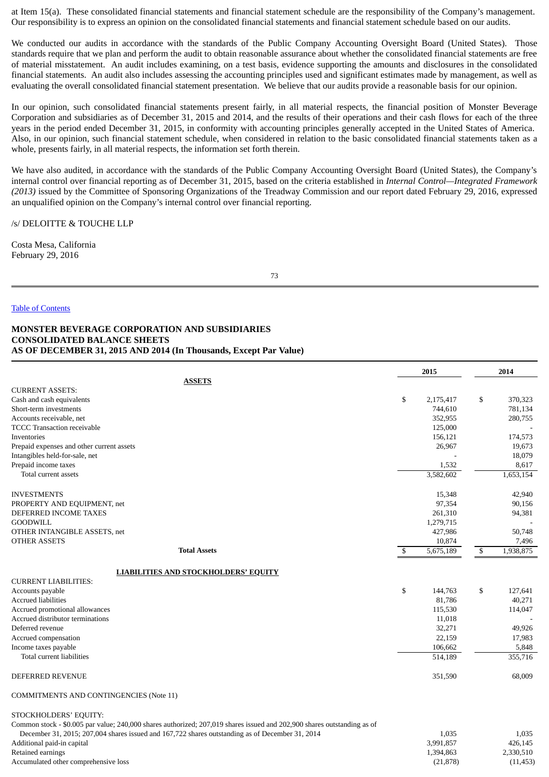at Item 15(a). These consolidated financial statements and financial statement schedule are the responsibility of the Company's management. Our responsibility is to express an opinion on the consolidated financial statements and financial statement schedule based on our audits.

We conducted our audits in accordance with the standards of the Public Company Accounting Oversight Board (United States). Those standards require that we plan and perform the audit to obtain reasonable assurance about whether the consolidated financial statements are free of material misstatement. An audit includes examining, on a test basis, evidence supporting the amounts and disclosures in the consolidated financial statements. An audit also includes assessing the accounting principles used and significant estimates made by management, as well as evaluating the overall consolidated financial statement presentation. We believe that our audits provide a reasonable basis for our opinion.

In our opinion, such consolidated financial statements present fairly, in all material respects, the financial position of Monster Beverage Corporation and subsidiaries as of December 31, 2015 and 2014, and the results of their operations and their cash flows for each of the three years in the period ended December 31, 2015, in conformity with accounting principles generally accepted in the United States of America. Also, in our opinion, such financial statement schedule, when considered in relation to the basic consolidated financial statements taken as a whole, presents fairly, in all material respects, the information set forth therein.

We have also audited, in accordance with the standards of the Public Company Accounting Oversight Board (United States), the Company's internal control over financial reporting as of December 31, 2015, based on the criteria established in *Internal Control—Integrated Framework (2013)* issued by the Committee of Sponsoring Organizations of the Treadway Commission and our report dated February 29, 2016, expressed an unqualified opinion on the Company's internal control over financial reporting.

/s/ DELOITTE & TOUCHE LLP

Costa Mesa, California February 29, 2016

<span id="page-48-0"></span>73

#### Table of [Contents](#page-1-0)

### **MONSTER BEVERAGE CORPORATION AND SUBSIDIARIES CONSOLIDATED BALANCE SHEETS AS OF DECEMBER 31, 2015 AND 2014 (In Thousands, Except Par Value)**

|                                                | 2015            | 2014            |
|------------------------------------------------|-----------------|-----------------|
| <b>ASSETS</b>                                  |                 |                 |
| <b>CURRENT ASSETS:</b>                         |                 |                 |
| Cash and cash equivalents                      | \$<br>2,175,417 | \$<br>370,323   |
| Short-term investments                         | 744,610         | 781,134         |
| Accounts receivable, net                       | 352,955         | 280,755         |
| <b>TCCC</b> Transaction receivable             | 125,000         |                 |
| Inventories                                    | 156,121         | 174,573         |
| Prepaid expenses and other current assets      | 26,967          | 19,673          |
| Intangibles held-for-sale, net                 |                 | 18,079          |
| Prepaid income taxes                           | 1,532           | 8,617           |
| Total current assets                           | 3,582,602       | 1,653,154       |
| <b>INVESTMENTS</b>                             | 15,348          | 42,940          |
| PROPERTY AND EQUIPMENT, net                    | 97,354          | 90,156          |
| DEFERRED INCOME TAXES                          | 261,310         | 94,381          |
| <b>GOODWILL</b>                                | 1,279,715       |                 |
| OTHER INTANGIBLE ASSETS, net                   | 427,986         | 50,748          |
| <b>OTHER ASSETS</b>                            | 10,874          | 7,496           |
| <b>Total Assets</b>                            | \$<br>5,675,189 | \$<br>1,938,875 |
| <b>LIABILITIES AND STOCKHOLDERS' EQUITY</b>    |                 |                 |
| <b>CURRENT LIABILITIES:</b>                    |                 |                 |
| Accounts payable                               | \$<br>144,763   | \$<br>127,641   |
| <b>Accrued liabilities</b>                     | 81,786          | 40,271          |
| Accrued promotional allowances                 | 115,530         | 114,047         |
| Accrued distributor terminations               | 11,018          |                 |
| Deferred revenue                               | 32,271          | 49,926          |
| Accrued compensation                           | 22,159          | 17,983          |
| Income taxes payable                           | 106,662         | 5,848           |
| Total current liabilities                      | 514,189         | 355,716         |
| <b>DEFERRED REVENUE</b>                        | 351,590         | 68,009          |
| <b>COMMITMENTS AND CONTINGENCIES (Note 11)</b> |                 |                 |

STOCKHOLDERS' EQUITY:

Common stock - \$0.005 par value; 240,000 shares authorized; 207,019 shares issued and 202,900 shares outstanding as of December 31, 2015; 207,004 shares issued and 167,722 shares outstanding as of December 31, 2014 1,035

| December 31, 2015; 207,004 shares issued and 167,722 shares outstanding as of December 31, 2014 | L.U35     | 1,035     |
|-------------------------------------------------------------------------------------------------|-----------|-----------|
| Additional paid-in capital                                                                      | 3.991.857 | 426.145   |
| Retained earnings                                                                               | 1.394.863 | 2,330,510 |
| Accumulated other comprehensive loss                                                            | (21, 878) | (11, 453) |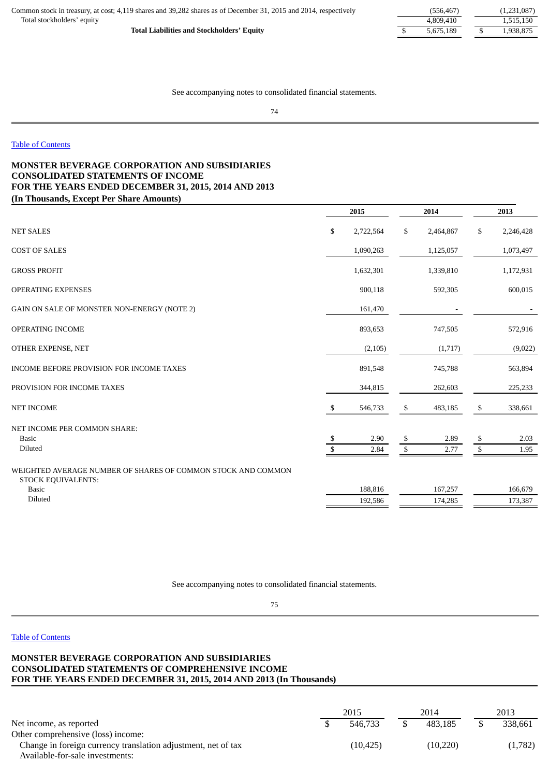| Common stock in treasury, at cost; 4,119 shares and 39,282 shares as of December 31, 2015 and 2014, respectively | (556.467) | (1,231,087) |
|------------------------------------------------------------------------------------------------------------------|-----------|-------------|
| Total stockholders' equity                                                                                       | 4.809.410 | 515.150     |
| <b>Total Liabilities and Stockholders' Equity</b>                                                                | 5.675.189 | .938.875    |

<span id="page-49-0"></span>See accompanying notes to consolidated financial statements.

#### Table of [Contents](#page-1-0)

## **MONSTER BEVERAGE CORPORATION AND SUBSIDIARIES CONSOLIDATED STATEMENTS OF INCOME FOR THE YEARS ENDED DECEMBER 31, 2015, 2014 AND 2013 (In Thousands, Except Per Share Amounts)**

|                                                                                    |              | 2015      | 2014            | 2013 |           |  |
|------------------------------------------------------------------------------------|--------------|-----------|-----------------|------|-----------|--|
| <b>NET SALES</b>                                                                   | \$           | 2,722,564 | \$<br>2,464,867 | \$   | 2,246,428 |  |
| <b>COST OF SALES</b>                                                               |              | 1,090,263 | 1,125,057       |      | 1,073,497 |  |
| <b>GROSS PROFIT</b>                                                                |              | 1,632,301 | 1,339,810       |      | 1,172,931 |  |
| <b>OPERATING EXPENSES</b>                                                          |              | 900,118   | 592,305         |      | 600,015   |  |
| GAIN ON SALE OF MONSTER NON-ENERGY (NOTE 2)                                        |              | 161,470   |                 |      |           |  |
| <b>OPERATING INCOME</b>                                                            |              | 893,653   | 747,505         |      | 572,916   |  |
| OTHER EXPENSE, NET                                                                 |              | (2, 105)  | (1,717)         |      | (9,022)   |  |
| INCOME BEFORE PROVISION FOR INCOME TAXES                                           |              | 891,548   | 745,788         |      | 563,894   |  |
| PROVISION FOR INCOME TAXES                                                         |              | 344,815   | 262,603         |      | 225,233   |  |
| <b>NET INCOME</b>                                                                  | - \$         | 546,733   | \$<br>483,185   | \$   | 338,661   |  |
| NET INCOME PER COMMON SHARE:                                                       |              |           |                 |      |           |  |
| <b>Basic</b>                                                                       | \$           | 2.90      | \$<br>2.89      | \$   | 2.03      |  |
| Diluted                                                                            | $\mathbb{S}$ | 2.84      | \$<br>2.77      | \$   | 1.95      |  |
| WEIGHTED AVERAGE NUMBER OF SHARES OF COMMON STOCK AND COMMON<br>STOCK EQUIVALENTS: |              |           |                 |      |           |  |
| <b>Basic</b>                                                                       |              | 188,816   | 167,257         |      | 166,679   |  |
| Diluted                                                                            |              | 192,586   | 174,285         |      | 173,387   |  |
|                                                                                    |              |           |                 |      |           |  |

See accompanying notes to consolidated financial statements.

<span id="page-49-1"></span>75

### Table of [Contents](#page-1-0)

## **MONSTER BEVERAGE CORPORATION AND SUBSIDIARIES CONSOLIDATED STATEMENTS OF COMPREHENSIVE INCOME FOR THE YEARS ENDED DECEMBER 31, 2015, 2014 AND 2013 (In Thousands)**

|                                                               | 2015      | 2014     | 2013 |         |  |
|---------------------------------------------------------------|-----------|----------|------|---------|--|
| Net income, as reported                                       | 546.733   | 483.185  |      | 338.661 |  |
| Other comprehensive (loss) income:                            |           |          |      |         |  |
| Change in foreign currency translation adjustment, net of tax | (10, 425) | (10.220) |      | (1,782) |  |
| Available-for-sale investments:                               |           |          |      |         |  |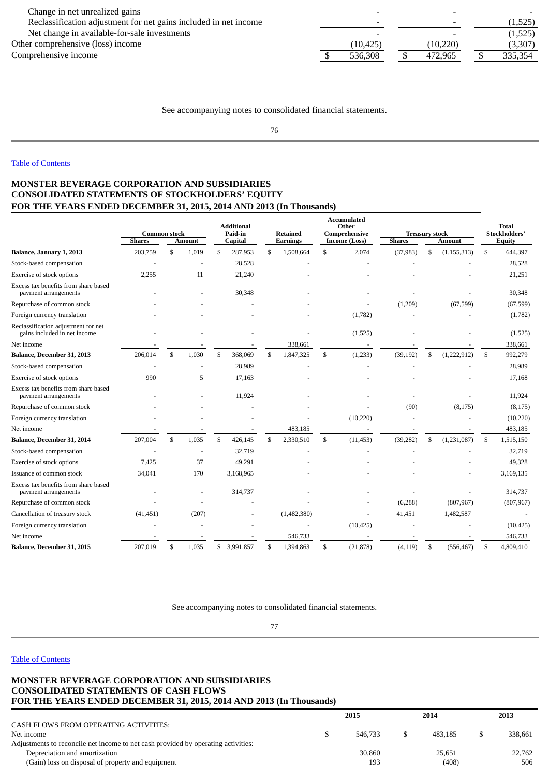| Change in net unrealized gains                                   |           |           |         |
|------------------------------------------------------------------|-----------|-----------|---------|
| Reclassification adjustment for net gains included in net income |           |           | (1,525) |
| Net change in available-for-sale investments                     |           |           | (1,525) |
| Other comprehensive (loss) income                                | (10, 425) | (10, 220) | (3,307) |
| Comprehensive income                                             | 536.308   | 472.965   | 335,354 |

See accompanying notes to consolidated financial statements.

<span id="page-50-0"></span>76

## Table of [Contents](#page-1-0)

## **MONSTER BEVERAGE CORPORATION AND SUBSIDIARIES CONSOLIDATED STATEMENTS OF STOCKHOLDERS' EQUITY FOR THE YEARS ENDED DECEMBER 31, 2015, 2014 AND 2013 (In Thousands)**

|                                                                     | <b>Common stock</b> |    | <b>Additional</b><br>Paid-in<br><b>Retained</b> |    | <b>Accumulated</b><br>Other<br>Comprehensive |               |                 | <b>Treasury stock</b> | <b>Total</b><br>Stockholders' |    |               |    |            |
|---------------------------------------------------------------------|---------------------|----|-------------------------------------------------|----|----------------------------------------------|---------------|-----------------|-----------------------|-------------------------------|----|---------------|----|------------|
|                                                                     | <b>Shares</b>       |    | <b>Amount</b>                                   |    | Capital                                      |               | <b>Earnings</b> | Income (Loss)         | <b>Shares</b>                 |    | <b>Amount</b> |    | Equity     |
| Balance, January 1, 2013                                            | 203,759             | \$ | 1,019                                           | \$ | 287,953                                      | \$            | 1,508,664       | \$<br>2,074           | (37, 983)                     | \$ | (1, 155, 313) | \$ | 644,397    |
| Stock-based compensation                                            |                     |    |                                                 |    | 28,528                                       |               |                 |                       |                               |    |               |    | 28,528     |
| Exercise of stock options                                           | 2,255               |    | 11                                              |    | 21,240                                       |               |                 |                       |                               |    |               |    | 21,251     |
| Excess tax benefits from share based<br>payment arrangements        |                     |    |                                                 |    | 30,348                                       |               |                 |                       |                               |    |               |    | 30,348     |
| Repurchase of common stock                                          |                     |    |                                                 |    |                                              |               |                 |                       | (1,209)                       |    | (67, 599)     |    | (67, 599)  |
| Foreign currency translation                                        |                     |    |                                                 |    |                                              |               |                 | (1,782)               |                               |    |               |    | (1,782)    |
| Reclassification adjustment for net<br>gains included in net income |                     |    |                                                 |    |                                              |               |                 | (1,525)               |                               |    |               |    | (1,525)    |
| Net income                                                          |                     |    |                                                 |    |                                              |               | 338,661         |                       |                               |    |               |    | 338,661    |
| Balance, December 31, 2013                                          | 206,014             | \$ | 1,030                                           | \$ | 368,069                                      | $\mathcal{S}$ | 1,847,325       | \$<br>(1,233)         | (39, 192)                     | \$ | (1,222,912)   | \$ | 992,279    |
| Stock-based compensation                                            |                     |    |                                                 |    | 28,989                                       |               |                 |                       |                               |    |               |    | 28,989     |
| Exercise of stock options                                           | 990                 |    | 5                                               |    | 17,163                                       |               |                 |                       |                               |    |               |    | 17,168     |
| Excess tax benefits from share based<br>payment arrangements        |                     |    |                                                 |    | 11,924                                       |               |                 |                       |                               |    |               |    | 11,924     |
| Repurchase of common stock                                          |                     |    |                                                 |    |                                              |               |                 |                       | (90)                          |    | (8, 175)      |    | (8, 175)   |
| Foreign currency translation                                        |                     |    |                                                 |    |                                              |               |                 | (10,220)              |                               |    |               |    | (10, 220)  |
| Net income                                                          |                     |    |                                                 |    |                                              |               | 483,185         |                       |                               |    |               |    | 483,185    |
| Balance, December 31, 2014                                          | 207,004             | \$ | 1,035                                           | \$ | 426,145                                      | \$            | 2,330,510       | \$<br>(11, 453)       | (39, 282)                     | S  | (1,231,087)   | \$ | 1,515,150  |
| Stock-based compensation                                            |                     |    |                                                 |    | 32,719                                       |               |                 |                       |                               |    |               |    | 32,719     |
| Exercise of stock options                                           | 7,425               |    | 37                                              |    | 49,291                                       |               |                 |                       |                               |    |               |    | 49,328     |
| Issuance of common stock                                            | 34,041              |    | 170                                             |    | 3,168,965                                    |               |                 |                       |                               |    |               |    | 3,169,135  |
| Excess tax benefits from share based<br>payment arrangements        |                     |    |                                                 |    | 314,737                                      |               |                 |                       |                               |    |               |    | 314,737    |
| Repurchase of common stock                                          |                     |    |                                                 |    |                                              |               |                 |                       | (6, 288)                      |    | (807, 967)    |    | (807, 967) |
| Cancellation of treasury stock                                      | (41, 451)           |    | (207)                                           |    |                                              |               | (1,482,380)     |                       | 41,451                        |    | 1,482,587     |    |            |
| Foreign currency translation                                        |                     |    |                                                 |    |                                              |               |                 | (10, 425)             |                               |    |               |    | (10, 425)  |
| Net income                                                          |                     |    |                                                 |    |                                              |               | 546,733         |                       |                               |    |               |    | 546,733    |
| Balance, December 31, 2015                                          | 207,019             | \$ | 1,035                                           | \$ | 3,991,857                                    | \$            | 1,394,863       | \$<br>(21, 878)       | (4, 119)                      | -S | (556, 467)    |    | 4,809,410  |

See accompanying notes to consolidated financial statements.

<span id="page-50-1"></span>77

#### Table of [Contents](#page-1-0)

### **MONSTER BEVERAGE CORPORATION AND SUBSIDIARIES CONSOLIDATED STATEMENTS OF CASH FLOWS FOR THE YEARS ENDED DECEMBER 31, 2015, 2014 AND 2013 (In Thousands)**

|                                                                                   | 2015    |  | 2014    | 2013    |
|-----------------------------------------------------------------------------------|---------|--|---------|---------|
| CASH FLOWS FROM OPERATING ACTIVITIES:                                             |         |  |         |         |
| Net income                                                                        | 546,733 |  | 483.185 | 338,661 |
| Adjustments to reconcile net income to net cash provided by operating activities: |         |  |         |         |
| Depreciation and amortization                                                     | 30,860  |  | 25.651  | 22.762  |
| (Gain) loss on disposal of property and equipment                                 | 193     |  | (408)   | 506     |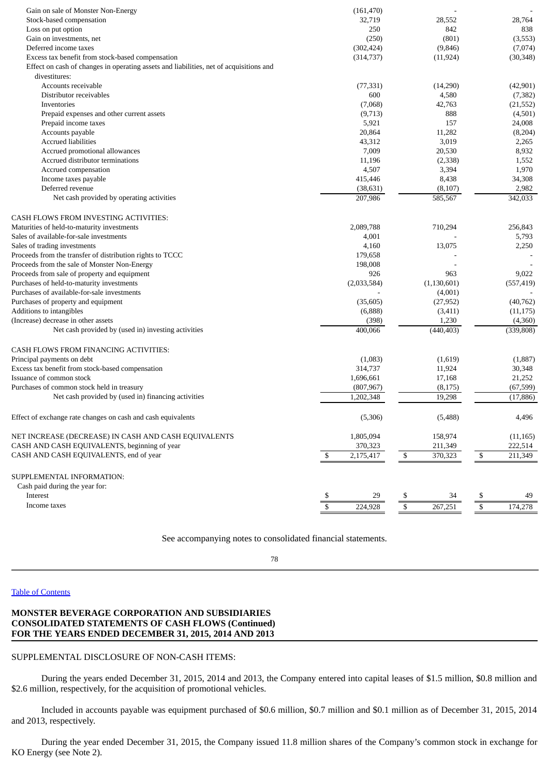| Gain on sale of Monster Non-Energy                                                     | (161, 470)            |                                     |                          |
|----------------------------------------------------------------------------------------|-----------------------|-------------------------------------|--------------------------|
| Stock-based compensation                                                               | 32,719                | 28,552                              | 28,764                   |
| Loss on put option                                                                     | 250                   | 842                                 | 838                      |
| Gain on investments, net                                                               | (250)                 | (801)                               | (3,553)                  |
| Deferred income taxes                                                                  | (302, 424)            | (9,846)                             | (7,074)                  |
| Excess tax benefit from stock-based compensation                                       | (314, 737)            | (11, 924)                           | (30, 348)                |
| Effect on cash of changes in operating assets and liabilities, net of acquisitions and |                       |                                     |                          |
| divestitures:                                                                          |                       |                                     |                          |
| Accounts receivable                                                                    | (77, 331)             | (14,290)                            | (42,901)                 |
| Distributor receivables                                                                | 600                   | 4,580                               | (7, 382)                 |
| Inventories                                                                            | (7,068)               | 42,763                              | (21, 552)                |
| Prepaid expenses and other current assets                                              | (9,713)               | 888                                 | (4,501)                  |
| Prepaid income taxes                                                                   | 5,921                 | 157                                 | 24,008                   |
| Accounts payable                                                                       | 20,864                | 11,282                              | (8,204)                  |
| <b>Accrued liabilities</b>                                                             | 43,312                | 3,019                               | 2,265                    |
| Accrued promotional allowances                                                         | 7,009                 | 20,530                              | 8,932                    |
| Accrued distributor terminations                                                       | 11,196                | (2, 338)                            | 1,552                    |
| Accrued compensation                                                                   | 4,507                 | 3,394                               | 1,970                    |
| Income taxes payable                                                                   | 415,446               | 8,438                               | 34,308                   |
| Deferred revenue                                                                       | (38, 631)             | (8, 107)                            | 2,982                    |
| Net cash provided by operating activities                                              | 207,986               | 585,567                             | 342,033                  |
|                                                                                        |                       |                                     |                          |
|                                                                                        |                       |                                     |                          |
| CASH FLOWS FROM INVESTING ACTIVITIES:                                                  |                       |                                     |                          |
| Maturities of held-to-maturity investments                                             | 2,089,788             | 710,294                             | 256,843                  |
| Sales of available-for-sale investments                                                | 4,001                 |                                     | 5,793                    |
| Sales of trading investments                                                           | 4,160                 | 13,075                              | 2,250                    |
| Proceeds from the transfer of distribution rights to TCCC                              | 179,658               |                                     |                          |
| Proceeds from the sale of Monster Non-Energy                                           | 198,008               |                                     |                          |
| Proceeds from sale of property and equipment                                           | 926                   | 963                                 | 9,022                    |
| Purchases of held-to-maturity investments                                              | (2,033,584)           | (1, 130, 601)                       | (557, 419)               |
| Purchases of available-for-sale investments                                            |                       | (4,001)                             |                          |
| Purchases of property and equipment                                                    | (35,605)              | (27, 952)                           | (40, 762)                |
| Additions to intangibles                                                               | (6,888)               | (3, 411)                            | (11, 175)                |
| (Increase) decrease in other assets                                                    | (398)                 | 1,230                               | (4,360)                  |
| Net cash provided by (used in) investing activities                                    | 400,066               | (440, 403)                          | (339, 808)               |
| CASH FLOWS FROM FINANCING ACTIVITIES:                                                  |                       |                                     |                          |
| Principal payments on debt                                                             | (1,083)               | (1,619)                             | (1,887)                  |
| Excess tax benefit from stock-based compensation                                       | 314,737               | 11,924                              | 30,348                   |
| Issuance of common stock                                                               | 1,696,661             | 17,168                              | 21,252                   |
| Purchases of common stock held in treasury                                             | (807, 967)            | (8, 175)                            | (67, 599)                |
| Net cash provided by (used in) financing activities                                    | 1,202,348             | 19,298                              | (17, 886)                |
|                                                                                        |                       |                                     |                          |
| Effect of exchange rate changes on cash and cash equivalents                           | (5,306)               | (5,488)                             | 4,496                    |
| NET INCREASE (DECREASE) IN CASH AND CASH EQUIVALENTS                                   | 1,805,094             | 158,974                             | (11, 165)                |
| CASH AND CASH EQUIVALENTS, beginning of year                                           | 370,323               | 211,349                             | 222,514                  |
| CASH AND CASH EQUIVALENTS, end of year                                                 | \$<br>2,175,417       | $\sqrt{\frac{2}{3}}$<br>370,323     | ${\mathbb S}$<br>211,349 |
| SUPPLEMENTAL INFORMATION:                                                              |                       |                                     |                          |
| Cash paid during the year for:                                                         |                       |                                     |                          |
| Interest                                                                               | \$<br>29              | 34<br>$\frac{3}{2}$                 | \$<br>49                 |
| Income taxes                                                                           | $\sqrt{3}$<br>224,928 | $\overline{\mathcal{S}}$<br>267,251 | \$<br>174,278            |
|                                                                                        |                       |                                     |                          |

See accompanying notes to consolidated financial statements.

78

### Table of [Contents](#page-1-0)

## **MONSTER BEVERAGE CORPORATION AND SUBSIDIARIES CONSOLIDATED STATEMENTS OF CASH FLOWS (Continued) FOR THE YEARS ENDED DECEMBER 31, 2015, 2014 AND 2013**

### SUPPLEMENTAL DISCLOSURE OF NON-CASH ITEMS:

During the years ended December 31, 2015, 2014 and 2013, the Company entered into capital leases of \$1.5 million, \$0.8 million and \$2.6 million, respectively, for the acquisition of promotional vehicles.

Included in accounts payable was equipment purchased of \$0.6 million, \$0.7 million and \$0.1 million as of December 31, 2015, 2014 and 2013, respectively.

During the year ended December 31, 2015, the Company issued 11.8 million shares of the Company's common stock in exchange for KO Energy (see Note 2).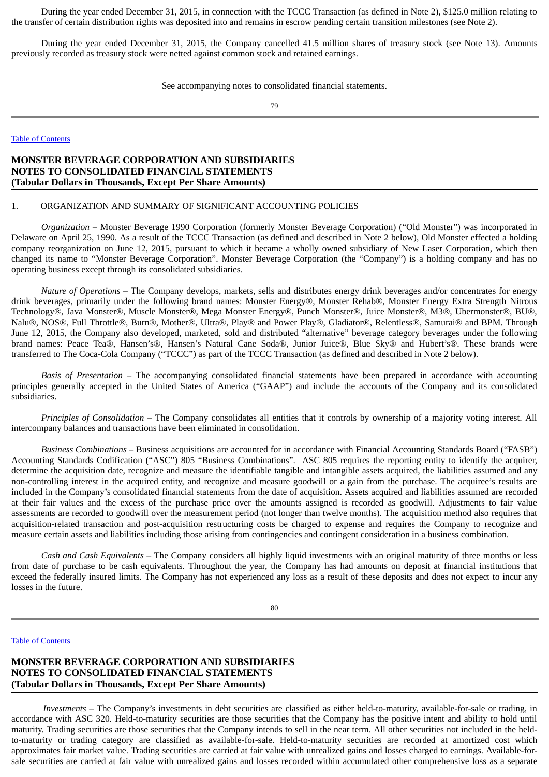During the year ended December 31, 2015, in connection with the TCCC Transaction (as defined in Note 2), \$125.0 million relating to the transfer of certain distribution rights was deposited into and remains in escrow pending certain transition milestones (see Note 2).

During the year ended December 31, 2015, the Company cancelled 41.5 million shares of treasury stock (see Note 13). Amounts previously recorded as treasury stock were netted against common stock and retained earnings.

See accompanying notes to consolidated financial statements.

<span id="page-52-0"></span>79

Table of [Contents](#page-1-0)

## **MONSTER BEVERAGE CORPORATION AND SUBSIDIARIES NOTES TO CONSOLIDATED FINANCIAL STATEMENTS (Tabular Dollars in Thousands, Except Per Share Amounts)**

### 1. ORGANIZATION AND SUMMARY OF SIGNIFICANT ACCOUNTING POLICIES

*Organization* – Monster Beverage 1990 Corporation (formerly Monster Beverage Corporation) ("Old Monster") was incorporated in Delaware on April 25, 1990. As a result of the TCCC Transaction (as defined and described in Note 2 below), Old Monster effected a holding company reorganization on June 12, 2015, pursuant to which it became a wholly owned subsidiary of New Laser Corporation, which then changed its name to "Monster Beverage Corporation". Monster Beverage Corporation (the "Company") is a holding company and has no operating business except through its consolidated subsidiaries.

*Nature of Operations* – The Company develops, markets, sells and distributes energy drink beverages and/or concentrates for energy drink beverages, primarily under the following brand names: Monster Energy®, Monster Rehab®, Monster Energy Extra Strength Nitrous Technology®, Java Monster®, Muscle Monster®, Mega Monster Energy®, Punch Monster®, Juice Monster®, M3®, Ubermonster®, BU®, Nalu®, NOS®, Full Throttle®, Burn®, Mother®, Ultra®, Play® and Power Play®, Gladiator®, Relentless®, Samurai® and BPM. Through June 12, 2015, the Company also developed, marketed, sold and distributed "alternative" beverage category beverages under the following brand names: Peace Tea®, Hansen's®, Hansen's Natural Cane Soda®, Junior Juice®, Blue Sky® and Hubert's®. These brands were transferred to The Coca-Cola Company ("TCCC") as part of the TCCC Transaction (as defined and described in Note 2 below).

*Basis of Presentation* – The accompanying consolidated financial statements have been prepared in accordance with accounting principles generally accepted in the United States of America ("GAAP") and include the accounts of the Company and its consolidated subsidiaries.

*Principles of Consolidation* – The Company consolidates all entities that it controls by ownership of a majority voting interest. All intercompany balances and transactions have been eliminated in consolidation.

*Business Combinations* – Business acquisitions are accounted for in accordance with Financial Accounting Standards Board ("FASB") Accounting Standards Codification ("ASC") 805 "Business Combinations". ASC 805 requires the reporting entity to identify the acquirer, determine the acquisition date, recognize and measure the identifiable tangible and intangible assets acquired, the liabilities assumed and any non-controlling interest in the acquired entity, and recognize and measure goodwill or a gain from the purchase. The acquiree's results are included in the Company's consolidated financial statements from the date of acquisition. Assets acquired and liabilities assumed are recorded at their fair values and the excess of the purchase price over the amounts assigned is recorded as goodwill. Adjustments to fair value assessments are recorded to goodwill over the measurement period (not longer than twelve months). The acquisition method also requires that acquisition-related transaction and post-acquisition restructuring costs be charged to expense and requires the Company to recognize and measure certain assets and liabilities including those arising from contingencies and contingent consideration in a business combination.

*Cash and Cash Equivalents* – The Company considers all highly liquid investments with an original maturity of three months or less from date of purchase to be cash equivalents. Throughout the year, the Company has had amounts on deposit at financial institutions that exceed the federally insured limits. The Company has not experienced any loss as a result of these deposits and does not expect to incur any losses in the future.

80

## Table of [Contents](#page-1-0)

## **MONSTER BEVERAGE CORPORATION AND SUBSIDIARIES NOTES TO CONSOLIDATED FINANCIAL STATEMENTS (Tabular Dollars in Thousands, Except Per Share Amounts)**

*Investments* – The Company's investments in debt securities are classified as either held-to-maturity, available-for-sale or trading, in accordance with ASC 320. Held-to-maturity securities are those securities that the Company has the positive intent and ability to hold until maturity. Trading securities are those securities that the Company intends to sell in the near term. All other securities not included in the heldto-maturity or trading category are classified as available-for-sale. Held-to-maturity securities are recorded at amortized cost which approximates fair market value. Trading securities are carried at fair value with unrealized gains and losses charged to earnings. Available-forsale securities are carried at fair value with unrealized gains and losses recorded within accumulated other comprehensive loss as a separate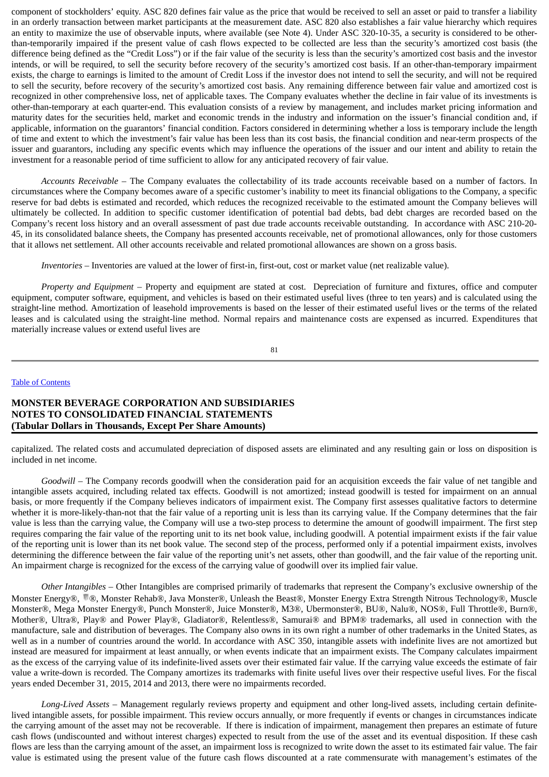component of stockholders' equity. ASC 820 defines fair value as the price that would be received to sell an asset or paid to transfer a liability in an orderly transaction between market participants at the measurement date. ASC 820 also establishes a fair value hierarchy which requires an entity to maximize the use of observable inputs, where available (see Note 4). Under ASC 320-10-35, a security is considered to be otherthan-temporarily impaired if the present value of cash flows expected to be collected are less than the security's amortized cost basis (the difference being defined as the "Credit Loss") or if the fair value of the security is less than the security's amortized cost basis and the investor intends, or will be required, to sell the security before recovery of the security's amortized cost basis. If an other-than-temporary impairment exists, the charge to earnings is limited to the amount of Credit Loss if the investor does not intend to sell the security, and will not be required to sell the security, before recovery of the security's amortized cost basis. Any remaining difference between fair value and amortized cost is recognized in other comprehensive loss, net of applicable taxes. The Company evaluates whether the decline in fair value of its investments is other-than-temporary at each quarter-end. This evaluation consists of a review by management, and includes market pricing information and maturity dates for the securities held, market and economic trends in the industry and information on the issuer's financial condition and, if applicable, information on the guarantors' financial condition. Factors considered in determining whether a loss is temporary include the length of time and extent to which the investment's fair value has been less than its cost basis, the financial condition and near-term prospects of the issuer and guarantors, including any specific events which may influence the operations of the issuer and our intent and ability to retain the investment for a reasonable period of time sufficient to allow for any anticipated recovery of fair value.

*Accounts Receivable –* The Company evaluates the collectability of its trade accounts receivable based on a number of factors. In circumstances where the Company becomes aware of a specific customer's inability to meet its financial obligations to the Company, a specific reserve for bad debts is estimated and recorded, which reduces the recognized receivable to the estimated amount the Company believes will ultimately be collected. In addition to specific customer identification of potential bad debts, bad debt charges are recorded based on the Company's recent loss history and an overall assessment of past due trade accounts receivable outstanding. In accordance with ASC 210-20- 45, in its consolidated balance sheets, the Company has presented accounts receivable, net of promotional allowances, only for those customers that it allows net settlement. All other accounts receivable and related promotional allowances are shown on a gross basis.

*Inventories* – Inventories are valued at the lower of first-in, first-out, cost or market value (net realizable value).

*Property and Equipment* – Property and equipment are stated at cost. Depreciation of furniture and fixtures, office and computer equipment, computer software, equipment, and vehicles is based on their estimated useful lives (three to ten years) and is calculated using the straight-line method. Amortization of leasehold improvements is based on the lesser of their estimated useful lives or the terms of the related leases and is calculated using the straight-line method. Normal repairs and maintenance costs are expensed as incurred. Expenditures that materially increase values or extend useful lives are

$$
81\\
$$

#### Table of [Contents](#page-1-0)

## **MONSTER BEVERAGE CORPORATION AND SUBSIDIARIES NOTES TO CONSOLIDATED FINANCIAL STATEMENTS (Tabular Dollars in Thousands, Except Per Share Amounts)**

capitalized. The related costs and accumulated depreciation of disposed assets are eliminated and any resulting gain or loss on disposition is included in net income.

*Goodwill* – The Company records goodwill when the consideration paid for an acquisition exceeds the fair value of net tangible and intangible assets acquired, including related tax effects. Goodwill is not amortized; instead goodwill is tested for impairment on an annual basis, or more frequently if the Company believes indicators of impairment exist. The Company first assesses qualitative factors to determine whether it is more-likely-than-not that the fair value of a reporting unit is less than its carrying value. If the Company determines that the fair value is less than the carrying value, the Company will use a two-step process to determine the amount of goodwill impairment. The first step requires comparing the fair value of the reporting unit to its net book value, including goodwill. A potential impairment exists if the fair value of the reporting unit is lower than its net book value. The second step of the process, performed only if a potential impairment exists, involves determining the difference between the fair value of the reporting unit's net assets, other than goodwill, and the fair value of the reporting unit. An impairment charge is recognized for the excess of the carrying value of goodwill over its implied fair value.

*Other Intangibles* – Other Intangibles are comprised primarily of trademarks that represent the Company's exclusive ownership of the Monster Energy®, ®, Monster Rehab®, Java Monster®, Unleash the Beast®, Monster Energy Extra Strength Nitrous Technology®, Muscle Monster®, Mega Monster Energy®, Punch Monster®, Juice Monster®, M3®, Ubermonster®, BU®, Nalu®, NOS®, Full Throttle®, Burn®, Mother®, Ultra®, Play® and Power Play®, Gladiator®, Relentless®, Samurai® and BPM® trademarks, all used in connection with the manufacture, sale and distribution of beverages. The Company also owns in its own right a number of other trademarks in the United States, as well as in a number of countries around the world. In accordance with ASC 350, intangible assets with indefinite lives are not amortized but instead are measured for impairment at least annually, or when events indicate that an impairment exists. The Company calculates impairment as the excess of the carrying value of its indefinite-lived assets over their estimated fair value. If the carrying value exceeds the estimate of fair value a write-down is recorded. The Company amortizes its trademarks with finite useful lives over their respective useful lives. For the fiscal years ended December 31, 2015, 2014 and 2013, there were no impairments recorded.

*Long-Lived Assets* – Management regularly reviews property and equipment and other long-lived assets, including certain definitelived intangible assets, for possible impairment. This review occurs annually, or more frequently if events or changes in circumstances indicate the carrying amount of the asset may not be recoverable. If there is indication of impairment, management then prepares an estimate of future cash flows (undiscounted and without interest charges) expected to result from the use of the asset and its eventual disposition. If these cash flows are less than the carrying amount of the asset, an impairment loss is recognized to write down the asset to its estimated fair value. The fair value is estimated using the present value of the future cash flows discounted at a rate commensurate with management's estimates of the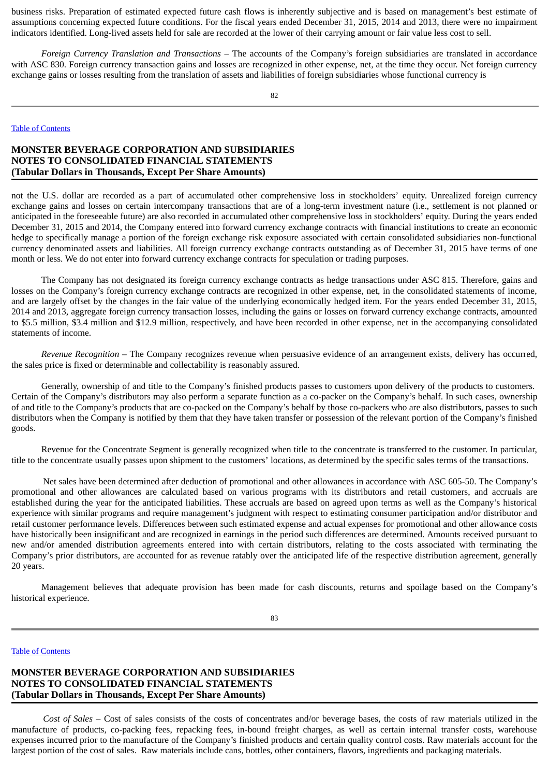business risks. Preparation of estimated expected future cash flows is inherently subjective and is based on management's best estimate of assumptions concerning expected future conditions. For the fiscal years ended December 31, 2015, 2014 and 2013, there were no impairment indicators identified. Long-lived assets held for sale are recorded at the lower of their carrying amount or fair value less cost to sell.

*Foreign Currency Translation and Transactions* – The accounts of the Company's foreign subsidiaries are translated in accordance with ASC 830. Foreign currency transaction gains and losses are recognized in other expense, net, at the time they occur. Net foreign currency exchange gains or losses resulting from the translation of assets and liabilities of foreign subsidiaries whose functional currency is

#### Table of [Contents](#page-1-0)

## **MONSTER BEVERAGE CORPORATION AND SUBSIDIARIES NOTES TO CONSOLIDATED FINANCIAL STATEMENTS (Tabular Dollars in Thousands, Except Per Share Amounts)**

not the U.S. dollar are recorded as a part of accumulated other comprehensive loss in stockholders' equity. Unrealized foreign currency exchange gains and losses on certain intercompany transactions that are of a long-term investment nature (i.e., settlement is not planned or anticipated in the foreseeable future) are also recorded in accumulated other comprehensive loss in stockholders' equity. During the years ended December 31, 2015 and 2014, the Company entered into forward currency exchange contracts with financial institutions to create an economic hedge to specifically manage a portion of the foreign exchange risk exposure associated with certain consolidated subsidiaries non-functional currency denominated assets and liabilities. All foreign currency exchange contracts outstanding as of December 31, 2015 have terms of one month or less. We do not enter into forward currency exchange contracts for speculation or trading purposes.

The Company has not designated its foreign currency exchange contracts as hedge transactions under ASC 815. Therefore, gains and losses on the Company's foreign currency exchange contracts are recognized in other expense, net, in the consolidated statements of income, and are largely offset by the changes in the fair value of the underlying economically hedged item. For the years ended December 31, 2015, 2014 and 2013, aggregate foreign currency transaction losses, including the gains or losses on forward currency exchange contracts, amounted to \$5.5 million, \$3.4 million and \$12.9 million, respectively, and have been recorded in other expense, net in the accompanying consolidated statements of income.

*Revenue Recognition* – The Company recognizes revenue when persuasive evidence of an arrangement exists, delivery has occurred, the sales price is fixed or determinable and collectability is reasonably assured.

Generally, ownership of and title to the Company's finished products passes to customers upon delivery of the products to customers. Certain of the Company's distributors may also perform a separate function as a co-packer on the Company's behalf. In such cases, ownership of and title to the Company's products that are co-packed on the Company's behalf by those co-packers who are also distributors, passes to such distributors when the Company is notified by them that they have taken transfer or possession of the relevant portion of the Company's finished goods.

Revenue for the Concentrate Segment is generally recognized when title to the concentrate is transferred to the customer. In particular, title to the concentrate usually passes upon shipment to the customers' locations, as determined by the specific sales terms of the transactions.

Net sales have been determined after deduction of promotional and other allowances in accordance with ASC 605-50. The Company's promotional and other allowances are calculated based on various programs with its distributors and retail customers, and accruals are established during the year for the anticipated liabilities. These accruals are based on agreed upon terms as well as the Company's historical experience with similar programs and require management's judgment with respect to estimating consumer participation and/or distributor and retail customer performance levels. Differences between such estimated expense and actual expenses for promotional and other allowance costs have historically been insignificant and are recognized in earnings in the period such differences are determined. Amounts received pursuant to new and/or amended distribution agreements entered into with certain distributors, relating to the costs associated with terminating the Company's prior distributors, are accounted for as revenue ratably over the anticipated life of the respective distribution agreement, generally 20 years.

Management believes that adequate provision has been made for cash discounts, returns and spoilage based on the Company's historical experience.

83

#### Table of [Contents](#page-1-0)

# **MONSTER BEVERAGE CORPORATION AND SUBSIDIARIES NOTES TO CONSOLIDATED FINANCIAL STATEMENTS (Tabular Dollars in Thousands, Except Per Share Amounts)**

*Cost of Sales* – Cost of sales consists of the costs of concentrates and/or beverage bases, the costs of raw materials utilized in the manufacture of products, co-packing fees, repacking fees, in-bound freight charges, as well as certain internal transfer costs, warehouse expenses incurred prior to the manufacture of the Company's finished products and certain quality control costs. Raw materials account for the largest portion of the cost of sales. Raw materials include cans, bottles, other containers, flavors, ingredients and packaging materials.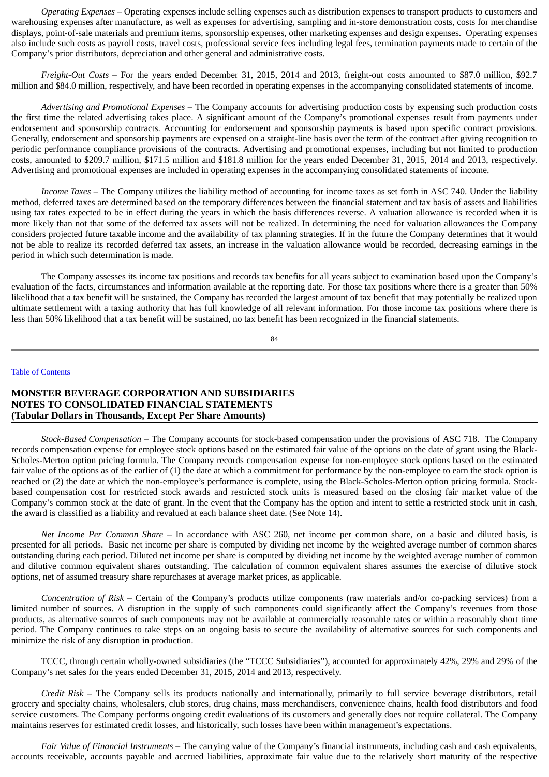*Operating Expenses* – Operating expenses include selling expenses such as distribution expenses to transport products to customers and warehousing expenses after manufacture, as well as expenses for advertising, sampling and in-store demonstration costs, costs for merchandise displays, point-of-sale materials and premium items, sponsorship expenses, other marketing expenses and design expenses. Operating expenses also include such costs as payroll costs, travel costs, professional service fees including legal fees, termination payments made to certain of the Company's prior distributors, depreciation and other general and administrative costs.

*Freight-Out Costs* – For the years ended December 31, 2015, 2014 and 2013, freight-out costs amounted to \$87.0 million, \$92.7 million and \$84.0 million, respectively, and have been recorded in operating expenses in the accompanying consolidated statements of income.

*Advertising and Promotional Expenses* – The Company accounts for advertising production costs by expensing such production costs the first time the related advertising takes place. A significant amount of the Company's promotional expenses result from payments under endorsement and sponsorship contracts. Accounting for endorsement and sponsorship payments is based upon specific contract provisions. Generally, endorsement and sponsorship payments are expensed on a straight-line basis over the term of the contract after giving recognition to periodic performance compliance provisions of the contracts. Advertising and promotional expenses, including but not limited to production costs, amounted to \$209.7 million, \$171.5 million and \$181.8 million for the years ended December 31, 2015, 2014 and 2013, respectively. Advertising and promotional expenses are included in operating expenses in the accompanying consolidated statements of income.

*Income Taxes* – The Company utilizes the liability method of accounting for income taxes as set forth in ASC 740. Under the liability method, deferred taxes are determined based on the temporary differences between the financial statement and tax basis of assets and liabilities using tax rates expected to be in effect during the years in which the basis differences reverse. A valuation allowance is recorded when it is more likely than not that some of the deferred tax assets will not be realized. In determining the need for valuation allowances the Company considers projected future taxable income and the availability of tax planning strategies. If in the future the Company determines that it would not be able to realize its recorded deferred tax assets, an increase in the valuation allowance would be recorded, decreasing earnings in the period in which such determination is made.

The Company assesses its income tax positions and records tax benefits for all years subject to examination based upon the Company's evaluation of the facts, circumstances and information available at the reporting date. For those tax positions where there is a greater than 50% likelihood that a tax benefit will be sustained, the Company has recorded the largest amount of tax benefit that may potentially be realized upon ultimate settlement with a taxing authority that has full knowledge of all relevant information. For those income tax positions where there is less than 50% likelihood that a tax benefit will be sustained, no tax benefit has been recognized in the financial statements.

84

#### Table of [Contents](#page-1-0)

## **MONSTER BEVERAGE CORPORATION AND SUBSIDIARIES NOTES TO CONSOLIDATED FINANCIAL STATEMENTS (Tabular Dollars in Thousands, Except Per Share Amounts)**

*Stock-Based Compensation* – The Company accounts for stock-based compensation under the provisions of ASC 718. The Company records compensation expense for employee stock options based on the estimated fair value of the options on the date of grant using the Black-Scholes-Merton option pricing formula. The Company records compensation expense for non-employee stock options based on the estimated fair value of the options as of the earlier of (1) the date at which a commitment for performance by the non-employee to earn the stock option is reached or (2) the date at which the non-employee's performance is complete, using the Black-Scholes-Merton option pricing formula. Stockbased compensation cost for restricted stock awards and restricted stock units is measured based on the closing fair market value of the Company's common stock at the date of grant. In the event that the Company has the option and intent to settle a restricted stock unit in cash, the award is classified as a liability and revalued at each balance sheet date. (See Note 14).

*Net Income Per Common Share* – In accordance with ASC 260, net income per common share, on a basic and diluted basis, is presented for all periods. Basic net income per share is computed by dividing net income by the weighted average number of common shares outstanding during each period. Diluted net income per share is computed by dividing net income by the weighted average number of common and dilutive common equivalent shares outstanding. The calculation of common equivalent shares assumes the exercise of dilutive stock options, net of assumed treasury share repurchases at average market prices, as applicable.

*Concentration of Risk –* Certain of the Company's products utilize components (raw materials and/or co-packing services) from a limited number of sources. A disruption in the supply of such components could significantly affect the Company's revenues from those products, as alternative sources of such components may not be available at commercially reasonable rates or within a reasonably short time period. The Company continues to take steps on an ongoing basis to secure the availability of alternative sources for such components and minimize the risk of any disruption in production.

TCCC, through certain wholly-owned subsidiaries (the "TCCC Subsidiaries"), accounted for approximately 42%, 29% and 29% of the Company's net sales for the years ended December 31, 2015, 2014 and 2013, respectively.

*Credit Risk* – The Company sells its products nationally and internationally, primarily to full service beverage distributors, retail grocery and specialty chains, wholesalers, club stores, drug chains, mass merchandisers, convenience chains, health food distributors and food service customers. The Company performs ongoing credit evaluations of its customers and generally does not require collateral. The Company maintains reserves for estimated credit losses, and historically, such losses have been within management's expectations.

*Fair Value of Financial Instruments* – The carrying value of the Company's financial instruments, including cash and cash equivalents, accounts receivable, accounts payable and accrued liabilities, approximate fair value due to the relatively short maturity of the respective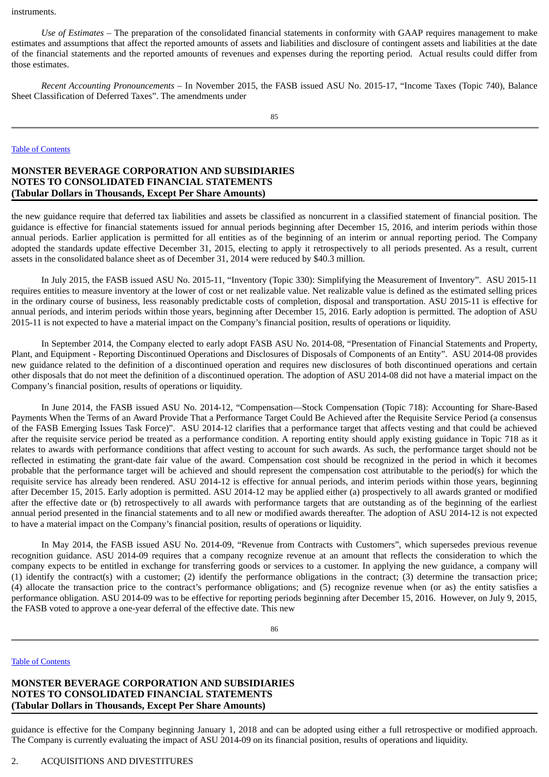instruments.

*Use of Estimates* – The preparation of the consolidated financial statements in conformity with GAAP requires management to make estimates and assumptions that affect the reported amounts of assets and liabilities and disclosure of contingent assets and liabilities at the date of the financial statements and the reported amounts of revenues and expenses during the reporting period. Actual results could differ from those estimates.

*Recent Accounting Pronouncements –* In November 2015, the FASB issued ASU No. 2015-17, "Income Taxes (Topic 740), Balance Sheet Classification of Deferred Taxes". The amendments under

#### Table of [Contents](#page-1-0)

## **MONSTER BEVERAGE CORPORATION AND SUBSIDIARIES NOTES TO CONSOLIDATED FINANCIAL STATEMENTS (Tabular Dollars in Thousands, Except Per Share Amounts)**

the new guidance require that deferred tax liabilities and assets be classified as noncurrent in a classified statement of financial position. The guidance is effective for financial statements issued for annual periods beginning after December 15, 2016, and interim periods within those annual periods. Earlier application is permitted for all entities as of the beginning of an interim or annual reporting period. The Company adopted the standards update effective December 31, 2015, electing to apply it retrospectively to all periods presented. As a result, current assets in the consolidated balance sheet as of December 31, 2014 were reduced by \$40.3 million.

In July 2015, the FASB issued ASU No. 2015-11, "Inventory (Topic 330): Simplifying the Measurement of Inventory". ASU 2015-11 requires entities to measure inventory at the lower of cost or net realizable value. Net realizable value is defined as the estimated selling prices in the ordinary course of business, less reasonably predictable costs of completion, disposal and transportation. ASU 2015-11 is effective for annual periods, and interim periods within those years, beginning after December 15, 2016. Early adoption is permitted. The adoption of ASU 2015-11 is not expected to have a material impact on the Company's financial position, results of operations or liquidity.

In September 2014, the Company elected to early adopt FASB ASU No. 2014-08, "Presentation of Financial Statements and Property, Plant, and Equipment - Reporting Discontinued Operations and Disclosures of Disposals of Components of an Entity". ASU 2014-08 provides new guidance related to the definition of a discontinued operation and requires new disclosures of both discontinued operations and certain other disposals that do not meet the definition of a discontinued operation. The adoption of ASU 2014-08 did not have a material impact on the Company's financial position, results of operations or liquidity.

In June 2014, the FASB issued ASU No. 2014-12, "Compensation—Stock Compensation (Topic 718): Accounting for Share-Based Payments When the Terms of an Award Provide That a Performance Target Could Be Achieved after the Requisite Service Period (a consensus of the FASB Emerging Issues Task Force)". ASU 2014-12 clarifies that a performance target that affects vesting and that could be achieved after the requisite service period be treated as a performance condition. A reporting entity should apply existing guidance in Topic 718 as it relates to awards with performance conditions that affect vesting to account for such awards. As such, the performance target should not be reflected in estimating the grant-date fair value of the award. Compensation cost should be recognized in the period in which it becomes probable that the performance target will be achieved and should represent the compensation cost attributable to the period(s) for which the requisite service has already been rendered. ASU 2014-12 is effective for annual periods, and interim periods within those years, beginning after December 15, 2015. Early adoption is permitted. ASU 2014-12 may be applied either (a) prospectively to all awards granted or modified after the effective date or (b) retrospectively to all awards with performance targets that are outstanding as of the beginning of the earliest annual period presented in the financial statements and to all new or modified awards thereafter. The adoption of ASU 2014-12 is not expected to have a material impact on the Company's financial position, results of operations or liquidity.

In May 2014, the FASB issued ASU No. 2014-09, "Revenue from Contracts with Customers", which supersedes previous revenue recognition guidance. ASU 2014-09 requires that a company recognize revenue at an amount that reflects the consideration to which the company expects to be entitled in exchange for transferring goods or services to a customer. In applying the new guidance, a company will (1) identify the contract(s) with a customer; (2) identify the performance obligations in the contract; (3) determine the transaction price; (4) allocate the transaction price to the contract's performance obligations; and (5) recognize revenue when (or as) the entity satisfies a performance obligation. ASU 2014-09 was to be effective for reporting periods beginning after December 15, 2016. However, on July 9, 2015, the FASB voted to approve a one-year deferral of the effective date. This new

## Table of [Contents](#page-1-0)

**MONSTER BEVERAGE CORPORATION AND SUBSIDIARIES NOTES TO CONSOLIDATED FINANCIAL STATEMENTS (Tabular Dollars in Thousands, Except Per Share Amounts)**

guidance is effective for the Company beginning January 1, 2018 and can be adopted using either a full retrospective or modified approach. The Company is currently evaluating the impact of ASU 2014-09 on its financial position, results of operations and liquidity.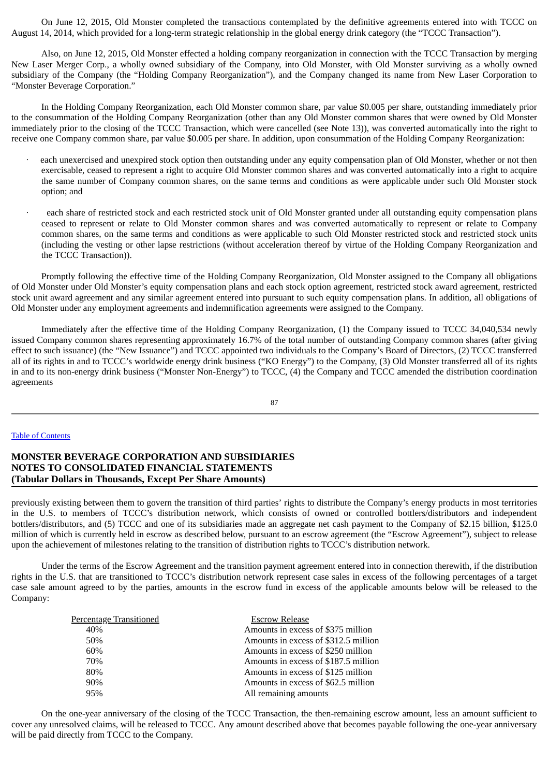On June 12, 2015, Old Monster completed the transactions contemplated by the definitive agreements entered into with TCCC on August 14, 2014, which provided for a long-term strategic relationship in the global energy drink category (the "TCCC Transaction").

Also, on June 12, 2015, Old Monster effected a holding company reorganization in connection with the TCCC Transaction by merging New Laser Merger Corp., a wholly owned subsidiary of the Company, into Old Monster, with Old Monster surviving as a wholly owned subsidiary of the Company (the "Holding Company Reorganization"), and the Company changed its name from New Laser Corporation to "Monster Beverage Corporation."

In the Holding Company Reorganization, each Old Monster common share, par value \$0.005 per share, outstanding immediately prior to the consummation of the Holding Company Reorganization (other than any Old Monster common shares that were owned by Old Monster immediately prior to the closing of the TCCC Transaction, which were cancelled (see Note 13)), was converted automatically into the right to receive one Company common share, par value \$0.005 per share. In addition, upon consummation of the Holding Company Reorganization:

- each unexercised and unexpired stock option then outstanding under any equity compensation plan of Old Monster, whether or not then exercisable, ceased to represent a right to acquire Old Monster common shares and was converted automatically into a right to acquire the same number of Company common shares, on the same terms and conditions as were applicable under such Old Monster stock option; and
- each share of restricted stock and each restricted stock unit of Old Monster granted under all outstanding equity compensation plans ceased to represent or relate to Old Monster common shares and was converted automatically to represent or relate to Company common shares, on the same terms and conditions as were applicable to such Old Monster restricted stock and restricted stock units (including the vesting or other lapse restrictions (without acceleration thereof by virtue of the Holding Company Reorganization and the TCCC Transaction)).

Promptly following the effective time of the Holding Company Reorganization, Old Monster assigned to the Company all obligations of Old Monster under Old Monster's equity compensation plans and each stock option agreement, restricted stock award agreement, restricted stock unit award agreement and any similar agreement entered into pursuant to such equity compensation plans. In addition, all obligations of Old Monster under any employment agreements and indemnification agreements were assigned to the Company.

Immediately after the effective time of the Holding Company Reorganization, (1) the Company issued to TCCC 34,040,534 newly issued Company common shares representing approximately 16.7% of the total number of outstanding Company common shares (after giving effect to such issuance) (the "New Issuance") and TCCC appointed two individuals to the Company's Board of Directors, (2) TCCC transferred all of its rights in and to TCCC's worldwide energy drink business ("KO Energy") to the Company, (3) Old Monster transferred all of its rights in and to its non-energy drink business ("Monster Non-Energy") to TCCC, (4) the Company and TCCC amended the distribution coordination agreements

87

### Table of [Contents](#page-1-0)

## **MONSTER BEVERAGE CORPORATION AND SUBSIDIARIES NOTES TO CONSOLIDATED FINANCIAL STATEMENTS (Tabular Dollars in Thousands, Except Per Share Amounts)**

previously existing between them to govern the transition of third parties' rights to distribute the Company's energy products in most territories in the U.S. to members of TCCC's distribution network, which consists of owned or controlled bottlers/distributors and independent bottlers/distributors, and (5) TCCC and one of its subsidiaries made an aggregate net cash payment to the Company of \$2.15 billion, \$125.0 million of which is currently held in escrow as described below, pursuant to an escrow agreement (the "Escrow Agreement"), subject to release upon the achievement of milestones relating to the transition of distribution rights to TCCC's distribution network.

Under the terms of the Escrow Agreement and the transition payment agreement entered into in connection therewith, if the distribution rights in the U.S. that are transitioned to TCCC's distribution network represent case sales in excess of the following percentages of a target case sale amount agreed to by the parties, amounts in the escrow fund in excess of the applicable amounts below will be released to the Company:

| Percentage Transitioned | <b>Escrow Release</b>                |
|-------------------------|--------------------------------------|
| 40%                     | Amounts in excess of \$375 million   |
| 50%                     | Amounts in excess of \$312.5 million |
| 60%                     | Amounts in excess of \$250 million   |
| 70%                     | Amounts in excess of \$187.5 million |
| 80%                     | Amounts in excess of \$125 million   |
| 90%                     | Amounts in excess of \$62.5 million  |
| 95%                     | All remaining amounts                |
|                         |                                      |

On the one-year anniversary of the closing of the TCCC Transaction, the then-remaining escrow amount, less an amount sufficient to cover any unresolved claims, will be released to TCCC. Any amount described above that becomes payable following the one-year anniversary will be paid directly from TCCC to the Company.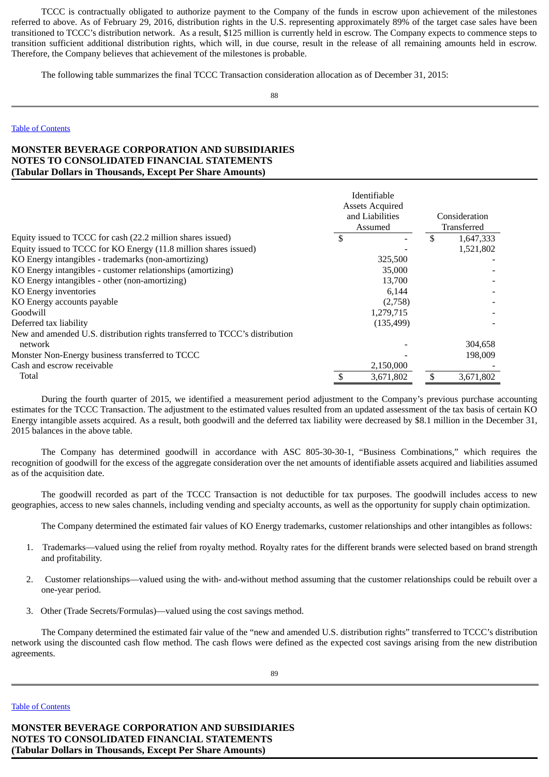TCCC is contractually obligated to authorize payment to the Company of the funds in escrow upon achievement of the milestones referred to above. As of February 29, 2016, distribution rights in the U.S. representing approximately 89% of the target case sales have been transitioned to TCCC's distribution network. As a result, \$125 million is currently held in escrow. The Company expects to commence steps to transition sufficient additional distribution rights, which will, in due course, result in the release of all remaining amounts held in escrow. Therefore, the Company believes that achievement of the milestones is probable.

The following table summarizes the final TCCC Transaction consideration allocation as of December 31, 2015:

88

#### Table of [Contents](#page-1-0)

## **MONSTER BEVERAGE CORPORATION AND SUBSIDIARIES NOTES TO CONSOLIDATED FINANCIAL STATEMENTS (Tabular Dollars in Thousands, Except Per Share Amounts)**

|                                                                             | Identifiable<br><b>Assets Acquired</b><br>and Liabilities<br>Assumed | Consideration<br>Transferred |           |  |
|-----------------------------------------------------------------------------|----------------------------------------------------------------------|------------------------------|-----------|--|
| Equity issued to TCCC for cash (22.2 million shares issued)                 |                                                                      |                              | 1,647,333 |  |
| Equity issued to TCCC for KO Energy (11.8 million shares issued)            |                                                                      |                              | 1,521,802 |  |
| KO Energy intangibles - trademarks (non-amortizing)                         | 325,500                                                              |                              |           |  |
| KO Energy intangibles - customer relationships (amortizing)                 | 35,000                                                               |                              |           |  |
| KO Energy intangibles - other (non-amortizing)                              | 13,700                                                               |                              |           |  |
| KO Energy inventories                                                       | 6,144                                                                |                              |           |  |
| KO Energy accounts payable                                                  | (2,758)                                                              |                              |           |  |
| Goodwill                                                                    | 1,279,715                                                            |                              |           |  |
| Deferred tax liability                                                      | (135, 499)                                                           |                              |           |  |
| New and amended U.S. distribution rights transferred to TCCC's distribution |                                                                      |                              |           |  |
| network                                                                     |                                                                      |                              | 304,658   |  |
| Monster Non-Energy business transferred to TCCC                             |                                                                      |                              | 198,009   |  |
| Cash and escrow receivable                                                  | 2,150,000                                                            |                              |           |  |
| Total                                                                       | 3,671,802                                                            |                              | 3,671,802 |  |

During the fourth quarter of 2015, we identified a measurement period adjustment to the Company's previous purchase accounting estimates for the TCCC Transaction. The adjustment to the estimated values resulted from an updated assessment of the tax basis of certain KO Energy intangible assets acquired. As a result, both goodwill and the deferred tax liability were decreased by \$8.1 million in the December 31, 2015 balances in the above table.

The Company has determined goodwill in accordance with ASC 805-30-30-1, "Business Combinations," which requires the recognition of goodwill for the excess of the aggregate consideration over the net amounts of identifiable assets acquired and liabilities assumed as of the acquisition date.

The goodwill recorded as part of the TCCC Transaction is not deductible for tax purposes. The goodwill includes access to new geographies, access to new sales channels, including vending and specialty accounts, as well as the opportunity for supply chain optimization.

The Company determined the estimated fair values of KO Energy trademarks, customer relationships and other intangibles as follows:

- 1. Trademarks—valued using the relief from royalty method. Royalty rates for the different brands were selected based on brand strength and profitability.
- 2. Customer relationships—valued using the with- and-without method assuming that the customer relationships could be rebuilt over a one-year period.
- 3. Other (Trade Secrets/Formulas)—valued using the cost savings method.

The Company determined the estimated fair value of the "new and amended U.S. distribution rights" transferred to TCCC's distribution network using the discounted cash flow method. The cash flows were defined as the expected cost savings arising from the new distribution agreements.

### Table of [Contents](#page-1-0)

**MONSTER BEVERAGE CORPORATION AND SUBSIDIARIES NOTES TO CONSOLIDATED FINANCIAL STATEMENTS (Tabular Dollars in Thousands, Except Per Share Amounts)**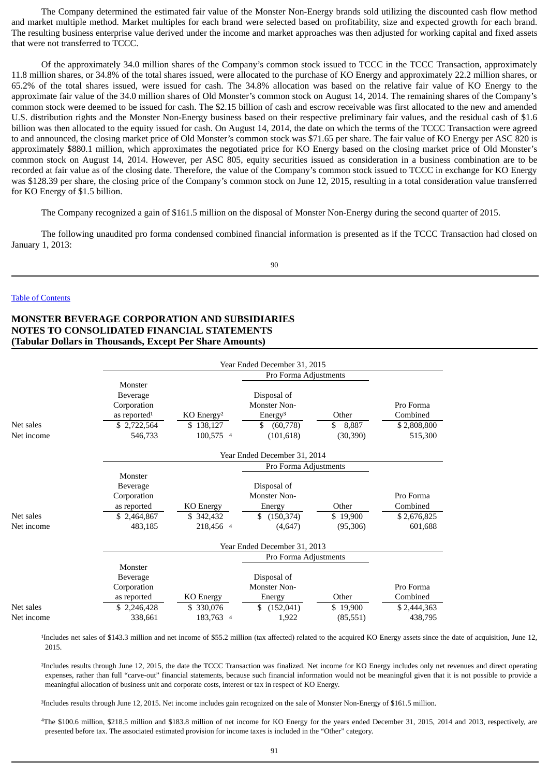The Company determined the estimated fair value of the Monster Non-Energy brands sold utilizing the discounted cash flow method and market multiple method. Market multiples for each brand were selected based on profitability, size and expected growth for each brand. The resulting business enterprise value derived under the income and market approaches was then adjusted for working capital and fixed assets that were not transferred to TCCC.

Of the approximately 34.0 million shares of the Company's common stock issued to TCCC in the TCCC Transaction, approximately 11.8 million shares, or 34.8% of the total shares issued, were allocated to the purchase of KO Energy and approximately 22.2 million shares, or 65.2% of the total shares issued, were issued for cash. The 34.8% allocation was based on the relative fair value of KO Energy to the approximate fair value of the 34.0 million shares of Old Monster's common stock on August 14, 2014. The remaining shares of the Company's common stock were deemed to be issued for cash. The \$2.15 billion of cash and escrow receivable was first allocated to the new and amended U.S. distribution rights and the Monster Non-Energy business based on their respective preliminary fair values, and the residual cash of \$1.6 billion was then allocated to the equity issued for cash. On August 14, 2014, the date on which the terms of the TCCC Transaction were agreed to and announced, the closing market price of Old Monster's common stock was \$71.65 per share. The fair value of KO Energy per ASC 820 is approximately \$880.1 million, which approximates the negotiated price for KO Energy based on the closing market price of Old Monster's common stock on August 14, 2014. However, per ASC 805, equity securities issued as consideration in a business combination are to be recorded at fair value as of the closing date. Therefore, the value of the Company's common stock issued to TCCC in exchange for KO Energy was \$128.39 per share, the closing price of the Company's common stock on June 12, 2015, resulting in a total consideration value transferred for KO Energy of \$1.5 billion.

The Company recognized a gain of \$161.5 million on the disposal of Monster Non-Energy during the second quarter of 2015.

The following unaudited pro forma condensed combined financial information is presented as if the TCCC Transaction had closed on January 1, 2013:

90

#### Table of [Contents](#page-1-0)

## **MONSTER BEVERAGE CORPORATION AND SUBSIDIARIES NOTES TO CONSOLIDATED FINANCIAL STATEMENTS (Tabular Dollars in Thousands, Except Per Share Amounts)**

|            | Year Ended December 31, 2015                                   |                          |                                                          |             |                       |  |  |  |  |  |  |  |
|------------|----------------------------------------------------------------|--------------------------|----------------------------------------------------------|-------------|-----------------------|--|--|--|--|--|--|--|
|            |                                                                |                          |                                                          |             |                       |  |  |  |  |  |  |  |
| Net sales  | Monster<br>Beverage<br>Corporation<br>as reported <sup>1</sup> | $KO$ Energy <sup>2</sup> | Disposal of<br>Monster Non-<br>Energy <sup>3</sup><br>\$ | Other<br>\$ | Pro Forma<br>Combined |  |  |  |  |  |  |  |
| Net income | \$2,722,564                                                    | \$138,127<br>100,575 4   | (60, 778)                                                | 8,887       | \$2,808,800           |  |  |  |  |  |  |  |
|            | 546,733                                                        |                          | (101, 618)                                               | (30, 390)   | 515,300               |  |  |  |  |  |  |  |
|            |                                                                |                          | Year Ended December 31, 2014                             |             |                       |  |  |  |  |  |  |  |
|            |                                                                |                          | Pro Forma Adjustments                                    |             |                       |  |  |  |  |  |  |  |
|            | Monster                                                        |                          |                                                          |             |                       |  |  |  |  |  |  |  |
|            | <b>Beverage</b>                                                |                          | Disposal of                                              |             |                       |  |  |  |  |  |  |  |
|            | Corporation                                                    |                          | Monster Non-                                             |             | Pro Forma             |  |  |  |  |  |  |  |
|            | as reported                                                    | <b>KO</b> Energy         | Energy                                                   | Other       | Combined              |  |  |  |  |  |  |  |
| Net sales  | \$2,464,867                                                    | \$342,432                | \$<br>(150, 374)                                         | \$19,900    | \$2,676,825           |  |  |  |  |  |  |  |
| Net income | 483,185                                                        | 218,456 4                | (4,647)                                                  | (95,306)    | 601,688               |  |  |  |  |  |  |  |
|            |                                                                |                          | Year Ended December 31, 2013                             |             |                       |  |  |  |  |  |  |  |
|            |                                                                |                          | Pro Forma Adjustments                                    |             |                       |  |  |  |  |  |  |  |
|            | Monster                                                        |                          |                                                          |             |                       |  |  |  |  |  |  |  |
|            | <b>Beverage</b>                                                |                          | Disposal of                                              |             |                       |  |  |  |  |  |  |  |
|            | Corporation                                                    |                          | Monster Non-                                             |             | Pro Forma             |  |  |  |  |  |  |  |
|            | as reported                                                    | <b>KO Energy</b>         | Energy                                                   | Other       | Combined              |  |  |  |  |  |  |  |
| Net sales  | \$2,246,428                                                    | \$ 330,076               | \$<br>(152, 041)                                         | \$19,900    | \$2,444,363           |  |  |  |  |  |  |  |
| Net income | 338,661                                                        | 183,763 4                | 1,922                                                    | (85, 551)   | 438,795               |  |  |  |  |  |  |  |

<sup>1</sup>Includes net sales of \$143.3 million and net income of \$55.2 million (tax affected) related to the acquired KO Energy assets since the date of acquisition, June 12, 2015.

²Includes results through June 12, 2015, the date the TCCC Transaction was finalized. Net income for KO Energy includes only net revenues and direct operating expenses, rather than full "carve-out" financial statements, because such financial information would not be meaningful given that it is not possible to provide a meaningful allocation of business unit and corporate costs, interest or tax in respect of KO Energy.

³Includes results through June 12, 2015. Net income includes gain recognized on the sale of Monster Non-Energy of \$161.5 million.

The \$100.6 million, \$218.5 million and \$183.8 million of net income for KO Energy for the years ended December 31, 2015, 2014 and 2013, respectively, are 4presented before tax. The associated estimated provision for income taxes is included in the "Other" category.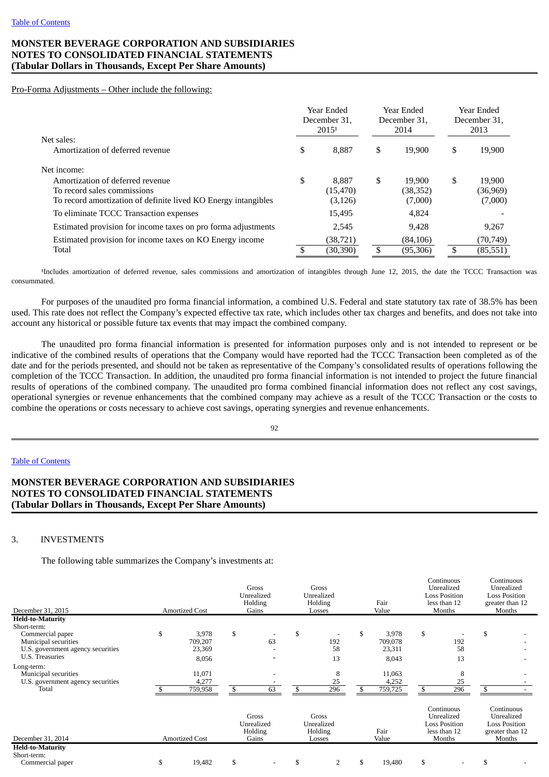## **MONSTER BEVERAGE CORPORATION AND SUBSIDIARIES NOTES TO CONSOLIDATED FINANCIAL STATEMENTS (Tabular Dollars in Thousands, Except Per Share Amounts)**

#### Pro-Forma Adjustments – Other include the following:

|                                                                | Year Ended<br>December 31.<br>2015 <sup>1</sup> |     | Year Ended<br>December 31.<br>2014 |     | Year Ended<br>December 31.<br>2013 |
|----------------------------------------------------------------|-------------------------------------------------|-----|------------------------------------|-----|------------------------------------|
| Net sales:                                                     |                                                 |     |                                    |     |                                    |
| Amortization of deferred revenue                               | \$<br>8,887                                     | \$  | 19.900                             | \$  | 19,900                             |
| Net income:                                                    |                                                 |     |                                    |     |                                    |
| Amortization of deferred revenue                               | \$<br>8.887                                     | \$  | 19.900                             | \$  | 19,900                             |
| To record sales commissions                                    | (15, 470)                                       |     | (38,352)                           |     | (36,969)                           |
| To record amortization of definite lived KO Energy intangibles | (3, 126)                                        |     | (7,000)                            |     | (7,000)                            |
| To eliminate TCCC Transaction expenses                         | 15,495                                          |     | 4,824                              |     |                                    |
| Estimated provision for income taxes on pro forma adjustments  | 2,545                                           |     | 9.428                              |     | 9,267                              |
| Estimated provision for income taxes on KO Energy income       | (38, 721)                                       |     | (84, 106)                          |     | (70, 749)                          |
| Total                                                          | (30,390)                                        | \$. | (95,306)                           | \$. | (85,551)                           |

<sup>1</sup>Includes amortization of deferred revenue, sales commissions and amortization of intangibles through June 12, 2015, the date the TCCC Transaction was consummated.

For purposes of the unaudited pro forma financial information, a combined U.S. Federal and state statutory tax rate of 38.5% has been used. This rate does not reflect the Company's expected effective tax rate, which includes other tax charges and benefits, and does not take into account any historical or possible future tax events that may impact the combined company.

The unaudited pro forma financial information is presented for information purposes only and is not intended to represent or be indicative of the combined results of operations that the Company would have reported had the TCCC Transaction been completed as of the date and for the periods presented, and should not be taken as representative of the Company's consolidated results of operations following the completion of the TCCC Transaction. In addition, the unaudited pro forma financial information is not intended to project the future financial results of operations of the combined company. The unaudited pro forma combined financial information does not reflect any cost savings, operational synergies or revenue enhancements that the combined company may achieve as a result of the TCCC Transaction or the costs to combine the operations or costs necessary to achieve cost savings, operating synergies and revenue enhancements.

92

### Table of [Contents](#page-1-0)

# **MONSTER BEVERAGE CORPORATION AND SUBSIDIARIES NOTES TO CONSOLIDATED FINANCIAL STATEMENTS (Tabular Dollars in Thousands, Except Per Share Amounts)**

### 3. INVESTMENTS

The following table summarizes the Company's investments at:

| December 31, 2015                 | <b>Amortized Cost</b> |                                | Gross<br>Unrealized<br>Holding<br>Gains |                                | Gross<br>Unrealized<br>Holding<br>Losses |      | Fair<br>Value |                                                                  | Continuous<br>Unrealized<br><b>Loss Position</b><br>less than 12<br>Months |    | Continuous<br>Unrealized<br><b>Loss Position</b><br>greater than 12<br>Months |
|-----------------------------------|-----------------------|--------------------------------|-----------------------------------------|--------------------------------|------------------------------------------|------|---------------|------------------------------------------------------------------|----------------------------------------------------------------------------|----|-------------------------------------------------------------------------------|
| <b>Held-to-Maturity</b>           |                       |                                |                                         |                                |                                          |      |               |                                                                  |                                                                            |    |                                                                               |
| Short-term:                       |                       |                                |                                         |                                |                                          |      |               |                                                                  |                                                                            |    |                                                                               |
| Commercial paper                  | \$<br>3,978           | \$                             |                                         | \$                             |                                          | \$   | 3,978         | \$                                                               |                                                                            | \$ |                                                                               |
| Municipal securities              | 709,207               |                                | 63                                      |                                | 192                                      |      | 709,078       |                                                                  | 192                                                                        |    |                                                                               |
| U.S. government agency securities | 23,369                |                                |                                         |                                | 58                                       |      | 23,311        |                                                                  | 58                                                                         |    |                                                                               |
| U.S. Treasuries                   | 8,056                 |                                |                                         |                                | 13                                       |      | 8,043         |                                                                  | 13                                                                         |    |                                                                               |
| Long-term:                        |                       |                                |                                         |                                |                                          |      |               |                                                                  |                                                                            |    |                                                                               |
| Municipal securities              | 11,071                |                                |                                         |                                | 8                                        |      | 11,063        |                                                                  | 8                                                                          |    |                                                                               |
| U.S. government agency securities | 4,277                 |                                |                                         |                                | 25                                       |      | 4,252         |                                                                  | 25                                                                         |    |                                                                               |
| Total                             | 759,958               | \$                             | 63                                      | \$                             | 296                                      | \$.  | 759,725       |                                                                  | 296                                                                        | \$ |                                                                               |
|                                   |                       |                                |                                         |                                |                                          |      |               |                                                                  |                                                                            |    |                                                                               |
|                                   |                       | Gross<br>Unrealized<br>Holding |                                         | Gross<br>Unrealized<br>Holding |                                          | Fair |               | Continuous<br>Unrealized<br><b>Loss Position</b><br>less than 12 |                                                                            |    | Continuous<br>Unrealized<br><b>Loss Position</b><br>greater than 12           |
| December 31, 2014                 | <b>Amortized Cost</b> |                                | Gains                                   |                                | Losses                                   |      | Value         |                                                                  | Months                                                                     |    | Months                                                                        |
| <b>Held-to-Maturity</b>           |                       |                                |                                         |                                |                                          |      |               |                                                                  |                                                                            |    |                                                                               |
| Short-term:                       |                       |                                |                                         |                                |                                          |      |               |                                                                  |                                                                            |    |                                                                               |
| Commercial paper                  | \$<br>19,482          | \$                             |                                         | \$                             | $\overline{2}$                           | S    | 19,480        | \$                                                               |                                                                            | \$ |                                                                               |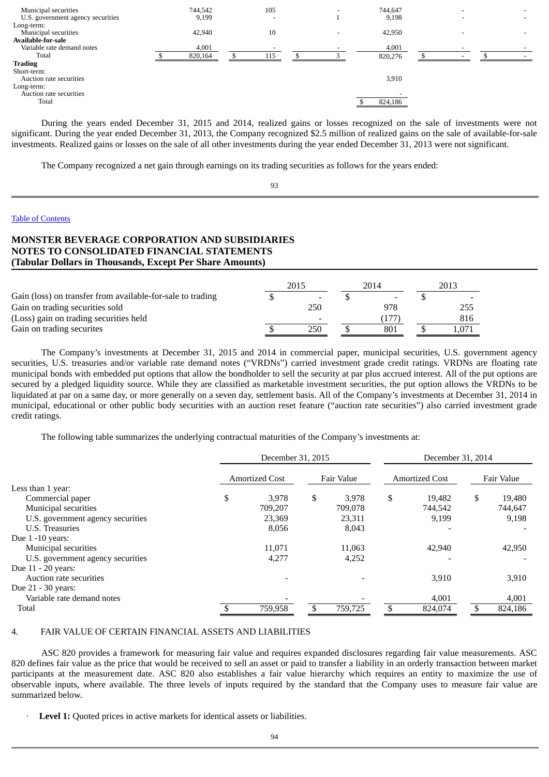| Municipal securities<br>U.S. government agency securities              | 744,542<br>9,199 | 105<br>$\overline{\phantom{a}}$ |   | 744,647<br>9,198 |  |  |
|------------------------------------------------------------------------|------------------|---------------------------------|---|------------------|--|--|
| Long-term:<br>Municipal securities<br><b>Available-for-sale</b>        | 42,940           | 10                              | - | 42,950           |  |  |
| Variable rate demand notes<br>Total                                    | 4,001<br>820,164 | 115                             |   | 4,001<br>820,276 |  |  |
| <b>Trading</b><br>Short-term:<br>Auction rate securities<br>Long-term: |                  |                                 |   | 3,910            |  |  |
| Auction rate securities<br>Total                                       |                  |                                 |   | 824,186          |  |  |

During the years ended December 31, 2015 and 2014, realized gains or losses recognized on the sale of investments were not significant. During the year ended December 31, 2013, the Company recognized \$2.5 million of realized gains on the sale of available-for-sale investments. Realized gains or losses on the sale of all other investments during the year ended December 31, 2013 were not significant.

The Company recognized a net gain through earnings on its trading securities as follows for the years ended:

93

#### Table of [Contents](#page-1-0)

# **MONSTER BEVERAGE CORPORATION AND SUBSIDIARIES NOTES TO CONSOLIDATED FINANCIAL STATEMENTS (Tabular Dollars in Thousands, Except Per Share Amounts)**

|                                                            | 2015 |     | 2014 |     | 2013          |
|------------------------------------------------------------|------|-----|------|-----|---------------|
| Gain (loss) on transfer from available-for-sale to trading |      |     |      |     |               |
| Gain on trading securities sold                            |      | 250 |      | 978 | 255           |
| (Loss) gain on trading securities held                     |      | -   |      | 177 | 816           |
| Gain on trading securites                                  |      | 250 |      | 801 | $.07^{\circ}$ |

The Company's investments at December 31, 2015 and 2014 in commercial paper, municipal securities, U.S. government agency securities, U.S. treasuries and/or variable rate demand notes ("VRDNs") carried investment grade credit ratings. VRDNs are floating rate municipal bonds with embedded put options that allow the bondholder to sell the security at par plus accrued interest. All of the put options are secured by a pledged liquidity source. While they are classified as marketable investment securities, the put option allows the VRDNs to be liquidated at par on a same day, or more generally on a seven day, settlement basis. All of the Company's investments at December 31, 2014 in municipal, educational or other public body securities with an auction reset feature ("auction rate securities") also carried investment grade credit ratings.

The following table summarizes the underlying contractual maturities of the Company's investments at:

|                                   | December 31, 2015     |         |            |         |                       | December 31, 2014 |    |            |  |
|-----------------------------------|-----------------------|---------|------------|---------|-----------------------|-------------------|----|------------|--|
|                                   | <b>Amortized Cost</b> |         | Fair Value |         | <b>Amortized Cost</b> |                   |    | Fair Value |  |
| Less than 1 year:                 |                       |         |            |         |                       |                   |    |            |  |
| Commercial paper                  | \$                    | 3,978   | \$         | 3,978   | \$                    | 19,482            | \$ | 19,480     |  |
| Municipal securities              |                       | 709,207 |            | 709,078 |                       | 744,542           |    | 744,647    |  |
| U.S. government agency securities |                       | 23,369  |            | 23,311  |                       | 9,199             |    | 9,198      |  |
| U.S. Treasuries                   |                       | 8,056   |            | 8,043   |                       |                   |    |            |  |
| Due $1 - 10$ years:               |                       |         |            |         |                       |                   |    |            |  |
| Municipal securities              |                       | 11,071  |            | 11,063  |                       | 42,940            |    | 42,950     |  |
| U.S. government agency securities |                       | 4,277   |            | 4,252   |                       |                   |    |            |  |
| Due 11 - 20 years:                |                       |         |            |         |                       |                   |    |            |  |
| Auction rate securities           |                       |         |            |         |                       | 3,910             |    | 3,910      |  |
| Due 21 - 30 years:                |                       |         |            |         |                       |                   |    |            |  |
| Variable rate demand notes        |                       |         |            |         |                       | 4,001             |    | 4,001      |  |
| Total                             |                       | 759,958 |            | 759,725 | ፍ                     | 824,074           |    | 824,186    |  |

## 4. FAIR VALUE OF CERTAIN FINANCIAL ASSETS AND LIABILITIES

ASC 820 provides a framework for measuring fair value and requires expanded disclosures regarding fair value measurements. ASC 820 defines fair value as the price that would be received to sell an asset or paid to transfer a liability in an orderly transaction between market participants at the measurement date. ASC 820 also establishes a fair value hierarchy which requires an entity to maximize the use of observable inputs, where available. The three levels of inputs required by the standard that the Company uses to measure fair value are summarized below.

Level 1: Quoted prices in active markets for identical assets or liabilities.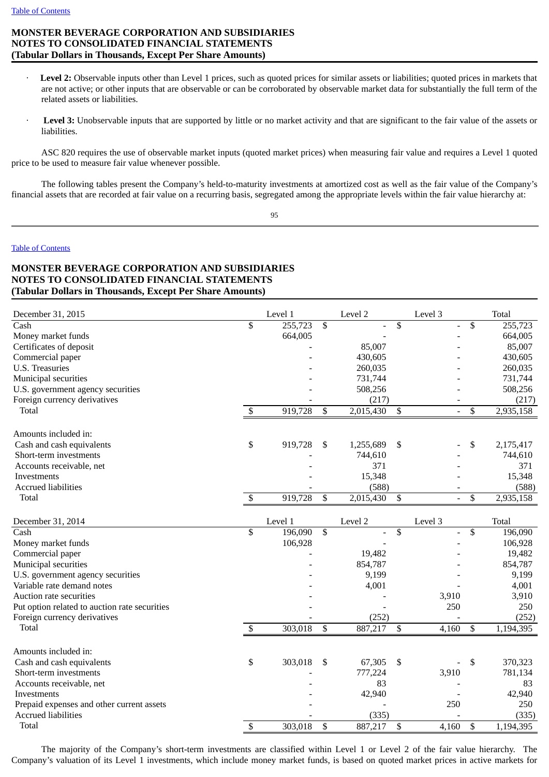# **MONSTER BEVERAGE CORPORATION AND SUBSIDIARIES NOTES TO CONSOLIDATED FINANCIAL STATEMENTS (Tabular Dollars in Thousands, Except Per Share Amounts)**

- Level 2: Observable inputs other than Level 1 prices, such as quoted prices for similar assets or liabilities; quoted prices in markets that are not active; or other inputs that are observable or can be corroborated by observable market data for substantially the full term of the related assets or liabilities.
- Level 3: Unobservable inputs that are supported by little or no market activity and that are significant to the fair value of the assets or liabilities.

ASC 820 requires the use of observable market inputs (quoted market prices) when measuring fair value and requires a Level 1 quoted price to be used to measure fair value whenever possible.

The following tables present the Company's held-to-maturity investments at amortized cost as well as the fair value of the Company's financial assets that are recorded at fair value on a recurring basis, segregated among the appropriate levels within the fair value hierarchy at:

95

### Table of [Contents](#page-1-0)

# **MONSTER BEVERAGE CORPORATION AND SUBSIDIARIES NOTES TO CONSOLIDATED FINANCIAL STATEMENTS (Tabular Dollars in Thousands, Except Per Share Amounts)**

| December 31, 2015                             |                         | Level 1 |              | Level 2   |                 | Level 3        | <b>Total</b>    |
|-----------------------------------------------|-------------------------|---------|--------------|-----------|-----------------|----------------|-----------------|
| Cash                                          | $\overline{\mathbb{S}}$ | 255,723 | \$           |           | \$              | $\overline{a}$ | \$<br>255,723   |
| Money market funds                            |                         | 664,005 |              |           |                 |                | 664,005         |
| Certificates of deposit                       |                         |         |              | 85,007    |                 |                | 85,007          |
| Commercial paper                              |                         |         |              | 430,605   |                 |                | 430,605         |
| U.S. Treasuries                               |                         |         |              | 260,035   |                 |                | 260,035         |
| Municipal securities                          |                         |         |              | 731,744   |                 |                | 731,744         |
| U.S. government agency securities             |                         |         |              | 508,256   |                 |                | 508,256         |
| Foreign currency derivatives                  |                         |         |              | (217)     |                 |                | (217)           |
| Total                                         | \$                      | 919,728 | \$           | 2,015,430 | \$              |                | \$<br>2,935,158 |
| Amounts included in:                          |                         |         |              |           |                 |                |                 |
| Cash and cash equivalents                     | \$                      | 919,728 | \$           | 1,255,689 | \$              |                | \$<br>2,175,417 |
| Short-term investments                        |                         |         |              | 744,610   |                 |                | 744,610         |
| Accounts receivable, net                      |                         |         |              | 371       |                 |                | 371             |
| Investments                                   |                         |         |              | 15,348    |                 |                | 15,348          |
| <b>Accrued liabilities</b>                    |                         |         |              | (588)     |                 |                | (588)           |
| Total                                         | \$                      | 919,728 | \$           | 2,015,430 | \$              | $\blacksquare$ | \$<br>2,935,158 |
| December 31, 2014                             |                         | Level 1 |              | Level 2   |                 | Level 3        | <b>Total</b>    |
| Cash                                          | \$                      | 196,090 | \$           |           | $\overline{\$}$ |                | \$<br>196,090   |
| Money market funds                            |                         | 106,928 |              |           |                 |                | 106,928         |
| Commercial paper                              |                         |         |              | 19,482    |                 |                | 19,482          |
| Municipal securities                          |                         |         |              | 854,787   |                 |                | 854,787         |
| U.S. government agency securities             |                         |         |              | 9,199     |                 |                | 9,199           |
| Variable rate demand notes                    |                         |         |              | 4,001     |                 |                | 4,001           |
| Auction rate securities                       |                         |         |              |           |                 | 3,910          | 3,910           |
| Put option related to auction rate securities |                         |         |              |           |                 | 250            | 250             |
| Foreign currency derivatives                  |                         |         |              | (252)     |                 |                | (252)           |
| Total                                         | $\overline{\mathbb{S}}$ | 303,018 | $\mathbb{S}$ | 887,217   | \$              | 4,160          | \$<br>1,194,395 |
| Amounts included in:                          |                         |         |              |           |                 |                |                 |
| Cash and cash equivalents                     | \$                      | 303,018 | \$           | 67,305    | \$              |                | \$<br>370,323   |
| Short-term investments                        |                         |         |              | 777,224   |                 | 3,910          | 781,134         |
| Accounts receivable, net                      |                         |         |              | 83        |                 |                | 83              |
| Investments                                   |                         |         |              | 42,940    |                 |                | 42,940          |
| Prepaid expenses and other current assets     |                         |         |              |           |                 | 250            | 250             |
| <b>Accrued liabilities</b>                    |                         |         |              | (335)     |                 |                | (335)           |
| Total                                         | \$                      | 303,018 | \$           | 887,217   | \$              | 4,160          | \$<br>1,194,395 |
|                                               |                         |         |              |           |                 |                |                 |

The majority of the Company's short-term investments are classified within Level 1 or Level 2 of the fair value hierarchy. The Company's valuation of its Level 1 investments, which include money market funds, is based on quoted market prices in active markets for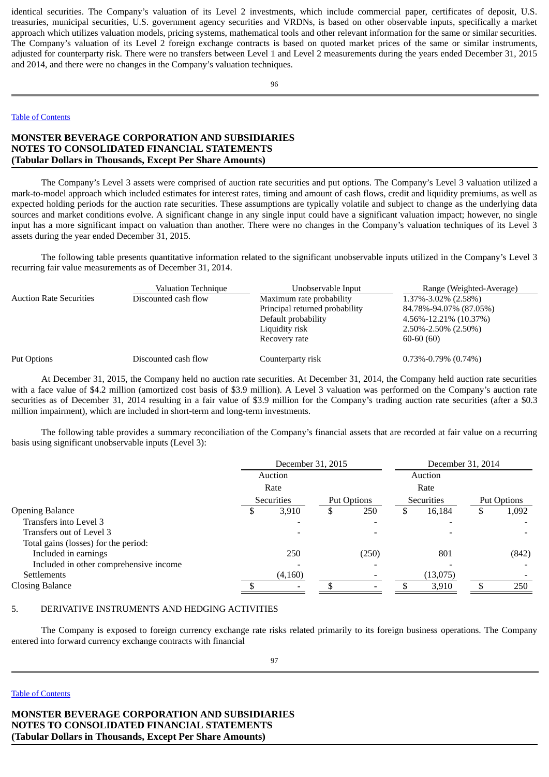identical securities. The Company's valuation of its Level 2 investments, which include commercial paper, certificates of deposit, U.S. treasuries, municipal securities, U.S. government agency securities and VRDNs, is based on other observable inputs, specifically a market approach which utilizes valuation models, pricing systems, mathematical tools and other relevant information for the same or similar securities. The Company's valuation of its Level 2 foreign exchange contracts is based on quoted market prices of the same or similar instruments, adjusted for counterparty risk. There were no transfers between Level 1 and Level 2 measurements during the years ended December 31, 2015 and 2014, and there were no changes in the Company's valuation techniques.

96

### Table of [Contents](#page-1-0)

# **MONSTER BEVERAGE CORPORATION AND SUBSIDIARIES NOTES TO CONSOLIDATED FINANCIAL STATEMENTS (Tabular Dollars in Thousands, Except Per Share Amounts)**

The Company's Level 3 assets were comprised of auction rate securities and put options. The Company's Level 3 valuation utilized a mark-to-model approach which included estimates for interest rates, timing and amount of cash flows, credit and liquidity premiums, as well as expected holding periods for the auction rate securities. These assumptions are typically volatile and subject to change as the underlying data sources and market conditions evolve. A significant change in any single input could have a significant valuation impact; however, no single input has a more significant impact on valuation than another. There were no changes in the Company's valuation techniques of its Level 3 assets during the year ended December 31, 2015.

The following table presents quantitative information related to the significant unobservable inputs utilized in the Company's Level 3 recurring fair value measurements as of December 31, 2014.

|                                | Valuation Technique  | Unobservable Input             | Range (Weighted-Average)  |
|--------------------------------|----------------------|--------------------------------|---------------------------|
| <b>Auction Rate Securities</b> | Discounted cash flow | Maximum rate probability       | 1.37%-3.02% (2.58%)       |
|                                |                      | Principal returned probability | 84.78%-94.07% (87.05%)    |
|                                |                      | Default probability            | 4.56%-12.21% (10.37%)     |
|                                |                      | Liquidity risk                 | $2.50\% - 2.50\%$ (2.50%) |
|                                |                      | Recovery rate                  | $60-60(60)$               |
| Put Options                    | Discounted cash flow | Counterparty risk              | $0.73\% -0.79\%$ (0.74%)  |

At December 31, 2015, the Company held no auction rate securities. At December 31, 2014, the Company held auction rate securities with a face value of \$4.2 million (amortized cost basis of \$3.9 million). A Level 3 valuation was performed on the Company's auction rate securities as of December 31, 2014 resulting in a fair value of \$3.9 million for the Company's trading auction rate securities (after a \$0.3 million impairment), which are included in short-term and long-term investments.

The following table provides a summary reconciliation of the Company's financial assets that are recorded at fair value on a recurring basis using significant unobservable inputs (Level 3):

|                                        | December 31, 2015         |         |  |       |  | December 31, 2014 |             |       |  |
|----------------------------------------|---------------------------|---------|--|-------|--|-------------------|-------------|-------|--|
|                                        |                           | Auction |  |       |  | Auction           |             |       |  |
|                                        | Rate                      |         |  |       |  | Rate              |             |       |  |
|                                        | Securities<br>Put Options |         |  |       |  | Securities        | Put Options |       |  |
| <b>Opening Balance</b>                 |                           | 3,910   |  | 250   |  | 16,184            |             | 1,092 |  |
| Transfers into Level 3                 |                           |         |  |       |  |                   |             |       |  |
| Transfers out of Level 3               |                           |         |  |       |  |                   |             |       |  |
| Total gains (losses) for the period:   |                           |         |  |       |  |                   |             |       |  |
| Included in earnings                   |                           | 250     |  | (250) |  | 801               |             | (842) |  |
| Included in other comprehensive income |                           |         |  |       |  |                   |             |       |  |
| <b>Settlements</b>                     |                           | (4,160) |  |       |  | (13,075)          |             |       |  |
| <b>Closing Balance</b>                 |                           |         |  |       |  | 3,910             |             | 250   |  |

#### 5. DERIVATIVE INSTRUMENTS AND HEDGING ACTIVITIES

The Company is exposed to foreign currency exchange rate risks related primarily to its foreign business operations. The Company entered into forward currency exchange contracts with financial

#### Table of [Contents](#page-1-0)

**MONSTER BEVERAGE CORPORATION AND SUBSIDIARIES NOTES TO CONSOLIDATED FINANCIAL STATEMENTS (Tabular Dollars in Thousands, Except Per Share Amounts)**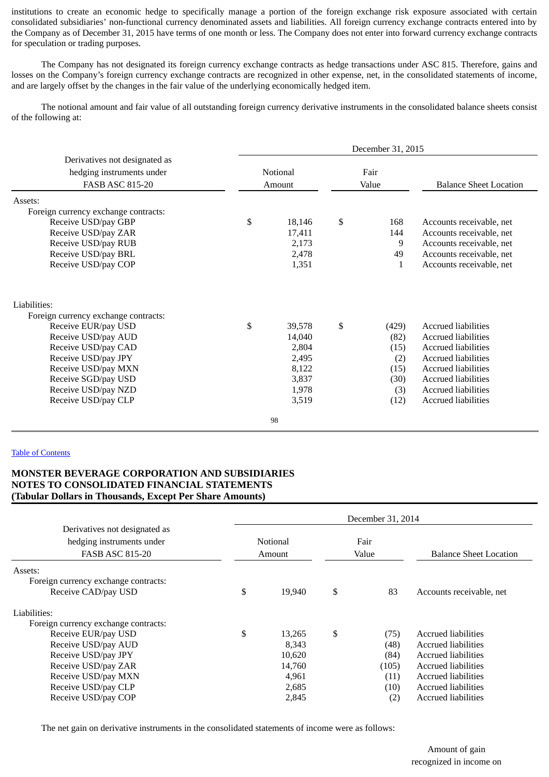institutions to create an economic hedge to specifically manage a portion of the foreign exchange risk exposure associated with certain consolidated subsidiaries' non-functional currency denominated assets and liabilities. All foreign currency exchange contracts entered into by the Company as of December 31, 2015 have terms of one month or less. The Company does not enter into forward currency exchange contracts for speculation or trading purposes.

The Company has not designated its foreign currency exchange contracts as hedge transactions under ASC 815. Therefore, gains and losses on the Company's foreign currency exchange contracts are recognized in other expense, net, in the consolidated statements of income, and are largely offset by the changes in the fair value of the underlying economically hedged item.

The notional amount and fair value of all outstanding foreign currency derivative instruments in the consolidated balance sheets consist of the following at:

|                                      | December 31, 2015 |          |    |       |                               |  |  |  |  |  |  |
|--------------------------------------|-------------------|----------|----|-------|-------------------------------|--|--|--|--|--|--|
| Derivatives not designated as        |                   |          |    |       |                               |  |  |  |  |  |  |
| hedging instruments under            |                   | Notional |    | Fair  |                               |  |  |  |  |  |  |
| <b>FASB ASC 815-20</b>               |                   | Amount   |    | Value | <b>Balance Sheet Location</b> |  |  |  |  |  |  |
| Assets:                              |                   |          |    |       |                               |  |  |  |  |  |  |
| Foreign currency exchange contracts: |                   |          |    |       |                               |  |  |  |  |  |  |
| Receive USD/pay GBP                  | \$                | 18,146   | \$ | 168   | Accounts receivable, net      |  |  |  |  |  |  |
| Receive USD/pay ZAR                  |                   | 17,411   |    | 144   | Accounts receivable, net      |  |  |  |  |  |  |
| Receive USD/pay RUB                  |                   | 2,173    |    | 9     | Accounts receivable, net      |  |  |  |  |  |  |
| Receive USD/pay BRL                  |                   | 2,478    |    | 49    | Accounts receivable, net      |  |  |  |  |  |  |
| Receive USD/pay COP                  |                   | 1,351    |    | 1     | Accounts receivable, net      |  |  |  |  |  |  |
| Liabilities:                         |                   |          |    |       |                               |  |  |  |  |  |  |
| Foreign currency exchange contracts: |                   |          |    |       |                               |  |  |  |  |  |  |
| Receive EUR/pay USD                  | \$                | 39,578   | \$ | (429) | Accrued liabilities           |  |  |  |  |  |  |
| Receive USD/pay AUD                  |                   | 14,040   |    | (82)  | <b>Accrued liabilities</b>    |  |  |  |  |  |  |
| Receive USD/pay CAD                  |                   | 2,804    |    | (15)  | <b>Accrued liabilities</b>    |  |  |  |  |  |  |
| Receive USD/pay JPY                  |                   | 2,495    |    | (2)   | <b>Accrued liabilities</b>    |  |  |  |  |  |  |
| Receive USD/pay MXN                  |                   | 8,122    |    | (15)  | <b>Accrued liabilities</b>    |  |  |  |  |  |  |
| Receive SGD/pay USD                  |                   | 3,837    |    | (30)  | <b>Accrued liabilities</b>    |  |  |  |  |  |  |
| Receive USD/pay NZD                  |                   | 1,978    |    | (3)   | <b>Accrued liabilities</b>    |  |  |  |  |  |  |
| Receive USD/pay CLP                  |                   | 3,519    |    | (12)  | <b>Accrued liabilities</b>    |  |  |  |  |  |  |
|                                      |                   | 98       |    |       |                               |  |  |  |  |  |  |

### Table of [Contents](#page-1-0)

## **MONSTER BEVERAGE CORPORATION AND SUBSIDIARIES NOTES TO CONSOLIDATED FINANCIAL STATEMENTS (Tabular Dollars in Thousands, Except Per Share Amounts)**

|                                      | December 31, 2014 |        |    |       |                               |  |  |  |  |  |
|--------------------------------------|-------------------|--------|----|-------|-------------------------------|--|--|--|--|--|
| Derivatives not designated as        |                   |        |    |       |                               |  |  |  |  |  |
| hedging instruments under            | Notional          |        |    | Fair  |                               |  |  |  |  |  |
| <b>FASB ASC 815-20</b>               | Amount            |        |    | Value | <b>Balance Sheet Location</b> |  |  |  |  |  |
| Assets:                              |                   |        |    |       |                               |  |  |  |  |  |
| Foreign currency exchange contracts: |                   |        |    |       |                               |  |  |  |  |  |
| Receive CAD/pay USD                  | \$                | 19,940 | \$ | 83    | Accounts receivable, net      |  |  |  |  |  |
| Liabilities:                         |                   |        |    |       |                               |  |  |  |  |  |
| Foreign currency exchange contracts: |                   |        |    |       |                               |  |  |  |  |  |
| Receive EUR/pay USD                  | \$                | 13,265 | \$ | (75)  | Accrued liabilities           |  |  |  |  |  |
| Receive USD/pay AUD                  |                   | 8,343  |    | (48)  | Accrued liabilities           |  |  |  |  |  |
| Receive USD/pay JPY                  |                   | 10,620 |    | (84)  | Accrued liabilities           |  |  |  |  |  |
| Receive USD/pay ZAR                  |                   | 14,760 |    | (105) | Accrued liabilities           |  |  |  |  |  |
| Receive USD/pay MXN                  |                   | 4,961  |    | (11)  | Accrued liabilities           |  |  |  |  |  |
| Receive USD/pay CLP                  |                   | 2,685  |    | (10)  | Accrued liabilities           |  |  |  |  |  |
| Receive USD/pay COP                  |                   | 2,845  |    | (2)   | Accrued liabilities           |  |  |  |  |  |

The net gain on derivative instruments in the consolidated statements of income were as follows: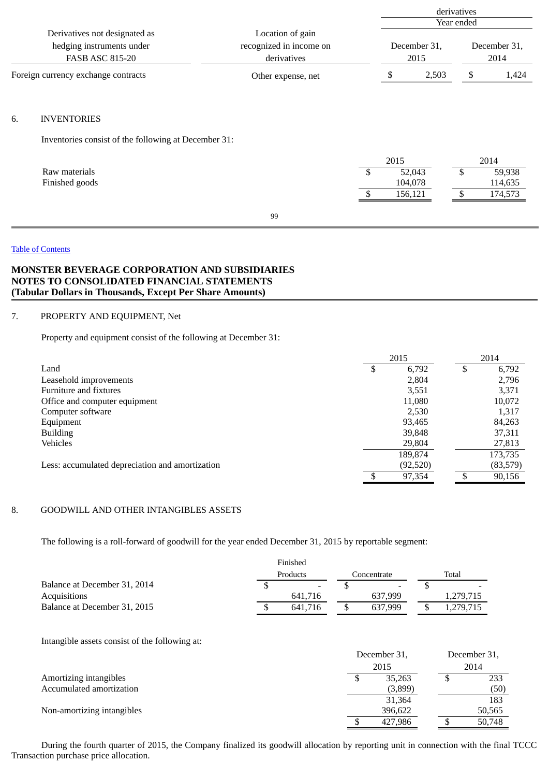|    |                                                                                      |                                                            |     |                      | derivatives<br>Year ended |               |                      |  |  |  |  |
|----|--------------------------------------------------------------------------------------|------------------------------------------------------------|-----|----------------------|---------------------------|---------------|----------------------|--|--|--|--|
|    | Derivatives not designated as<br>hedging instruments under<br><b>FASB ASC 815-20</b> | Location of gain<br>recognized in income on<br>derivatives |     | December 31,<br>2015 |                           |               | December 31,<br>2014 |  |  |  |  |
|    | Foreign currency exchange contracts                                                  | Other expense, net                                         |     | \$                   | 2,503                     | \$            | 1,424                |  |  |  |  |
| 6. | <b>INVENTORIES</b>                                                                   |                                                            |     |                      |                           |               |                      |  |  |  |  |
|    | Inventories consist of the following at December 31:                                 |                                                            |     |                      |                           |               |                      |  |  |  |  |
|    |                                                                                      |                                                            |     | 2015                 |                           |               | 2014                 |  |  |  |  |
|    | Raw materials<br>Finished goods                                                      |                                                            | -\$ | 52,043<br>104,078    |                           | -\$           | 59,938<br>114,635    |  |  |  |  |
|    |                                                                                      |                                                            |     | 156,121              |                           | $\mathbf{\$}$ | 174,573              |  |  |  |  |
|    |                                                                                      | 99                                                         |     |                      |                           |               |                      |  |  |  |  |
|    |                                                                                      |                                                            |     |                      |                           |               |                      |  |  |  |  |

## Table of [Contents](#page-1-0)

# **MONSTER BEVERAGE CORPORATION AND SUBSIDIARIES NOTES TO CONSOLIDATED FINANCIAL STATEMENTS (Tabular Dollars in Thousands, Except Per Share Amounts)**

## 7. PROPERTY AND EQUIPMENT, Net

Property and equipment consist of the following at December 31:

|                                                 |   | 2015      |   | 2014 |           |
|-------------------------------------------------|---|-----------|---|------|-----------|
| Land                                            | S | 6,792     | S |      | 6,792     |
| Leasehold improvements                          |   | 2,804     |   |      | 2,796     |
| Furniture and fixtures                          |   | 3,551     |   |      | 3,371     |
| Office and computer equipment                   |   | 11,080    |   |      | 10,072    |
| Computer software                               |   | 2,530     |   |      | 1,317     |
| Equipment                                       |   | 93,465    |   |      | 84,263    |
| <b>Building</b>                                 |   | 39,848    |   |      | 37,311    |
| Vehicles                                        |   | 29,804    |   |      | 27,813    |
|                                                 |   | 189,874   |   |      | 173,735   |
| Less: accumulated depreciation and amortization |   | (92, 520) |   |      | (83, 579) |
|                                                 |   | 97,354    |   |      | 90,156    |

# 8. GOODWILL AND OTHER INTANGIBLES ASSETS

The following is a roll-forward of goodwill for the year ended December 31, 2015 by reportable segment:

|                              |          | Finished                 |  |             |       |           |  |
|------------------------------|----------|--------------------------|--|-------------|-------|-----------|--|
|                              | Products |                          |  | Concentrate | Total |           |  |
| Balance at December 31, 2014 |          | $\overline{\phantom{a}}$ |  |             |       |           |  |
| Acquisitions                 |          | 641.716                  |  | 637.999     |       | 1,279,715 |  |
| Balance at December 31, 2015 |          | 641.716                  |  | 637.999     |       | 1,279,715 |  |

Intangible assets consist of the following at:

|                            |   | December 31, |  | December 31, |  |  |
|----------------------------|---|--------------|--|--------------|--|--|
|                            |   | 2015         |  |              |  |  |
| Amortizing intangibles     | ⊅ | 35,263       |  | 233          |  |  |
| Accumulated amortization   |   | (3,899)      |  | (50)         |  |  |
|                            |   | 31,364       |  | 183          |  |  |
| Non-amortizing intangibles |   | 396.622      |  | 50,565       |  |  |
|                            |   | 427.986      |  | 50,748       |  |  |

During the fourth quarter of 2015, the Company finalized its goodwill allocation by reporting unit in connection with the final TCCC Transaction purchase price allocation.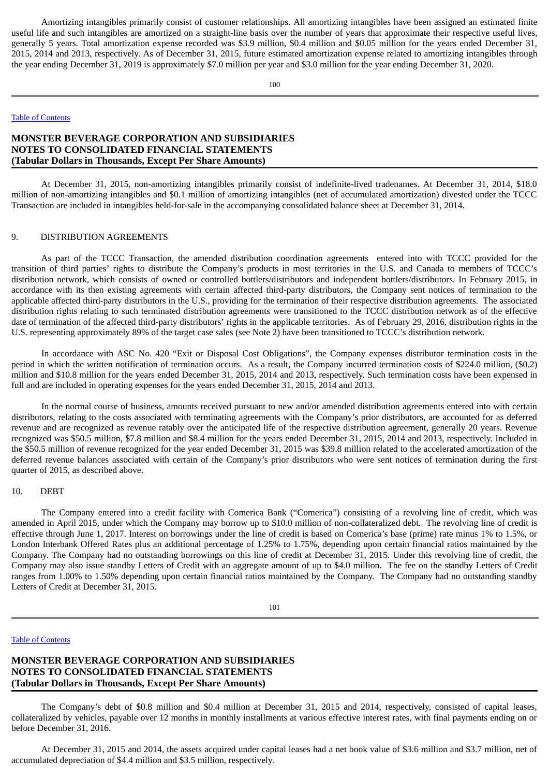Amortizing intangibles primarily consist of customer relationships. All amortizing intangibles have been assigned an estimated finite useful life and such intangibles are amortized on a straight-line basis over the number of years that approximate their respective useful lives, generally 5 years. Total amortization expense recorded was \$3.9 million, \$0.4 million and \$0.05 million for the years ended December 31, 2015, 2014 and 2013, respectively. As of December 31, 2015, future estimated amortization expense related to amortizing intangibles through the year ending December 31, 2019 is approximately \$7.0 million per year and \$3.0 million for the year ending December 31, 2020.

100

### Table of [Contents](#page-1-0)

# **MONSTER BEVERAGE CORPORATION AND SUBSIDIARIES NOTES TO CONSOLIDATED FINANCIAL STATEMENTS (Tabular Dollars in Thousands, Except Per Share Amounts)**

At December 31, 2015, non-amortizing intangibles primarily consist of indefinite-lived tradenames. At December 31, 2014, \$18.0 million of non-amortizing intangibles and \$0.1 million of amortizing intangibles (net of accumulated amortization) divested under the TCCC Transaction are included in intangibles held-for-sale in the accompanying consolidated balance sheet at December 31, 2014.

### 9. DISTRIBUTION AGREEMENTS

As part of the TCCC Transaction, the amended distribution coordination agreements entered into with TCCC provided for the transition of third parties' rights to distribute the Company's products in most territories in the U.S. and Canada to members of TCCC's distribution network, which consists of owned or controlled bottlers/distributors and independent bottlers/distributors. In February 2015, in accordance with its then existing agreements with certain affected third-party distributors, the Company sent notices of termination to the applicable affected third-party distributors in the U.S., providing for the termination of their respective distribution agreements. The associated distribution rights relating to such terminated distribution agreements were transitioned to the TCCC distribution network as of the effective date of termination of the affected third-party distributors' rights in the applicable territories. As of February 29, 2016, distribution rights in the U.S. representing approximately 89% of the target case sales (see Note 2) have been transitioned to TCCC's distribution network.

In accordance with ASC No. 420 "Exit or Disposal Cost Obligations", the Company expenses distributor termination costs in the period in which the written notification of termination occurs. As a result, the Company incurred termination costs of \$224.0 million, (\$0.2) million and \$10.8 million for the years ended December 31, 2015, 2014 and 2013, respectively. Such termination costs have been expensed in full and are included in operating expenses for the years ended December 31, 2015, 2014 and 2013.

In the normal course of business, amounts received pursuant to new and/or amended distribution agreements entered into with certain distributors, relating to the costs associated with terminating agreements with the Company's prior distributors, are accounted for as deferred revenue and are recognized as revenue ratably over the anticipated life of the respective distribution agreement, generally 20 years. Revenue recognized was \$50.5 million, \$7.8 million and \$8.4 million for the years ended December 31, 2015, 2014 and 2013, respectively. Included in the \$50.5 million of revenue recognized for the year ended December 31, 2015 was \$39.8 million related to the accelerated amortization of the deferred revenue balances associated with certain of the Company's prior distributors who were sent notices of termination during the first quarter of 2015, as described above.

### 10. DEBT

The Company entered into a credit facility with Comerica Bank ("Comerica") consisting of a revolving line of credit, which was amended in April 2015, under which the Company may borrow up to \$10.0 million of non-collateralized debt. The revolving line of credit is effective through June 1, 2017. Interest on borrowings under the line of credit is based on Comerica's base (prime) rate minus 1% to 1.5%, or London Interbank Offered Rates plus an additional percentage of 1.25% to 1.75%, depending upon certain financial ratios maintained by the Company. The Company had no outstanding borrowings on this line of credit at December 31, 2015. Under this revolving line of credit, the Company may also issue standby Letters of Credit with an aggregate amount of up to \$4.0 million. The fee on the standby Letters of Credit ranges from 1.00% to 1.50% depending upon certain financial ratios maintained by the Company. The Company had no outstanding standby Letters of Credit at December 31, 2015.

101

#### Table of [Contents](#page-1-0)

# **MONSTER BEVERAGE CORPORATION AND SUBSIDIARIES NOTES TO CONSOLIDATED FINANCIAL STATEMENTS (Tabular Dollars in Thousands, Except Per Share Amounts)**

The Company's debt of \$0.8 million and \$0.4 million at December 31, 2015 and 2014, respectively, consisted of capital leases, collateralized by vehicles, payable over 12 months in monthly installments at various effective interest rates, with final payments ending on or before December 31, 2016.

At December 31, 2015 and 2014, the assets acquired under capital leases had a net book value of \$3.6 million and \$3.7 million, net of accumulated depreciation of \$4.4 million and \$3.5 million, respectively.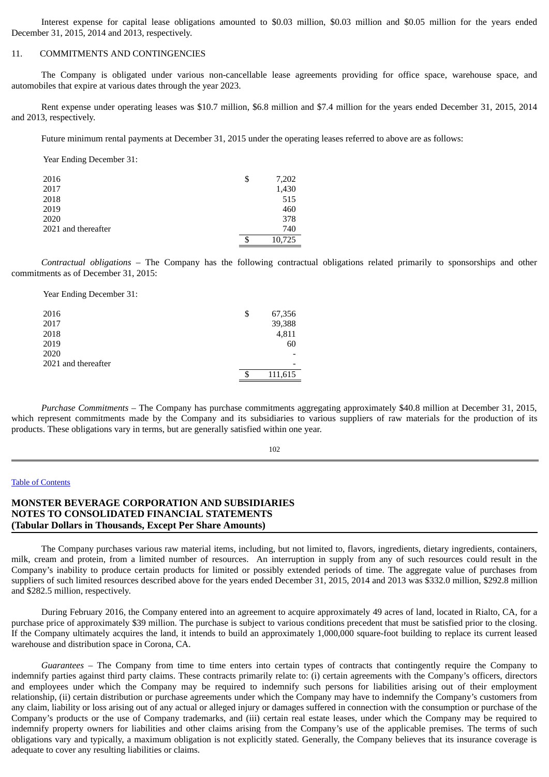Interest expense for capital lease obligations amounted to \$0.03 million, \$0.03 million and \$0.05 million for the years ended December 31, 2015, 2014 and 2013, respectively.

## 11. COMMITMENTS AND CONTINGENCIES

The Company is obligated under various non-cancellable lease agreements providing for office space, warehouse space, and automobiles that expire at various dates through the year 2023.

Rent expense under operating leases was \$10.7 million, \$6.8 million and \$7.4 million for the years ended December 31, 2015, 2014 and 2013, respectively.

Future minimum rental payments at December 31, 2015 under the operating leases referred to above are as follows:

Year Ending December 31:

| 2016                | \$<br>7,202  |
|---------------------|--------------|
| 2017                | 1,430        |
| 2018                | 515          |
| 2019                | 460          |
| 2020                | 378          |
| 2021 and thereafter | 740          |
|                     | \$<br>10,725 |

*Contractual obligations* – The Company has the following contractual obligations related primarily to sponsorships and other commitments as of December 31, 2015:

Year Ending December 31:

| 2016                | \$<br>67,356 |
|---------------------|--------------|
| 2017                | 39,388       |
| 2018                | 4,811        |
| 2019                | 60           |
| 2020                |              |
| 2021 and thereafter | -            |
|                     | 111,615      |

*Purchase Commitments* – The Company has purchase commitments aggregating approximately \$40.8 million at December 31, 2015, which represent commitments made by the Company and its subsidiaries to various suppliers of raw materials for the production of its products. These obligations vary in terms, but are generally satisfied within one year.

102

## Table of [Contents](#page-1-0)

## **MONSTER BEVERAGE CORPORATION AND SUBSIDIARIES NOTES TO CONSOLIDATED FINANCIAL STATEMENTS (Tabular Dollars in Thousands, Except Per Share Amounts)**

The Company purchases various raw material items, including, but not limited to, flavors, ingredients, dietary ingredients, containers, milk, cream and protein, from a limited number of resources. An interruption in supply from any of such resources could result in the Company's inability to produce certain products for limited or possibly extended periods of time. The aggregate value of purchases from suppliers of such limited resources described above for the years ended December 31, 2015, 2014 and 2013 was \$332.0 million, \$292.8 million and \$282.5 million, respectively.

During February 2016, the Company entered into an agreement to acquire approximately 49 acres of land, located in Rialto, CA, for a purchase price of approximately \$39 million. The purchase is subject to various conditions precedent that must be satisfied prior to the closing. If the Company ultimately acquires the land, it intends to build an approximately 1,000,000 square-foot building to replace its current leased warehouse and distribution space in Corona, CA.

*Guarantees* – The Company from time to time enters into certain types of contracts that contingently require the Company to indemnify parties against third party claims. These contracts primarily relate to: (i) certain agreements with the Company's officers, directors and employees under which the Company may be required to indemnify such persons for liabilities arising out of their employment relationship, (ii) certain distribution or purchase agreements under which the Company may have to indemnify the Company's customers from any claim, liability or loss arising out of any actual or alleged injury or damages suffered in connection with the consumption or purchase of the Company's products or the use of Company trademarks, and (iii) certain real estate leases, under which the Company may be required to indemnify property owners for liabilities and other claims arising from the Company's use of the applicable premises. The terms of such obligations vary and typically, a maximum obligation is not explicitly stated. Generally, the Company believes that its insurance coverage is adequate to cover any resulting liabilities or claims.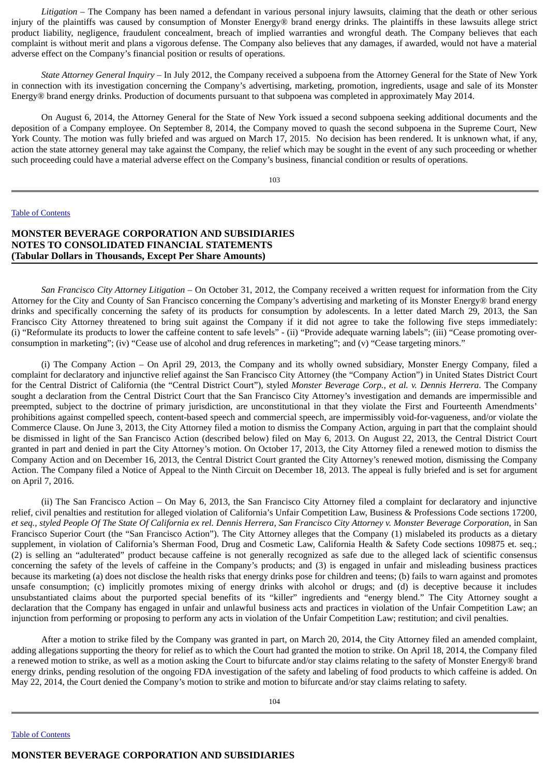*Litigation –* The Company has been named a defendant in various personal injury lawsuits, claiming that the death or other serious injury of the plaintiffs was caused by consumption of Monster Energy® brand energy drinks. The plaintiffs in these lawsuits allege strict product liability, negligence, fraudulent concealment, breach of implied warranties and wrongful death. The Company believes that each complaint is without merit and plans a vigorous defense. The Company also believes that any damages, if awarded, would not have a material adverse effect on the Company's financial position or results of operations.

*State Attorney General Inquiry* – In July 2012, the Company received a subpoena from the Attorney General for the State of New York in connection with its investigation concerning the Company's advertising, marketing, promotion, ingredients, usage and sale of its Monster Energy® brand energy drinks. Production of documents pursuant to that subpoena was completed in approximately May 2014.

On August 6, 2014, the Attorney General for the State of New York issued a second subpoena seeking additional documents and the deposition of a Company employee. On September 8, 2014, the Company moved to quash the second subpoena in the Supreme Court, New York County. The motion was fully briefed and was argued on March 17, 2015. No decision has been rendered. It is unknown what, if any, action the state attorney general may take against the Company, the relief which may be sought in the event of any such proceeding or whether such proceeding could have a material adverse effect on the Company's business, financial condition or results of operations.

103

#### Table of [Contents](#page-1-0)

## **MONSTER BEVERAGE CORPORATION AND SUBSIDIARIES NOTES TO CONSOLIDATED FINANCIAL STATEMENTS (Tabular Dollars in Thousands, Except Per Share Amounts)**

*San Francisco City Attorney Litigation* – On October 31, 2012, the Company received a written request for information from the City Attorney for the City and County of San Francisco concerning the Company's advertising and marketing of its Monster Energy® brand energy drinks and specifically concerning the safety of its products for consumption by adolescents. In a letter dated March 29, 2013, the San Francisco City Attorney threatened to bring suit against the Company if it did not agree to take the following five steps immediately: (i) "Reformulate its products to lower the caffeine content to safe levels" - (ii) "Provide adequate warning labels"; (iii) "Cease promoting overconsumption in marketing"; (iv) "Cease use of alcohol and drug references in marketing"; and (v) "Cease targeting minors."

(i) The Company Action – On April 29, 2013, the Company and its wholly owned subsidiary, Monster Energy Company, filed a complaint for declaratory and injunctive relief against the San Francisco City Attorney (the "Company Action") in United States District Court for the Central District of California (the "Central District Court"), styled *Monster Beverage Corp., et al. v. Dennis Herrera*. The Company sought a declaration from the Central District Court that the San Francisco City Attorney's investigation and demands are impermissible and preempted, subject to the doctrine of primary jurisdiction, are unconstitutional in that they violate the First and Fourteenth Amendments' prohibitions against compelled speech, content-based speech and commercial speech, are impermissibly void-for-vagueness, and/or violate the Commerce Clause. On June 3, 2013, the City Attorney filed a motion to dismiss the Company Action, arguing in part that the complaint should be dismissed in light of the San Francisco Action (described below) filed on May 6, 2013. On August 22, 2013, the Central District Court granted in part and denied in part the City Attorney's motion. On October 17, 2013, the City Attorney filed a renewed motion to dismiss the Company Action and on December 16, 2013, the Central District Court granted the City Attorney's renewed motion, dismissing the Company Action. The Company filed a Notice of Appeal to the Ninth Circuit on December 18, 2013. The appeal is fully briefed and is set for argument on April 7, 2016.

(ii) The San Francisco Action – On May 6, 2013, the San Francisco City Attorney filed a complaint for declaratory and injunctive relief, civil penalties and restitution for alleged violation of California's Unfair Competition Law, Business & Professions Code sections 17200, et seg., styled People Of The State Of California ex rel. Dennis Herrera, San Francisco City Attorney v. Monster Beverage Corporation, in San Francisco Superior Court (the "San Francisco Action"). The City Attorney alleges that the Company (1) mislabeled its products as a dietary supplement, in violation of California's Sherman Food, Drug and Cosmetic Law, California Health & Safety Code sections 109875 et. seq.; (2) is selling an "adulterated" product because caffeine is not generally recognized as safe due to the alleged lack of scientific consensus concerning the safety of the levels of caffeine in the Company's products; and (3) is engaged in unfair and misleading business practices because its marketing (a) does not disclose the health risks that energy drinks pose for children and teens; (b) fails to warn against and promotes unsafe consumption; (c) implicitly promotes mixing of energy drinks with alcohol or drugs; and (d) is deceptive because it includes unsubstantiated claims about the purported special benefits of its "killer" ingredients and "energy blend." The City Attorney sought a declaration that the Company has engaged in unfair and unlawful business acts and practices in violation of the Unfair Competition Law; an injunction from performing or proposing to perform any acts in violation of the Unfair Competition Law; restitution; and civil penalties.

After a motion to strike filed by the Company was granted in part, on March 20, 2014, the City Attorney filed an amended complaint, adding allegations supporting the theory for relief as to which the Court had granted the motion to strike. On April 18, 2014, the Company filed a renewed motion to strike, as well as a motion asking the Court to bifurcate and/or stay claims relating to the safety of Monster Energy® brand energy drinks, pending resolution of the ongoing FDA investigation of the safety and labeling of food products to which caffeine is added. On May 22, 2014, the Court denied the Company's motion to strike and motion to bifurcate and/or stay claims relating to safety.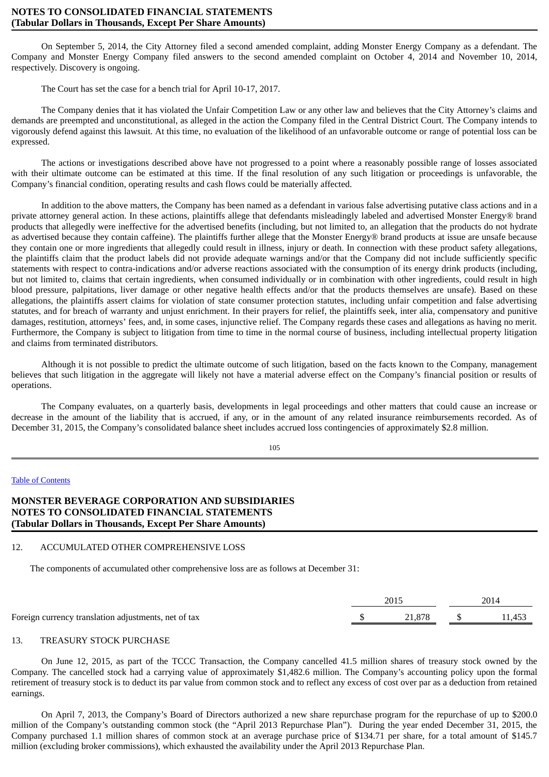## **NOTES TO CONSOLIDATED FINANCIAL STATEMENTS (Tabular Dollars in Thousands, Except Per Share Amounts)**

On September 5, 2014, the City Attorney filed a second amended complaint, adding Monster Energy Company as a defendant. The Company and Monster Energy Company filed answers to the second amended complaint on October 4, 2014 and November 10, 2014, respectively. Discovery is ongoing.

The Court has set the case for a bench trial for April 10-17, 2017.

The Company denies that it has violated the Unfair Competition Law or any other law and believes that the City Attorney's claims and demands are preempted and unconstitutional, as alleged in the action the Company filed in the Central District Court. The Company intends to vigorously defend against this lawsuit. At this time, no evaluation of the likelihood of an unfavorable outcome or range of potential loss can be expressed.

The actions or investigations described above have not progressed to a point where a reasonably possible range of losses associated with their ultimate outcome can be estimated at this time. If the final resolution of any such litigation or proceedings is unfavorable, the Company's financial condition, operating results and cash flows could be materially affected.

In addition to the above matters, the Company has been named as a defendant in various false advertising putative class actions and in a private attorney general action. In these actions, plaintiffs allege that defendants misleadingly labeled and advertised Monster Energy® brand products that allegedly were ineffective for the advertised benefits (including, but not limited to, an allegation that the products do not hydrate as advertised because they contain caffeine). The plaintiffs further allege that the Monster Energy® brand products at issue are unsafe because they contain one or more ingredients that allegedly could result in illness, injury or death. In connection with these product safety allegations, the plaintiffs claim that the product labels did not provide adequate warnings and/or that the Company did not include sufficiently specific statements with respect to contra-indications and/or adverse reactions associated with the consumption of its energy drink products (including, but not limited to, claims that certain ingredients, when consumed individually or in combination with other ingredients, could result in high blood pressure, palpitations, liver damage or other negative health effects and/or that the products themselves are unsafe). Based on these allegations, the plaintiffs assert claims for violation of state consumer protection statutes, including unfair competition and false advertising statutes, and for breach of warranty and unjust enrichment. In their prayers for relief, the plaintiffs seek, inter alia, compensatory and punitive damages, restitution, attorneys' fees, and, in some cases, injunctive relief. The Company regards these cases and allegations as having no merit. Furthermore, the Company is subject to litigation from time to time in the normal course of business, including intellectual property litigation and claims from terminated distributors.

Although it is not possible to predict the ultimate outcome of such litigation, based on the facts known to the Company, management believes that such litigation in the aggregate will likely not have a material adverse effect on the Company's financial position or results of operations.

The Company evaluates, on a quarterly basis, developments in legal proceedings and other matters that could cause an increase or decrease in the amount of the liability that is accrued, if any, or in the amount of any related insurance reimbursements recorded. As of December 31, 2015, the Company's consolidated balance sheet includes accrued loss contingencies of approximately \$2.8 million.

105

### Table of [Contents](#page-1-0)

**MONSTER BEVERAGE CORPORATION AND SUBSIDIARIES NOTES TO CONSOLIDATED FINANCIAL STATEMENTS (Tabular Dollars in Thousands, Except Per Share Amounts)**

## 12. ACCUMULATED OTHER COMPREHENSIVE LOSS

The components of accumulated other comprehensive loss are as follows at December 31:

|                                                      | 2015 |        |  | 2014   |  |  |
|------------------------------------------------------|------|--------|--|--------|--|--|
| Foreign currency translation adjustments, net of tax |      | 21.878 |  | 11.453 |  |  |

### 13. TREASURY STOCK PURCHASE

On June 12, 2015, as part of the TCCC Transaction, the Company cancelled 41.5 million shares of treasury stock owned by the Company. The cancelled stock had a carrying value of approximately \$1,482.6 million. The Company's accounting policy upon the formal retirement of treasury stock is to deduct its par value from common stock and to reflect any excess of cost over par as a deduction from retained earnings.

On April 7, 2013, the Company's Board of Directors authorized a new share repurchase program for the repurchase of up to \$200.0 million of the Company's outstanding common stock (the "April 2013 Repurchase Plan"). During the year ended December 31, 2015, the Company purchased 1.1 million shares of common stock at an average purchase price of \$134.71 per share, for a total amount of \$145.7 million (excluding broker commissions), which exhausted the availability under the April 2013 Repurchase Plan.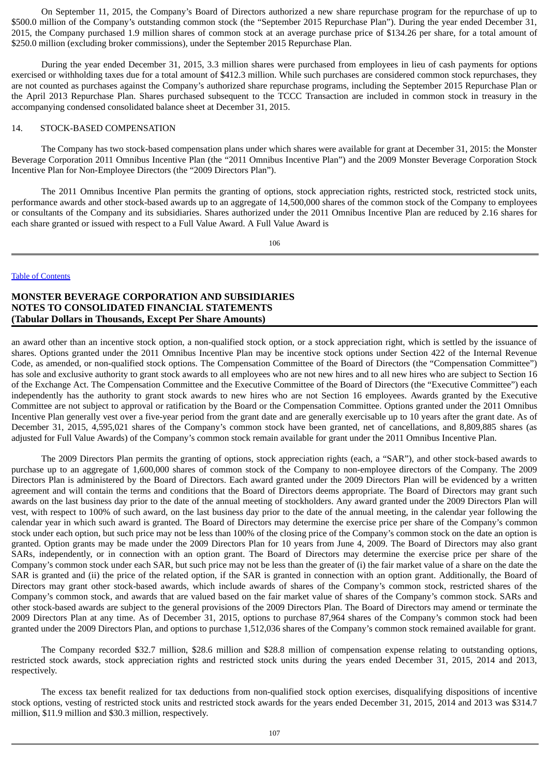On September 11, 2015, the Company's Board of Directors authorized a new share repurchase program for the repurchase of up to \$500.0 million of the Company's outstanding common stock (the "September 2015 Repurchase Plan"). During the year ended December 31, 2015, the Company purchased 1.9 million shares of common stock at an average purchase price of \$134.26 per share, for a total amount of \$250.0 million (excluding broker commissions), under the September 2015 Repurchase Plan.

During the year ended December 31, 2015, 3.3 million shares were purchased from employees in lieu of cash payments for options exercised or withholding taxes due for a total amount of \$412.3 million. While such purchases are considered common stock repurchases, they are not counted as purchases against the Company's authorized share repurchase programs, including the September 2015 Repurchase Plan or the April 2013 Repurchase Plan. Shares purchased subsequent to the TCCC Transaction are included in common stock in treasury in the accompanying condensed consolidated balance sheet at December 31, 2015.

### 14. STOCK-BASED COMPENSATION

The Company has two stock-based compensation plans under which shares were available for grant at December 31, 2015: the Monster Beverage Corporation 2011 Omnibus Incentive Plan (the "2011 Omnibus Incentive Plan") and the 2009 Monster Beverage Corporation Stock Incentive Plan for Non-Employee Directors (the "2009 Directors Plan").

The 2011 Omnibus Incentive Plan permits the granting of options, stock appreciation rights, restricted stock, restricted stock units, performance awards and other stock-based awards up to an aggregate of 14,500,000 shares of the common stock of the Company to employees or consultants of the Company and its subsidiaries. Shares authorized under the 2011 Omnibus Incentive Plan are reduced by 2.16 shares for each share granted or issued with respect to a Full Value Award. A Full Value Award is

106

### Table of [Contents](#page-1-0)

## **MONSTER BEVERAGE CORPORATION AND SUBSIDIARIES NOTES TO CONSOLIDATED FINANCIAL STATEMENTS (Tabular Dollars in Thousands, Except Per Share Amounts)**

an award other than an incentive stock option, a non-qualified stock option, or a stock appreciation right, which is settled by the issuance of shares. Options granted under the 2011 Omnibus Incentive Plan may be incentive stock options under Section 422 of the Internal Revenue Code, as amended, or non-qualified stock options. The Compensation Committee of the Board of Directors (the "Compensation Committee") has sole and exclusive authority to grant stock awards to all employees who are not new hires and to all new hires who are subject to Section 16 of the Exchange Act. The Compensation Committee and the Executive Committee of the Board of Directors (the "Executive Committee") each independently has the authority to grant stock awards to new hires who are not Section 16 employees. Awards granted by the Executive Committee are not subject to approval or ratification by the Board or the Compensation Committee. Options granted under the 2011 Omnibus Incentive Plan generally vest over a five-year period from the grant date and are generally exercisable up to 10 years after the grant date. As of December 31, 2015, 4,595,021 shares of the Company's common stock have been granted, net of cancellations, and 8,809,885 shares (as adjusted for Full Value Awards) of the Company's common stock remain available for grant under the 2011 Omnibus Incentive Plan.

The 2009 Directors Plan permits the granting of options, stock appreciation rights (each, a "SAR"), and other stock-based awards to purchase up to an aggregate of 1,600,000 shares of common stock of the Company to non-employee directors of the Company. The 2009 Directors Plan is administered by the Board of Directors. Each award granted under the 2009 Directors Plan will be evidenced by a written agreement and will contain the terms and conditions that the Board of Directors deems appropriate. The Board of Directors may grant such awards on the last business day prior to the date of the annual meeting of stockholders. Any award granted under the 2009 Directors Plan will vest, with respect to 100% of such award, on the last business day prior to the date of the annual meeting, in the calendar year following the calendar year in which such award is granted. The Board of Directors may determine the exercise price per share of the Company's common stock under each option, but such price may not be less than 100% of the closing price of the Company's common stock on the date an option is granted. Option grants may be made under the 2009 Directors Plan for 10 years from June 4, 2009. The Board of Directors may also grant SARs, independently, or in connection with an option grant. The Board of Directors may determine the exercise price per share of the Company's common stock under each SAR, but such price may not be less than the greater of (i) the fair market value of a share on the date the SAR is granted and (ii) the price of the related option, if the SAR is granted in connection with an option grant. Additionally, the Board of Directors may grant other stock-based awards, which include awards of shares of the Company's common stock, restricted shares of the Company's common stock, and awards that are valued based on the fair market value of shares of the Company's common stock. SARs and other stock-based awards are subject to the general provisions of the 2009 Directors Plan. The Board of Directors may amend or terminate the 2009 Directors Plan at any time. As of December 31, 2015, options to purchase 87,964 shares of the Company's common stock had been granted under the 2009 Directors Plan, and options to purchase 1,512,036 shares of the Company's common stock remained available for grant.

The Company recorded \$32.7 million, \$28.6 million and \$28.8 million of compensation expense relating to outstanding options, restricted stock awards, stock appreciation rights and restricted stock units during the years ended December 31, 2015, 2014 and 2013, respectively.

The excess tax benefit realized for tax deductions from non-qualified stock option exercises, disqualifying dispositions of incentive stock options, vesting of restricted stock units and restricted stock awards for the years ended December 31, 2015, 2014 and 2013 was \$314.7 million, \$11.9 million and \$30.3 million, respectively.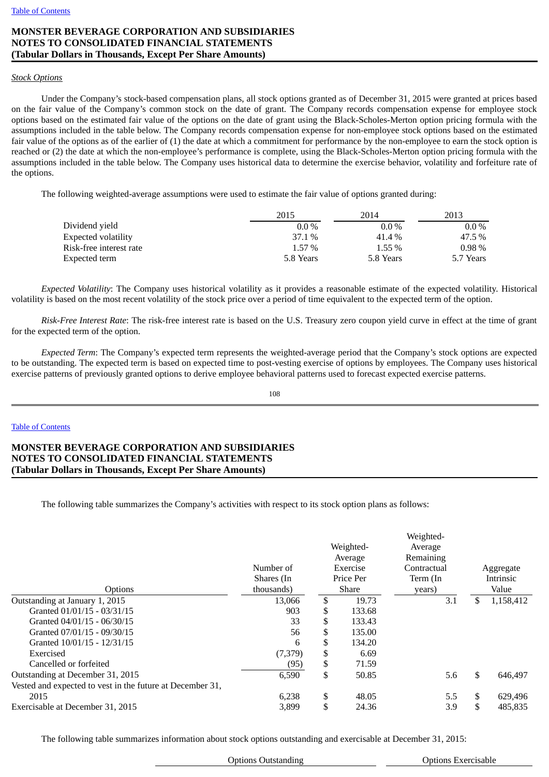# **MONSTER BEVERAGE CORPORATION AND SUBSIDIARIES NOTES TO CONSOLIDATED FINANCIAL STATEMENTS (Tabular Dollars in Thousands, Except Per Share Amounts)**

# *Stock Options*

Under the Company's stock-based compensation plans, all stock options granted as of December 31, 2015 were granted at prices based on the fair value of the Company's common stock on the date of grant. The Company records compensation expense for employee stock options based on the estimated fair value of the options on the date of grant using the Black-Scholes-Merton option pricing formula with the assumptions included in the table below. The Company records compensation expense for non-employee stock options based on the estimated fair value of the options as of the earlier of (1) the date at which a commitment for performance by the non-employee to earn the stock option is reached or (2) the date at which the non-employee's performance is complete, using the Black-Scholes-Merton option pricing formula with the assumptions included in the table below. The Company uses historical data to determine the exercise behavior, volatility and forfeiture rate of the options.

The following weighted-average assumptions were used to estimate the fair value of options granted during:

| 2015      | 2014      | 2013      |  |
|-----------|-----------|-----------|--|
| $0.0\%$   | $0.0\%$   | $0.0\%$   |  |
| 37.1 %    | 41.4%     | 47.5 %    |  |
| 1.57 %    | $1.55\%$  | $0.98\%$  |  |
| 5.8 Years | 5.8 Years | 5.7 Years |  |
|           |           |           |  |

*Expected Volatility*: The Company uses historical volatility as it provides a reasonable estimate of the expected volatility. Historical volatility is based on the most recent volatility of the stock price over a period of time equivalent to the expected term of the option.

*Risk-Free Interest Rate*: The risk-free interest rate is based on the U.S. Treasury zero coupon yield curve in effect at the time of grant for the expected term of the option.

*Expected Term*: The Company's expected term represents the weighted-average period that the Company's stock options are expected to be outstanding. The expected term is based on expected time to post-vesting exercise of options by employees. The Company uses historical exercise patterns of previously granted options to derive employee behavioral patterns used to forecast expected exercise patterns.

108

### Table of [Contents](#page-1-0)

# **MONSTER BEVERAGE CORPORATION AND SUBSIDIARIES NOTES TO CONSOLIDATED FINANCIAL STATEMENTS (Tabular Dollars in Thousands, Except Per Share Amounts)**

The following table summarizes the Company's activities with respect to its stock option plans as follows:

|                                                           |            | Weighted- |          |             |    |           |
|-----------------------------------------------------------|------------|-----------|----------|-------------|----|-----------|
|                                                           |            | Weighted- |          | Average     |    |           |
|                                                           |            | Average   |          | Remaining   |    |           |
|                                                           | Number of  |           | Exercise | Contractual |    | Aggregate |
|                                                           | Shares (In | Price Per |          | Term (In    |    | Intrinsic |
| Options                                                   | thousands) |           | Share    | years)      |    | Value     |
| Outstanding at January 1, 2015                            | 13,066     | \$        | 19.73    | 3.1         | S  | 1,158,412 |
| Granted 01/01/15 - 03/31/15                               | 903        | \$        | 133.68   |             |    |           |
| Granted 04/01/15 - 06/30/15                               | 33         | \$        | 133.43   |             |    |           |
| Granted 07/01/15 - 09/30/15                               | 56         |           | 135.00   |             |    |           |
| Granted 10/01/15 - 12/31/15                               | 6          |           | 134.20   |             |    |           |
| Exercised                                                 | (7,379)    | \$        | 6.69     |             |    |           |
| Cancelled or forfeited                                    | (95)       | \$        | 71.59    |             |    |           |
| Outstanding at December 31, 2015                          | 6,590      | \$        | 50.85    | 5.6         | \$ | 646,497   |
| Vested and expected to vest in the future at December 31, |            |           |          |             |    |           |
| 2015                                                      | 6,238      | \$        | 48.05    | 5.5         | \$ | 629,496   |
| Exercisable at December 31, 2015                          | 3,899      | \$        | 24.36    | 3.9         | \$ | 485,835   |

The following table summarizes information about stock options outstanding and exercisable at December 31, 2015: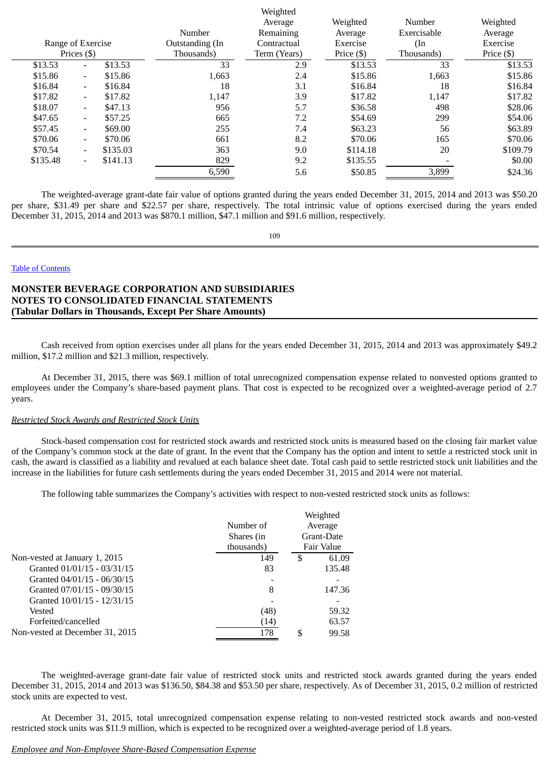|                   |                  |          |                 | weighted     |            |               |              |
|-------------------|------------------|----------|-----------------|--------------|------------|---------------|--------------|
|                   |                  |          |                 | Average      | Weighted   | Number        | Weighted     |
|                   |                  |          | Number          | Remaining    | Average    | Exercisable   | Average      |
| Range of Exercise |                  |          | Outstanding (In | Contractual  | Exercise   | $(\text{In})$ | Exercise     |
|                   | Prices $($ math) |          | Thousands)      | Term (Years) | Price (\$) | Thousands)    | Price $(\$)$ |
| \$13.53           | $\blacksquare$   | \$13.53  | 33              | 2.9          | \$13.53    | 33            | \$13.53      |
| \$15.86           | $\blacksquare$   | \$15.86  | 1,663           | 2.4          | \$15.86    | 1,663         | \$15.86      |
| \$16.84           | $\sim$           | \$16.84  | 18              | 3.1          | \$16.84    | 18            | \$16.84      |
| \$17.82           | $\blacksquare$   | \$17.82  | 1,147           | 3.9          | \$17.82    | 1,147         | \$17.82      |
| \$18.07           | $\blacksquare$   | \$47.13  | 956             | 5.7          | \$36.58    | 498           | \$28.06      |
| \$47.65           | $\sim$           | \$57.25  | 665             | 7.2          | \$54.69    | 299           | \$54.06      |
| \$57.45           | $\blacksquare$   | \$69.00  | 255             | 7.4          | \$63.23    | 56            | \$63.89      |
| \$70.06           | $\blacksquare$   | \$70.06  | 661             | 8.2          | \$70.06    | 165           | \$70.06      |
| \$70.54           | $\sim$           | \$135.03 | 363             | 9.0          | \$114.18   | 20            | \$109.79     |
| \$135.48          | $\blacksquare$   | \$141.13 | 829             | 9.2          | \$135.55   |               | \$0.00       |
|                   |                  |          | 6,590           | 5.6          | \$50.85    | 3,899         | \$24.36      |
|                   |                  |          |                 |              |            |               |              |

Weighted

The weighted-average grant-date fair value of options granted during the years ended December 31, 2015, 2014 and 2013 was \$50.20 per share, \$31.49 per share and \$22.57 per share, respectively. The total intrinsic value of options exercised during the years ended December 31, 2015, 2014 and 2013 was \$870.1 million, \$47.1 million and \$91.6 million, respectively.

109

#### Table of [Contents](#page-1-0)

# **MONSTER BEVERAGE CORPORATION AND SUBSIDIARIES NOTES TO CONSOLIDATED FINANCIAL STATEMENTS (Tabular Dollars in Thousands, Except Per Share Amounts)**

Cash received from option exercises under all plans for the years ended December 31, 2015, 2014 and 2013 was approximately \$49.2 million, \$17.2 million and \$21.3 million, respectively.

At December 31, 2015, there was \$69.1 million of total unrecognized compensation expense related to nonvested options granted to employees under the Company's share-based payment plans. That cost is expected to be recognized over a weighted-average period of 2.7 years.

## *Restricted Stock Awards and Restricted Stock Units*

Stock-based compensation cost for restricted stock awards and restricted stock units is measured based on the closing fair market value of the Company's common stock at the date of grant. In the event that the Company has the option and intent to settle a restricted stock unit in cash, the award is classified as a liability and revalued at each balance sheet date. Total cash paid to settle restricted stock unit liabilities and the increase in the liabilities for future cash settlements during the years ended December 31, 2015 and 2014 were not material.

The following table summarizes the Company's activities with respect to non-vested restricted stock units as follows:

|                                 |            | Weighted    |
|---------------------------------|------------|-------------|
|                                 | Number of  | Average     |
|                                 | Shares (in | Grant-Date  |
|                                 | thousands) | Fair Value  |
| Non-vested at January 1, 2015   | 149        | \$<br>61.09 |
| Granted 01/01/15 - 03/31/15     | 83         | 135.48      |
| Granted 04/01/15 - 06/30/15     |            |             |
| Granted 07/01/15 - 09/30/15     | 8          | 147.36      |
| Granted 10/01/15 - 12/31/15     |            |             |
| Vested                          | (48)       | 59.32       |
| Forfeited/cancelled             | (14)       | 63.57       |
| Non-vested at December 31, 2015 | 178        | \$<br>99.58 |

The weighted-average grant-date fair value of restricted stock units and restricted stock awards granted during the years ended December 31, 2015, 2014 and 2013 was \$136.50, \$84.38 and \$53.50 per share, respectively. As of December 31, 2015, 0.2 million of restricted stock units are expected to vest.

At December 31, 2015, total unrecognized compensation expense relating to non-vested restricted stock awards and non-vested restricted stock units was \$11.9 million, which is expected to be recognized over a weighted-average period of 1.8 years.

#### *Employee and Non-Employee Share-Based Compensation Expense*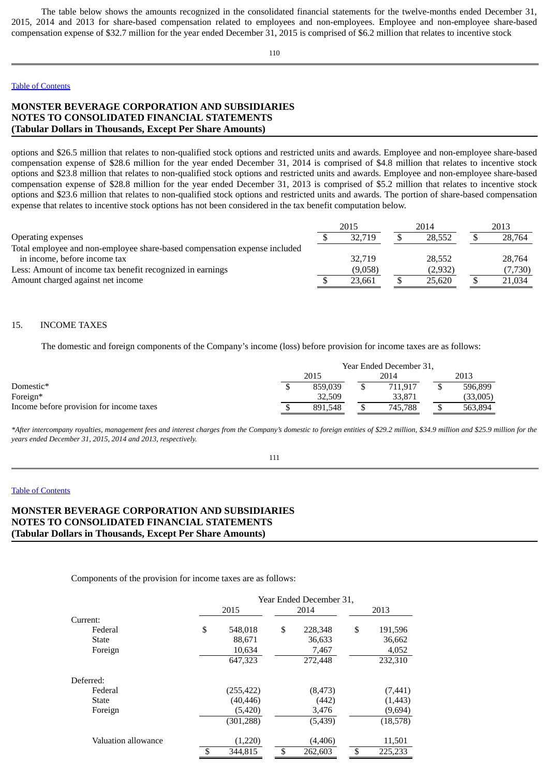The table below shows the amounts recognized in the consolidated financial statements for the twelve-months ended December 31, 2015, 2014 and 2013 for share-based compensation related to employees and non-employees. Employee and non-employee share-based compensation expense of \$32.7 million for the year ended December 31, 2015 is comprised of \$6.2 million that relates to incentive stock

110

# Table of [Contents](#page-1-0)

# **MONSTER BEVERAGE CORPORATION AND SUBSIDIARIES NOTES TO CONSOLIDATED FINANCIAL STATEMENTS (Tabular Dollars in Thousands, Except Per Share Amounts)**

options and \$26.5 million that relates to non-qualified stock options and restricted units and awards. Employee and non-employee share-based compensation expense of \$28.6 million for the year ended December 31, 2014 is comprised of \$4.8 million that relates to incentive stock options and \$23.8 million that relates to non-qualified stock options and restricted units and awards. Employee and non-employee share-based compensation expense of \$28.8 million for the year ended December 31, 2013 is comprised of \$5.2 million that relates to incentive stock options and \$23.6 million that relates to non-qualified stock options and restricted units and awards. The portion of share-based compensation expense that relates to incentive stock options has not been considered in the tax benefit computation below.

|                                                                           | 2015    | 2014    | 2013    |
|---------------------------------------------------------------------------|---------|---------|---------|
| <b>Operating expenses</b>                                                 | 32.719  | 28.552  | 28.764  |
| Total employee and non-employee share-based compensation expense included |         |         |         |
| in income, before income tax                                              | 32.719  | 28.552  | 28.764  |
| Less: Amount of income tax benefit recognized in earnings                 | (9,058) | (2,932) | (7,730) |
| Amount charged against net income                                         | 23.661  | 25.620  | 21.034  |

## 15. INCOME TAXES

The domestic and foreign components of the Company's income (loss) before provision for income taxes are as follows:

|                                          | Year Ended December 31, |         |  |         |  |          |
|------------------------------------------|-------------------------|---------|--|---------|--|----------|
|                                          |                         | 2015    |  | 2014    |  | 2013     |
| Domestic*                                |                         | 859.039 |  | 711.917 |  | 596,899  |
| Foreign*                                 |                         | 32.509  |  | 33,871  |  | (33,005) |
| Income before provision for income taxes |                         | 891.548 |  | 745.788 |  | 563,894  |

*\*After intercompany royalties, management fees and interest charges from the Company's domestic to foreign entities of \$29.2 million, \$34.9 million and \$25.9 million for the years ended December 31, 2015, 2014 and 2013, respectively.*

#### 111

### Table of [Contents](#page-1-0)

# **MONSTER BEVERAGE CORPORATION AND SUBSIDIARIES NOTES TO CONSOLIDATED FINANCIAL STATEMENTS (Tabular Dollars in Thousands, Except Per Share Amounts)**

Components of the provision for income taxes are as follows:

|                     | Year Ended December 31, |    |          |    |          |  |
|---------------------|-------------------------|----|----------|----|----------|--|
|                     | 2015                    |    | 2014     |    | 2013     |  |
| Current:            |                         |    |          |    |          |  |
| Federal             | \$<br>548,018           | \$ | 228,348  | \$ | 191,596  |  |
| State               | 88,671                  |    | 36,633   |    | 36,662   |  |
| Foreign             | 10,634                  |    | 7,467    |    | 4,052    |  |
|                     | 647,323                 |    | 272,448  |    | 232,310  |  |
| Deferred:           |                         |    |          |    |          |  |
| Federal             | (255, 422)              |    | (8, 473) |    | (7, 441) |  |
| State               | (40, 446)               |    | (442)    |    | (1, 443) |  |
| Foreign             | (5, 420)                |    | 3,476    |    | (9,694)  |  |
|                     | (301, 288)              |    | (5, 439) |    | (18,578) |  |
| Valuation allowance | (1,220)                 |    | (4, 406) |    | 11,501   |  |
|                     | \$<br>344,815           | \$ | 262,603  | \$ | 225,233  |  |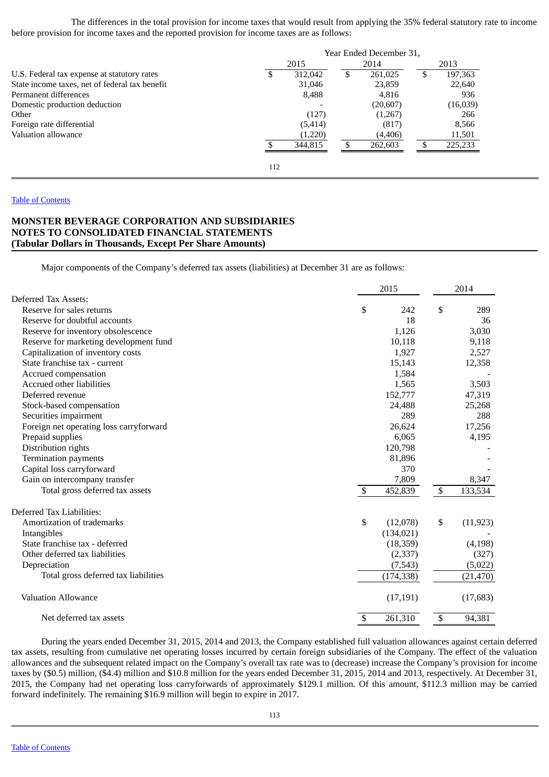The differences in the total provision for income taxes that would result from applying the 35% federal statutory rate to income before provision for income taxes and the reported provision for income taxes are as follows:

|                                                | Year Ended December 31, |          |    |          |  |           |
|------------------------------------------------|-------------------------|----------|----|----------|--|-----------|
|                                                |                         | 2015     |    | 2014     |  | 2013      |
| U.S. Federal tax expense at statutory rates    | £.                      | 312,042  | \$ | 261,025  |  | 197,363   |
| State income taxes, net of federal tax benefit |                         | 31,046   |    | 23,859   |  | 22,640    |
| Permanent differences                          |                         | 8,488    |    | 4,816    |  | 936       |
| Domestic production deduction                  |                         |          |    | (20,607) |  | (16, 039) |
| Other                                          |                         | (127)    |    | (1,267)  |  | 266       |
| Foreign rate differential                      |                         | (5, 414) |    | (817)    |  | 8,566     |
| Valuation allowance                            |                         | (1,220)  |    | (4, 406) |  | 11,501    |
|                                                |                         | 344.815  |    | 262,603  |  | 225,233   |
|                                                | 112                     |          |    |          |  |           |

# Table of [Contents](#page-1-0)

# **MONSTER BEVERAGE CORPORATION AND SUBSIDIARIES NOTES TO CONSOLIDATED FINANCIAL STATEMENTS (Tabular Dollars in Thousands, Except Per Share Amounts)**

Major components of the Company's deferred tax assets (liabilities) at December 31 are as follows:

|                                         | 2015           |    | 2014      |  |
|-----------------------------------------|----------------|----|-----------|--|
| Deferred Tax Assets:                    |                |    |           |  |
| Reserve for sales returns               | \$<br>242      | \$ | 289       |  |
| Reserve for doubtful accounts           | 18             |    | 36        |  |
| Reserve for inventory obsolescence      | 1,126          |    | 3,030     |  |
| Reserve for marketing development fund  | 10,118         |    | 9,118     |  |
| Capitalization of inventory costs       | 1,927          |    | 2,527     |  |
| State franchise tax - current           | 15,143         |    | 12,358    |  |
| Accrued compensation                    | 1,584          |    |           |  |
| Accrued other liabilities               | 1,565          |    | 3,503     |  |
| Deferred revenue                        | 152,777        |    | 47,319    |  |
| Stock-based compensation                | 24,488         |    | 25,268    |  |
| Securities impairment                   | 289            |    | 288       |  |
| Foreign net operating loss carryforward | 26,624         |    | 17,256    |  |
| Prepaid supplies                        | 6,065          |    | 4,195     |  |
| Distribution rights                     | 120,798        |    |           |  |
| <b>Termination payments</b>             | 81,896         |    |           |  |
| Capital loss carryforward               | 370            |    |           |  |
| Gain on intercompany transfer           | 7,809          |    | 8,347     |  |
| Total gross deferred tax assets         | \$<br>452,839  | \$ | 133,534   |  |
| Deferred Tax Liabilities:               |                |    |           |  |
| Amortization of trademarks              | \$<br>(12,078) | \$ | (11, 923) |  |
| Intangibles                             | (134, 021)     |    |           |  |
| State franchise tax - deferred          | (18, 359)      |    | (4, 198)  |  |
| Other deferred tax liabilities          | (2,337)        |    | (327)     |  |
| Depreciation                            | (7,543)        |    | (5,022)   |  |
| Total gross deferred tax liabilities    | (174, 338)     |    | (21, 470) |  |
| <b>Valuation Allowance</b>              | (17, 191)      |    | (17,683)  |  |
| Net deferred tax assets                 | \$<br>261,310  | \$ | 94,381    |  |

During the years ended December 31, 2015, 2014 and 2013, the Company established full valuation allowances against certain deferred tax assets, resulting from cumulative net operating losses incurred by certain foreign subsidiaries of the Company. The effect of the valuation allowances and the subsequent related impact on the Company's overall tax rate was to (decrease) increase the Company's provision for income taxes by (\$0.5) million, (\$4.4) million and \$10.8 million for the years ended December 31, 2015, 2014 and 2013, respectively. At December 31, 2015, the Company had net operating loss carryforwards of approximately \$129.1 million. Of this amount, \$112.3 million may be carried forward indefinitely. The remaining \$16.9 million will begin to expire in 2017.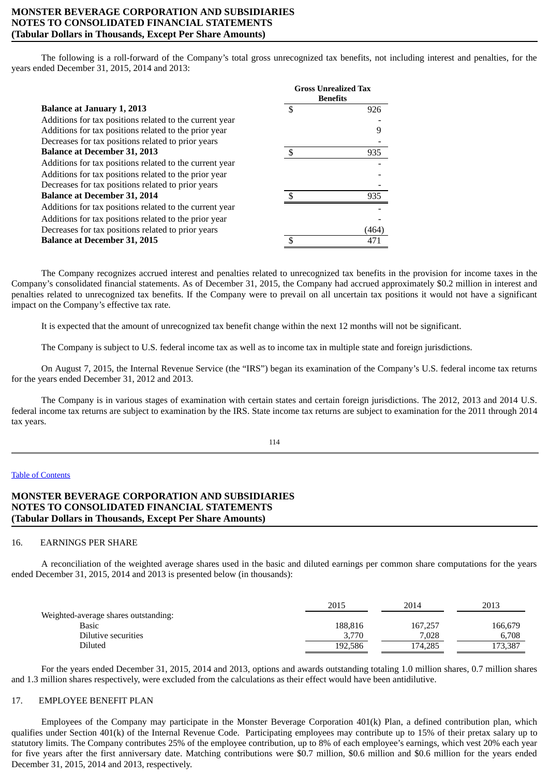# **MONSTER BEVERAGE CORPORATION AND SUBSIDIARIES NOTES TO CONSOLIDATED FINANCIAL STATEMENTS (Tabular Dollars in Thousands, Except Per Share Amounts)**

The following is a roll-forward of the Company's total gross unrecognized tax benefits, not including interest and penalties, for the years ended December 31, 2015, 2014 and 2013:

|                                                         | <b>Gross Unrealized Tax</b><br><b>Benefits</b> |            |  |  |
|---------------------------------------------------------|------------------------------------------------|------------|--|--|
| <b>Balance at January 1, 2013</b>                       |                                                | 926        |  |  |
| Additions for tax positions related to the current year |                                                |            |  |  |
| Additions for tax positions related to the prior year   |                                                |            |  |  |
| Decreases for tax positions related to prior years      |                                                |            |  |  |
| <b>Balance at December 31, 2013</b>                     |                                                | 935        |  |  |
| Additions for tax positions related to the current year |                                                |            |  |  |
| Additions for tax positions related to the prior year   |                                                |            |  |  |
| Decreases for tax positions related to prior years      |                                                |            |  |  |
| <b>Balance at December 31, 2014</b>                     |                                                | 935        |  |  |
| Additions for tax positions related to the current year |                                                |            |  |  |
| Additions for tax positions related to the prior year   |                                                |            |  |  |
| Decreases for tax positions related to prior years      |                                                | 464        |  |  |
| <b>Balance at December 31, 2015</b>                     |                                                | $47^\circ$ |  |  |

The Company recognizes accrued interest and penalties related to unrecognized tax benefits in the provision for income taxes in the Company's consolidated financial statements. As of December 31, 2015, the Company had accrued approximately \$0.2 million in interest and penalties related to unrecognized tax benefits. If the Company were to prevail on all uncertain tax positions it would not have a significant impact on the Company's effective tax rate.

It is expected that the amount of unrecognized tax benefit change within the next 12 months will not be significant.

The Company is subject to U.S. federal income tax as well as to income tax in multiple state and foreign jurisdictions.

On August 7, 2015, the Internal Revenue Service (the "IRS") began its examination of the Company's U.S. federal income tax returns for the years ended December 31, 2012 and 2013.

The Company is in various stages of examination with certain states and certain foreign jurisdictions. The 2012, 2013 and 2014 U.S. federal income tax returns are subject to examination by the IRS. State income tax returns are subject to examination for the 2011 through 2014 tax years.

114

### Table of [Contents](#page-1-0)

# **MONSTER BEVERAGE CORPORATION AND SUBSIDIARIES NOTES TO CONSOLIDATED FINANCIAL STATEMENTS (Tabular Dollars in Thousands, Except Per Share Amounts)**

## 16. EARNINGS PER SHARE

A reconciliation of the weighted average shares used in the basic and diluted earnings per common share computations for the years ended December 31, 2015, 2014 and 2013 is presented below (in thousands):

|                                      | 2015    | 2014    | 2013    |
|--------------------------------------|---------|---------|---------|
| Weighted-average shares outstanding: |         |         |         |
| Basic                                | 188.816 | 167,257 | 166,679 |
| Dilutive securities                  | 3.770   | 7.028   | 6.708   |
| Diluted                              | 192.586 | 174.285 | 173,387 |

For the years ended December 31, 2015, 2014 and 2013, options and awards outstanding totaling 1.0 million shares, 0.7 million shares and 1.3 million shares respectively, were excluded from the calculations as their effect would have been antidilutive.

# 17. EMPLOYEE BENEFIT PLAN

Employees of the Company may participate in the Monster Beverage Corporation 401(k) Plan, a defined contribution plan, which qualifies under Section 401(k) of the Internal Revenue Code. Participating employees may contribute up to 15% of their pretax salary up to statutory limits. The Company contributes 25% of the employee contribution, up to 8% of each employee's earnings, which vest 20% each year for five years after the first anniversary date. Matching contributions were \$0.7 million, \$0.6 million and \$0.6 million for the years ended December 31, 2015, 2014 and 2013, respectively.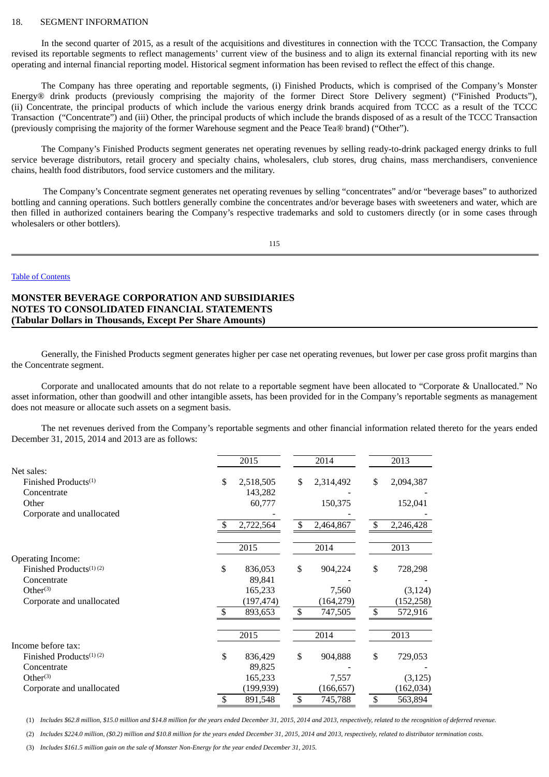#### 18. SEGMENT INFORMATION

In the second quarter of 2015, as a result of the acquisitions and divestitures in connection with the TCCC Transaction, the Company revised its reportable segments to reflect managements' current view of the business and to align its external financial reporting with its new operating and internal financial reporting model. Historical segment information has been revised to reflect the effect of this change.

The Company has three operating and reportable segments, (i) Finished Products, which is comprised of the Company's Monster Energy® drink products (previously comprising the majority of the former Direct Store Delivery segment) ("Finished Products"), (ii) Concentrate, the principal products of which include the various energy drink brands acquired from TCCC as a result of the TCCC Transaction ("Concentrate") and (iii) Other, the principal products of which include the brands disposed of as a result of the TCCC Transaction (previously comprising the majority of the former Warehouse segment and the Peace Tea® brand) ("Other").

The Company's Finished Products segment generates net operating revenues by selling ready-to-drink packaged energy drinks to full service beverage distributors, retail grocery and specialty chains, wholesalers, club stores, drug chains, mass merchandisers, convenience chains, health food distributors, food service customers and the military.

The Company's Concentrate segment generates net operating revenues by selling "concentrates" and/or "beverage bases" to authorized bottling and canning operations. Such bottlers generally combine the concentrates and/or beverage bases with sweeteners and water, which are then filled in authorized containers bearing the Company's respective trademarks and sold to customers directly (or in some cases through wholesalers or other bottlers).

115

### Table of [Contents](#page-1-0)

# **MONSTER BEVERAGE CORPORATION AND SUBSIDIARIES NOTES TO CONSOLIDATED FINANCIAL STATEMENTS (Tabular Dollars in Thousands, Except Per Share Amounts)**

Generally, the Finished Products segment generates higher per case net operating revenues, but lower per case gross profit margins than the Concentrate segment.

Corporate and unallocated amounts that do not relate to a reportable segment have been allocated to "Corporate & Unallocated." No asset information, other than goodwill and other intangible assets, has been provided for in the Company's reportable segments as management does not measure or allocate such assets on a segment basis.

The net revenues derived from the Company's reportable segments and other financial information related thereto for the years ended December 31, 2015, 2014 and 2013 are as follows:

|                                                                       |     | 2015                  | 2014                | 2013                   |
|-----------------------------------------------------------------------|-----|-----------------------|---------------------|------------------------|
| Net sales:<br>Finished Products <sup>(1)</sup><br>Concentrate         | \$  | 2,518,505<br>143,282  | \$<br>2,314,492     | \$<br>2,094,387        |
| Other<br>Corporate and unallocated                                    |     | 60,777                | 150,375             | 152,041                |
|                                                                       | -\$ | 2,722,564             | \$<br>2,464,867     | \$<br>2,246,428        |
|                                                                       |     | 2015                  | 2014                | 2013                   |
| <b>Operating Income:</b><br>Finished Products $(1)(2)$<br>Concentrate | \$  | 836,053<br>89,841     | \$<br>904,224       | \$<br>728,298          |
| Other <sup>(3)</sup><br>Corporate and unallocated                     |     | 165,233<br>(197, 474) | 7,560<br>(164, 279) | (3, 124)<br>(152, 258) |
|                                                                       | -\$ | 893,653               | \$<br>747,505       | \$<br>572,916          |
| Income before tax:                                                    |     | 2015                  | 2014                | 2013                   |
| Finished Products <sup>(1)</sup> <sup>(2)</sup><br>Concentrate        | \$  | 836,429<br>89,825     | \$<br>904,888       | \$<br>729,053          |
| $Other^{(3)}$<br>Corporate and unallocated                            |     | 165,233<br>(199, 939) | 7,557<br>(166, 657) | (3, 125)<br>(162, 034) |
|                                                                       | \$  | 891,548               | \$<br>745,788       | \$<br>563,894          |

(1) Includes \$62.8 million, \$15.0 million and \$14.8 million for the years ended December 31, 2015, 2014 and 2013, respectively, related to the recognition of deferred revenue.

(2) Includes \$224.0 million, (\$0.2) million and \$10.8 million for the years ended December 31, 2015, 2014 and 2013, respectively, related to distributor termination costs.

(3) *Includes \$161.5 million gain on the sale of Monster Non-Energy for the year ended December 31, 2015.*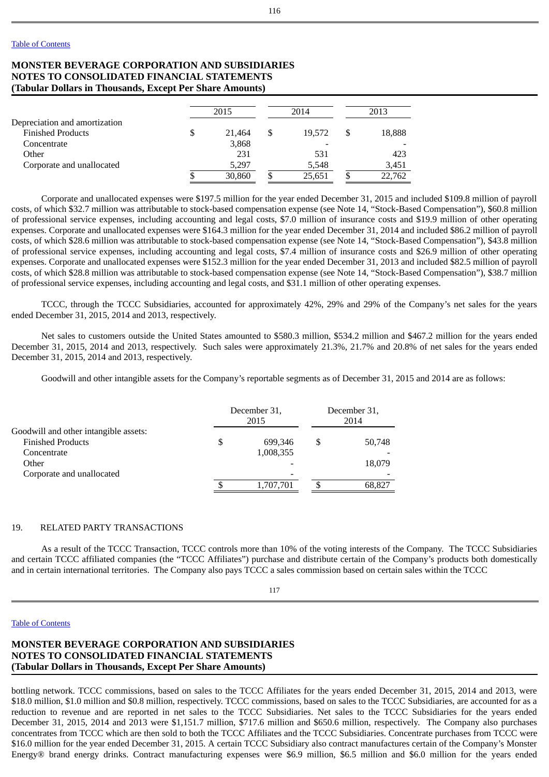# **MONSTER BEVERAGE CORPORATION AND SUBSIDIARIES NOTES TO CONSOLIDATED FINANCIAL STATEMENTS (Tabular Dollars in Thousands, Except Per Share Amounts)**

|                               |   | 2015   |   | 2014   |   | 2013   |
|-------------------------------|---|--------|---|--------|---|--------|
| Depreciation and amortization |   |        |   |        |   |        |
| <b>Finished Products</b>      | S | 21.464 | S | 19.572 |   | 18,888 |
| Concentrate                   |   | 3,868  |   |        |   |        |
| Other                         |   | 231    |   | 531    |   | 423    |
| Corporate and unallocated     |   | 5,297  |   | 5,548  |   | 3,451  |
|                               |   | 30,860 |   | 25,651 | Φ | 22,762 |

Corporate and unallocated expenses were \$197.5 million for the year ended December 31, 2015 and included \$109.8 million of payroll costs, of which \$32.7 million was attributable to stock-based compensation expense (see Note 14, "Stock-Based Compensation"), \$60.8 million of professional service expenses, including accounting and legal costs, \$7.0 million of insurance costs and \$19.9 million of other operating expenses. Corporate and unallocated expenses were \$164.3 million for the year ended December 31, 2014 and included \$86.2 million of payroll costs, of which \$28.6 million was attributable to stock-based compensation expense (see Note 14, "Stock-Based Compensation"), \$43.8 million of professional service expenses, including accounting and legal costs, \$7.4 million of insurance costs and \$26.9 million of other operating expenses. Corporate and unallocated expenses were \$152.3 million for the year ended December 31, 2013 and included \$82.5 million of payroll costs, of which \$28.8 million was attributable to stock-based compensation expense (see Note 14, "Stock-Based Compensation"), \$38.7 million of professional service expenses, including accounting and legal costs, and \$31.1 million of other operating expenses.

TCCC, through the TCCC Subsidiaries, accounted for approximately 42%, 29% and 29% of the Company's net sales for the years ended December 31, 2015, 2014 and 2013, respectively.

Net sales to customers outside the United States amounted to \$580.3 million, \$534.2 million and \$467.2 million for the years ended December 31, 2015, 2014 and 2013, respectively. Such sales were approximately 21.3%, 21.7% and 20.8% of net sales for the years ended December 31, 2015, 2014 and 2013, respectively.

Goodwill and other intangible assets for the Company's reportable segments as of December 31, 2015 and 2014 are as follows:

|                                       | December 31,<br>2015 | December 31,<br>2014 |        |  |
|---------------------------------------|----------------------|----------------------|--------|--|
| Goodwill and other intangible assets: |                      |                      |        |  |
| <b>Finished Products</b>              | \$<br>699.346        |                      | 50,748 |  |
| Concentrate                           | 1,008,355            |                      |        |  |
| Other                                 |                      |                      | 18,079 |  |
| Corporate and unallocated             |                      |                      |        |  |
|                                       | 1,707,701            |                      | 68,827 |  |
|                                       |                      |                      |        |  |

### 19. RELATED PARTY TRANSACTIONS

As a result of the TCCC Transaction, TCCC controls more than 10% of the voting interests of the Company. The TCCC Subsidiaries and certain TCCC affiliated companies (the "TCCC Affiliates") purchase and distribute certain of the Company's products both domestically and in certain international territories. The Company also pays TCCC a sales commission based on certain sales within the TCCC

#### Table of [Contents](#page-1-0)

# **MONSTER BEVERAGE CORPORATION AND SUBSIDIARIES NOTES TO CONSOLIDATED FINANCIAL STATEMENTS (Tabular Dollars in Thousands, Except Per Share Amounts)**

bottling network. TCCC commissions, based on sales to the TCCC Affiliates for the years ended December 31, 2015, 2014 and 2013, were \$18.0 million, \$1.0 million and \$0.8 million, respectively. TCCC commissions, based on sales to the TCCC Subsidiaries, are accounted for as a reduction to revenue and are reported in net sales to the TCCC Subsidiaries. Net sales to the TCCC Subsidiaries for the years ended December 31, 2015, 2014 and 2013 were \$1,151.7 million, \$717.6 million and \$650.6 million, respectively. The Company also purchases concentrates from TCCC which are then sold to both the TCCC Affiliates and the TCCC Subsidiaries. Concentrate purchases from TCCC were \$16.0 million for the year ended December 31, 2015. A certain TCCC Subsidiary also contract manufactures certain of the Company's Monster Energy® brand energy drinks. Contract manufacturing expenses were \$6.9 million, \$6.5 million and \$6.0 million for the years ended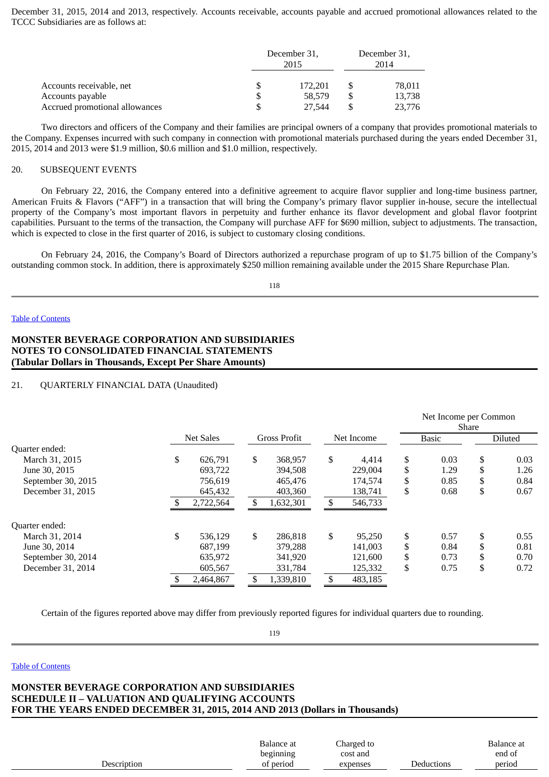December 31, 2015, 2014 and 2013, respectively. Accounts receivable, accounts payable and accrued promotional allowances related to the TCCC Subsidiaries are as follows at:

|                                | December 31,<br>2015 |         | December 31,<br>2014 |        |  |
|--------------------------------|----------------------|---------|----------------------|--------|--|
| Accounts receivable, net       |                      | 172.201 |                      | 78,011 |  |
| Accounts payable               | \$                   | 58.579  |                      | 13,738 |  |
| Accrued promotional allowances |                      | 27.544  |                      | 23,776 |  |

Two directors and officers of the Company and their families are principal owners of a company that provides promotional materials to the Company. Expenses incurred with such company in connection with promotional materials purchased during the years ended December 31, 2015, 2014 and 2013 were \$1.9 million, \$0.6 million and \$1.0 million, respectively.

# 20. SUBSEQUENT EVENTS

On February 22, 2016, the Company entered into a definitive agreement to acquire flavor supplier and long-time business partner, American Fruits & Flavors ("AFF") in a transaction that will bring the Company's primary flavor supplier in-house, secure the intellectual property of the Company's most important flavors in perpetuity and further enhance its flavor development and global flavor footprint capabilities. Pursuant to the terms of the transaction, the Company will purchase AFF for \$690 million, subject to adjustments. The transaction, which is expected to close in the first quarter of 2016, is subject to customary closing conditions.

On February 24, 2016, the Company's Board of Directors authorized a repurchase program of up to \$1.75 billion of the Company's outstanding common stock. In addition, there is approximately \$250 million remaining available under the 2015 Share Repurchase Plan.

118

#### Table of [Contents](#page-1-0)

# **MONSTER BEVERAGE CORPORATION AND SUBSIDIARIES NOTES TO CONSOLIDATED FINANCIAL STATEMENTS (Tabular Dollars in Thousands, Except Per Share Amounts)**

### 21. QUARTERLY FINANCIAL DATA (Unaudited)

|                    |                  |    |                     |     |            | Net Income per Common<br><b>Share</b> |              |    |                |  |
|--------------------|------------------|----|---------------------|-----|------------|---------------------------------------|--------------|----|----------------|--|
|                    | <b>Net Sales</b> |    | <b>Gross Profit</b> |     | Net Income |                                       | <b>Basic</b> |    | <b>Diluted</b> |  |
| Quarter ended:     |                  |    |                     |     |            |                                       |              |    |                |  |
| March 31, 2015     | \$<br>626.791    | \$ | 368,957             | \$  | 4.414      | \$                                    | 0.03         | \$ | 0.03           |  |
| June 30, 2015      | 693.722          |    | 394,508             |     | 229,004    | \$                                    | 1.29         |    | 1.26           |  |
| September 30, 2015 | 756.619          |    | 465,476             |     | 174,574    | \$                                    | 0.85         | \$ | 0.84           |  |
| December 31, 2015  | 645,432          |    | 403,360             |     | 138,741    | \$                                    | 0.68         | \$ | 0.67           |  |
|                    | 2,722,564        | \$ | 1,632,301           | \$. | 546,733    |                                       |              |    |                |  |
| Quarter ended:     |                  |    |                     |     |            |                                       |              |    |                |  |
| March 31, 2014     | \$<br>536,129    | \$ | 286,818             | \$  | 95,250     | \$                                    | 0.57         | \$ | 0.55           |  |
| June 30, 2014      | 687.199          |    | 379,288             |     | 141,003    | \$                                    | 0.84         | S  | 0.81           |  |
| September 30, 2014 | 635,972          |    | 341,920             |     | 121,600    | \$                                    | 0.73         | \$ | 0.70           |  |
| December 31, 2014  | 605,567          |    | 331,784             |     | 125,332    | \$                                    | 0.75         | \$ | 0.72           |  |
|                    | 2,464,867        |    | 1,339,810           |     | 483,185    |                                       |              |    |                |  |

Certain of the figures reported above may differ from previously reported figures for individual quarters due to rounding.

119

#### Table of [Contents](#page-1-0)

# **MONSTER BEVERAGE CORPORATION AND SUBSIDIARIES SCHEDULE II – VALUATION AND QUALIFYING ACCOUNTS FOR THE YEARS ENDED DECEMBER 31, 2015, 2014 AND 2013 (Dollars in Thousands)**

| period<br>of period<br><b>Deductions</b><br>Description<br>expenses | Balance at | Charged to | Balance at |
|---------------------------------------------------------------------|------------|------------|------------|
|                                                                     | beginning  | cost and   | end of     |
|                                                                     |            |            |            |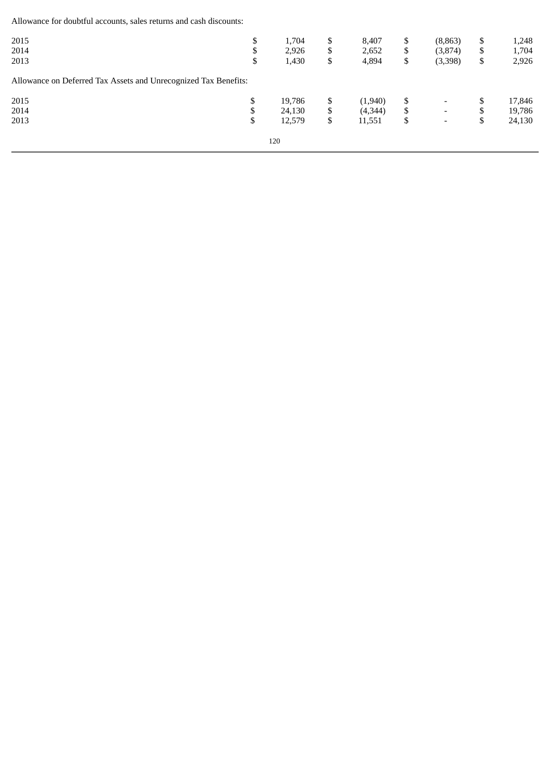Allowance for doubtful accounts, sales returns and cash discounts:

| 2015<br>2014<br>2013                                            | \$<br>\$<br>\$ | 1,704<br>2,926<br>1,430           | \$<br>\$<br>\$ | 8,407<br>2,652<br>4,894      | \$<br>\$<br>\$ | (8, 863)<br>(3,874)<br>(3,398)                       | \$<br>\$<br>\$         | 1,248<br>1,704<br>2,926    |
|-----------------------------------------------------------------|----------------|-----------------------------------|----------------|------------------------------|----------------|------------------------------------------------------|------------------------|----------------------------|
| Allowance on Deferred Tax Assets and Unrecognized Tax Benefits: |                |                                   |                |                              |                |                                                      |                        |                            |
| 2015<br>2014<br>2013                                            | \$<br>\$<br>\$ | 19,786<br>24,130<br>12,579<br>120 | \$<br>\$<br>\$ | (1,940)<br>(4,344)<br>11,551 | \$<br>\$<br>\$ | $\overline{\phantom{a}}$<br>$\overline{\phantom{0}}$ | \$<br>¢<br>D<br>¢<br>D | 17,846<br>19,786<br>24,130 |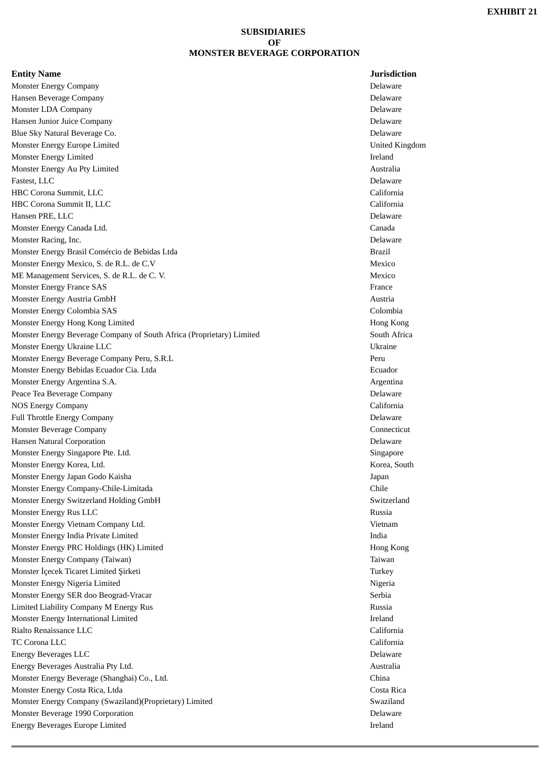### **SUBSIDIARIES OF MONSTER BEVERAGE CORPORATION**

### **Entity Name Jurisdiction**

Monster Energy Company Delaware Hansen Beverage Company Delaware Monster LDA Company Delaware Hansen Junior Juice Company Delaware Blue Sky Natural Beverage Co. Delaware Monster Energy Europe Limited United Kingdom Monster Energy Limited **Ireland** Monster Energy Au Pty Limited **Australia** Australia **Australia** Australia Fastest, LLC Delaware HBC Corona Summit, LLC California HBC Corona Summit II, LLC Hansen PRE, LLC Delaware Monster Energy Canada Ltd. Canada Monster Racing, Inc. **Delaware** Monster Energy Brasil Comércio de Bebidas Ltda **Brazil** Brazil en el proponent de Brazil Brazil Monster Energy Mexico, S. de R.L. de C.V and the C.V and the C. and the C.V mexico means of the Mexico ME Management Services, S. de R.L. de C. V. Mexico Monster Energy France SAS France SAS France SAS France SAS France SAS France SAS France SAS France SAS France SAS France SAS France SAS France SAS France SAS France SAS France SAS France SAS France SAS France SAS France SA Monster Energy Austria GmbH Austria GmbH Austria Monster Energy Colombia SAS Colombia Monster Energy Hong Kong Limited **Hong Kong Limited Hong Kong Limited Hong Kong Limited Hong Kong** Kong Limited Monster Energy Beverage Company of South Africa (Proprietary) Limited South Africa Monster Energy Ukraine LLC Ukraine Monster Energy Beverage Company Peru, S.R.L Peru Monster Energy Bebidas Ecuador Cia. Ltda Ecuador Monster Energy Argentina S.A. Argentina Peace Tea Beverage Company Delaware NOS Energy Company California Full Throttle Energy Company Delaware Monster Beverage Company Connecticut Hansen Natural Corporation Delaware Monster Energy Singapore Pte. Ltd. Singapore Pte. 1.1. Singapore Pte. 1.1. Singapore Singapore Pte. 1.1. Singapore Singapore Singapore Singapore Singapore Singapore Singapore Singapore Singapore Singapore Singapore Singapo Monster Energy Korea, Ltd. Korea, South Monster Energy Japan Godo Kaisha Japan Monster Energy Company-Chile-Limitada Chile Chile and Chile Chile Chile Chile Chile Chile Chile Chile Chile Chile Chile Chile Chile Chile Chile Chile Chile Chile Chile Chile Chile Chile Chile Chile Chile Chile Chile Chile Monster Energy Switzerland Holding GmbH Switzerland Switzerland Switzerland Monster Energy Rus LLC **Russia** Monster Energy Vietnam Company Ltd. Vietnam Monster Energy India Private Limited **India** India **India** India India India India India India India India India India India India India India India India India India India India India India India India India India India I Monster Energy PRC Holdings (HK) Limited **Hong Kong Constant Constant Constant Constant Constant Constant Constant** Monster Energy Company (Taiwan) **Taiwan** Taiwan and the second second second second second second second second second second second second second second second second second second second second second second second secon Monster İcecek Ticaret Limited Sirketi Turkey and Turkey and Turkey Turkey Turkey Turkey Monster Energy Nigeria Limited **Nigeria** 2008 **Nigeria** 1 Monster Energy SER doo Beograd-Vracar Serbia Serbia Serbia Serbia Serbia Serbia Limited Liability Company M Energy Rus Russia Monster Energy International Limited **Ireland** Ireland Rialto Renaissance LLC California TC Corona LLC California Energy Beverages LLC Delaware Energy Beverages Australia Pty Ltd. **Australia** *Australia* **Australia Australia** Monster Energy Beverage (Shanghai) Co., Ltd. China Monster Energy Costa Rica, Ltda **Costa Rica, Ltda Costa Rica, Costa Rica** Costa Rica, Costa Rica, Costa Rica, Costa Rica, Costa Rica, Costa Rica, Costa Rica, Costa Rica, Costa Rica, Costa Rica, Costa Rica, Costa Rica, Cost Monster Energy Company (Swaziland)(Proprietary) Limited Swaziland Swaziland Monster Beverage 1990 Corporation Delaware Energy Beverages Europe Limited Ireland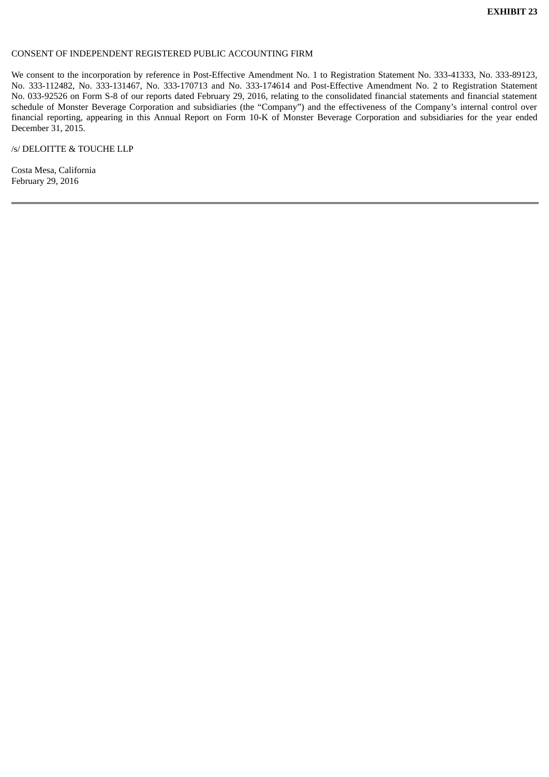### CONSENT OF INDEPENDENT REGISTERED PUBLIC ACCOUNTING FIRM

We consent to the incorporation by reference in Post-Effective Amendment No. 1 to Registration Statement No. 333-41333, No. 333-89123, No. 333-112482, No. 333-131467, No. 333-170713 and No. 333-174614 and Post-Effective Amendment No. 2 to Registration Statement No. 033-92526 on Form S-8 of our reports dated February 29, 2016, relating to the consolidated financial statements and financial statement schedule of Monster Beverage Corporation and subsidiaries (the "Company") and the effectiveness of the Company's internal control over financial reporting, appearing in this Annual Report on Form 10-K of Monster Beverage Corporation and subsidiaries for the year ended December 31, 2015.

/s/ DELOITTE & TOUCHE LLP

Costa Mesa*,* California February 29, 2016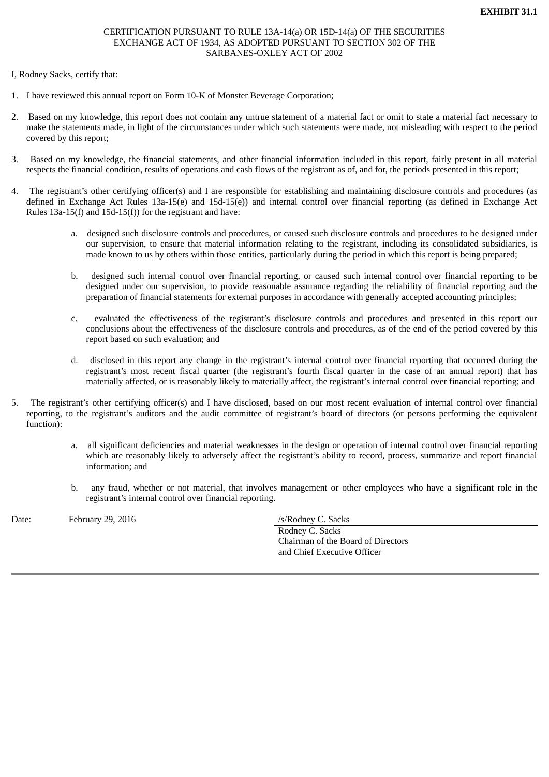## CERTIFICATION PURSUANT TO RULE 13A-14(a) OR 15D-14(a) OF THE SECURITIES EXCHANGE ACT OF 1934, AS ADOPTED PURSUANT TO SECTION 302 OF THE SARBANES-OXLEY ACT OF 2002

## I, Rodney Sacks, certify that:

- 1. I have reviewed this annual report on Form 10-K of Monster Beverage Corporation;
- 2. Based on my knowledge, this report does not contain any untrue statement of a material fact or omit to state a material fact necessary to make the statements made, in light of the circumstances under which such statements were made, not misleading with respect to the period covered by this report;
- 3. Based on my knowledge, the financial statements, and other financial information included in this report, fairly present in all material respects the financial condition, results of operations and cash flows of the registrant as of, and for, the periods presented in this report;
- 4. The registrant's other certifying officer(s) and I are responsible for establishing and maintaining disclosure controls and procedures (as defined in Exchange Act Rules 13a-15(e) and 15d-15(e)) and internal control over financial reporting (as defined in Exchange Act Rules 13a-15(f) and 15d-15(f)) for the registrant and have:
	- a. designed such disclosure controls and procedures, or caused such disclosure controls and procedures to be designed under our supervision, to ensure that material information relating to the registrant, including its consolidated subsidiaries, is made known to us by others within those entities, particularly during the period in which this report is being prepared;
	- b. designed such internal control over financial reporting, or caused such internal control over financial reporting to be designed under our supervision, to provide reasonable assurance regarding the reliability of financial reporting and the preparation of financial statements for external purposes in accordance with generally accepted accounting principles;
	- c. evaluated the effectiveness of the registrant's disclosure controls and procedures and presented in this report our conclusions about the effectiveness of the disclosure controls and procedures, as of the end of the period covered by this report based on such evaluation; and
	- d. disclosed in this report any change in the registrant's internal control over financial reporting that occurred during the registrant's most recent fiscal quarter (the registrant's fourth fiscal quarter in the case of an annual report) that has materially affected, or is reasonably likely to materially affect, the registrant's internal control over financial reporting; and
- 5. The registrant's other certifying officer(s) and I have disclosed, based on our most recent evaluation of internal control over financial reporting, to the registrant's auditors and the audit committee of registrant's board of directors (or persons performing the equivalent function):
	- a. all significant deficiencies and material weaknesses in the design or operation of internal control over financial reporting which are reasonably likely to adversely affect the registrant's ability to record, process, summarize and report financial information; and
	- b. any fraud, whether or not material, that involves management or other employees who have a significant role in the registrant's internal control over financial reporting.

Date: February 29, 2016 /s/Rodney C. Sacks

Rodney C. Sacks Chairman of the Board of Directors and Chief Executive Officer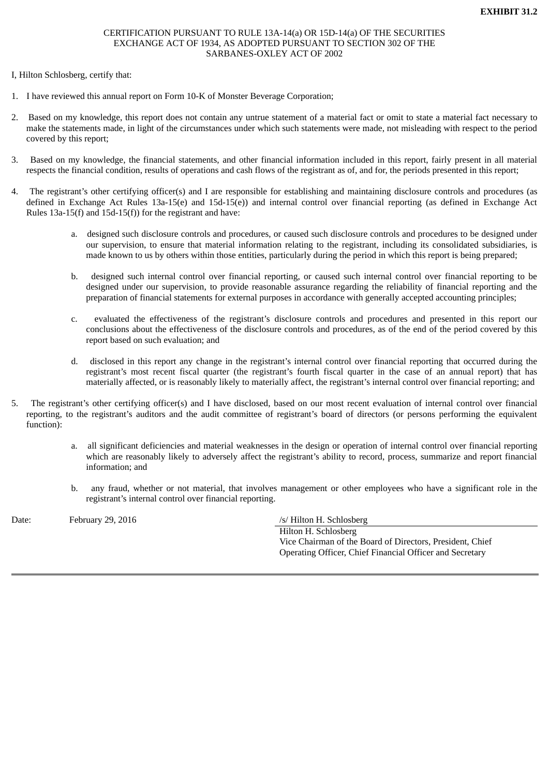# CERTIFICATION PURSUANT TO RULE 13A-14(a) OR 15D-14(a) OF THE SECURITIES EXCHANGE ACT OF 1934, AS ADOPTED PURSUANT TO SECTION 302 OF THE SARBANES-OXLEY ACT OF 2002

### I, Hilton Schlosberg, certify that:

- 1. I have reviewed this annual report on Form 10-K of Monster Beverage Corporation;
- 2. Based on my knowledge, this report does not contain any untrue statement of a material fact or omit to state a material fact necessary to make the statements made, in light of the circumstances under which such statements were made, not misleading with respect to the period covered by this report;
- 3. Based on my knowledge, the financial statements, and other financial information included in this report, fairly present in all material respects the financial condition, results of operations and cash flows of the registrant as of, and for, the periods presented in this report;
- 4. The registrant's other certifying officer(s) and I are responsible for establishing and maintaining disclosure controls and procedures (as defined in Exchange Act Rules 13a-15(e) and 15d-15(e)) and internal control over financial reporting (as defined in Exchange Act Rules 13a-15(f) and 15d-15(f)) for the registrant and have:
	- a. designed such disclosure controls and procedures, or caused such disclosure controls and procedures to be designed under our supervision, to ensure that material information relating to the registrant, including its consolidated subsidiaries, is made known to us by others within those entities, particularly during the period in which this report is being prepared;
	- b. designed such internal control over financial reporting, or caused such internal control over financial reporting to be designed under our supervision, to provide reasonable assurance regarding the reliability of financial reporting and the preparation of financial statements for external purposes in accordance with generally accepted accounting principles;
	- c. evaluated the effectiveness of the registrant's disclosure controls and procedures and presented in this report our conclusions about the effectiveness of the disclosure controls and procedures, as of the end of the period covered by this report based on such evaluation; and
	- d. disclosed in this report any change in the registrant's internal control over financial reporting that occurred during the registrant's most recent fiscal quarter (the registrant's fourth fiscal quarter in the case of an annual report) that has materially affected, or is reasonably likely to materially affect, the registrant's internal control over financial reporting; and
- 5. The registrant's other certifying officer(s) and I have disclosed, based on our most recent evaluation of internal control over financial reporting, to the registrant's auditors and the audit committee of registrant's board of directors (or persons performing the equivalent function):
	- a. all significant deficiencies and material weaknesses in the design or operation of internal control over financial reporting which are reasonably likely to adversely affect the registrant's ability to record, process, summarize and report financial information; and
	- b. any fraud, whether or not material, that involves management or other employees who have a significant role in the registrant's internal control over financial reporting.

Date: February 29, 2016 /s/ Hilton H. Schlosberg

Hilton H. Schlosberg Vice Chairman of the Board of Directors, President, Chief Operating Officer, Chief Financial Officer and Secretary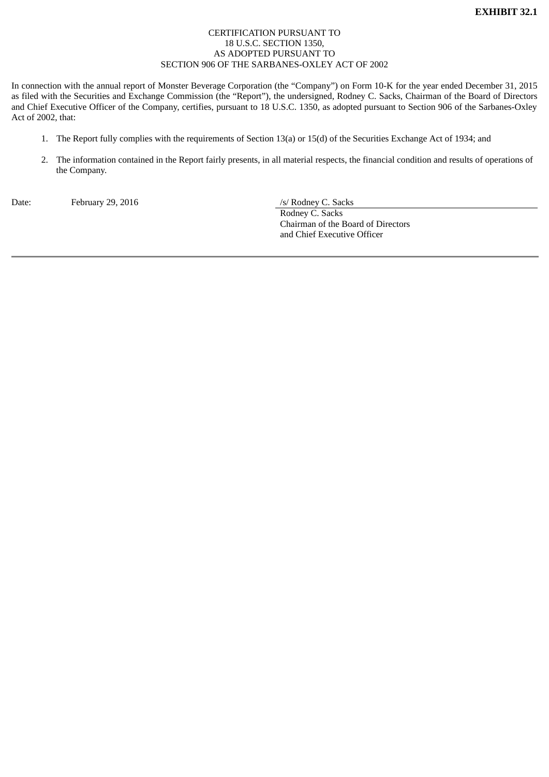# CERTIFICATION PURSUANT TO 18 U.S.C. SECTION 1350, AS ADOPTED PURSUANT TO SECTION 906 OF THE SARBANES-OXLEY ACT OF 2002

In connection with the annual report of Monster Beverage Corporation (the "Company") on Form 10-K for the year ended December 31, 2015 as filed with the Securities and Exchange Commission (the "Report"), the undersigned, Rodney C. Sacks, Chairman of the Board of Directors and Chief Executive Officer of the Company, certifies, pursuant to 18 U.S.C. 1350, as adopted pursuant to Section 906 of the Sarbanes-Oxley Act of 2002, that:

- 1. The Report fully complies with the requirements of Section 13(a) or 15(d) of the Securities Exchange Act of 1934; and
- 2. The information contained in the Report fairly presents, in all material respects, the financial condition and results of operations of the Company.

Date: February 29, 2016 /s/ Rodney C. Sacks

Rodney C. Sacks Chairman of the Board of Directors and Chief Executive Officer